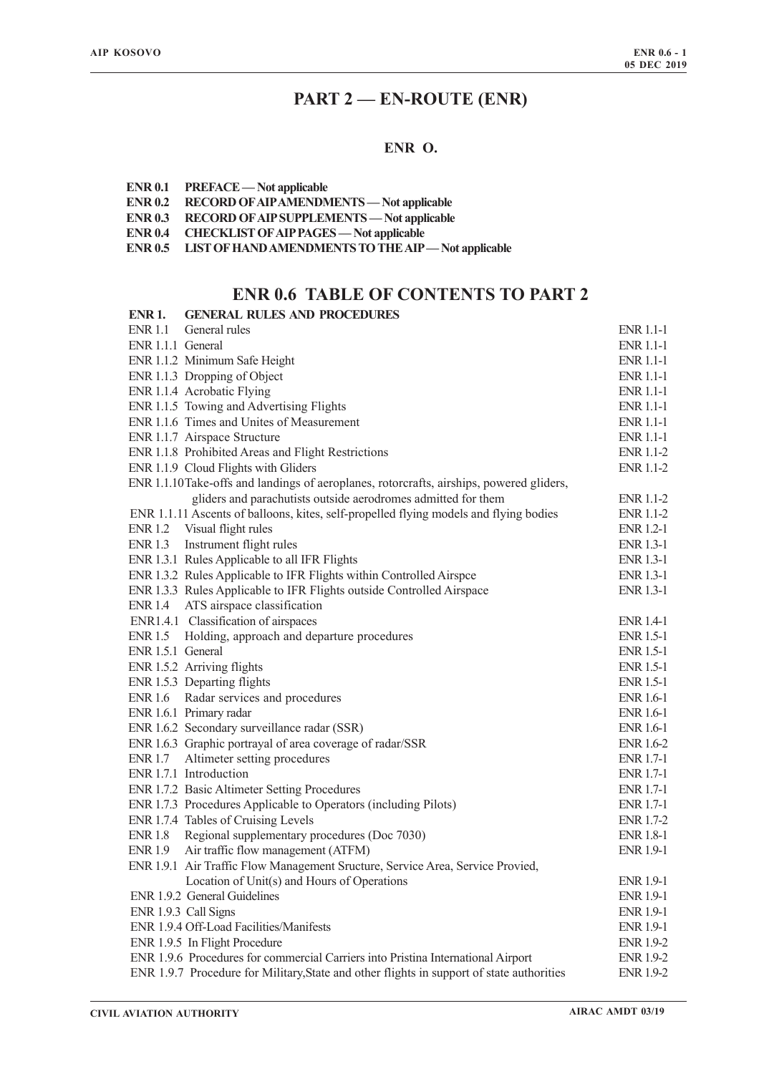# **PART 2 — EN-ROUTE (ENR)**

# **ENR O.**

| <b>ENR0.1</b> | PREFACE- | - Not applicable |
|---------------|----------|------------------|
|---------------|----------|------------------|

- **ENR 0.2 RECORD OF AIP AMENDMENTS Not applicable**
- **ENR 0.3 RECORD OF AIP SUPPLEMENTS Not applicable**
- **ENR 0.4 CHECKLIST OF AIP PAGES Not applicable**
- **ENR 0.5 LIST OF HAND AMENDMENTS TO THE AIP Not applicable**

# **ENR 0.6 TABLE OF CONTENTS TO PART 2**

| <b>ENR 1.</b>     | <b>GENERAL RULES AND PROCEDURES</b>                                                       |                  |
|-------------------|-------------------------------------------------------------------------------------------|------------------|
| ENR 1.1           | General rules                                                                             | ENR 1.1-1        |
| ENR 1.1.1 General |                                                                                           | <b>ENR 1.1-1</b> |
|                   | ENR 1.1.2 Minimum Safe Height                                                             | <b>ENR 1.1-1</b> |
|                   | ENR 1.1.3 Dropping of Object                                                              | <b>ENR 1.1-1</b> |
|                   | ENR 1.1.4 Acrobatic Flying                                                                | <b>ENR 1.1-1</b> |
|                   | ENR 1.1.5 Towing and Advertising Flights                                                  | <b>ENR 1.1-1</b> |
|                   | ENR 1.1.6 Times and Unites of Measurement                                                 | <b>ENR 1.1-1</b> |
|                   | ENR 1.1.7 Airspace Structure                                                              | <b>ENR 1.1-1</b> |
|                   | ENR 1.1.8 Prohibited Areas and Flight Restrictions                                        | <b>ENR 1.1-2</b> |
|                   | ENR 1.1.9 Cloud Flights with Gliders                                                      | <b>ENR 1.1-2</b> |
|                   | ENR 1.1.10 Take-offs and landings of aeroplanes, rotorcrafts, airships, powered gliders,  |                  |
|                   | gliders and parachutists outside aerodromes admitted for them                             | <b>ENR 1.1-2</b> |
|                   | ENR 1.1.11 Ascents of balloons, kites, self-propelled flying models and flying bodies     | <b>ENR 1.1-2</b> |
|                   | ENR 1.2 Visual flight rules                                                               | <b>ENR 1.2-1</b> |
|                   | ENR 1.3 Instrument flight rules                                                           | ENR 1.3-1        |
|                   | ENR 1.3.1 Rules Applicable to all IFR Flights                                             | ENR 1.3-1        |
|                   | ENR 1.3.2 Rules Applicable to IFR Flights within Controlled Airspee                       | ENR 1.3-1        |
|                   | ENR 1.3.3 Rules Applicable to IFR Flights outside Controlled Airspace                     | <b>ENR 1.3-1</b> |
|                   | ENR 1.4 ATS airspace classification                                                       |                  |
|                   | ENR1.4.1 Classification of airspaces                                                      | ENR 1.4-1        |
|                   | ENR 1.5 Holding, approach and departure procedures                                        | <b>ENR 1.5-1</b> |
| ENR 1.5.1 General |                                                                                           | <b>ENR 1.5-1</b> |
|                   | ENR 1.5.2 Arriving flights                                                                | <b>ENR 1.5-1</b> |
|                   | ENR 1.5.3 Departing flights                                                               | <b>ENR 1.5-1</b> |
|                   | ENR 1.6 Radar services and procedures                                                     | <b>ENR 1.6-1</b> |
|                   | ENR 1.6.1 Primary radar                                                                   | <b>ENR 1.6-1</b> |
|                   | ENR 1.6.2 Secondary surveillance radar (SSR)                                              | ENR 1.6-1        |
|                   | ENR 1.6.3 Graphic portrayal of area coverage of radar/SSR                                 | <b>ENR 1.6-2</b> |
|                   | ENR 1.7 Altimeter setting procedures                                                      | ENR 1.7-1        |
|                   | ENR 1.7.1 Introduction                                                                    | ENR 1.7-1        |
|                   | ENR 1.7.2 Basic Altimeter Setting Procedures                                              | ENR 1.7-1        |
|                   | ENR 1.7.3 Procedures Applicable to Operators (including Pilots)                           | ENR 1.7-1        |
|                   | ENR 1.7.4 Tables of Cruising Levels                                                       | <b>ENR 1.7-2</b> |
|                   | ENR 1.8 Regional supplementary procedures (Doc 7030)                                      | ENR 1.8-1        |
|                   | ENR 1.9 Air traffic flow management (ATFM)                                                | <b>ENR 1.9-1</b> |
|                   | ENR 1.9.1 Air Traffic Flow Management Sructure, Service Area, Service Provied,            |                  |
|                   | Location of Unit(s) and Hours of Operations                                               | <b>ENR 1.9-1</b> |
|                   | ENR 1.9.2 General Guidelines                                                              | <b>ENR 1.9-1</b> |
|                   | ENR 1.9.3 Call Signs                                                                      | <b>ENR 1.9-1</b> |
|                   | ENR 1.9.4 Off-Load Facilities/Manifests                                                   | ENR 1.9-1        |
|                   | ENR 1.9.5 In Flight Procedure                                                             | <b>ENR 1.9-2</b> |
|                   | ENR 1.9.6 Procedures for commercial Carriers into Pristina International Airport          | <b>ENR 1.9-2</b> |
|                   | ENR 1.9.7 Procedure for Military, State and other flights in support of state authorities | <b>ENR 1.9-2</b> |
|                   |                                                                                           |                  |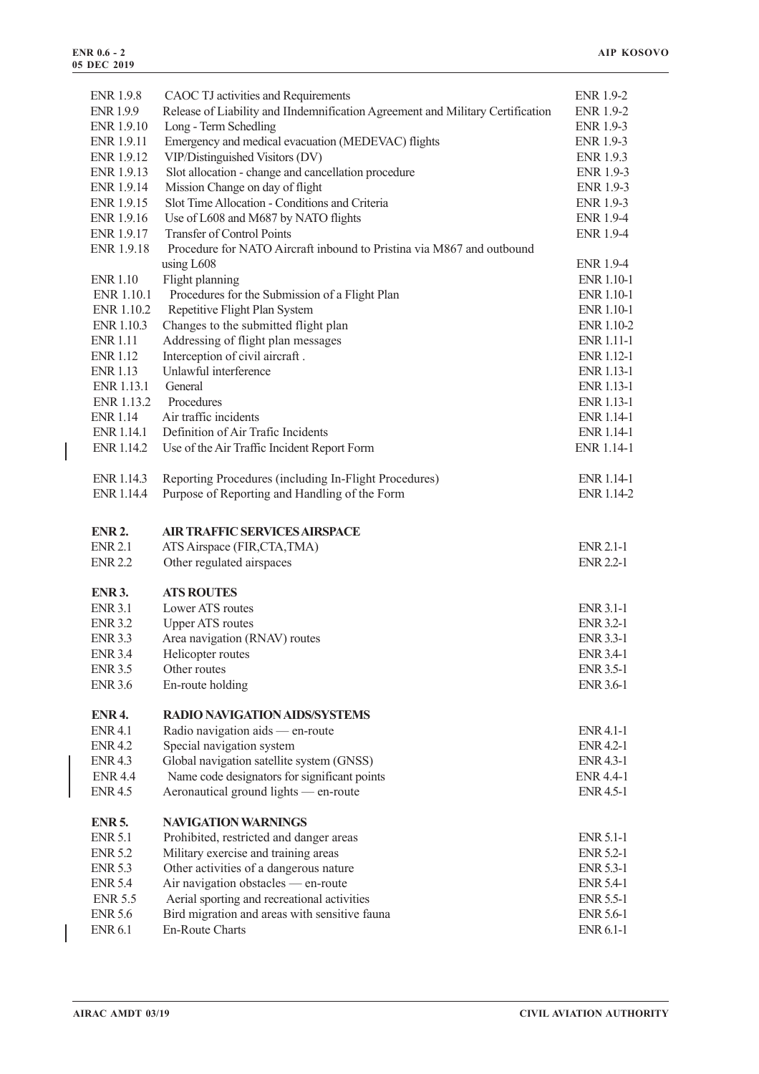$\overline{\phantom{a}}$ 

| <b>ENR 1.9.8</b>                 | CAOC TJ activities and Requirements                                            | <b>ENR 1.9-2</b>              |
|----------------------------------|--------------------------------------------------------------------------------|-------------------------------|
| <b>ENR 1.9.9</b>                 | Release of Liability and IIndemnification Agreement and Military Certification | <b>ENR 1.9-2</b>              |
| <b>ENR 1.9.10</b>                | Long - Term Schedling                                                          | <b>ENR 1.9-3</b>              |
| ENR 1.9.11                       | Emergency and medical evacuation (MEDEVAC) flights                             | <b>ENR 1.9-3</b>              |
| ENR 1.9.12                       | VIP/Distinguished Visitors (DV)                                                | <b>ENR 1.9.3</b>              |
| ENR 1.9.13                       | Slot allocation - change and cancellation procedure                            | <b>ENR 1.9-3</b>              |
| <b>ENR 1.9.14</b>                | Mission Change on day of flight                                                | <b>ENR 1.9-3</b>              |
| ENR 1.9.15                       | Slot Time Allocation - Conditions and Criteria                                 | ENR 1.9-3                     |
|                                  |                                                                                |                               |
| ENR 1.9.16                       | Use of L608 and M687 by NATO flights<br><b>Transfer of Control Points</b>      | ENR 1.9-4                     |
| <b>ENR 1.9.17</b>                |                                                                                | ENR 1.9-4                     |
| <b>ENR 1.9.18</b>                | Procedure for NATO Aircraft inbound to Pristina via M867 and outbound          |                               |
|                                  | using L608                                                                     | ENR 1.9-4                     |
| <b>ENR 1.10</b>                  | Flight planning                                                                | ENR 1.10-1                    |
| ENR 1.10.1                       | Procedures for the Submission of a Flight Plan                                 | ENR 1.10-1                    |
| ENR 1.10.2                       | Repetitive Flight Plan System                                                  | ENR 1.10-1                    |
| ENR 1.10.3                       | Changes to the submitted flight plan                                           | ENR 1.10-2                    |
| <b>ENR 1.11</b>                  | Addressing of flight plan messages                                             | ENR 1.11-1                    |
| <b>ENR 1.12</b>                  | Interception of civil aircraft.                                                | ENR 1.12-1                    |
| <b>ENR 1.13</b>                  | Unlawful interference                                                          | ENR 1.13-1                    |
| ENR 1.13.1                       | General                                                                        | ENR 1.13-1                    |
| ENR 1.13.2                       | Procedures                                                                     | ENR 1.13-1                    |
| <b>ENR 1.14</b>                  | Air traffic incidents                                                          | ENR 1.14-1                    |
| ENR 1.14.1                       | Definition of Air Trafic Incidents                                             | ENR 1.14-1                    |
| ENR 1.14.2                       | Use of the Air Traffic Incident Report Form                                    | ENR 1.14-1                    |
| ENR 1.14.3                       | Reporting Procedures (including In-Flight Procedures)                          | ENR 1.14-1                    |
| ENR 1.14.4                       | Purpose of Reporting and Handling of the Form                                  | ENR 1.14-2                    |
| <b>ENR 2.</b>                    | <b>AIR TRAFFIC SERVICES AIRSPACE</b>                                           |                               |
| <b>ENR 2.1</b>                   | ATS Airspace (FIR, CTA, TMA)                                                   | $ENR 2.1-1$                   |
| <b>ENR 2.2</b>                   | Other regulated airspaces                                                      | <b>ENR 2.2-1</b>              |
|                                  |                                                                                |                               |
| <b>ENR 3.</b>                    | <b>ATS ROUTES</b>                                                              |                               |
| <b>ENR 3.1</b>                   | Lower ATS routes                                                               | <b>ENR 3.1-1</b>              |
| <b>ENR 3.2</b>                   | <b>Upper ATS</b> routes                                                        | <b>ENR 3.2-1</b>              |
| <b>ENR 3.3</b>                   | Area navigation (RNAV) routes                                                  | <b>ENR 3.3-1</b>              |
| <b>ENR 3.4</b>                   | Helicopter routes                                                              | ENR 3.4-1                     |
| <b>ENR 3.5</b>                   | Other routes                                                                   | <b>ENR 3.5-1</b>              |
| <b>ENR 3.6</b>                   | En-route holding                                                               | <b>ENR 3.6-1</b>              |
| <b>ENR 4.</b>                    | RADIO NAVIGATION AIDS/SYSTEMS                                                  |                               |
| <b>ENR 4.1</b>                   | Radio navigation aids - en-route                                               | <b>ENR 4.1-1</b>              |
| <b>ENR 4.2</b>                   | Special navigation system                                                      | <b>ENR 4.2-1</b>              |
| <b>ENR 4.3</b>                   | Global navigation satellite system (GNSS)                                      | <b>ENR 4.3-1</b>              |
| <b>ENR 4.4</b>                   | Name code designators for significant points                                   | <b>ENR 4.4-1</b>              |
| <b>ENR 4.5</b>                   | Aeronautical ground lights - en-route                                          | <b>ENR 4.5-1</b>              |
| <b>ENR 5.</b>                    | <b>NAVIGATION WARNINGS</b>                                                     |                               |
| <b>ENR 5.1</b>                   | Prohibited, restricted and danger areas                                        | <b>ENR 5.1-1</b>              |
| <b>ENR 5.2</b>                   | Military exercise and training areas                                           | ENR 5.2-1                     |
| <b>ENR 5.3</b>                   | Other activities of a dangerous nature                                         | ENR 5.3-1                     |
| <b>ENR 5.4</b>                   | Air navigation obstacles - en-route                                            | <b>ENR 5.4-1</b>              |
|                                  |                                                                                |                               |
| <b>ENR 5.5</b>                   | Aerial sporting and recreational activities                                    | <b>ENR 5.5-1</b>              |
| <b>ENR 5.6</b><br><b>ENR 6.1</b> | Bird migration and areas with sensitive fauna<br>En-Route Charts               | <b>ENR 5.6-1</b><br>ENR 6.1-1 |
|                                  |                                                                                |                               |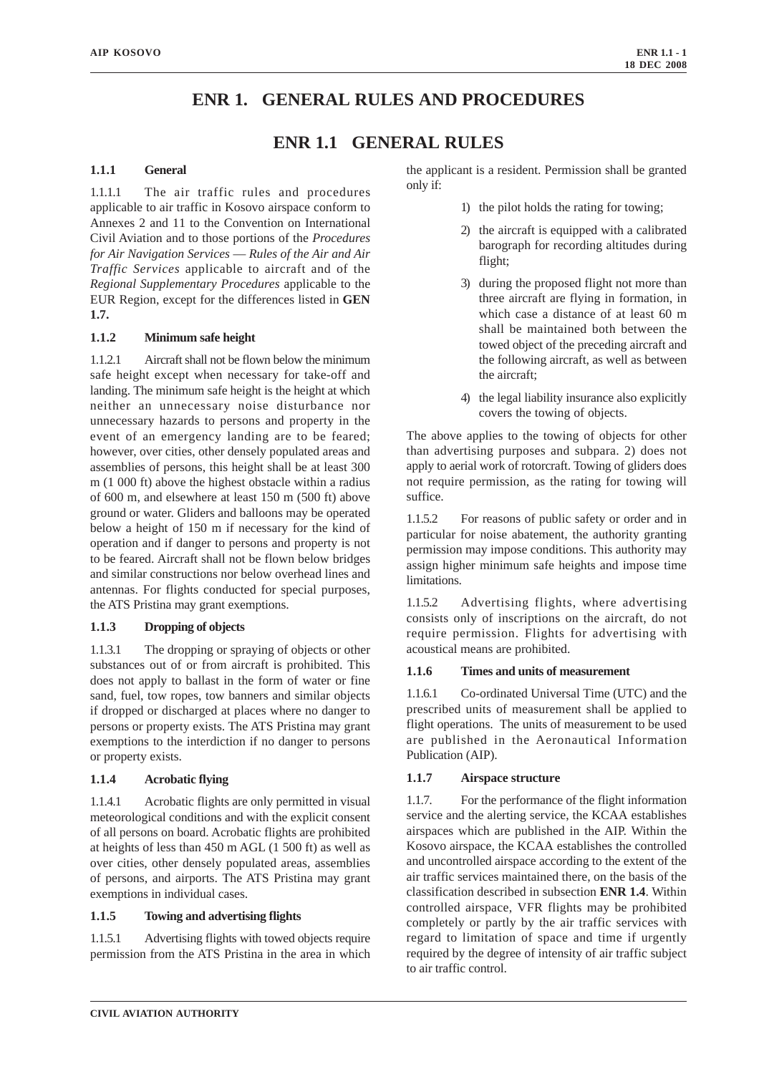# **ENR 1. GENERAL RULES AND PROCEDURES**

# **ENR 1.1 GENERAL RULES**

# **1.1.1 General**

1.1.1.1 The air traffic rules and procedures applicable to air traffic in Kosovo airspace conform to Annexes 2 and 11 to the Convention on International Civil Aviation and to those portions of the *Procedures for Air Navigation Services* — *Rules of the Air and Air Traffic Services* applicable to aircraft and of the *Regional Supplementary Procedures* applicable to the EUR Region, except for the differences listed in **GEN 1.7.**

# **1.1.2 Minimum safe height**

1.1.2.1 Aircraft shall not be flown below the minimum safe height except when necessary for take-off and landing. The minimum safe height is the height at which neither an unnecessary noise disturbance nor unnecessary hazards to persons and property in the event of an emergency landing are to be feared; however, over cities, other densely populated areas and assemblies of persons, this height shall be at least 300 m (1 000 ft) above the highest obstacle within a radius of 600 m, and elsewhere at least 150 m (500 ft) above ground or water. Gliders and balloons may be operated below a height of 150 m if necessary for the kind of operation and if danger to persons and property is not to be feared. Aircraft shall not be flown below bridges and similar constructions nor below overhead lines and antennas. For flights conducted for special purposes, the ATS Pristina may grant exemptions.

# **1.1.3 Dropping of objects**

1.1.3.1 The dropping or spraying of objects or other substances out of or from aircraft is prohibited. This does not apply to ballast in the form of water or fine sand, fuel, tow ropes, tow banners and similar objects if dropped or discharged at places where no danger to persons or property exists. The ATS Pristina may grant exemptions to the interdiction if no danger to persons or property exists.

# **1.1.4 Acrobatic flying**

1.1.4.1 Acrobatic flights are only permitted in visual meteorological conditions and with the explicit consent of all persons on board. Acrobatic flights are prohibited at heights of less than 450 m AGL (1 500 ft) as well as over cities, other densely populated areas, assemblies of persons, and airports. The ATS Pristina may grant exemptions in individual cases.

# **1.1.5 Towing and advertising flights**

1.1.5.1 Advertising flights with towed objects require permission from the ATS Pristina in the area in which the applicant is a resident. Permission shall be granted only if:

- 1) the pilot holds the rating for towing;
- 2) the aircraft is equipped with a calibrated barograph for recording altitudes during flight;
- 3) during the proposed flight not more than three aircraft are flying in formation, in which case a distance of at least 60 m shall be maintained both between the towed object of the preceding aircraft and the following aircraft, as well as between the aircraft;
- 4) the legal liability insurance also explicitly covers the towing of objects.

The above applies to the towing of objects for other than advertising purposes and subpara. 2) does not apply to aerial work of rotorcraft. Towing of gliders does not require permission, as the rating for towing will suffice.

1.1.5.2 For reasons of public safety or order and in particular for noise abatement, the authority granting permission may impose conditions. This authority may assign higher minimum safe heights and impose time limitations.

1.1.5.2 Advertising flights, where advertising consists only of inscriptions on the aircraft, do not require permission. Flights for advertising with acoustical means are prohibited.

# **1.1.6 Times and units of measurement**

1.1.6.1 Co-ordinated Universal Time (UTC) and the prescribed units of measurement shall be applied to flight operations. The units of measurement to be used are published in the Aeronautical Information Publication (AIP).

# **1.1.7 Airspace structure**

1.1.7. For the performance of the flight information service and the alerting service, the KCAA establishes airspaces which are published in the AIP. Within the Kosovo airspace, the KCAA establishes the controlled and uncontrolled airspace according to the extent of the air traffic services maintained there, on the basis of the classification described in subsection **ENR 1.4**. Within controlled airspace, VFR flights may be prohibited completely or partly by the air traffic services with regard to limitation of space and time if urgently required by the degree of intensity of air traffic subject to air traffic control.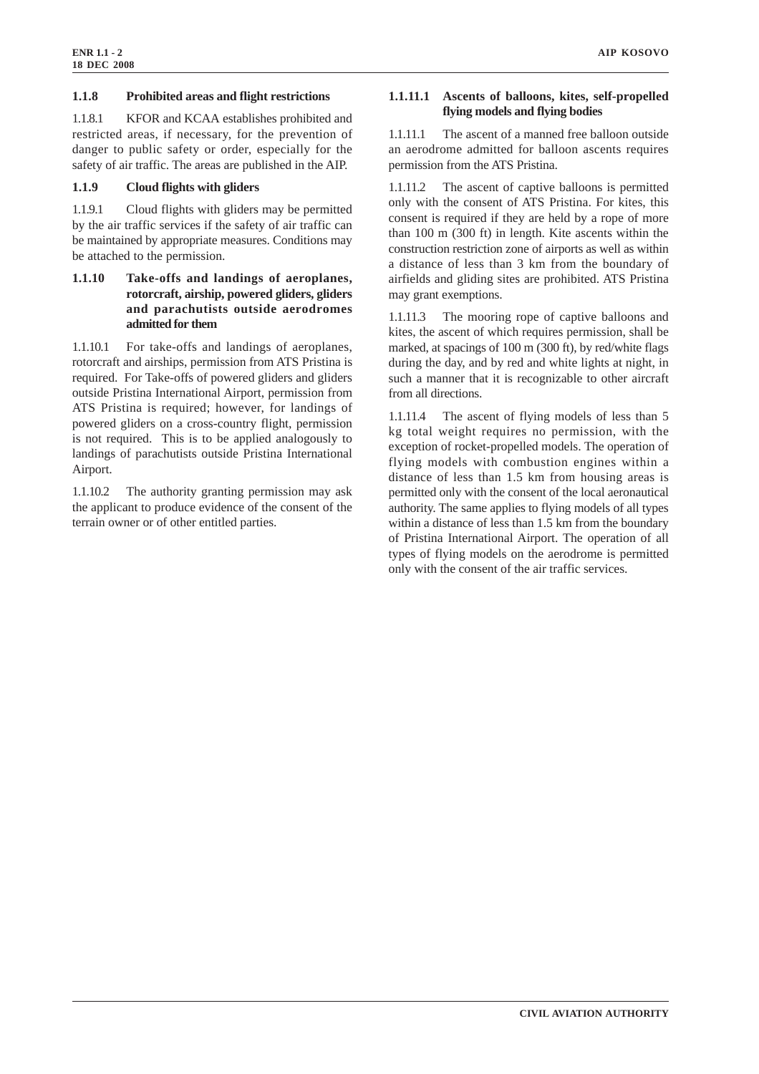#### **1.1.8 Prohibited areas and flight restrictions**

1.1.8.1 KFOR and KCAA establishes prohibited and restricted areas, if necessary, for the prevention of danger to public safety or order, especially for the safety of air traffic. The areas are published in the AIP.

#### **1.1.9 Cloud flights with gliders**

1.1.9.1 Cloud flights with gliders may be permitted by the air traffic services if the safety of air traffic can be maintained by appropriate measures. Conditions may be attached to the permission.

# **1.1.10 Take-offs and landings of aeroplanes, rotorcraft, airship, powered gliders, gliders and parachutists outside aerodromes admitted for them**

1.1.10.1 For take-offs and landings of aeroplanes, rotorcraft and airships, permission from ATS Pristina is required. For Take-offs of powered gliders and gliders outside Pristina International Airport, permission from ATS Pristina is required; however, for landings of powered gliders on a cross-country flight, permission is not required. This is to be applied analogously to landings of parachutists outside Pristina International Airport.

1.1.10.2 The authority granting permission may ask the applicant to produce evidence of the consent of the terrain owner or of other entitled parties.

# **1.1.11.1 Ascents of balloons, kites, self-propelled flying models and flying bodies**

1.1.11.1 The ascent of a manned free balloon outside an aerodrome admitted for balloon ascents requires permission from the ATS Pristina.

1.1.11.2 The ascent of captive balloons is permitted only with the consent of ATS Pristina. For kites, this consent is required if they are held by a rope of more than 100 m (300 ft) in length. Kite ascents within the construction restriction zone of airports as well as within a distance of less than 3 km from the boundary of airfields and gliding sites are prohibited. ATS Pristina may grant exemptions.

1.1.11.3 The mooring rope of captive balloons and kites, the ascent of which requires permission, shall be marked, at spacings of 100 m (300 ft), by red/white flags during the day, and by red and white lights at night, in such a manner that it is recognizable to other aircraft from all directions.

1.1.11.4 The ascent of flying models of less than 5 kg total weight requires no permission, with the exception of rocket-propelled models. The operation of flying models with combustion engines within a distance of less than 1.5 km from housing areas is permitted only with the consent of the local aeronautical authority. The same applies to flying models of all types within a distance of less than 1.5 km from the boundary of Pristina International Airport. The operation of all types of flying models on the aerodrome is permitted only with the consent of the air traffic services.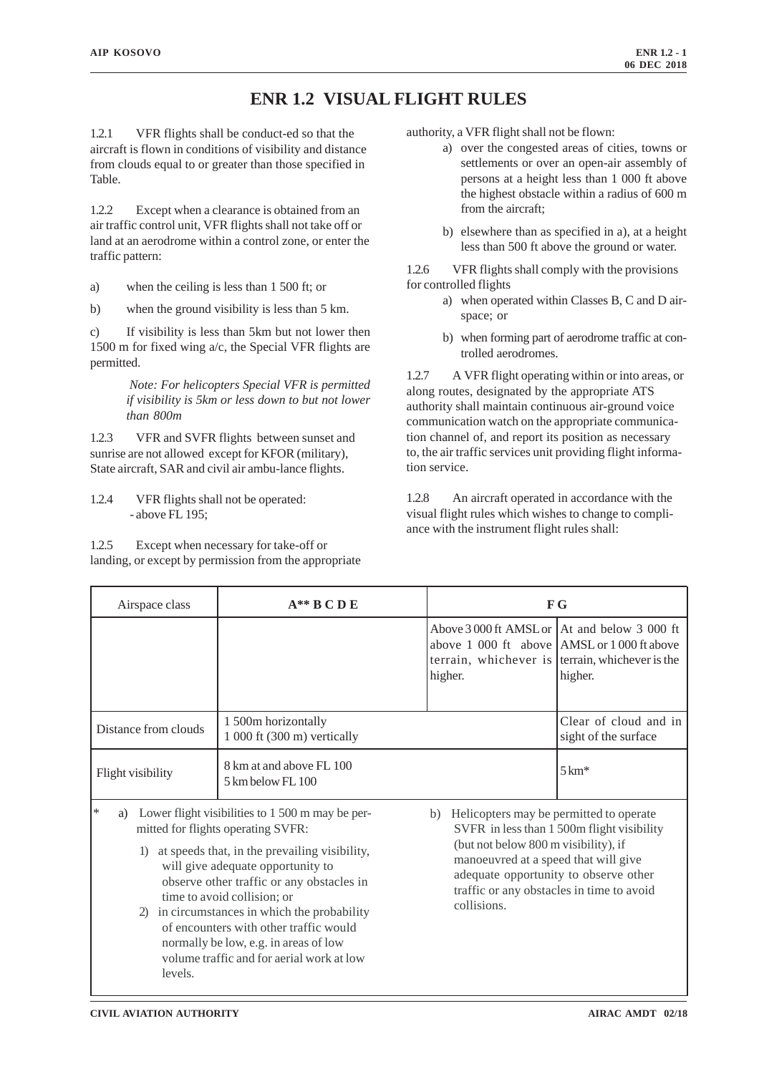# **ENR 1.2 VISUAL FLIGHT RULES**

1.2.1 VFR flights shall be conduct-ed so that the aircraft is flown in conditions of visibility and distance from clouds equal to or greater than those specified in Table.

1.2.2 Except when a clearance is obtained from an air traffic control unit, VFR flights shall not take off or land at an aerodrome within a control zone, or enter the traffic pattern:

- a) when the ceiling is less than 1 500 ft; or
- b) when the ground visibility is less than 5 km.

c) If visibility is less than 5km but not lower then 1500 m for fixed wing a/c, the Special VFR flights are permitted.

> *Note: For helicopters Special VFR is permitted if visibility is 5km or less down to but not lower than 800m*

1.2.3 VFR and SVFR flights between sunset and sunrise are not allowed except for KFOR (military), State aircraft, SAR and civil air ambu-lance flights.

1.2.4 VFR flights shall not be operated: - above FL 195;

1.2.5 Except when necessary for take-off or landing, or except by permission from the appropriate authority, a VFR flight shall not be flown:

- a) over the congested areas of cities, towns or settlements or over an open-air assembly of persons at a height less than 1 000 ft above the highest obstacle within a radius of 600 m from the aircraft;
- b) elsewhere than as specified in a), at a height less than 500 ft above the ground or water.

1.2.6 VFR flights shall comply with the provisions for controlled flights

- a) when operated within Classes B, C and D airspace; or
- b) when forming part of aerodrome traffic at controlled aerodromes.

1.2.7 A VFR flight operating within or into areas, or along routes, designated by the appropriate ATS authority shall maintain continuous air-ground voice communication watch on the appropriate communication channel of, and report its position as necessary to, the air traffic services unit providing flight information service.

1.2.8 An aircraft operated in accordance with the visual flight rules which wishes to change to compliance with the instrument flight rules shall:

| Airspace class                                     | $A^{**}BCDE$                                                                                                                                                                                                                                                                                                                                                                                                                             | F G                                                                                                                                                                                                                                |                                               |  |
|----------------------------------------------------|------------------------------------------------------------------------------------------------------------------------------------------------------------------------------------------------------------------------------------------------------------------------------------------------------------------------------------------------------------------------------------------------------------------------------------------|------------------------------------------------------------------------------------------------------------------------------------------------------------------------------------------------------------------------------------|-----------------------------------------------|--|
|                                                    |                                                                                                                                                                                                                                                                                                                                                                                                                                          | Above 3 000 ft AMSL or 1 At and below 3 000 ft<br>above 1 000 ft above AMSL or 1 000 ft above<br>terrain, whichever is terrain, whichever is the<br>higher.                                                                        | higher.                                       |  |
| Distance from clouds                               | 1 500m horizontally<br>$1000$ ft (300 m) vertically                                                                                                                                                                                                                                                                                                                                                                                      |                                                                                                                                                                                                                                    | Clear of cloud and in<br>sight of the surface |  |
| Flight visibility                                  | 8 km at and above FL 100<br>5 km below FL 100                                                                                                                                                                                                                                                                                                                                                                                            |                                                                                                                                                                                                                                    | $5 \text{ km}^*$                              |  |
| *<br>a)<br>$\left( \frac{1}{2} \right)$<br>levels. | Lower flight visibilities to 1 500 m may be per-<br>mitted for flights operating SVFR:<br>at speeds that, in the prevailing visibility,<br>will give adequate opportunity to<br>observe other traffic or any obstacles in<br>time to avoid collision; or<br>2) in circumstances in which the probability<br>of encounters with other traffic would<br>normally be low, e.g. in areas of low<br>volume traffic and for aerial work at low | Helicopters may be permitted to operate<br>b)<br>(but not below 800 m visibility), if<br>manoeuvred at a speed that will give<br>adequate opportunity to observe other<br>traffic or any obstacles in time to avoid<br>collisions. | SVFR in less than 1 500m flight visibility    |  |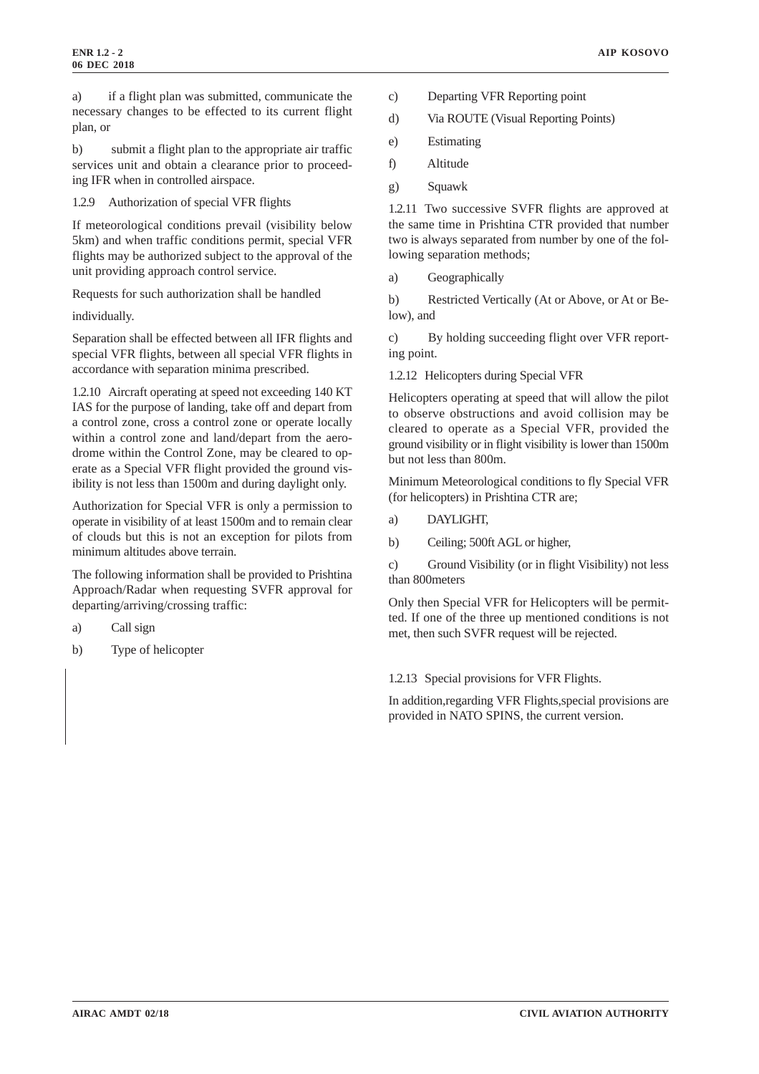a) if a flight plan was submitted, communicate the necessary changes to be effected to its current flight plan, or

b) submit a flight plan to the appropriate air traffic services unit and obtain a clearance prior to proceeding IFR when in controlled airspace.

1.2.9 Authorization of special VFR flights

If meteorological conditions prevail (visibility below 5km) and when traffic conditions permit, special VFR flights may be authorized subject to the approval of the unit providing approach control service.

Requests for such authorization shall be handled

individually.

Separation shall be effected between all IFR flights and special VFR flights, between all special VFR flights in accordance with separation minima prescribed.

1.2.10 Aircraft operating at speed not exceeding 140 KT IAS for the purpose of landing, take off and depart from a control zone, cross a control zone or operate locally within a control zone and land/depart from the aerodrome within the Control Zone, may be cleared to operate as a Special VFR flight provided the ground visibility is not less than 1500m and during daylight only.

Authorization for Special VFR is only a permission to operate in visibility of at least 1500m and to remain clear of clouds but this is not an exception for pilots from minimum altitudes above terrain.

The following information shall be provided to Prishtina Approach/Radar when requesting SVFR approval for departing/arriving/crossing traffic:

- a) Call sign
- b) Type of helicopter
- c) Departing VFR Reporting point
- d) Via ROUTE (Visual Reporting Points)
- e) Estimating
- f) Altitude
- g) Squawk

1.2.11 Two successive SVFR flights are approved at the same time in Prishtina CTR provided that number two is always separated from number by one of the following separation methods;

a) Geographically

b) Restricted Vertically (At or Above, or At or Below), and

c) By holding succeeding flight over VFR reporting point.

1.2.12 Helicopters during Special VFR

Helicopters operating at speed that will allow the pilot to observe obstructions and avoid collision may be cleared to operate as a Special VFR, provided the ground visibility or in flight visibility is lower than 1500m but not less than 800m.

Minimum Meteorological conditions to fly Special VFR (for helicopters) in Prishtina CTR are;

a) DAYLIGHT,

b) Ceiling; 500ft AGL or higher,

c) Ground Visibility (or in flight Visibility) not less than 800meters

Only then Special VFR for Helicopters will be permitted. If one of the three up mentioned conditions is not met, then such SVFR request will be rejected.

1.2.13 Special provisions for VFR Flights.

In addition,regarding VFR Flights,special provisions are provided in NATO SPINS, the current version.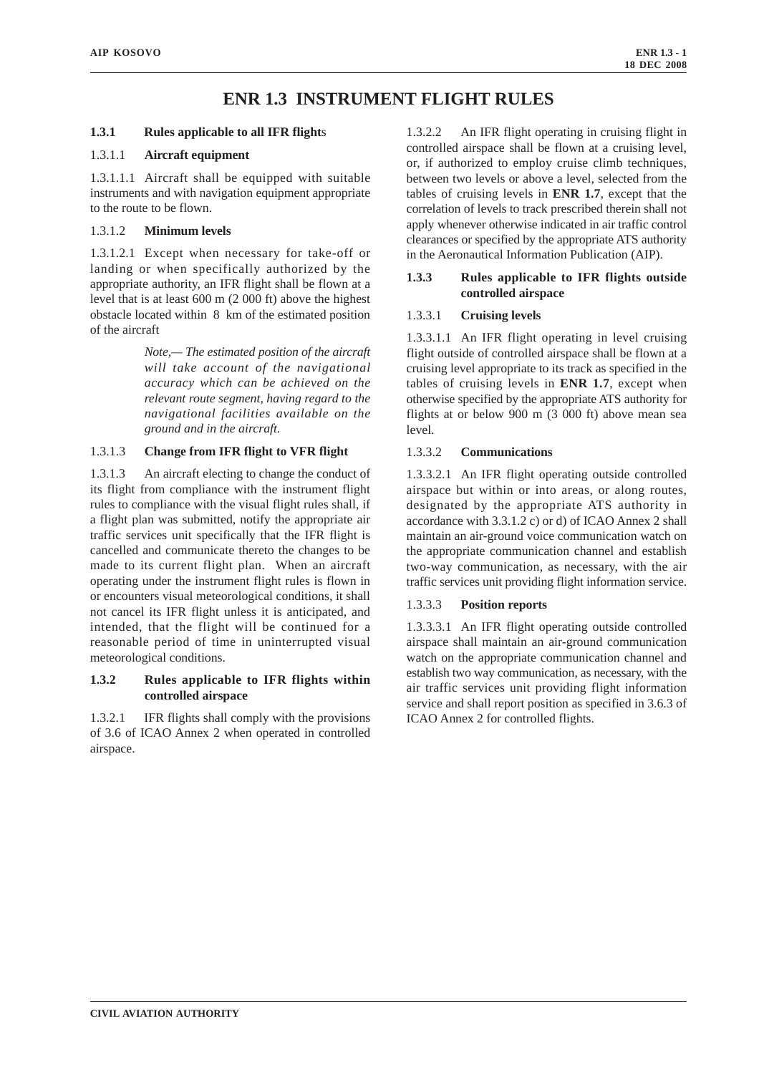# **ENR 1.3 INSTRUMENT FLIGHT RULES**

#### **1.3.1 Rules applicable to all IFR flight**s

#### 1.3.1.1 **Aircraft equipment**

1.3.1.1.1 Aircraft shall be equipped with suitable instruments and with navigation equipment appropriate to the route to be flown.

# 1.3.1.2 **Minimum levels**

1.3.1.2.1 Except when necessary for take-off or landing or when specifically authorized by the appropriate authority, an IFR flight shall be flown at a level that is at least 600 m (2 000 ft) above the highest obstacle located within 8 km of the estimated position of the aircraft

> *Note,— The estimated position of the aircraft will take account of the navigational accuracy which can be achieved on the relevant route segment, having regard to the navigational facilities available on the ground and in the aircraft.*

# 1.3.1.3 **Change from IFR flight to VFR flight**

1.3.1.3 An aircraft electing to change the conduct of its flight from compliance with the instrument flight rules to compliance with the visual flight rules shall, if a flight plan was submitted, notify the appropriate air traffic services unit specifically that the IFR flight is cancelled and communicate thereto the changes to be made to its current flight plan. When an aircraft operating under the instrument flight rules is flown in or encounters visual meteorological conditions, it shall not cancel its IFR flight unless it is anticipated, and intended, that the flight will be continued for a reasonable period of time in uninterrupted visual meteorological conditions.

# **1.3.2 Rules applicable to IFR flights within controlled airspace**

1.3.2.1 IFR flights shall comply with the provisions of 3.6 of ICAO Annex 2 when operated in controlled airspace.

1.3.2.2 An IFR flight operating in cruising flight in controlled airspace shall be flown at a cruising level, or, if authorized to employ cruise climb techniques, between two levels or above a level, selected from the tables of cruising levels in **ENR 1.7**, except that the correlation of levels to track prescribed therein shall not apply whenever otherwise indicated in air traffic control clearances or specified by the appropriate ATS authority in the Aeronautical Information Publication (AIP).

# **1.3.3 Rules applicable to IFR flights outside controlled airspace**

# 1.3.3.1 **Cruising levels**

1.3.3.1.1 An IFR flight operating in level cruising flight outside of controlled airspace shall be flown at a cruising level appropriate to its track as specified in the tables of cruising levels in **ENR 1.7**, except when otherwise specified by the appropriate ATS authority for flights at or below 900 m (3 000 ft) above mean sea level.

#### 1.3.3.2 **Communications**

1.3.3.2.1 An IFR flight operating outside controlled airspace but within or into areas, or along routes, designated by the appropriate ATS authority in accordance with 3.3.1.2 c) or d) of ICAO Annex 2 shall maintain an air-ground voice communication watch on the appropriate communication channel and establish two-way communication, as necessary, with the air traffic services unit providing flight information service.

# 1.3.3.3 **Position reports**

1.3.3.3.1 An IFR flight operating outside controlled airspace shall maintain an air-ground communication watch on the appropriate communication channel and establish two way communication, as necessary, with the air traffic services unit providing flight information service and shall report position as specified in 3.6.3 of ICAO Annex 2 for controlled flights.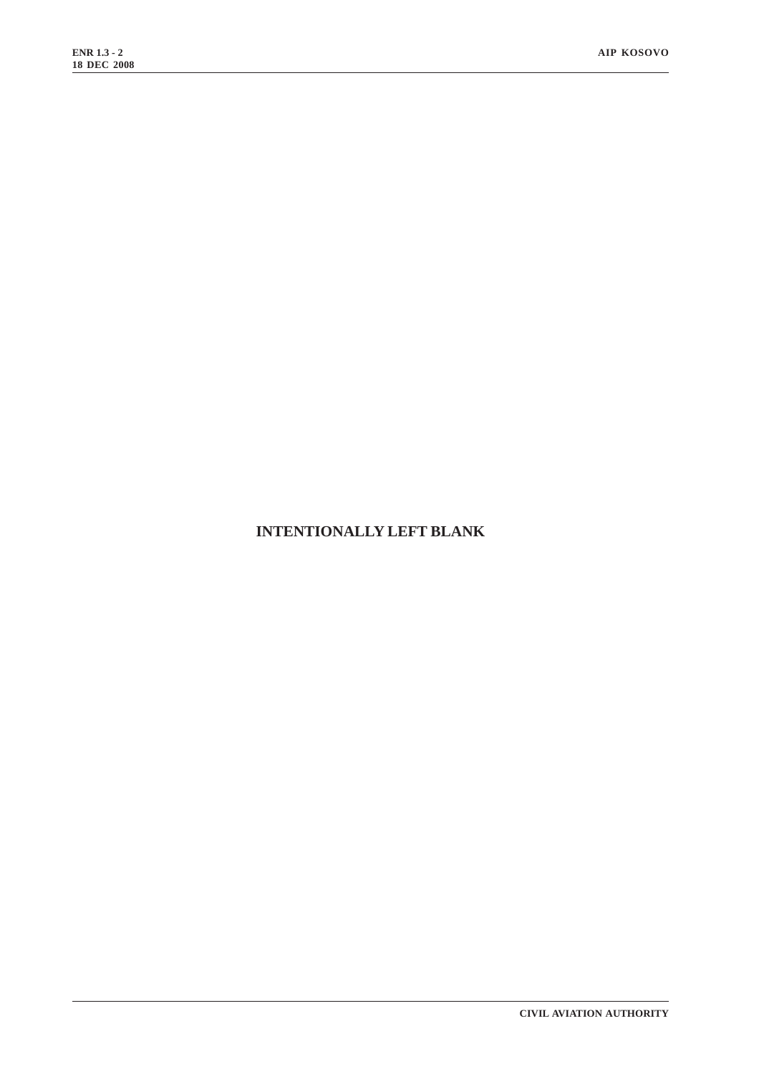# **INTENTIONALLY LEFT BLANK**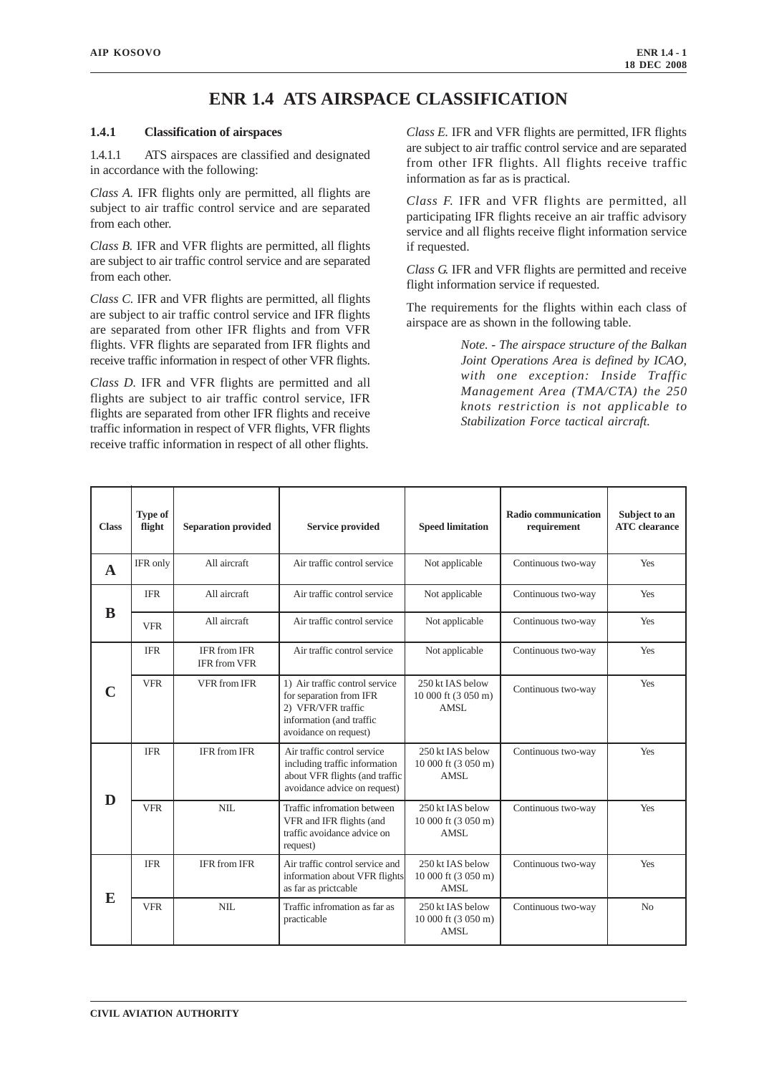# **ENR 1.4 ATS AIRSPACE CLASSIFICATION**

#### **1.4.1 Classification of airspaces**

1.4.1.1 ATS airspaces are classified and designated in accordance with the following:

*Class A.* IFR flights only are permitted, all flights are subject to air traffic control service and are separated from each other.

*Class B.* IFR and VFR flights are permitted, all flights are subject to air traffic control service and are separated from each other.

*Class C.* IFR and VFR flights are permitted, all flights are subject to air traffic control service and IFR flights are separated from other IFR flights and from VFR flights. VFR flights are separated from IFR flights and receive traffic information in respect of other VFR flights.

*Class D.* IFR and VFR flights are permitted and all flights are subject to air traffic control service, IFR flights are separated from other IFR flights and receive traffic information in respect of VFR flights, VFR flights receive traffic information in respect of all other flights.

*Class E.* IFR and VFR flights are permitted, IFR flights are subject to air traffic control service and are separated from other IFR flights. All flights receive traffic information as far as is practical.

*Class F.* IFR and VFR flights are permitted, all participating IFR flights receive an air traffic advisory service and all flights receive flight information service if requested.

*Class G.* IFR and VFR flights are permitted and receive flight information service if requested.

The requirements for the flights within each class of airspace are as shown in the following table.

> *Note. - The airspace structure of the Balkan Joint Operations Area is defined by ICAO, with one exception: Inside Traffic Management Area (TMA/CTA) the 250 knots restriction is not applicable to Stabilization Force tactical aircraft.*

| <b>Class</b> | Type of<br>flight | <b>Separation provided</b>                        | <b>Service provided</b>                                                                                                              | <b>Speed limitation</b>                                | Radio communication<br>requirement | Subject to an<br><b>ATC</b> clearance |
|--------------|-------------------|---------------------------------------------------|--------------------------------------------------------------------------------------------------------------------------------------|--------------------------------------------------------|------------------------------------|---------------------------------------|
| $\mathbf{A}$ | IFR only          | All aircraft                                      | Air traffic control service                                                                                                          | Not applicable                                         | Continuous two-way                 | Yes                                   |
|              | <b>IFR</b>        | All aircraft                                      | Air traffic control service                                                                                                          | Not applicable                                         | Continuous two-way                 | Yes                                   |
| B            | <b>VFR</b>        | All aircraft                                      | Air traffic control service                                                                                                          | Not applicable                                         | Continuous two-way                 | Yes                                   |
|              | <b>IFR</b>        | <b>IFR</b> from <b>IFR</b><br><b>IFR</b> from VFR | Air traffic control service                                                                                                          | Not applicable                                         | Continuous two-way                 | Yes                                   |
|              | <b>VFR</b>        | VFR from IFR                                      | 1) Air traffic control service<br>for separation from IFR<br>2) VFR/VFR traffic<br>information (and traffic<br>avoidance on request) | 250 kt IAS below<br>10 000 ft (3 050 m)<br>AMSL        | Continuous two-way                 | Yes                                   |
| D            | <b>IFR</b>        | <b>IFR</b> from IFR                               | Air traffic control service<br>including traffic information<br>about VFR flights (and traffic<br>avoidance advice on request)       | 250 kt IAS below<br>10 000 ft (3 050 m)<br>AMSL        | Continuous two-way                 | Yes                                   |
|              | <b>VFR</b>        | NIL                                               | Traffic infromation between<br>VFR and IFR flights (and<br>traffic avoidance advice on<br>request)                                   | 250 kt IAS below<br>10 000 ft (3 050 m)<br>AMSL        | Continuous two-way                 | Yes                                   |
| E            | <b>IFR</b>        | <b>IFR</b> from IFR                               | Air traffic control service and<br>information about VFR flights<br>as far as prictcable                                             | 250 kt IAS below<br>10 000 ft (3 050 m)<br><b>AMSL</b> | Continuous two-way                 | <b>Yes</b>                            |
|              | <b>VFR</b>        | NII.                                              | Traffic infromation as far as<br>practicable                                                                                         | 250 kt IAS below<br>10 000 ft (3 050 m)<br>AMSL        | Continuous two-way                 | No                                    |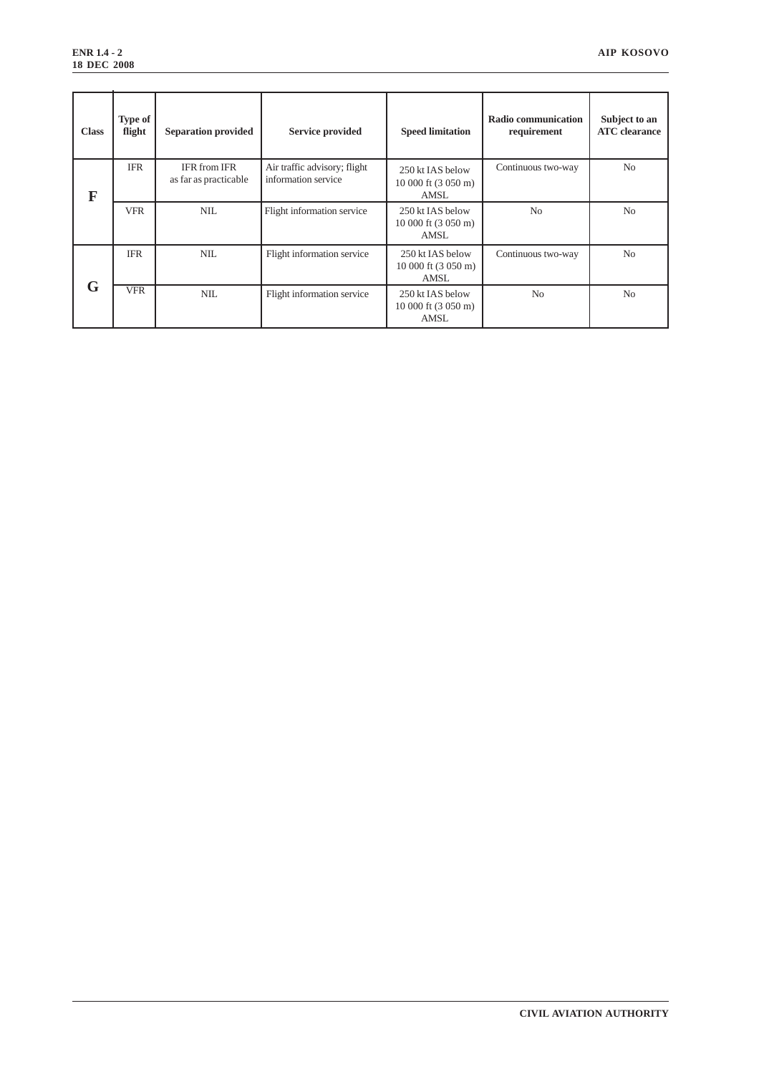| <b>Class</b> | Type of<br>flight | <b>Separation provided</b>                          | <b>Service provided</b>                             | <b>Speed limitation</b>                                         | Radio communication<br>requirement | Subject to an<br><b>ATC</b> clearance |
|--------------|-------------------|-----------------------------------------------------|-----------------------------------------------------|-----------------------------------------------------------------|------------------------------------|---------------------------------------|
| F            | <b>IFR</b>        | <b>IFR</b> from <b>IFR</b><br>as far as practicable | Air traffic advisory; flight<br>information service | 250 kt IAS below<br>10 000 ft (3 050 m)<br>AMSL                 | Continuous two-way                 | N <sub>o</sub>                        |
|              | <b>VFR</b>        | NIL                                                 | Flight information service                          | 250 kt IAS below<br>10 000 ft (3 050 m)<br>AMSL                 | N <sub>o</sub>                     | N <sub>o</sub>                        |
|              | <b>IFR</b>        | NII.                                                | Flight information service                          | 250 kt IAS below<br>$10\,000$ ft $(3\,050\,\mathrm{m})$<br>AMSL | Continuous two-way                 | No                                    |
| G            | <b>VFR</b>        | <b>NIL</b>                                          | Flight information service                          | 250 kt IAS below<br>10 000 ft (3 050 m)<br>AMSL                 | N <sub>o</sub>                     | N <sub>0</sub>                        |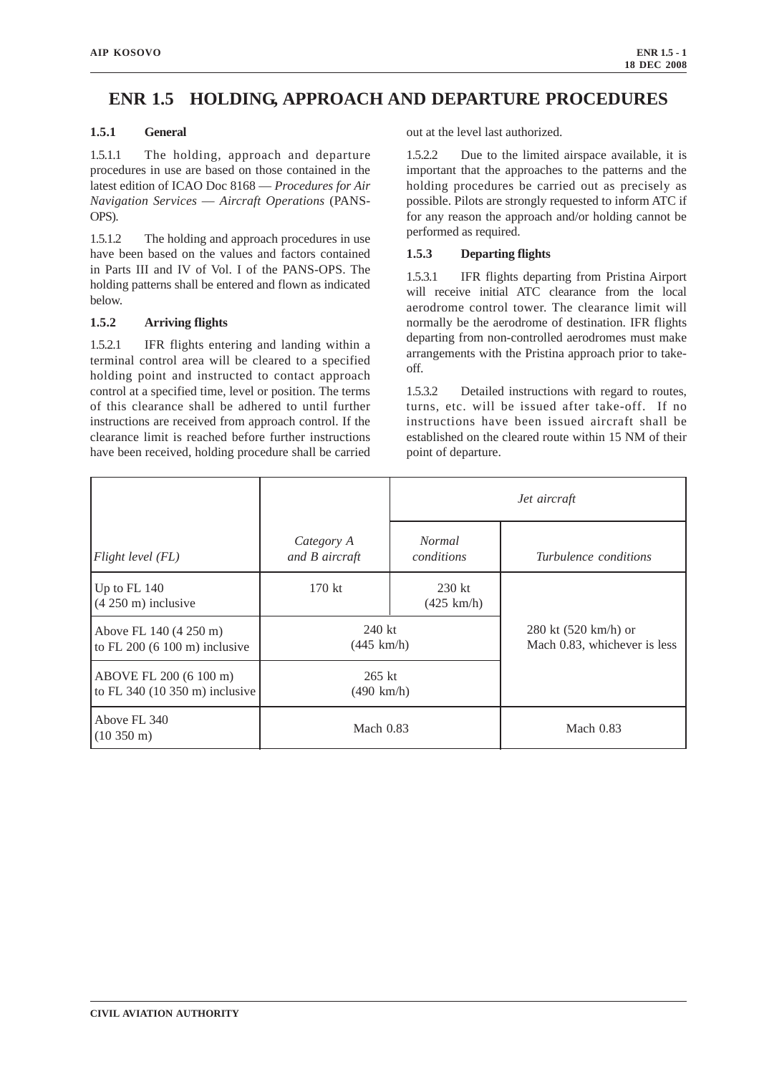# **ENR 1.5 HOLDING, APPROACH AND DEPARTURE PROCEDURES**

# **1.5.1 General**

1.5.1.1 The holding, approach and departure procedures in use are based on those contained in the latest edition of ICAO Doc 8168 — *Procedures for Air Navigation Services* — *Aircraft Operations* (PANS-OPS).

1.5.1.2 The holding and approach procedures in use have been based on the values and factors contained in Parts III and IV of Vol. I of the PANS-OPS. The holding patterns shall be entered and flown as indicated below.

# **1.5.2 Arriving flights**

1.5.2.1 IFR flights entering and landing within a terminal control area will be cleared to a specified holding point and instructed to contact approach control at a specified time, level or position. The terms of this clearance shall be adhered to until further instructions are received from approach control. If the clearance limit is reached before further instructions have been received, holding procedure shall be carried

out at the level last authorized.

1.5.2.2 Due to the limited airspace available, it is important that the approaches to the patterns and the holding procedures be carried out as precisely as possible. Pilots are strongly requested to inform ATC if for any reason the approach and/or holding cannot be performed as required.

# **1.5.3 Departing flights**

1.5.3.1 IFR flights departing from Pristina Airport will receive initial ATC clearance from the local aerodrome control tower. The clearance limit will normally be the aerodrome of destination. IFR flights departing from non-controlled aerodromes must make arrangements with the Pristina approach prior to takeoff.

1.5.3.2 Detailed instructions with regard to routes, turns, etc. will be issued after take-off. If no instructions have been issued aircraft shall be established on the cleared route within 15 NM of their point of departure.

|                                                                 |                                              |                             | Jet aircraft                                         |  |
|-----------------------------------------------------------------|----------------------------------------------|-----------------------------|------------------------------------------------------|--|
| Flight level (FL)                                               | Category A<br>and B aircraft                 | <b>Normal</b><br>conditions | Turbulence conditions                                |  |
| Up to FL 140<br>$(4250 \text{ m})$ inclusive                    | $170$ kt<br>$230$ kt<br>$(425 \text{ km/h})$ |                             |                                                      |  |
| Above FL 140 (4 250 m)<br>to FL $200(6100 \text{ m})$ inclusive | $240$ kt<br>$(445 \text{ km/h})$             |                             | 280 kt (520 km/h) or<br>Mach 0.83, whichever is less |  |
| ABOVE FL 200 (6 100 m)<br>to FL 340 (10 350 m) inclusive        | $265$ kt<br>$(490 \text{ km/h})$             |                             |                                                      |  |
| Above FL 340<br>$(10350 \text{ m})$                             | Mach $0.83$                                  |                             | Mach $0.83$                                          |  |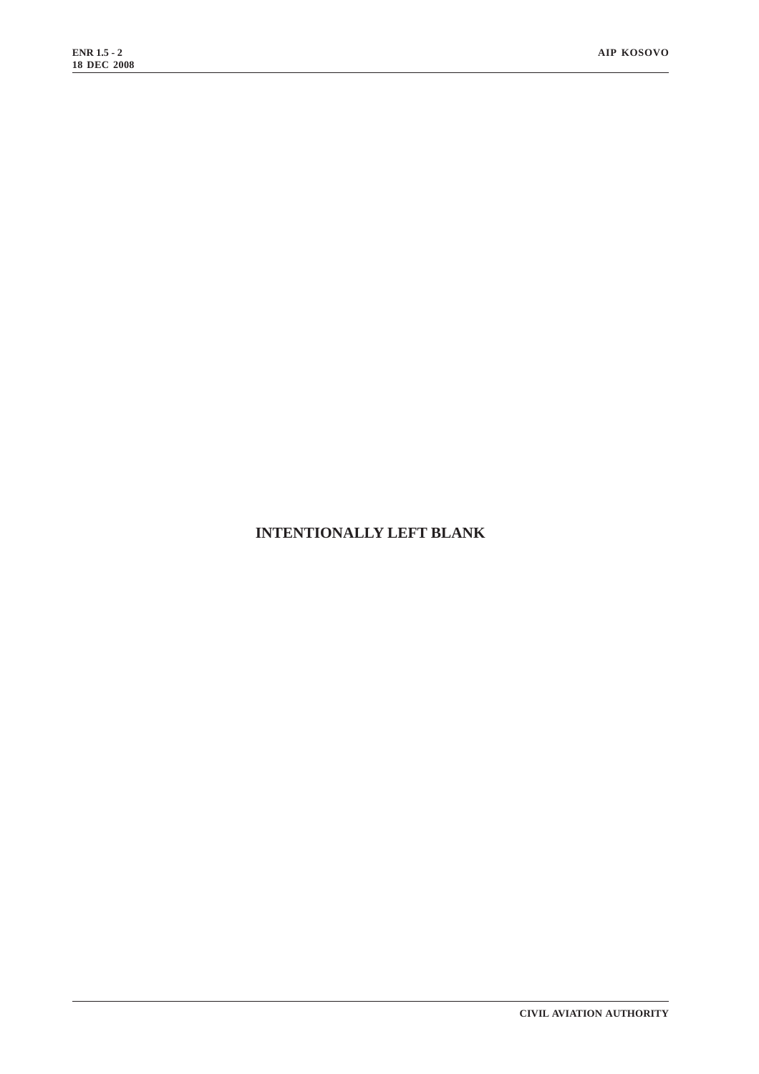# **INTENTIONALLY LEFT BLANK**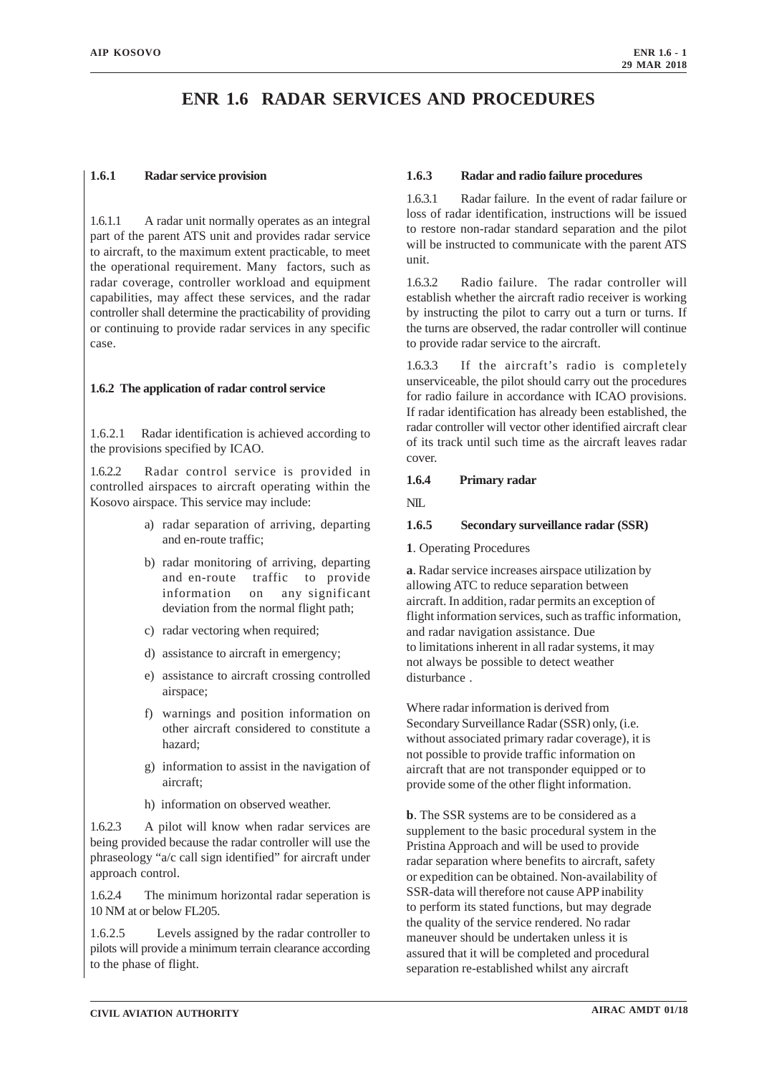# **ENR 1.6 RADAR SERVICES AND PROCEDURES**

# **1.6.1 Radar service provision**

1.6.1.1 A radar unit normally operates as an integral part of the parent ATS unit and provides radar service to aircraft, to the maximum extent practicable, to meet the operational requirement. Many factors, such as radar coverage, controller workload and equipment capabilities, may affect these services, and the radar controller shall determine the practicability of providing or continuing to provide radar services in any specific case.

#### **1.6.2 The application of radar control service**

1.6.2.1 Radar identification is achieved according to the provisions specified by ICAO.

1.6.2.2 Radar control service is provided in controlled airspaces to aircraft operating within the Kosovo airspace. This service may include:

- a) radar separation of arriving, departing and en-route traffic;
- b) radar monitoring of arriving, departing and en-route traffic to provide information on any significant deviation from the normal flight path;
- c) radar vectoring when required;
- d) assistance to aircraft in emergency;
- e) assistance to aircraft crossing controlled airspace;
- f) warnings and position information on other aircraft considered to constitute a hazard;
- g) information to assist in the navigation of aircraft;
- h) information on observed weather.

1.6.2.3 A pilot will know when radar services are being provided because the radar controller will use the phraseology "a/c call sign identified" for aircraft under approach control.

1.6.2.4 The minimum horizontal radar seperation is 10 NM at or below FL205.

1.6.2.5 Levels assigned by the radar controller to pilots will provide a minimum terrain clearance according to the phase of flight.

# **1.6.3 Radar and radio failure procedures**

1.6.3.1 Radar failure. In the event of radar failure or loss of radar identification, instructions will be issued to restore non-radar standard separation and the pilot will be instructed to communicate with the parent ATS unit.

1.6.3.2 Radio failure. The radar controller will establish whether the aircraft radio receiver is working by instructing the pilot to carry out a turn or turns. If the turns are observed, the radar controller will continue to provide radar service to the aircraft.

1.6.3.3 If the aircraft's radio is completely unserviceable, the pilot should carry out the procedures for radio failure in accordance with ICAO provisions. If radar identification has already been established, the radar controller will vector other identified aircraft clear of its track until such time as the aircraft leaves radar cover.

# **1.6.4 Primary radar**

NIL.

# **1.6.5 Secondary surveillance radar (SSR)**

**1**. Operating Procedures

**a**. Radar service increases airspace utilization by allowing ATC to reduce separation between aircraft. In addition, radar permits an exception of flight information services, such as traffic information, and radar navigation assistance. Due to limitations inherent in all radar systems, it may not always be possible to detect weather disturbance .

Where radar information is derived from Secondary Surveillance Radar (SSR) only, (i.e. without associated primary radar coverage), it is not possible to provide traffic information on aircraft that are not transponder equipped or to provide some of the other flight information.

**b**. The SSR systems are to be considered as a supplement to the basic procedural system in the Pristina Approach and will be used to provide radar separation where benefits to aircraft, safety or expedition can be obtained. Non-availability of SSR-data will therefore not cause APP inability to perform its stated functions, but may degrade the quality of the service rendered. No radar maneuver should be undertaken unless it is assured that it will be completed and procedural separation re-established whilst any aircraft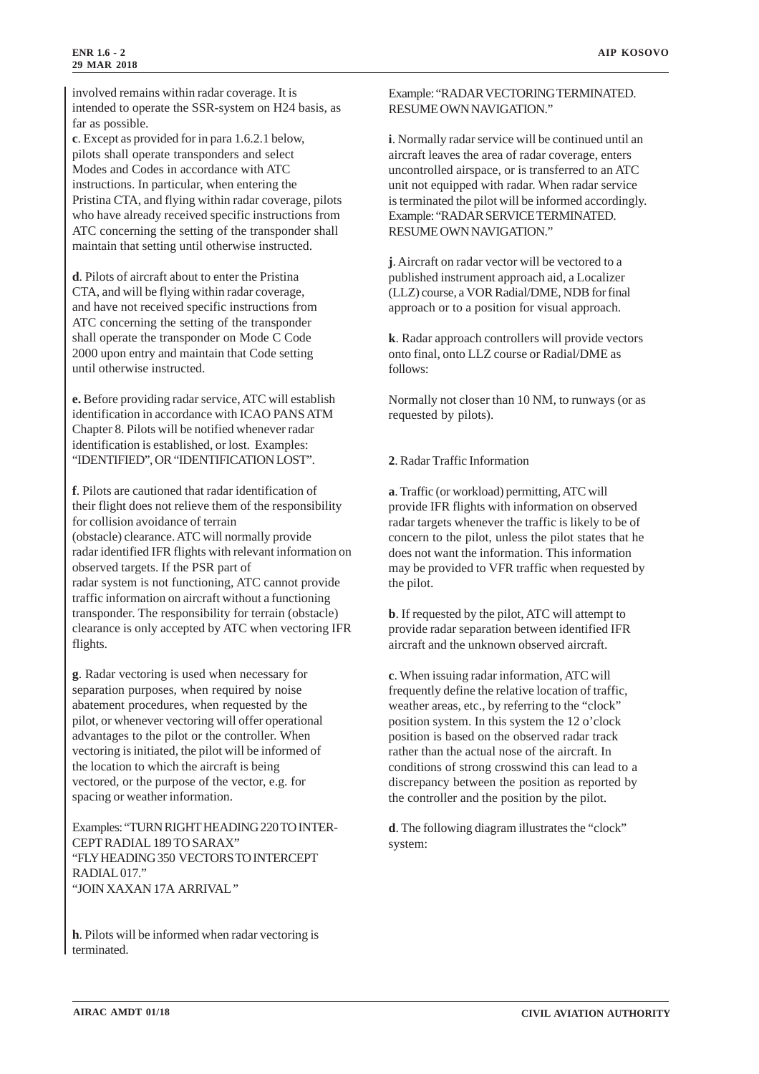involved remains within radar coverage. It is intended to operate the SSR-system on H24 basis, as far as possible.

**c**. Except as provided for in para 1.6.2.1 below, pilots shall operate transponders and select Modes and Codes in accordance with ATC instructions. In particular, when entering the Pristina CTA, and flying within radar coverage, pilots who have already received specific instructions from ATC concerning the setting of the transponder shall maintain that setting until otherwise instructed.

**d**. Pilots of aircraft about to enter the Pristina CTA, and will be flying within radar coverage, and have not received specific instructions from ATC concerning the setting of the transponder shall operate the transponder on Mode C Code 2000 upon entry and maintain that Code setting until otherwise instructed.

**e.** Before providing radar service, ATC will establish identification in accordance with ICAO PANS ATM Chapter 8. Pilots will be notified whenever radar identification is established, or lost. Examples: "IDENTIFIED", OR "IDENTIFICATION LOST".

**f**. Pilots are cautioned that radar identification of their flight does not relieve them of the responsibility for collision avoidance of terrain (obstacle) clearance. ATC will normally provide radar identified IFR flights with relevant information on observed targets. If the PSR part of radar system is not functioning, ATC cannot provide traffic information on aircraft without a functioning transponder. The responsibility for terrain (obstacle) clearance is only accepted by ATC when vectoring IFR flights.

**g**. Radar vectoring is used when necessary for separation purposes, when required by noise abatement procedures, when requested by the pilot, or whenever vectoring will offer operational advantages to the pilot or the controller. When vectoring is initiated, the pilot will be informed of the location to which the aircraft is being vectored, or the purpose of the vector, e.g. for spacing or weather information.

Examples: "TURN RIGHT HEADING 220 TO INTER-CEPT RADIAL 189 TO SARAX" "FLY HEADING 350 VECTORS TO INTERCEPT RADIAL 017." "JOIN XAXAN 17A ARRIVAL "

**h**. Pilots will be informed when radar vectoring is terminated.

Example: "RADAR VECTORING TERMINATED. RESUME OWN NAVIGATION"

**i**. Normally radar service will be continued until an aircraft leaves the area of radar coverage, enters uncontrolled airspace, or is transferred to an ATC unit not equipped with radar. When radar service is terminated the pilot will be informed accordingly. Example: "RADAR SERVICE TERMINATED. RESUME OWN NAVIGATION."

**j**. Aircraft on radar vector will be vectored to a published instrument approach aid, a Localizer (LLZ) course, a VOR Radial/DME, NDB for final approach or to a position for visual approach.

**k**. Radar approach controllers will provide vectors onto final, onto LLZ course or Radial/DME as follows:

Normally not closer than 10 NM, to runways (or as requested by pilots).

# **2**. Radar Traffic Information

**a**. Traffic (or workload) permitting, ATC will provide IFR flights with information on observed radar targets whenever the traffic is likely to be of concern to the pilot, unless the pilot states that he does not want the information. This information may be provided to VFR traffic when requested by the pilot.

**b**. If requested by the pilot, ATC will attempt to provide radar separation between identified IFR aircraft and the unknown observed aircraft.

**c**. When issuing radar information, ATC will frequently define the relative location of traffic, weather areas, etc., by referring to the "clock" position system. In this system the 12 o'clock position is based on the observed radar track rather than the actual nose of the aircraft. In conditions of strong crosswind this can lead to a discrepancy between the position as reported by the controller and the position by the pilot.

**d**. The following diagram illustrates the "clock" system: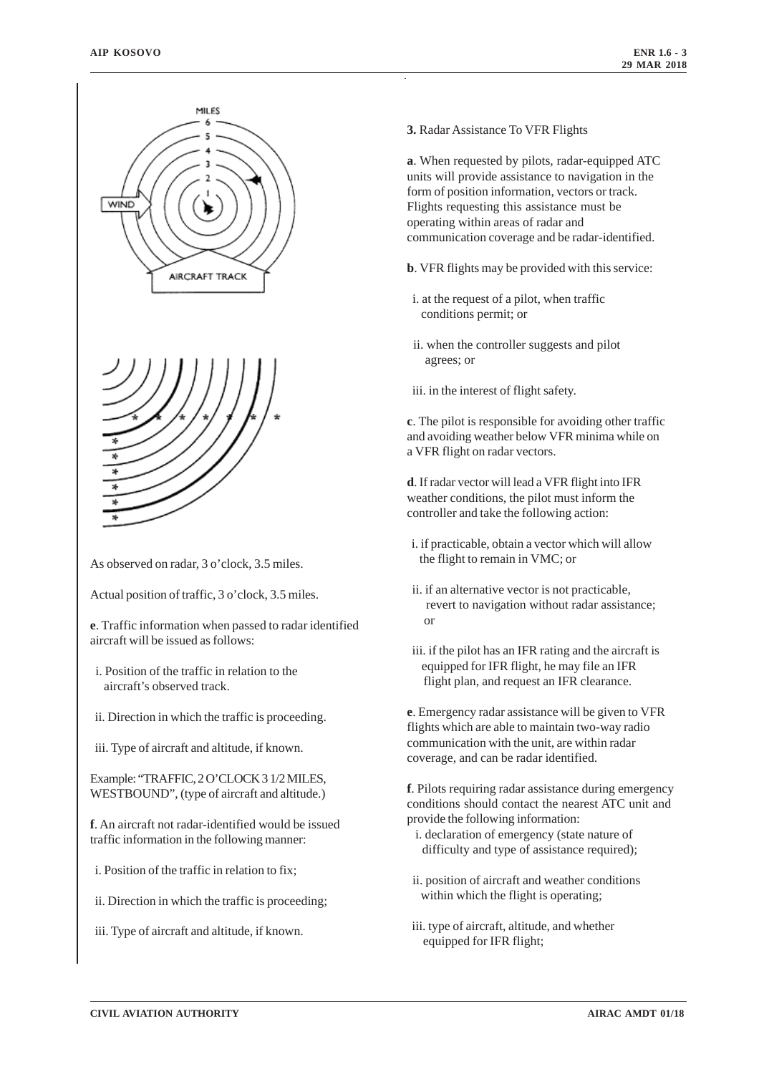

As observed on radar, 3 o'clock, 3.5 miles.

Actual position of traffic, 3 o'clock, 3.5 miles.

**e**. Traffic information when passed to radar identified aircraft will be issued as follows:

- i. Position of the traffic in relation to the aircraft's observed track.
- ii. Direction in which the traffic is proceeding.
- iii. Type of aircraft and altitude, if known.

Example: "TRAFFIC, 2 O'CLOCK 3 1/2 MILES, WESTBOUND", (type of aircraft and altitude.)

**f**. An aircraft not radar-identified would be issued traffic information in the following manner:

- i. Position of the traffic in relation to fix;
- ii. Direction in which the traffic is proceeding;
- iii. Type of aircraft and altitude, if known.

**3.** Radar Assistance To VFR Flights

**a**. When requested by pilots, radar-equipped ATC units will provide assistance to navigation in the form of position information, vectors or track. Flights requesting this assistance must be operating within areas of radar and communication coverage and be radar-identified.

- **b**. VFR flights may be provided with this service:
- i. at the request of a pilot, when traffic conditions permit; or
- ii. when the controller suggests and pilot agrees; or
- iii. in the interest of flight safety.

**c**. The pilot is responsible for avoiding other traffic and avoiding weather below VFR minima while on a VFR flight on radar vectors.

**d**. If radar vector will lead a VFR flight into IFR weather conditions, the pilot must inform the controller and take the following action:

- i. if practicable, obtain a vector which will allow the flight to remain in VMC; or
- ii. if an alternative vector is not practicable, revert to navigation without radar assistance; or
- iii. if the pilot has an IFR rating and the aircraft is equipped for IFR flight, he may file an IFR flight plan, and request an IFR clearance.

**e**. Emergency radar assistance will be given to VFR flights which are able to maintain two-way radio communication with the unit, are within radar coverage, and can be radar identified.

**f**. Pilots requiring radar assistance during emergency conditions should contact the nearest ATC unit and provide the following information:

- i. declaration of emergency (state nature of difficulty and type of assistance required);
- ii. position of aircraft and weather conditions within which the flight is operating;
- iii. type of aircraft, altitude, and whether equipped for IFR flight;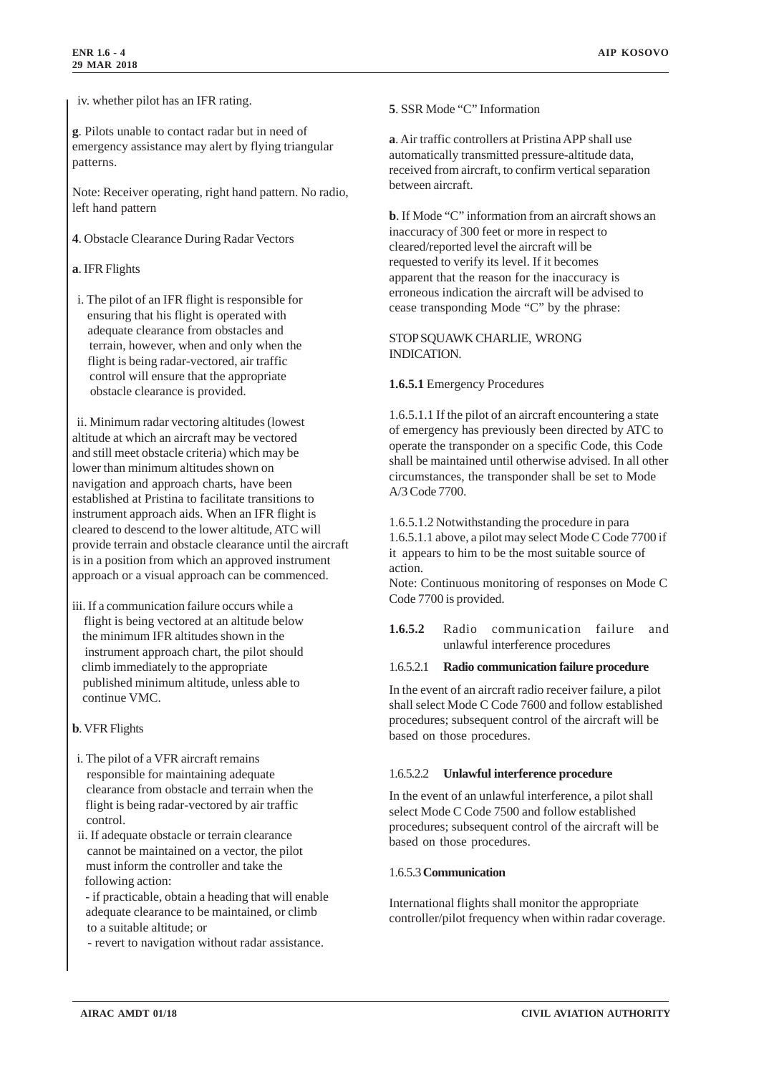iv. whether pilot has an IFR rating.

**g**. Pilots unable to contact radar but in need of emergency assistance may alert by flying triangular patterns.

Note: Receiver operating, right hand pattern. No radio, left hand pattern

**4**. Obstacle Clearance During Radar Vectors

# **a**. IFR Flights

 i. The pilot of an IFR flight is responsible for ensuring that his flight is operated with adequate clearance from obstacles and terrain, however, when and only when the flight is being radar-vectored, air traffic control will ensure that the appropriate obstacle clearance is provided.

 ii. Minimum radar vectoring altitudes (lowest altitude at which an aircraft may be vectored and still meet obstacle criteria) which may be lower than minimum altitudes shown on navigation and approach charts, have been established at Pristina to facilitate transitions to instrument approach aids. When an IFR flight is cleared to descend to the lower altitude, ATC will provide terrain and obstacle clearance until the aircraft is in a position from which an approved instrument approach or a visual approach can be commenced.

iii. If a communication failure occurs while a flight is being vectored at an altitude below the minimum IFR altitudes shown in the instrument approach chart, the pilot should climb immediately to the appropriate published minimum altitude, unless able to continue VMC.

# **b**. VFR Flights

- i. The pilot of a VFR aircraft remains responsible for maintaining adequate clearance from obstacle and terrain when the flight is being radar-vectored by air traffic control.
- ii. If adequate obstacle or terrain clearance cannot be maintained on a vector, the pilot must inform the controller and take the following action:

 - if practicable, obtain a heading that will enable adequate clearance to be maintained, or climb to a suitable altitude; or

- revert to navigation without radar assistance.

# **5**. SSR Mode "C" Information

**a**. Air traffic controllers at Pristina APP shall use automatically transmitted pressure-altitude data, received from aircraft, to confirm vertical separation between aircraft.

**b**. If Mode "C" information from an aircraft shows an inaccuracy of 300 feet or more in respect to cleared/reported level the aircraft will be requested to verify its level. If it becomes apparent that the reason for the inaccuracy is erroneous indication the aircraft will be advised to cease transponding Mode "C" by the phrase:

# STOP SQUAWK CHARLIE, WRONG INDICATION.

# **1.6.5.1** Emergency Procedures

1.6.5.1.1 If the pilot of an aircraft encountering a state of emergency has previously been directed by ATC to operate the transponder on a specific Code, this Code shall be maintained until otherwise advised. In all other circumstances, the transponder shall be set to Mode A/3 Code 7700.

1.6.5.1.2 Notwithstanding the procedure in para 1.6.5.1.1 above, a pilot may select Mode C Code 7700 if it appears to him to be the most suitable source of action.

Note: Continuous monitoring of responses on Mode C Code 7700 is provided.

**1.6.5.2** Radio communication failure and unlawful interference procedures

#### 1.6.5.2.1 **Radio communication failure procedure**

In the event of an aircraft radio receiver failure, a pilot shall select Mode C Code 7600 and follow established procedures; subsequent control of the aircraft will be based on those procedures.

# 1.6.5.2.2 **Unlawful interference procedure**

In the event of an unlawful interference, a pilot shall select Mode C Code 7500 and follow established procedures; subsequent control of the aircraft will be based on those procedures.

#### 1.6.5.3 **Communication**

International flights shall monitor the appropriate controller/pilot frequency when within radar coverage.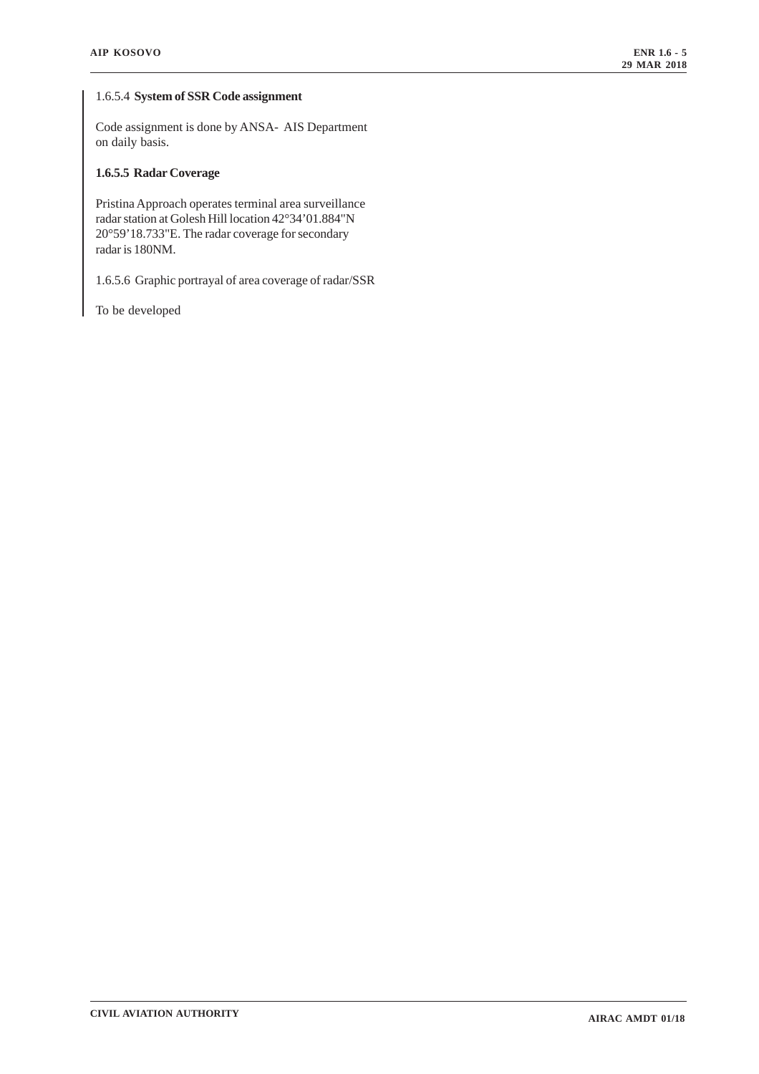# 1.6.5.4 **System of SSR Code assignment**

Code assignment is done by ANSA- AIS Department on daily basis.

# **1.6.5.5 Radar Coverage**

Pristina Approach operates terminal area surveillance radar station at Golesh Hill location 42°34'01.884"N 20°59'18.733"E. The radar coverage for secondary radar is 180NM.

1.6.5.6 Graphic portrayal of area coverage of radar/SSR

To be developed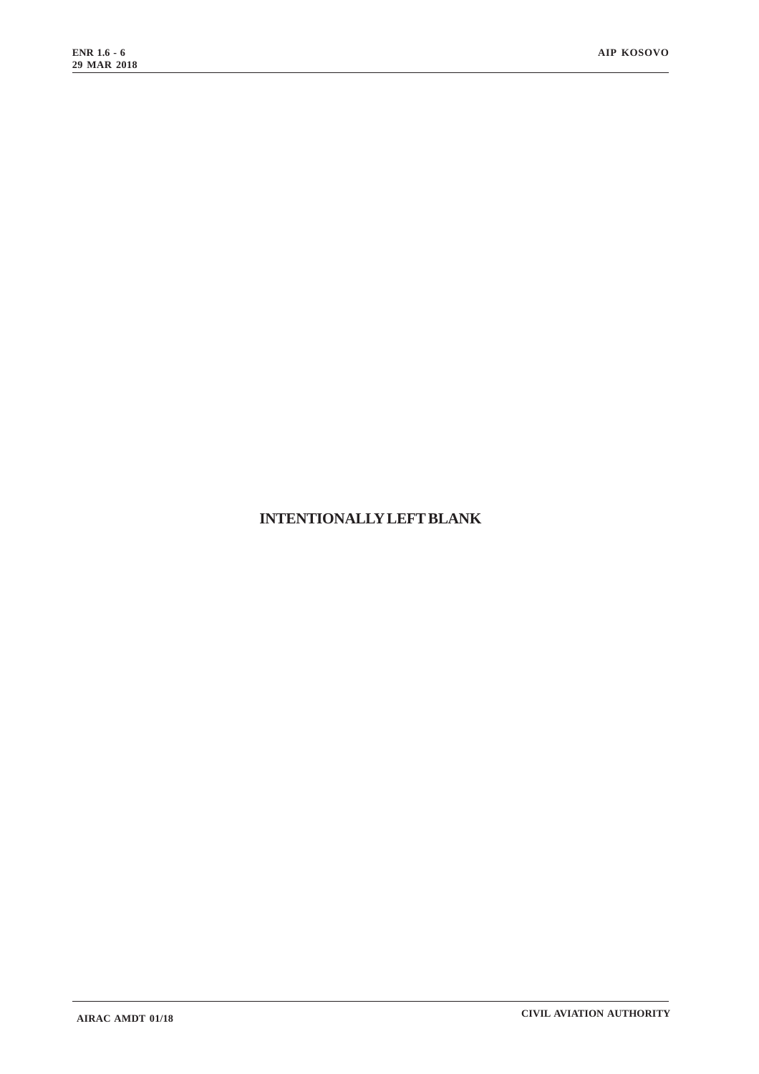# **INTENTIONALLY LEFT BLANK**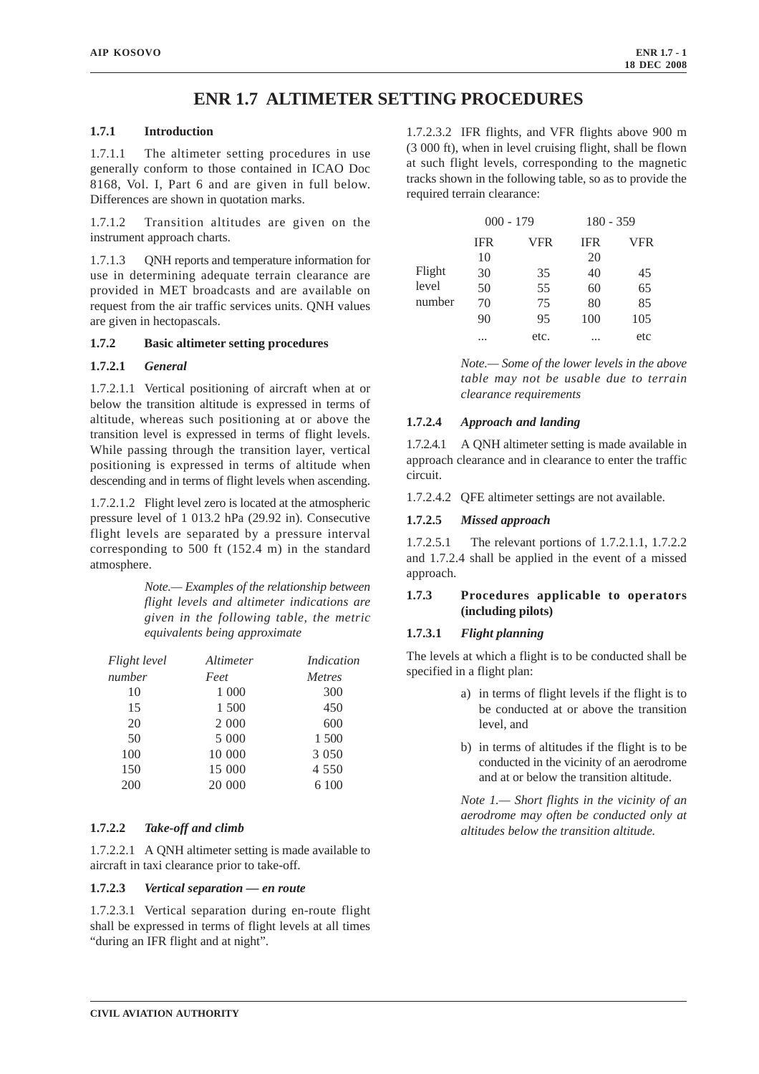# **ENR 1.7 ALTIMETER SETTING PROCEDURES**

# **1.7.1 Introduction**

1.7.1.1 The altimeter setting procedures in use generally conform to those contained in ICAO Doc 8168, Vol. I, Part 6 and are given in full below. Differences are shown in quotation marks.

1.7.1.2 Transition altitudes are given on the instrument approach charts.

1.7.1.3 QNH reports and temperature information for use in determining adequate terrain clearance are provided in MET broadcasts and are available on request from the air traffic services units. QNH values are given in hectopascals.

# **1.7.2 Basic altimeter setting procedures**

# **1.7.2.1** *General*

1.7.2.1.1 Vertical positioning of aircraft when at or below the transition altitude is expressed in terms of altitude, whereas such positioning at or above the transition level is expressed in terms of flight levels. While passing through the transition layer, vertical positioning is expressed in terms of altitude when descending and in terms of flight levels when ascending.

1.7.2.1.2 Flight level zero is located at the atmospheric pressure level of 1 013.2 hPa (29.92 in). Consecutive flight levels are separated by a pressure interval corresponding to 500 ft (152.4 m) in the standard atmosphere.

> *Note.— Examples of the relationship between flight levels and altimeter indications are given in the following table, the metric equivalents being approximate*

| Flight level | <i>Altimeter</i> | Indication    |
|--------------|------------------|---------------|
| number       | Feet             | <i>Metres</i> |
| 10           | 1 0 0 0          | 300           |
| 15           | 1 500            | 450           |
| 20           | 2 000            | 600           |
| 50           | 5 000            | 1 500         |
| 100          | 10 000           | 3 0 5 0       |
| 150          | 15 000           | 4 5 5 0       |
| 200          | 20 000           | 6 100         |
|              |                  |               |

1.7.2.2.1 A QNH altimeter setting is made available to aircraft in taxi clearance prior to take-off.

# **1.7.2.3** *Vertical separation — en route*

1.7.2.3.1 Vertical separation during en-route flight shall be expressed in terms of flight levels at all times "during an IFR flight and at night".

1.7.2.3.2 IFR flights, and VFR flights above 900 m (3 000 ft), when in level cruising flight, shall be flown at such flight levels, corresponding to the magnetic tracks shown in the following table, so as to provide the required terrain clearance:

|        | $000 - 179$ |            | $180 - 359$ |            |
|--------|-------------|------------|-------------|------------|
|        | <b>IFR</b>  | <b>VFR</b> | <b>IFR</b>  | <b>VFR</b> |
|        | 10          |            | 20          |            |
| Flight | 30          | 35         | 40          | 45         |
| level  | 50          | 55         | 60          | 65         |
| number | 70          | 75         | 80          | 85         |
|        | 90          | 95         | 100         | 105        |
|        |             | etc.       | .           | etc        |

*Note.— Some of the lower levels in the above table may not be usable due to terrain clearance requirements*

# **1.7.2.4** *Approach and landing*

1.7.2.4.1 A QNH altimeter setting is made available in approach clearance and in clearance to enter the traffic circuit.

1.7.2.4.2 QFE altimeter settings are not available.

# **1.7.2.5** *Missed approach*

1.7.2.5.1 The relevant portions of 1.7.2.1.1, 1.7.2.2 and 1.7.2.4 shall be applied in the event of a missed approach.

# **1.7.3 Procedures applicable to operators (including pilots)**

# **1.7.3.1** *Flight planning*

The levels at which a flight is to be conducted shall be specified in a flight plan:

- a) in terms of flight levels if the flight is to be conducted at or above the transition level, and
- b) in terms of altitudes if the flight is to be conducted in the vicinity of an aerodrome and at or below the transition altitude.

*Note 1.— Short flights in the vicinity of an aerodrome may often be conducted only at* **1.7.2.2** *Take-off and climb altitudes below the transition altitude.*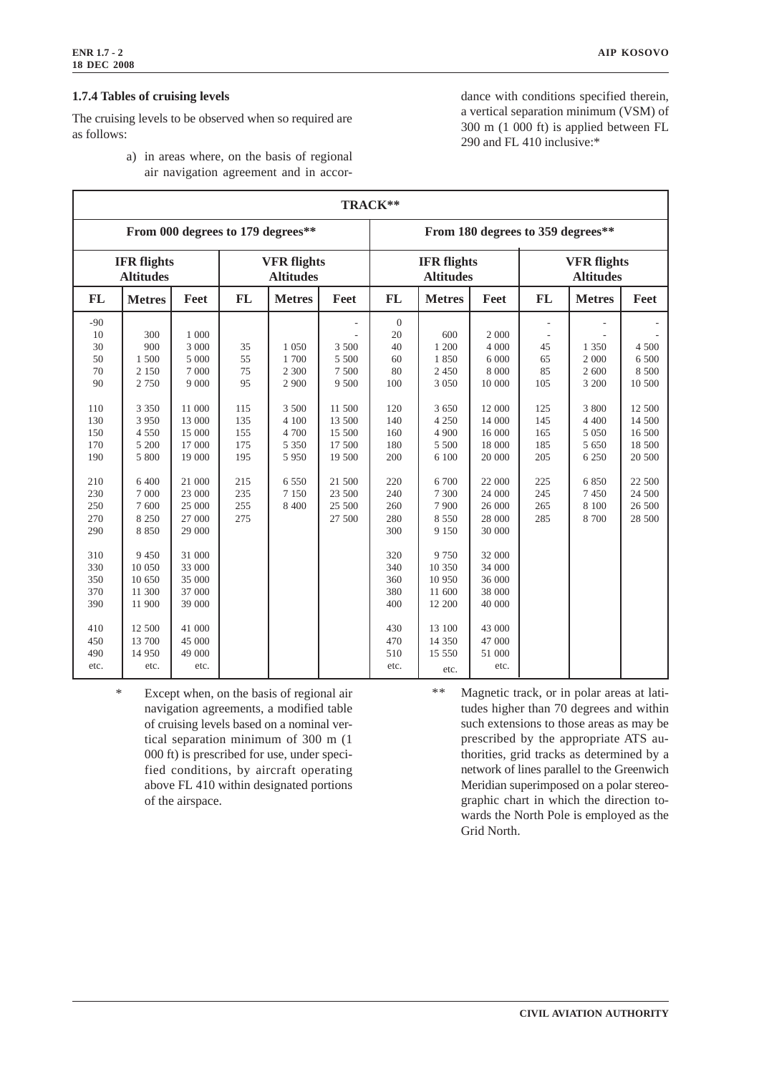# **1.7.4 Tables of cruising levels**

The cruising levels to be observed when so required are as follows:

> a) in areas where, on the basis of regional air navigation agreement and in accor

dance with conditions specified therein, a vertical separation minimum (VSM) of 300 m (1 000 ft) is applied between FL 290 and FL 410 inclusive:\*

| TRACK**                                |               |         |                                        |                                   |        |                                                                                  |               |         |           |                                   |        |
|----------------------------------------|---------------|---------|----------------------------------------|-----------------------------------|--------|----------------------------------------------------------------------------------|---------------|---------|-----------|-----------------------------------|--------|
|                                        |               |         |                                        | From 000 degrees to 179 degrees** |        |                                                                                  |               |         |           | From 180 degrees to 359 degrees** |        |
| <b>IFR</b> flights<br><b>Altitudes</b> |               |         | <b>VFR</b> flights<br><b>Altitudes</b> |                                   |        | <b>VFR</b> flights<br><b>IFR</b> flights<br><b>Altitudes</b><br><b>Altitudes</b> |               |         |           |                                   |        |
| <b>FL</b>                              | <b>Metres</b> | Feet    | <b>FL</b>                              | <b>Metres</b>                     | Feet   | <b>FL</b>                                                                        | <b>Metres</b> | Feet    | <b>FL</b> | <b>Metres</b>                     | Feet   |
| $-90$                                  |               |         |                                        |                                   |        | $\overline{0}$                                                                   |               |         |           |                                   |        |
| 10                                     | 300           | 1 000   |                                        |                                   |        | 20                                                                               | 600           | 2 000   |           |                                   |        |
| 30                                     | 900           | 3 000   | 35                                     | 1 0 5 0                           | 3 500  | 40                                                                               | 1 200         | 4 0 0 0 | 45        | 1 3 5 0                           | 4 500  |
| 50                                     | 1 500         | 5 000   | 55                                     | 1 700                             | 5 500  | 60                                                                               | 1850          | 6 0 0 0 | 65        | 2 000                             | 6 500  |
| 70                                     | 2 1 5 0       | 7 000   | 75                                     | 2 3 0 0                           | 7 500  | 80                                                                               | 2 4 5 0       | 8 0 0 0 | 85        | 2 600                             | 8 500  |
| 90                                     | 2 7 5 0       | 9 0 0 0 | 95                                     | 2 900                             | 9 500  | 100                                                                              | 3 0 5 0       | 10 000  | 105       | 3 200                             | 10 500 |
| 110                                    | 3 3 5 0       | 11 000  | 115                                    | 3 500                             | 11 500 | 120                                                                              | 3 650         | 12 000  | 125       | 3 800                             | 12 500 |
| 130                                    | 3 9 5 0       | 13 000  | 135                                    | 4 100                             | 13 500 | 140                                                                              | 4 2 5 0       | 14 000  | 145       | 4 4 0 0                           | 14 500 |
| 150                                    | 4 5 5 0       | 15 000  | 155                                    | 4 700                             | 15 500 | 160                                                                              | 4 9 0 0       | 16 000  | 165       | 5 0 5 0                           | 16 500 |
| 170                                    | 5 200         | 17 000  | 175                                    | 5 3 5 0                           | 17 500 | 180                                                                              | 5 500         | 18 000  | 185       | 5 6 5 0                           | 18 500 |
| 190                                    | 5 800         | 19 000  | 195                                    | 5 9 5 0                           | 19 500 | 200                                                                              | 6 100         | 20 000  | 205       | 6 2 5 0                           | 20 500 |
| 210                                    | 6 400         | 21 000  | 215                                    | 6 5 5 0                           | 21 500 | 220                                                                              | 6 700         | 22 000  | 225       | 6850                              | 22 500 |
| 230                                    | 7 000         | 23 000  | 235                                    | 7 1 5 0                           | 23 500 | 240                                                                              | 7 300         | 24 000  | 245       | 7450                              | 24 500 |
| 250                                    | 7 600         | 25 000  | 255                                    | 8 400                             | 25 500 | 260                                                                              | 7 900         | 26 000  | 265       | 8 100                             | 26 500 |
| 270                                    | 8 2 5 0       | 27 000  | 275                                    |                                   | 27 500 | 280                                                                              | 8 5 5 0       | 28 000  | 285       | 8 700                             | 28 500 |
| 290                                    | 8 8 5 0       | 29 000  |                                        |                                   |        | 300                                                                              | 9 1 5 0       | 30 000  |           |                                   |        |
| 310                                    | 9 4 5 0       | 31 000  |                                        |                                   |        | 320                                                                              | 9 7 5 0       | 32 000  |           |                                   |        |
| 330                                    | 10 050        | 33 000  |                                        |                                   |        | 340                                                                              | 10 350        | 34 000  |           |                                   |        |
| 350                                    | 10 650        | 35 000  |                                        |                                   |        | 360                                                                              | 10 950        | 36 000  |           |                                   |        |
| 370                                    | 11 300        | 37 000  |                                        |                                   |        | 380                                                                              | 11 600        | 38 000  |           |                                   |        |
| 390                                    | 11 900        | 39 000  |                                        |                                   |        | 400                                                                              | 12 200        | 40 000  |           |                                   |        |
|                                        |               |         |                                        |                                   |        |                                                                                  |               |         |           |                                   |        |
| 410                                    | 12 500        | 41 000  |                                        |                                   |        | 430                                                                              | 13 100        | 43 000  |           |                                   |        |
| 450                                    | 13 700        | 45 000  |                                        |                                   |        | 470                                                                              | 14 350        | 47 000  |           |                                   |        |
| 490                                    | 14 9 50       | 49 000  |                                        |                                   |        | 510                                                                              | 15 550        | 51 000  |           |                                   |        |
| etc.                                   | etc.          | etc.    |                                        |                                   |        | etc.                                                                             | etc.          | etc.    |           |                                   |        |

\* Except when, on the basis of regional air navigation agreements, a modified table of cruising levels based on a nominal vertical separation minimum of 300 m (1 000 ft) is prescribed for use, under specified conditions, by aircraft operating above FL 410 within designated portions of the airspace.

\*\* Magnetic track, or in polar areas at latitudes higher than 70 degrees and within such extensions to those areas as may be prescribed by the appropriate ATS authorities, grid tracks as determined by a network of lines parallel to the Greenwich Meridian superimposed on a polar stereographic chart in which the direction towards the North Pole is employed as the Grid North.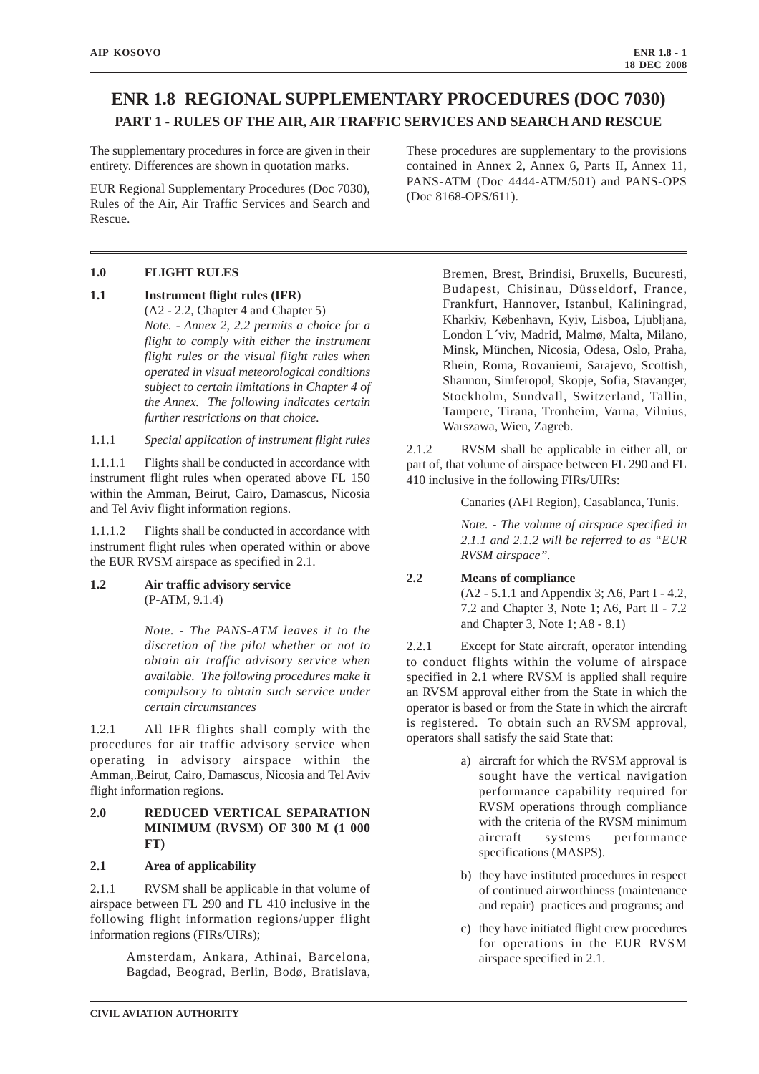# **ENR 1.8 REGIONAL SUPPLEMENTARY PROCEDURES (DOC 7030) PART 1 - RULES OF THE AIR, AIR TRAFFIC SERVICES AND SEARCH AND RESCUE**

The supplementary procedures in force are given in their entirety. Differences are shown in quotation marks.

EUR Regional Supplementary Procedures (Doc 7030), Rules of the Air, Air Traffic Services and Search and Rescue.

# **1.0 FLIGHT RULES**

**1.1 Instrument flight rules (IFR)** (A2 - 2.2, Chapter 4 and Chapter 5) *Note. - Annex 2, 2.2 permits a choice for a flight to comply with either the instrument flight rules or the visual flight rules when operated in visual meteorological conditions subject to certain limitations in Chapter 4 of the Annex. The following indicates certain further restrictions on that choice.*

1.1.1 *Special application of instrument flight rules*

1.1.1.1 Flights shall be conducted in accordance with instrument flight rules when operated above FL 150 within the Amman, Beirut, Cairo, Damascus, Nicosia and Tel Aviv flight information regions.

1.1.1.2 Flights shall be conducted in accordance with instrument flight rules when operated within or above the EUR RVSM airspace as specified in 2.1.

**1.2 Air traffic advisory service** (P-ATM, 9.1.4)

> *Note. - The PANS-ATM leaves it to the discretion of the pilot whether or not to obtain air traffic advisory service when available. The following procedures make it compulsory to obtain such service under certain circumstances*

1.2.1 All IFR flights shall comply with the procedures for air traffic advisory service when operating in advisory airspace within the Amman,.Beirut, Cairo, Damascus, Nicosia and Tel Aviv flight information regions.

# **2.0 REDUCED VERTICAL SEPARATION MINIMUM (RVSM) OF 300 M (1 000 FT)**

# **2.1 Area of applicability**

2.1.1 RVSM shall be applicable in that volume of airspace between FL 290 and FL 410 inclusive in the following flight information regions/upper flight information regions (FIRs/UIRs);

> Amsterdam, Ankara, Athinai, Barcelona, Bagdad, Beograd, Berlin, Bodø, Bratislava,

These procedures are supplementary to the provisions contained in Annex 2, Annex 6, Parts II, Annex 11, PANS-ATM (Doc 4444-ATM/501) and PANS-OPS (Doc 8168-OPS/611).

> Bremen, Brest, Brindisi, Bruxells, Bucuresti, Budapest, Chisinau, Düsseldorf, France, Frankfurt, Hannover, Istanbul, Kaliningrad, Kharkiv, København, Kyiv, Lisboa, Ljubljana, London L´viv, Madrid, Malmø, Malta, Milano, Minsk, München, Nicosia, Odesa, Oslo, Praha, Rhein, Roma, Rovaniemi, Sarajevo, Scottish, Shannon, Simferopol, Skopje, Sofia, Stavanger, Stockholm, Sundvall, Switzerland, Tallin, Tampere, Tirana, Tronheim, Varna, Vilnius, Warszawa, Wien, Zagreb.

2.1.2 RVSM shall be applicable in either all, or part of, that volume of airspace between FL 290 and FL 410 inclusive in the following FIRs/UIRs:

Canaries (AFI Region), Casablanca, Tunis.

*Note. - The volume of airspace specified in 2.1.1 and 2.1.2 will be referred to as "EUR RVSM airspace".*

# **2.2 Means of compliance**

(A2 - 5.1.1 and Appendix 3; A6, Part I - 4.2, 7.2 and Chapter 3, Note 1; A6, Part II - 7.2 and Chapter 3, Note 1; A8 - 8.1)

2.2.1 Except for State aircraft, operator intending to conduct flights within the volume of airspace specified in 2.1 where RVSM is applied shall require an RVSM approval either from the State in which the operator is based or from the State in which the aircraft is registered. To obtain such an RVSM approval, operators shall satisfy the said State that:

- a) aircraft for which the RVSM approval is sought have the vertical navigation performance capability required for RVSM operations through compliance with the criteria of the RVSM minimum aircraft systems performance specifications (MASPS).
- b) they have instituted procedures in respect of continued airworthiness (maintenance and repair) practices and programs; and
- c) they have initiated flight crew procedures for operations in the EUR RVSM airspace specified in 2.1.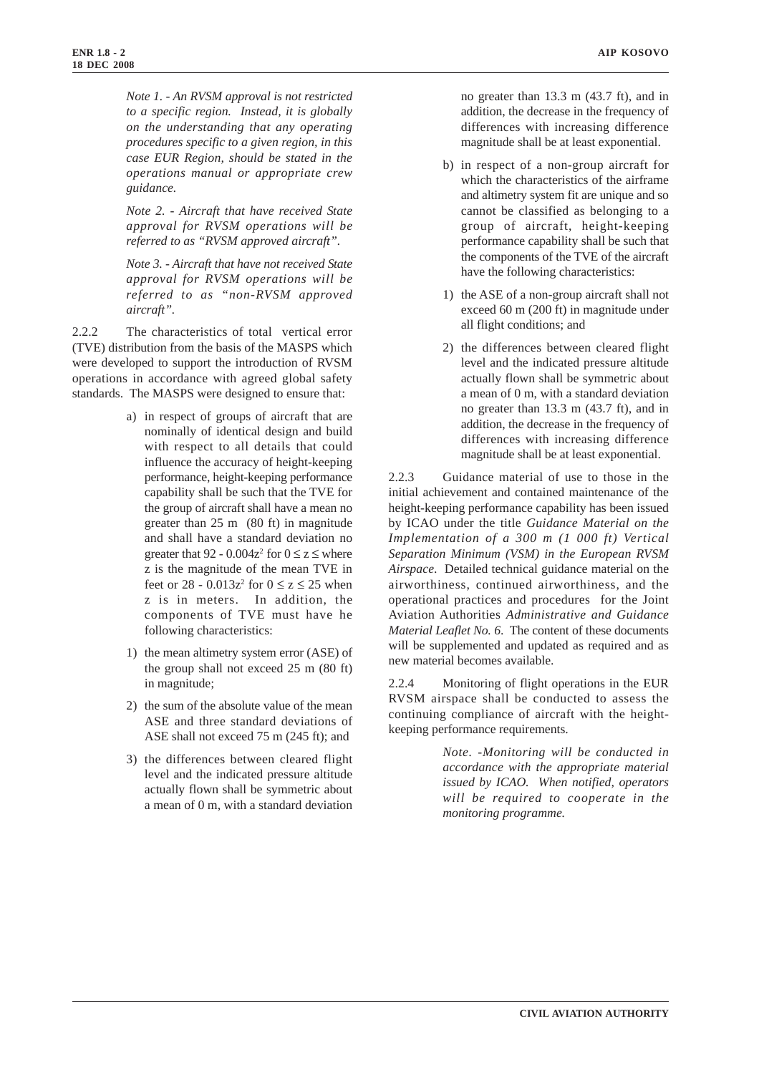*Note 1. - An RVSM approval is not restricted to a specific region. Instead, it is globally on the understanding that any operating procedures specific to a given region, in this case EUR Region, should be stated in the operations manual or appropriate crew guidance.*

*Note 2. - Aircraft that have received State approval for RVSM operations will be referred to as "RVSM approved aircraft".*

*Note 3. - Aircraft that have not received State approval for RVSM operations will be referred to as "non-RVSM approved aircraft".*

2.2.2 The characteristics of total vertical error (TVE) distribution from the basis of the MASPS which were developed to support the introduction of RVSM operations in accordance with agreed global safety standards. The MASPS were designed to ensure that:

- a) in respect of groups of aircraft that are nominally of identical design and build with respect to all details that could influence the accuracy of height-keeping performance, height-keeping performance capability shall be such that the TVE for the group of aircraft shall have a mean no greater than 25 m (80 ft) in magnitude and shall have a standard deviation no greater that 92 -  $0.004z^2$  for  $0 \le z \le$  where z is the magnitude of the mean TVE in feet or  $28 - 0.013z^2$  for  $0 \le z \le 25$  when z is in meters. In addition, the components of TVE must have he following characteristics:
- 1) the mean altimetry system error (ASE) of the group shall not exceed 25 m (80 ft) in magnitude;
- 2) the sum of the absolute value of the mean ASE and three standard deviations of ASE shall not exceed 75 m (245 ft); and
- 3) the differences between cleared flight level and the indicated pressure altitude actually flown shall be symmetric about a mean of 0 m, with a standard deviation

no greater than 13.3 m (43.7 ft), and in addition, the decrease in the frequency of differences with increasing difference magnitude shall be at least exponential.

- b) in respect of a non-group aircraft for which the characteristics of the airframe and altimetry system fit are unique and so cannot be classified as belonging to a group of aircraft, height-keeping performance capability shall be such that the components of the TVE of the aircraft have the following characteristics:
- 1) the ASE of a non-group aircraft shall not exceed 60 m (200 ft) in magnitude under all flight conditions; and
- 2) the differences between cleared flight level and the indicated pressure altitude actually flown shall be symmetric about a mean of 0 m, with a standard deviation no greater than 13.3 m (43.7 ft), and in addition, the decrease in the frequency of differences with increasing difference magnitude shall be at least exponential.

2.2.3 Guidance material of use to those in the initial achievement and contained maintenance of the height-keeping performance capability has been issued by ICAO under the title *Guidance Material on the Implementation of a 300 m (1 000 ft) Vertical Separation Minimum (VSM) in the European RVSM Airspace*. Detailed technical guidance material on the airworthiness, continued airworthiness, and the operational practices and procedures for the Joint Aviation Authorities *Administrative and Guidance Material Leaflet No. 6*. The content of these documents will be supplemented and updated as required and as new material becomes available.

2.2.4 Monitoring of flight operations in the EUR RVSM airspace shall be conducted to assess the continuing compliance of aircraft with the heightkeeping performance requirements.

> *Note. -Monitoring will be conducted in accordance with the appropriate material issued by ICAO. When notified, operators will be required to cooperate in the monitoring programme.*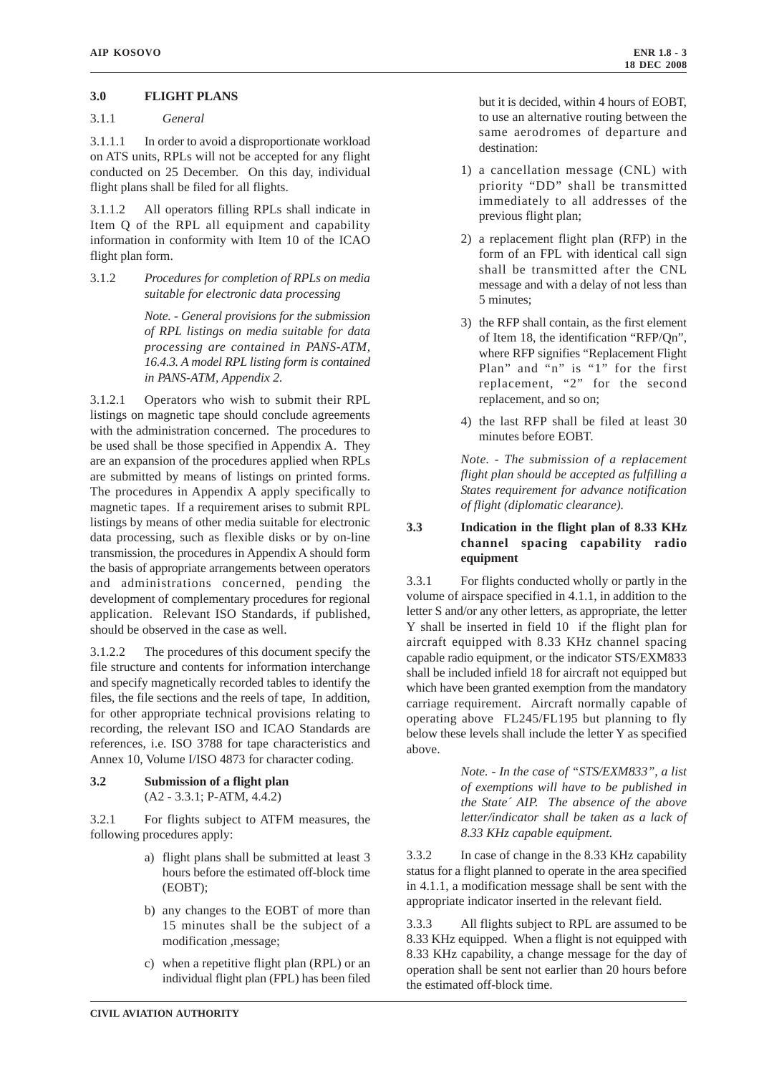#### **3.0 FLIGHT PLANS**

#### 3.1.1 *General*

3.1.1.1 In order to avoid a disproportionate workload on ATS units, RPLs will not be accepted for any flight conducted on 25 December. On this day, individual flight plans shall be filed for all flights.

3.1.1.2 All operators filling RPLs shall indicate in Item Q of the RPL all equipment and capability information in conformity with Item 10 of the ICAO flight plan form.

3.1.2 *Procedures for completion of RPLs on media suitable for electronic data processing*

> *Note. - General provisions for the submission of RPL listings on media suitable for data processing are contained in PANS-ATM, 16.4.3. A model RPL listing form is contained in PANS-ATM, Appendix 2.*

3.1.2.1 Operators who wish to submit their RPL listings on magnetic tape should conclude agreements with the administration concerned. The procedures to be used shall be those specified in Appendix A. They are an expansion of the procedures applied when RPLs are submitted by means of listings on printed forms. The procedures in Appendix A apply specifically to magnetic tapes. If a requirement arises to submit RPL listings by means of other media suitable for electronic data processing, such as flexible disks or by on-line transmission, the procedures in Appendix A should form the basis of appropriate arrangements between operators and administrations concerned, pending the development of complementary procedures for regional application. Relevant ISO Standards, if published, should be observed in the case as well.

3.1.2.2 The procedures of this document specify the file structure and contents for information interchange and specify magnetically recorded tables to identify the files, the file sections and the reels of tape, In addition, for other appropriate technical provisions relating to recording, the relevant ISO and ICAO Standards are references, i.e. ISO 3788 for tape characteristics and Annex 10, Volume I/ISO 4873 for character coding.

#### **3.2 Submission of a flight plan** (A2 - 3.3.1; P-ATM, 4.4.2)

3.2.1 For flights subject to ATFM measures, the following procedures apply:

- a) flight plans shall be submitted at least 3 hours before the estimated off-block time (EOBT);
- b) any changes to the EOBT of more than 15 minutes shall be the subject of a modification ,message;
- c) when a repetitive flight plan (RPL) or an individual flight plan (FPL) has been filed

but it is decided, within 4 hours of EOBT, to use an alternative routing between the same aerodromes of departure and destination:

- 1) a cancellation message (CNL) with priority "DD" shall be transmitted immediately to all addresses of the previous flight plan;
- 2) a replacement flight plan (RFP) in the form of an FPL with identical call sign shall be transmitted after the CNL message and with a delay of not less than 5 minutes;
- 3) the RFP shall contain, as the first element of Item 18, the identification "RFP/Qn", where RFP signifies "Replacement Flight Plan" and "n" is "1" for the first replacement, "2" for the second replacement, and so on;
- 4) the last RFP shall be filed at least 30 minutes before EOBT.

*Note. - The submission of a replacement flight plan should be accepted as fulfilling a States requirement for advance notification of flight (diplomatic clearance).*

# **3.3 Indication in the flight plan of 8.33 KHz channel spacing capability radio equipment**

3.3.1 For flights conducted wholly or partly in the volume of airspace specified in 4.1.1, in addition to the letter S and/or any other letters, as appropriate, the letter Y shall be inserted in field 10 if the flight plan for aircraft equipped with 8.33 KHz channel spacing capable radio equipment, or the indicator STS/EXM833 shall be included infield 18 for aircraft not equipped but which have been granted exemption from the mandatory carriage requirement. Aircraft normally capable of operating above FL245/FL195 but planning to fly below these levels shall include the letter Y as specified above.

> *Note. - In the case of "STS/EXM833", a list of exemptions will have to be published in the State´ AIP. The absence of the above letter/indicator shall be taken as a lack of 8.33 KHz capable equipment.*

3.3.2 In case of change in the 8.33 KHz capability status for a flight planned to operate in the area specified in 4.1.1, a modification message shall be sent with the appropriate indicator inserted in the relevant field.

3.3.3 All flights subject to RPL are assumed to be 8.33 KHz equipped. When a flight is not equipped with 8.33 KHz capability, a change message for the day of operation shall be sent not earlier than 20 hours before the estimated off-block time.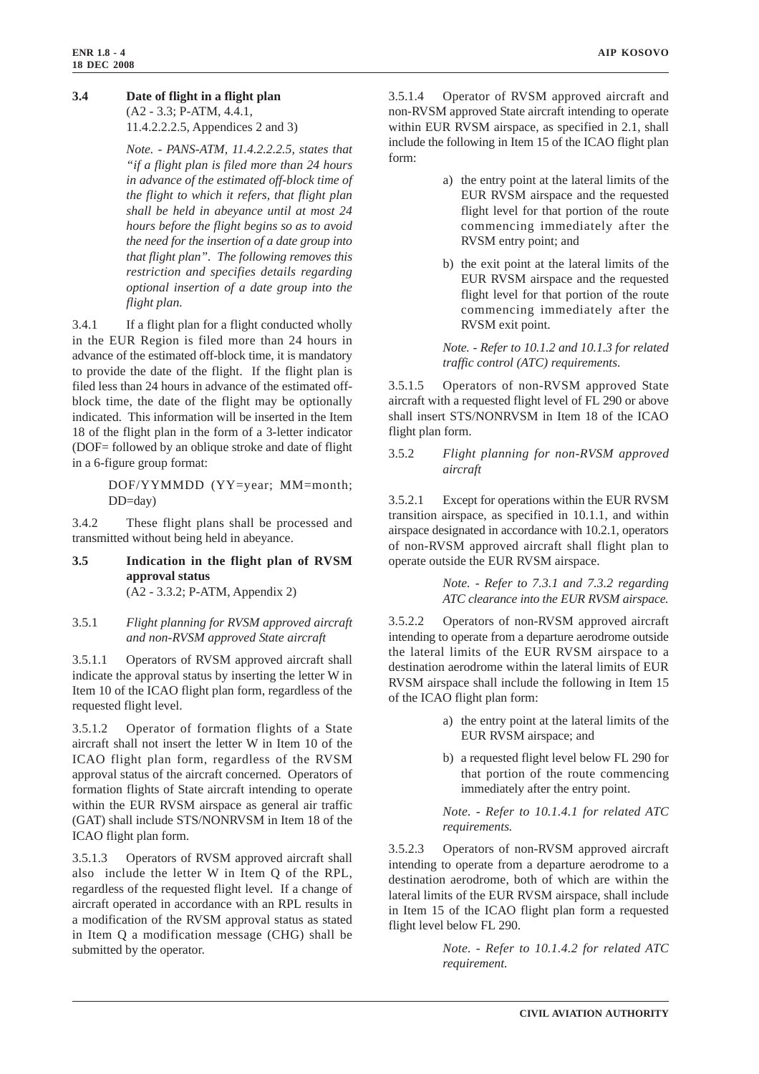#### **3.4 Date of flight in a flight plan** (A2 - 3.3; P-ATM, 4.4.1, 11.4.2.2.2.5, Appendices 2 and 3)

*Note. - PANS-ATM, 11.4.2.2.2.5, states that "if a flight plan is filed more than 24 hours in advance of the estimated off-block time of the flight to which it refers, that flight plan shall be held in abeyance until at most 24 hours before the flight begins so as to avoid the need for the insertion of a date group into that flight plan". The following removes this restriction and specifies details regarding optional insertion of a date group into the flight plan.*

3.4.1 If a flight plan for a flight conducted wholly in the EUR Region is filed more than 24 hours in advance of the estimated off-block time, it is mandatory to provide the date of the flight. If the flight plan is filed less than 24 hours in advance of the estimated offblock time, the date of the flight may be optionally indicated. This information will be inserted in the Item 18 of the flight plan in the form of a 3-letter indicator (DOF= followed by an oblique stroke and date of flight in a 6-figure group format:

> DOF/YYMMDD (YY=year; MM=month;  $DD = day$ )

3.4.2 These flight plans shall be processed and transmitted without being held in abeyance.

**3.5 Indication in the flight plan of RVSM approval status** (A2 - 3.3.2; P-ATM, Appendix 2)

3.5.1 *Flight planning for RVSM approved aircraft and non-RVSM approved State aircraft*

3.5.1.1 Operators of RVSM approved aircraft shall indicate the approval status by inserting the letter W in Item 10 of the ICAO flight plan form, regardless of the requested flight level.

3.5.1.2 Operator of formation flights of a State aircraft shall not insert the letter W in Item 10 of the ICAO flight plan form, regardless of the RVSM approval status of the aircraft concerned. Operators of formation flights of State aircraft intending to operate within the EUR RVSM airspace as general air traffic (GAT) shall include STS/NONRVSM in Item 18 of the ICAO flight plan form.

3.5.1.3 Operators of RVSM approved aircraft shall also include the letter W in Item Q of the RPL, regardless of the requested flight level. If a change of aircraft operated in accordance with an RPL results in a modification of the RVSM approval status as stated in Item Q a modification message (CHG) shall be submitted by the operator.

3.5.1.4 Operator of RVSM approved aircraft and non-RVSM approved State aircraft intending to operate within EUR RVSM airspace, as specified in 2.1, shall include the following in Item 15 of the ICAO flight plan form:

- a) the entry point at the lateral limits of the EUR RVSM airspace and the requested flight level for that portion of the route commencing immediately after the RVSM entry point; and
- b) the exit point at the lateral limits of the EUR RVSM airspace and the requested flight level for that portion of the route commencing immediately after the RVSM exit point.

*Note. - Refer to 10.1.2 and 10.1.3 for related traffic control (ATC) requirements.*

3.5.1.5 Operators of non-RVSM approved State aircraft with a requested flight level of FL 290 or above shall insert STS/NONRVSM in Item 18 of the ICAO flight plan form.

# 3.5.2 *Flight planning for non-RVSM approved aircraft*

3.5.2.1 Except for operations within the EUR RVSM transition airspace, as specified in 10.1.1, and within airspace designated in accordance with 10.2.1, operators of non-RVSM approved aircraft shall flight plan to operate outside the EUR RVSM airspace.

> *Note. - Refer to 7.3.1 and 7.3.2 regarding ATC clearance into the EUR RVSM airspace.*

3.5.2.2 Operators of non-RVSM approved aircraft intending to operate from a departure aerodrome outside the lateral limits of the EUR RVSM airspace to a destination aerodrome within the lateral limits of EUR RVSM airspace shall include the following in Item 15 of the ICAO flight plan form:

- a) the entry point at the lateral limits of the EUR RVSM airspace; and
- b) a requested flight level below FL 290 for that portion of the route commencing immediately after the entry point.

*Note. - Refer to 10.1.4.1 for related ATC requirements.*

3.5.2.3 Operators of non-RVSM approved aircraft intending to operate from a departure aerodrome to a destination aerodrome, both of which are within the lateral limits of the EUR RVSM airspace, shall include in Item 15 of the ICAO flight plan form a requested flight level below FL 290.

> *Note. - Refer to 10.1.4.2 for related ATC requirement.*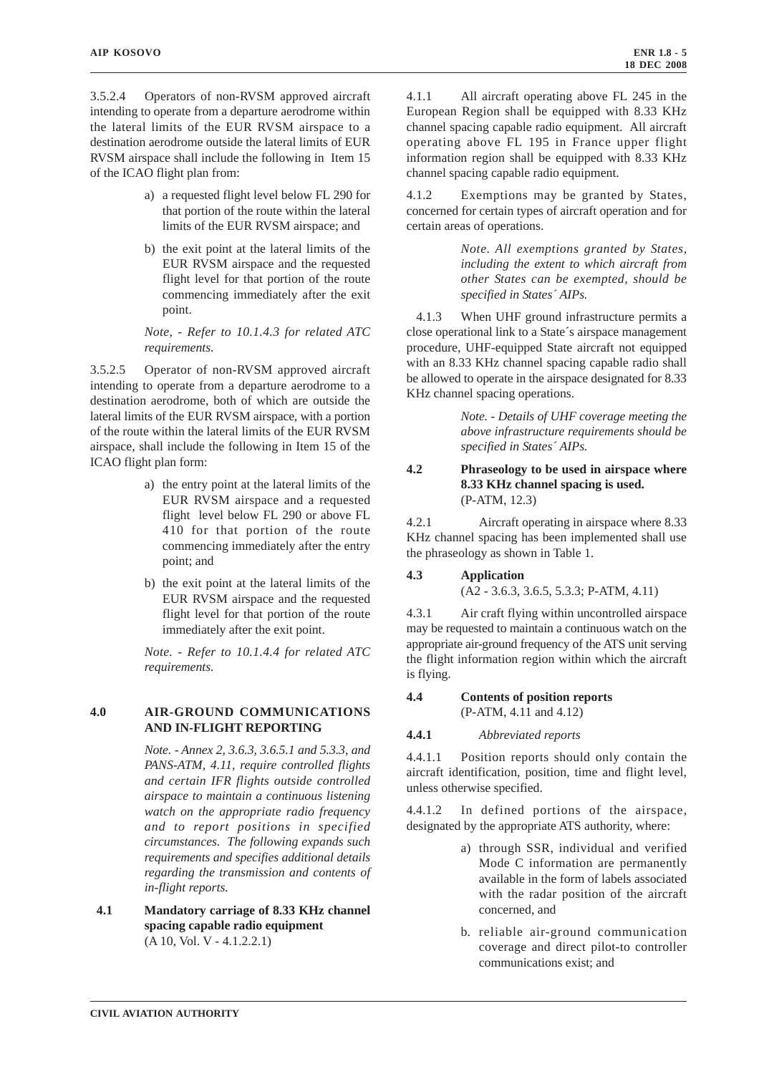3.5.2.4 Operators of non-RVSM approved aircraft intending to operate from a departure aerodrome within the lateral limits of the EUR RVSM airspace to a destination aerodrome outside the lateral limits of EUR RVSM airspace shall include the following in Item 15 of the ICAO flight plan from:

- a) a requested flight level below FL 290 for that portion of the route within the lateral limits of the EUR RVSM airspace; and
- b) the exit point at the lateral limits of the EUR RVSM airspace and the requested flight level for that portion of the route commencing immediately after the exit point.

*Note, - Refer to 10.1.4.3 for related ATC requirements.*

3.5.2.5 Operator of non-RVSM approved aircraft intending to operate from a departure aerodrome to a destination aerodrome, both of which are outside the lateral limits of the EUR RVSM airspace, with a portion of the route within the lateral limits of the EUR RVSM airspace, shall include the following in Item 15 of the ICAO flight plan form:

- a) the entry point at the lateral limits of the EUR RVSM airspace and a requested flight level below FL 290 or above FL 410 for that portion of the route commencing immediately after the entry point; and
- b) the exit point at the lateral limits of the EUR RVSM airspace and the requested flight level for that portion of the route immediately after the exit point.

*Note. - Refer to 10.1.4.4 for related ATC requirements.*

# **4.0 AIR-GROUND COMMUNICATIONS AND IN-FLIGHT REPORTING**

*Note. - Annex 2, 3.6.3, 3.6.5.1 and 5.3.3, and PANS-ATM, 4.11, require controlled flights and certain IFR flights outside controlled airspace to maintain a continuous listening watch on the appropriate radio frequency and to report positions in specified circumstances. The following expands such requirements and specifies additional details regarding the transmission and contents of in-flight reports.*

 **4.1 Mandatory carriage of 8.33 KHz channel spacing capable radio equipment** (A 10, Vol. V - 4.1.2.2.1)

4.1.1 All aircraft operating above FL 245 in the European Region shall be equipped with 8.33 KHz channel spacing capable radio equipment. All aircraft operating above FL 195 in France upper flight information region shall be equipped with 8.33 KHz channel spacing capable radio equipment.

4.1.2 Exemptions may be granted by States, concerned for certain types of aircraft operation and for certain areas of operations.

> *Note. All exemptions granted by States, including the extent to which aircraft from other States can be exempted, should be specified in States´ AIPs.*

 4.1.3 When UHF ground infrastructure permits a close operational link to a State´s airspace management procedure, UHF-equipped State aircraft not equipped with an 8.33 KHz channel spacing capable radio shall be allowed to operate in the airspace designated for 8.33 KHz channel spacing operations.

> *Note. - Details of UHF coverage meeting the above infrastructure requirements should be specified in States´ AIPs.*

**4.2 Phraseology to be used in airspace where 8.33 KHz channel spacing is used.** (P-ATM, 12.3)

4.2.1 Aircraft operating in airspace where 8.33 KHz channel spacing has been implemented shall use the phraseology as shown in Table 1.

# **4.3 Application** (A2 - 3.6.3, 3.6.5, 5.3.3; P-ATM, 4.11)

4.3.1 Air craft flying within uncontrolled airspace may be requested to maintain a continuous watch on the appropriate air-ground frequency of the ATS unit serving the flight information region within which the aircraft is flying.

**4.4 Contents of position reports** (P-ATM, 4.11 and 4.12)

# **4.4.1** *Abbreviated reports*

4.4.1.1 Position reports should only contain the aircraft identification, position, time and flight level, unless otherwise specified.

4.4.1.2 In defined portions of the airspace, designated by the appropriate ATS authority, where:

- a) through SSR, individual and verified Mode C information are permanently available in the form of labels associated with the radar position of the aircraft concerned, and
- b. reliable air-ground communication coverage and direct pilot-to controller communications exist; and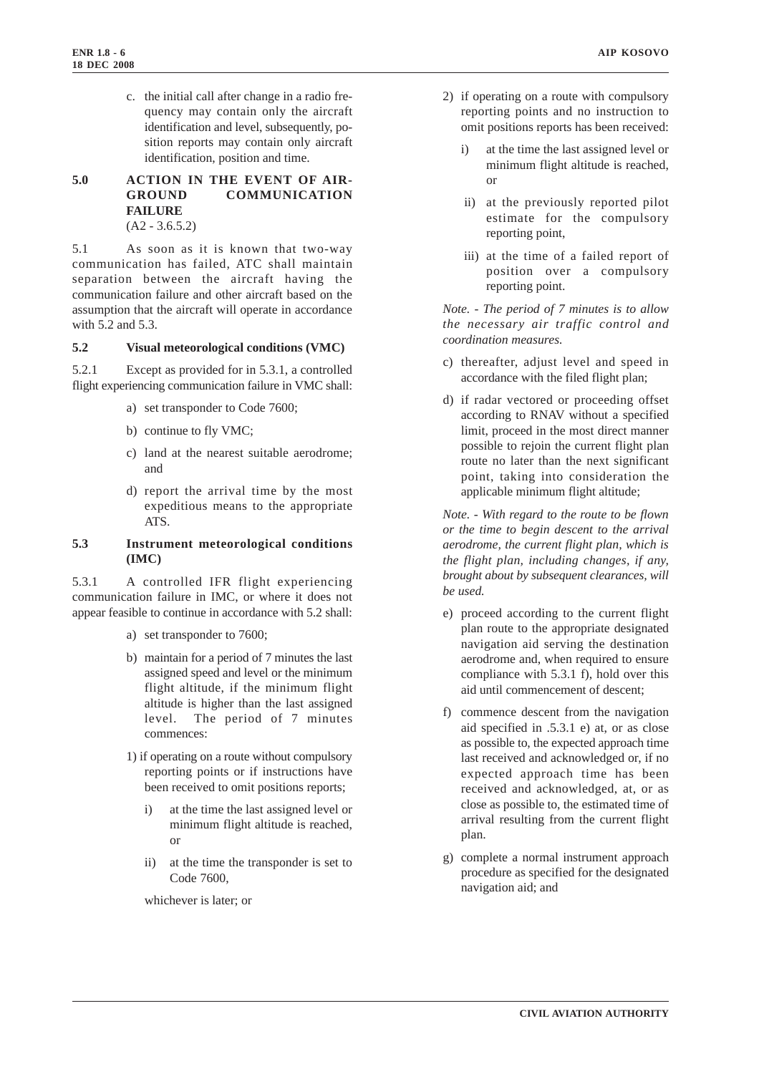c. the initial call after change in a radio frequency may contain only the aircraft identification and level, subsequently, position reports may contain only aircraft identification, position and time.

# **5.0 ACTION IN THE EVENT OF AIR-GROUND COMMUNICATION FAILURE**  $(A2 - 3.6.5.2)$

5.1 As soon as it is known that two-way communication has failed, ATC shall maintain separation between the aircraft having the communication failure and other aircraft based on the assumption that the aircraft will operate in accordance with 5.2 and 5.3.

#### **5.2 Visual meteorological conditions (VMC)**

5.2.1 Except as provided for in 5.3.1, a controlled flight experiencing communication failure in VMC shall:

- a) set transponder to Code 7600;
- b) continue to fly VMC;
- c) land at the nearest suitable aerodrome; and
- d) report the arrival time by the most expeditious means to the appropriate ATS.

# **5.3 Instrument meteorological conditions (IMC)**

5.3.1 A controlled IFR flight experiencing communication failure in IMC, or where it does not appear feasible to continue in accordance with 5.2 shall:

- a) set transponder to 7600;
- b) maintain for a period of 7 minutes the last assigned speed and level or the minimum flight altitude, if the minimum flight altitude is higher than the last assigned level. The period of 7 minutes commences:
- 1) if operating on a route without compulsory reporting points or if instructions have been received to omit positions reports;
	- i) at the time the last assigned level or minimum flight altitude is reached, or
	- ii) at the time the transponder is set to Code 7600,

whichever is later; or

- 2) if operating on a route with compulsory reporting points and no instruction to omit positions reports has been received:
	- i) at the time the last assigned level or minimum flight altitude is reached, or
	- ii) at the previously reported pilot estimate for the compulsory reporting point,
	- iii) at the time of a failed report of position over a compulsory reporting point.

*Note. - The period of 7 minutes is to allow the necessary air traffic control and coordination measures.*

- c) thereafter, adjust level and speed in accordance with the filed flight plan;
- d) if radar vectored or proceeding offset according to RNAV without a specified limit, proceed in the most direct manner possible to rejoin the current flight plan route no later than the next significant point, taking into consideration the applicable minimum flight altitude;

*Note. - With regard to the route to be flown or the time to begin descent to the arrival aerodrome, the current flight plan, which is the flight plan, including changes, if any, brought about by subsequent clearances, will be used.*

- e) proceed according to the current flight plan route to the appropriate designated navigation aid serving the destination aerodrome and, when required to ensure compliance with 5.3.1 f), hold over this aid until commencement of descent;
- f) commence descent from the navigation aid specified in .5.3.1 e) at, or as close as possible to, the expected approach time last received and acknowledged or, if no expected approach time has been received and acknowledged, at, or as close as possible to, the estimated time of arrival resulting from the current flight plan.
- g) complete a normal instrument approach procedure as specified for the designated navigation aid; and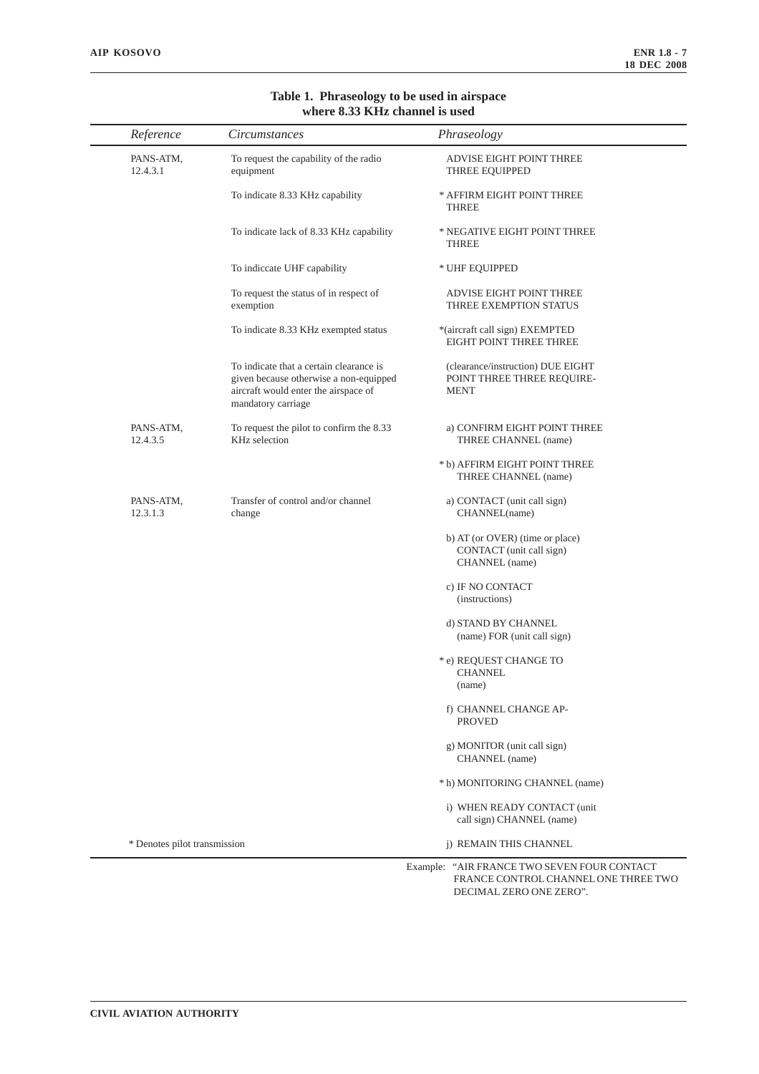| Reference                    | <i>Circumstances</i>                                                                                                                            | Phraseology                                                                                                    |
|------------------------------|-------------------------------------------------------------------------------------------------------------------------------------------------|----------------------------------------------------------------------------------------------------------------|
| PANS-ATM,<br>12.4.3.1        | To request the capability of the radio<br>equipment                                                                                             | ADVISE EIGHT POINT THREE<br>THREE EQUIPPED                                                                     |
|                              | To indicate 8.33 KHz capability                                                                                                                 | * AFFIRM EIGHT POINT THREE<br><b>THREE</b>                                                                     |
|                              | To indicate lack of 8.33 KHz capability                                                                                                         | * NEGATIVE EIGHT POINT THREE<br>THREE                                                                          |
|                              | To indiccate UHF capability                                                                                                                     | * UHF EQUIPPED                                                                                                 |
|                              | To request the status of in respect of<br>exemption                                                                                             | ADVISE EIGHT POINT THREE<br>THREE EXEMPTION STATUS                                                             |
|                              | To indicate 8.33 KHz exempted status                                                                                                            | *(aircraft call sign) EXEMPTED<br>EIGHT POINT THREE THREE                                                      |
|                              | To indicate that a certain clearance is<br>given because otherwise a non-equipped<br>aircraft would enter the airspace of<br>mandatory carriage | (clearance/instruction) DUE EIGHT<br>POINT THREE THREE REQUIRE-<br><b>MENT</b>                                 |
| PANS-ATM,<br>12.4.3.5        | To request the pilot to confirm the 8.33<br>KHz selection                                                                                       | a) CONFIRM EIGHT POINT THREE<br>THREE CHANNEL (name)                                                           |
|                              |                                                                                                                                                 | * b) AFFIRM EIGHT POINT THREE<br>THREE CHANNEL (name)                                                          |
| PANS-ATM,<br>12.3.1.3        | Transfer of control and/or channel<br>change                                                                                                    | a) CONTACT (unit call sign)<br>CHANNEL(name)                                                                   |
|                              |                                                                                                                                                 | b) AT (or OVER) (time or place)<br>CONTACT (unit call sign)<br>CHANNEL (name)                                  |
|                              |                                                                                                                                                 | c) IF NO CONTACT<br>(instructions)                                                                             |
|                              |                                                                                                                                                 | d) STAND BY CHANNEL<br>(name) FOR (unit call sign)                                                             |
|                              |                                                                                                                                                 | * e) REQUEST CHANGE TO<br><b>CHANNEL</b><br>(name)                                                             |
|                              |                                                                                                                                                 | f) CHANNEL CHANGE AP-<br><b>PROVED</b>                                                                         |
|                              |                                                                                                                                                 | g) MONITOR (unit call sign)<br>CHANNEL (name)                                                                  |
|                              |                                                                                                                                                 | * h) MONITORING CHANNEL (name)                                                                                 |
|                              |                                                                                                                                                 | i) WHEN READY CONTACT (unit<br>call sign) CHANNEL (name)                                                       |
| * Denotes pilot transmission |                                                                                                                                                 | j) REMAIN THIS CHANNEL                                                                                         |
|                              |                                                                                                                                                 | Example: "AIR FRANCE TWO SEVEN FOUR CONTACT<br>FRANCE CONTROL CHANNEL ONE THREE TWO<br>DECIMAL ZERO ONE ZERO". |

#### **Table 1. Phraseology to be used in airspace where 8.33 KHz channel is used**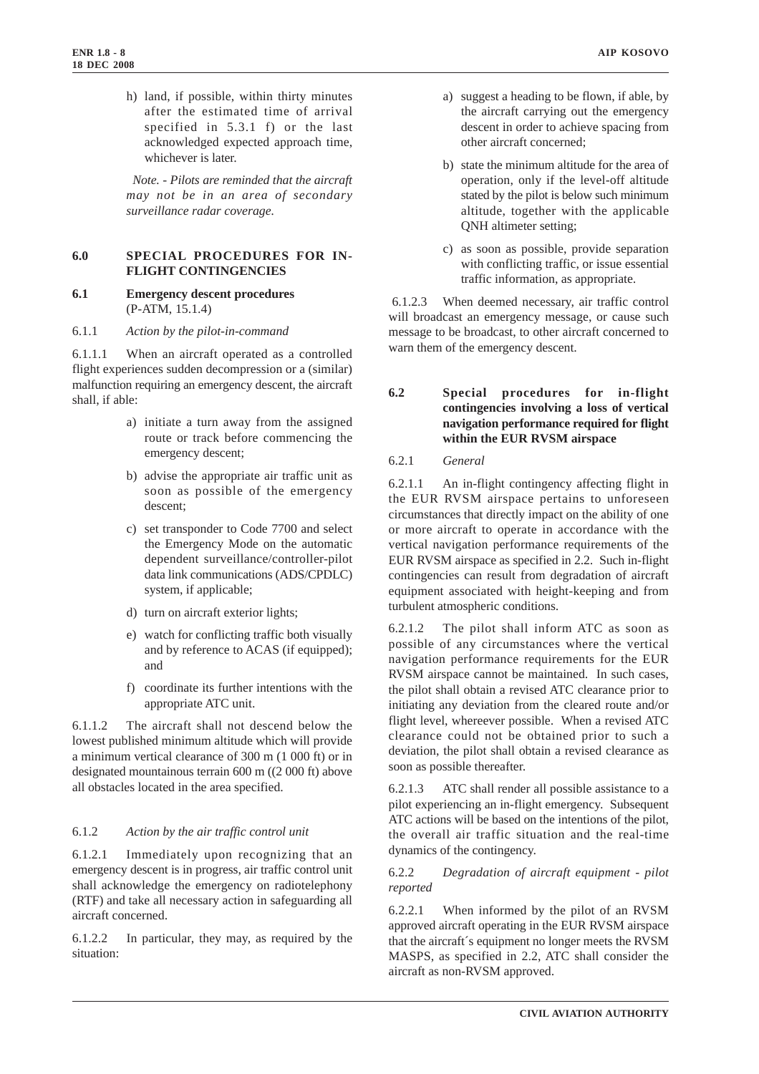h) land, if possible, within thirty minutes after the estimated time of arrival specified in 5.3.1 f) or the last acknowledged expected approach time, whichever is later.

 *Note. - Pilots are reminded that the aircraft may not be in an area of secondary surveillance radar coverage.*

# **6.0 SPECIAL PROCEDURES FOR IN-FLIGHT CONTINGENCIES**

#### **6.1 Emergency descent procedures** (P-ATM, 15.1.4)

#### 6.1.1 *Action by the pilot-in-command*

6.1.1.1 When an aircraft operated as a controlled flight experiences sudden decompression or a (similar) malfunction requiring an emergency descent, the aircraft shall, if able:

- a) initiate a turn away from the assigned route or track before commencing the emergency descent;
- b) advise the appropriate air traffic unit as soon as possible of the emergency descent;
- c) set transponder to Code 7700 and select the Emergency Mode on the automatic dependent surveillance/controller-pilot data link communications (ADS/CPDLC) system, if applicable;
- d) turn on aircraft exterior lights;
- e) watch for conflicting traffic both visually and by reference to ACAS (if equipped); and
- f) coordinate its further intentions with the appropriate ATC unit.

6.1.1.2 The aircraft shall not descend below the lowest published minimum altitude which will provide a minimum vertical clearance of 300 m (1 000 ft) or in designated mountainous terrain 600 m ((2 000 ft) above all obstacles located in the area specified.

#### 6.1.2 *Action by the air traffic control unit*

6.1.2.1 Immediately upon recognizing that an emergency descent is in progress, air traffic control unit shall acknowledge the emergency on radiotelephony (RTF) and take all necessary action in safeguarding all aircraft concerned.

6.1.2.2 In particular, they may, as required by the situation:

- a) suggest a heading to be flown, if able, by the aircraft carrying out the emergency descent in order to achieve spacing from other aircraft concerned;
- b) state the minimum altitude for the area of operation, only if the level-off altitude stated by the pilot is below such minimum altitude, together with the applicable QNH altimeter setting;
- c) as soon as possible, provide separation with conflicting traffic, or issue essential traffic information, as appropriate.

 6.1.2.3 When deemed necessary, air traffic control will broadcast an emergency message, or cause such message to be broadcast, to other aircraft concerned to warn them of the emergency descent.

# **6.2 Special procedures for in-flight contingencies involving a loss of vertical navigation performance required for flight within the EUR RVSM airspace**

#### 6.2.1 *General*

6.2.1.1 An in-flight contingency affecting flight in the EUR RVSM airspace pertains to unforeseen circumstances that directly impact on the ability of one or more aircraft to operate in accordance with the vertical navigation performance requirements of the EUR RVSM airspace as specified in 2.2. Such in-flight contingencies can result from degradation of aircraft equipment associated with height-keeping and from turbulent atmospheric conditions.

6.2.1.2 The pilot shall inform ATC as soon as possible of any circumstances where the vertical navigation performance requirements for the EUR RVSM airspace cannot be maintained. In such cases, the pilot shall obtain a revised ATC clearance prior to initiating any deviation from the cleared route and/or flight level, whereever possible. When a revised ATC clearance could not be obtained prior to such a deviation, the pilot shall obtain a revised clearance as soon as possible thereafter.

6.2.1.3 ATC shall render all possible assistance to a pilot experiencing an in-flight emergency. Subsequent ATC actions will be based on the intentions of the pilot, the overall air traffic situation and the real-time dynamics of the contingency.

#### 6.2.2 *Degradation of aircraft equipment - pilot reported*

6.2.2.1 When informed by the pilot of an RVSM approved aircraft operating in the EUR RVSM airspace that the aircraft´s equipment no longer meets the RVSM MASPS, as specified in 2.2, ATC shall consider the aircraft as non-RVSM approved.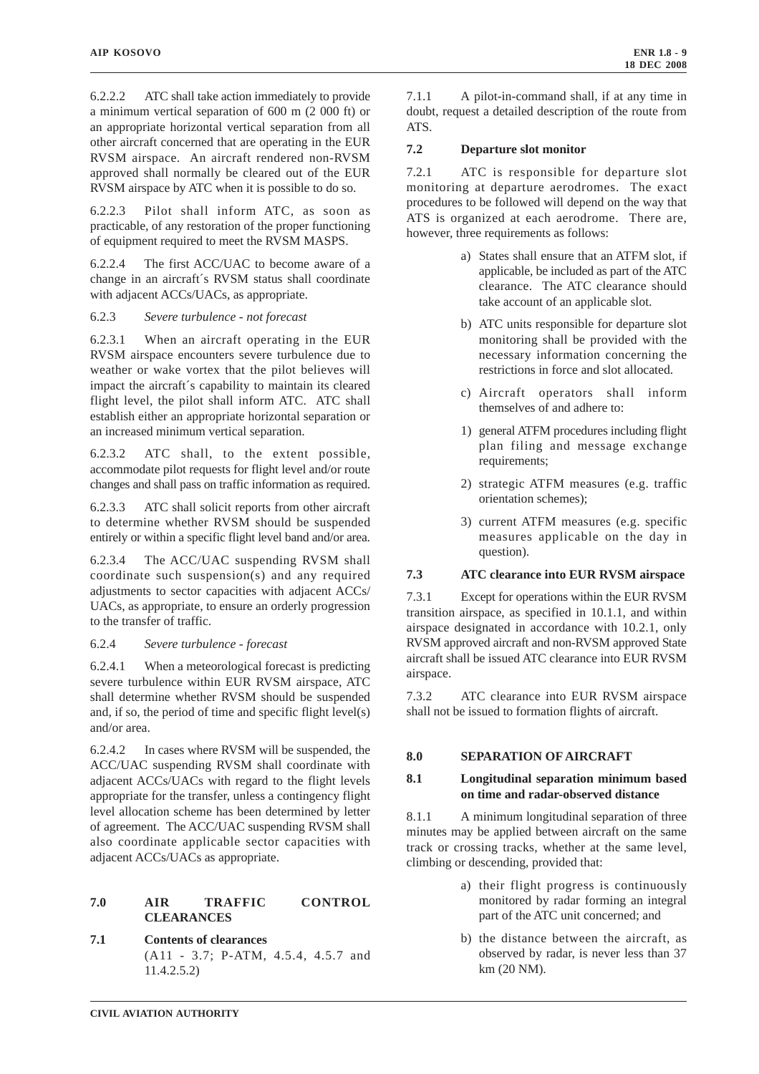6.2.2.2 ATC shall take action immediately to provide a minimum vertical separation of 600 m (2 000 ft) or an appropriate horizontal vertical separation from all other aircraft concerned that are operating in the EUR RVSM airspace. An aircraft rendered non-RVSM approved shall normally be cleared out of the EUR RVSM airspace by ATC when it is possible to do so.

6.2.2.3 Pilot shall inform ATC, as soon as practicable, of any restoration of the proper functioning of equipment required to meet the RVSM MASPS.

6.2.2.4 The first ACC/UAC to become aware of a change in an aircraft´s RVSM status shall coordinate with adjacent ACCs/UACs, as appropriate.

#### 6.2.3 *Severe turbulence - not forecast*

6.2.3.1 When an aircraft operating in the EUR RVSM airspace encounters severe turbulence due to weather or wake vortex that the pilot believes will impact the aircraft´s capability to maintain its cleared flight level, the pilot shall inform ATC. ATC shall establish either an appropriate horizontal separation or an increased minimum vertical separation.

6.2.3.2 ATC shall, to the extent possible, accommodate pilot requests for flight level and/or route changes and shall pass on traffic information as required.

6.2.3.3 ATC shall solicit reports from other aircraft to determine whether RVSM should be suspended entirely or within a specific flight level band and/or area.

6.2.3.4 The ACC/UAC suspending RVSM shall coordinate such suspension(s) and any required adjustments to sector capacities with adjacent ACCs/ UACs, as appropriate, to ensure an orderly progression to the transfer of traffic.

# 6.2.4 *Severe turbulence - forecast*

6.2.4.1 When a meteorological forecast is predicting severe turbulence within EUR RVSM airspace, ATC shall determine whether RVSM should be suspended and, if so, the period of time and specific flight level(s) and/or area.

6.2.4.2 In cases where RVSM will be suspended, the ACC/UAC suspending RVSM shall coordinate with adjacent ACCs/UACs with regard to the flight levels appropriate for the transfer, unless a contingency flight level allocation scheme has been determined by letter of agreement. The ACC/UAC suspending RVSM shall also coordinate applicable sector capacities with adjacent ACCs/UACs as appropriate.

# **7.0 AIR TRAFFIC CONTROL CLEARANCES**

**7.1 Contents of clearances** (A11 - 3.7; P-ATM, 4.5.4, 4.5.7 and 11.4.2.5.2)

7.1.1 A pilot-in-command shall, if at any time in doubt, request a detailed description of the route from ATS.

#### **7.2 Departure slot monitor**

7.2.1 ATC is responsible for departure slot monitoring at departure aerodromes. The exact procedures to be followed will depend on the way that ATS is organized at each aerodrome. There are, however, three requirements as follows:

- a) States shall ensure that an ATFM slot, if applicable, be included as part of the ATC clearance. The ATC clearance should take account of an applicable slot.
- b) ATC units responsible for departure slot monitoring shall be provided with the necessary information concerning the restrictions in force and slot allocated.
- c) Aircraft operators shall inform themselves of and adhere to:
- 1) general ATFM procedures including flight plan filing and message exchange requirements;
- 2) strategic ATFM measures (e.g. traffic orientation schemes);
- 3) current ATFM measures (e.g. specific measures applicable on the day in question).

# **7.3 ATC clearance into EUR RVSM airspace**

7.3.1 Except for operations within the EUR RVSM transition airspace, as specified in 10.1.1, and within airspace designated in accordance with 10.2.1, only RVSM approved aircraft and non-RVSM approved State aircraft shall be issued ATC clearance into EUR RVSM airspace.

7.3.2 ATC clearance into EUR RVSM airspace shall not be issued to formation flights of aircraft.

# **8.0 SEPARATION OF AIRCRAFT**

#### **8.1 Longitudinal separation minimum based on time and radar-observed distance**

8.1.1 A minimum longitudinal separation of three minutes may be applied between aircraft on the same track or crossing tracks, whether at the same level, climbing or descending, provided that:

- a) their flight progress is continuously monitored by radar forming an integral part of the ATC unit concerned; and
- b) the distance between the aircraft, as observed by radar, is never less than 37 km (20 NM).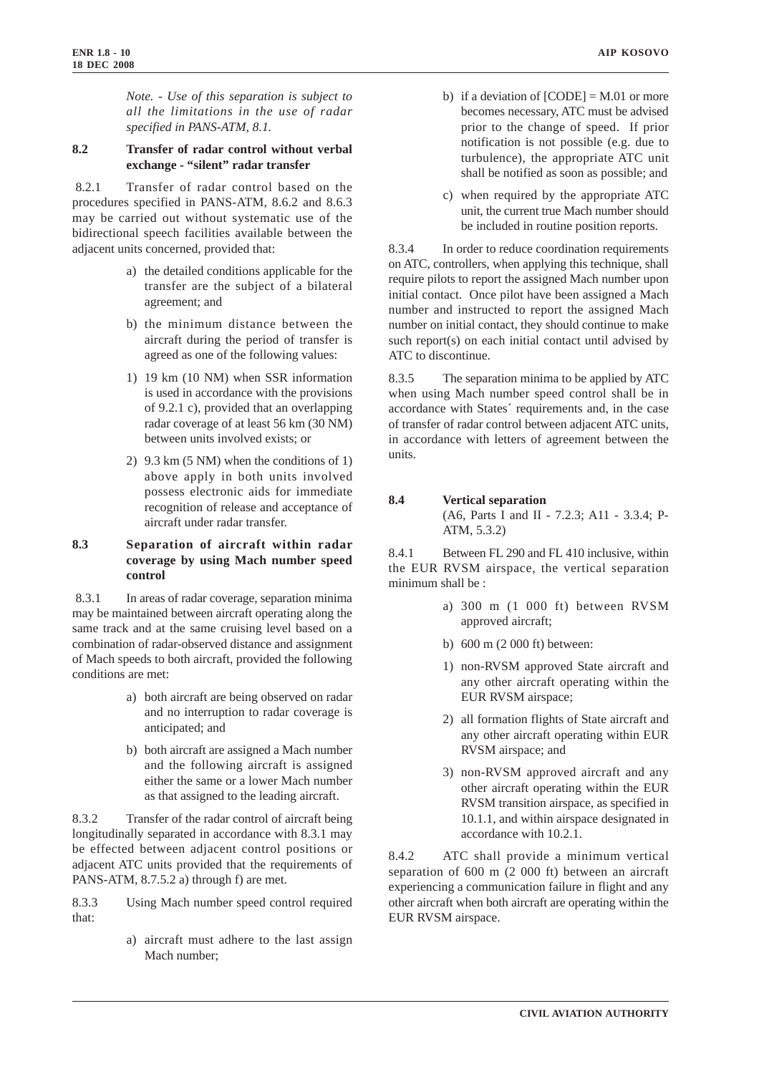*Note. - Use of this separation is subject to all the limitations in the use of radar specified in PANS-ATM, 8.1.*

# **8.2 Transfer of radar control without verbal exchange - "silent" radar transfer**

 8.2.1 Transfer of radar control based on the procedures specified in PANS-ATM, 8.6.2 and 8.6.3 may be carried out without systematic use of the bidirectional speech facilities available between the adjacent units concerned, provided that:

- a) the detailed conditions applicable for the transfer are the subject of a bilateral agreement; and
- b) the minimum distance between the aircraft during the period of transfer is agreed as one of the following values:
- 1) 19 km (10 NM) when SSR information is used in accordance with the provisions of 9.2.1 c), provided that an overlapping radar coverage of at least 56 km (30 NM) between units involved exists; or
- 2) 9.3 km (5 NM) when the conditions of 1) above apply in both units involved possess electronic aids for immediate recognition of release and acceptance of aircraft under radar transfer.

# **8.3 Separation of aircraft within radar coverage by using Mach number speed control**

 8.3.1 In areas of radar coverage, separation minima may be maintained between aircraft operating along the same track and at the same cruising level based on a combination of radar-observed distance and assignment of Mach speeds to both aircraft, provided the following conditions are met:

- a) both aircraft are being observed on radar and no interruption to radar coverage is anticipated; and
- b) both aircraft are assigned a Mach number and the following aircraft is assigned either the same or a lower Mach number as that assigned to the leading aircraft.

8.3.2 Transfer of the radar control of aircraft being longitudinally separated in accordance with 8.3.1 may be effected between adjacent control positions or adjacent ATC units provided that the requirements of PANS-ATM, 8.7.5.2 a) through f) are met.

8.3.3 Using Mach number speed control required that:

> a) aircraft must adhere to the last assign Mach number;

- b) if a deviation of  $[CODE] = M.01$  or more becomes necessary, ATC must be advised prior to the change of speed. If prior notification is not possible (e.g. due to turbulence), the appropriate ATC unit shall be notified as soon as possible; and
- c) when required by the appropriate ATC unit, the current true Mach number should be included in routine position reports.

8.3.4 In order to reduce coordination requirements on ATC, controllers, when applying this technique, shall require pilots to report the assigned Mach number upon initial contact. Once pilot have been assigned a Mach number and instructed to report the assigned Mach number on initial contact, they should continue to make such report(s) on each initial contact until advised by ATC to discontinue.

8.3.5 The separation minima to be applied by ATC when using Mach number speed control shall be in accordance with States´ requirements and, in the case of transfer of radar control between adjacent ATC units, in accordance with letters of agreement between the units.

# **8.4 Vertical separation**

(A6, Parts I and II - 7.2.3; A11 - 3.3.4; P-ATM, 5.3.2)

8.4.1 Between FL 290 and FL 410 inclusive, within the EUR RVSM airspace, the vertical separation minimum shall be :

- a) 300 m (1 000 ft) between RVSM approved aircraft;
- b) 600 m (2 000 ft) between:
- 1) non-RVSM approved State aircraft and any other aircraft operating within the EUR RVSM airspace;
- 2) all formation flights of State aircraft and any other aircraft operating within EUR RVSM airspace; and
- 3) non-RVSM approved aircraft and any other aircraft operating within the EUR RVSM transition airspace, as specified in 10.1.1, and within airspace designated in accordance with 10.2.1.

8.4.2 ATC shall provide a minimum vertical separation of 600 m (2 000 ft) between an aircraft experiencing a communication failure in flight and any other aircraft when both aircraft are operating within the EUR RVSM airspace.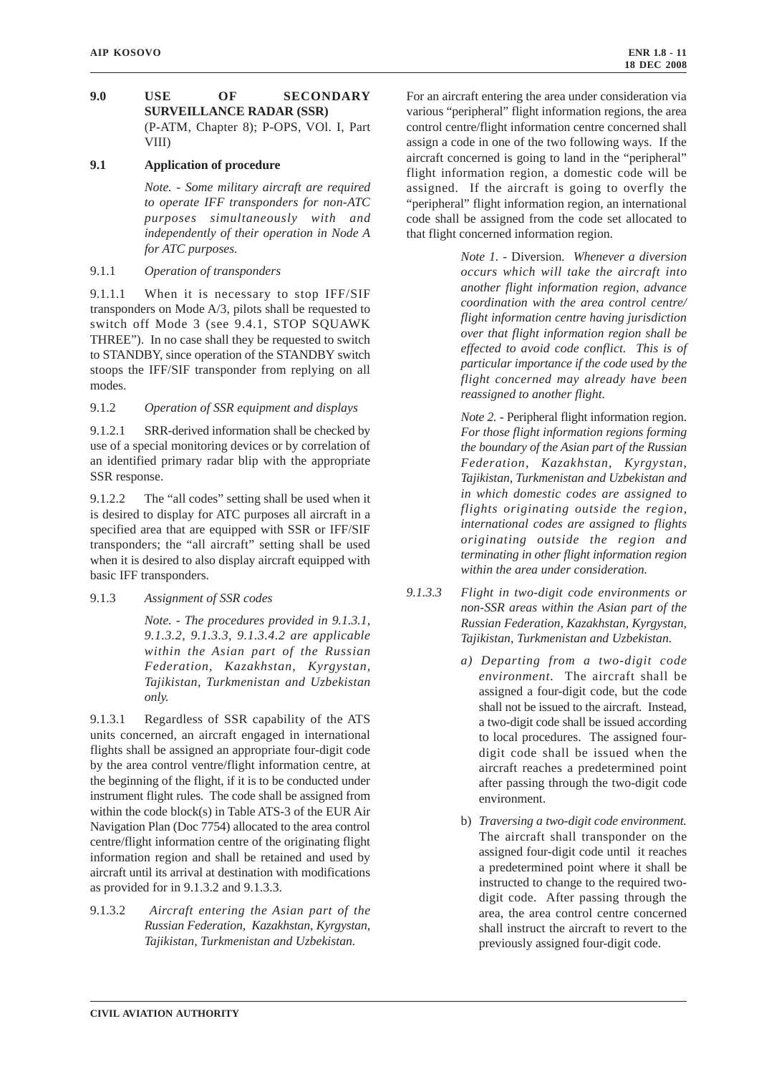# **9.0 USE OF SECONDARY SURVEILLANCE RADAR (SSR)** (P-ATM, Chapter 8); P-OPS, VOl. I, Part VIII)

# **9.1 Application of procedure**

*Note. - Some military aircraft are required to operate IFF transponders for non-ATC purposes simultaneously with and independently of their operation in Node A for ATC purposes.*

# 9.1.1 *Operation of transponders*

9.1.1.1 When it is necessary to stop IFF/SIF transponders on Mode A/3, pilots shall be requested to switch off Mode 3 (see 9.4.1, STOP SQUAWK THREE"). In no case shall they be requested to switch to STANDBY, since operation of the STANDBY switch stoops the IFF/SIF transponder from replying on all modes.

# 9.1.2 *Operation of SSR equipment and displays*

9.1.2.1 SRR-derived information shall be checked by use of a special monitoring devices or by correlation of an identified primary radar blip with the appropriate SSR response.

9.1.2.2 The "all codes" setting shall be used when it is desired to display for ATC purposes all aircraft in a specified area that are equipped with SSR or IFF/SIF transponders; the "all aircraft" setting shall be used when it is desired to also display aircraft equipped with basic IFF transponders.

# 9.1.3 *Assignment of SSR codes*

*Note. - The procedures provided in 9.1.3.1, 9.1.3.2, 9.1.3.3, 9.1.3.4.2 are applicable within the Asian part of the Russian Federation, Kazakhstan, Kyrgystan, Tajikistan, Turkmenistan and Uzbekistan only.*

9.1.3.1 Regardless of SSR capability of the ATS units concerned, an aircraft engaged in international flights shall be assigned an appropriate four-digit code by the area control ventre/flight information centre, at the beginning of the flight, if it is to be conducted under instrument flight rules. The code shall be assigned from within the code block(s) in Table ATS-3 of the EUR Air Navigation Plan (Doc 7754) allocated to the area control centre/flight information centre of the originating flight information region and shall be retained and used by aircraft until its arrival at destination with modifications as provided for in 9.1.3.2 and 9.1.3.3.

9.1.3.2 *Aircraft entering the Asian part of the Russian Federation, Kazakhstan, Kyrgystan, Tajikistan, Turkmenistan and Uzbekistan.*

For an aircraft entering the area under consideration via various "peripheral" flight information regions, the area control centre/flight information centre concerned shall assign a code in one of the two following ways. If the aircraft concerned is going to land in the "peripheral" flight information region, a domestic code will be assigned. If the aircraft is going to overfly the "peripheral" flight information region, an international code shall be assigned from the code set allocated to that flight concerned information region.

> *Note 1. -* Diversion*. Whenever a diversion occurs which will take the aircraft into another flight information region, advance coordination with the area control centre/ flight information centre having jurisdiction over that flight information region shall be effected to avoid code conflict. This is of particular importance if the code used by the flight concerned may already have been reassigned to another flight.*

> *Note 2. -* Peripheral flight information region. *For those flight information regions forming the boundary of the Asian part of the Russian Federation, Kazakhstan, Kyrgystan, Tajikistan, Turkmenistan and Uzbekistan and in which domestic codes are assigned to flights originating outside the region, international codes are assigned to flights originating outside the region and terminating in other flight information region within the area under consideration.*

- *9.1.3.3 Flight in two-digit code environments or non-SSR areas within the Asian part of the Russian Federation, Kazakhstan, Kyrgystan, Tajikistan, Turkmenistan and Uzbekistan.*
	- *a) Departing from a two-digit code environment.* The aircraft shall be assigned a four-digit code, but the code shall not be issued to the aircraft. Instead, a two-digit code shall be issued according to local procedures. The assigned fourdigit code shall be issued when the aircraft reaches a predetermined point after passing through the two-digit code environment.
	- b) *Traversing a two-digit code environment.* The aircraft shall transponder on the assigned four-digit code until it reaches a predetermined point where it shall be instructed to change to the required twodigit code. After passing through the area, the area control centre concerned shall instruct the aircraft to revert to the previously assigned four-digit code.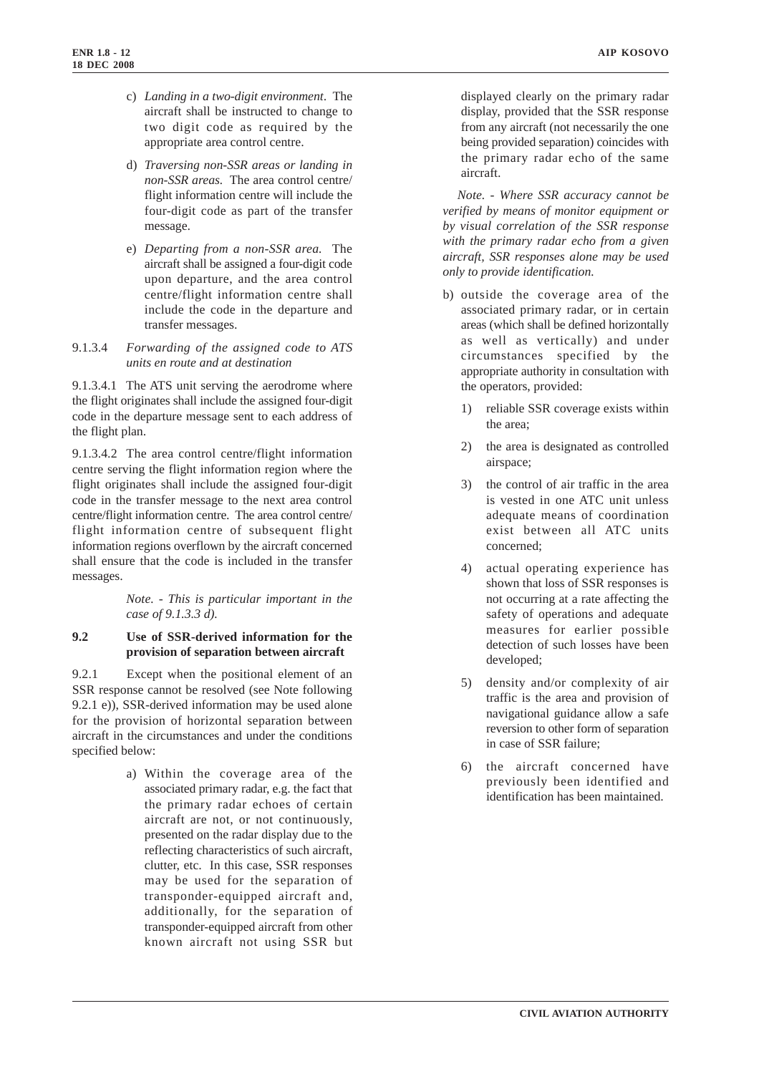- c) *Landing in a two-digit environment*. The aircraft shall be instructed to change to two digit code as required by the appropriate area control centre.
- d) *Traversing non-SSR areas or landing in non-SSR areas.* The area control centre/ flight information centre will include the four-digit code as part of the transfer message.
- e) *Departing from a non-SSR area.* The aircraft shall be assigned a four-digit code upon departure, and the area control centre/flight information centre shall include the code in the departure and transfer messages.
- 9.1.3.4 *Forwarding of the assigned code to ATS units en route and at destination*

9.1.3.4.1 The ATS unit serving the aerodrome where the flight originates shall include the assigned four-digit code in the departure message sent to each address of the flight plan.

9.1.3.4.2 The area control centre/flight information centre serving the flight information region where the flight originates shall include the assigned four-digit code in the transfer message to the next area control centre/flight information centre. The area control centre/ flight information centre of subsequent flight information regions overflown by the aircraft concerned shall ensure that the code is included in the transfer messages.

> *Note. - This is particular important in the case of 9.1.3.3 d).*

# **9.2 Use of SSR-derived information for the provision of separation between aircraft**

9.2.1 Except when the positional element of an SSR response cannot be resolved (see Note following 9.2.1 e)), SSR-derived information may be used alone for the provision of horizontal separation between aircraft in the circumstances and under the conditions specified below:

> a) Within the coverage area of the associated primary radar, e.g. the fact that the primary radar echoes of certain aircraft are not, or not continuously, presented on the radar display due to the reflecting characteristics of such aircraft, clutter, etc. In this case, SSR responses may be used for the separation of transponder-equipped aircraft and, additionally, for the separation of transponder-equipped aircraft from other known aircraft not using SSR but

displayed clearly on the primary radar display, provided that the SSR response from any aircraft (not necessarily the one being provided separation) coincides with the primary radar echo of the same aircraft.

 *Note. - Where SSR accuracy cannot be verified by means of monitor equipment or by visual correlation of the SSR response with the primary radar echo from a given aircraft, SSR responses alone may be used only to provide identification.*

- b) outside the coverage area of the associated primary radar, or in certain areas (which shall be defined horizontally as well as vertically) and under circumstances specified by the appropriate authority in consultation with the operators, provided:
	- 1) reliable SSR coverage exists within the area;
	- 2) the area is designated as controlled airspace;
	- 3) the control of air traffic in the area is vested in one ATC unit unless adequate means of coordination exist between all ATC units concerned;
	- 4) actual operating experience has shown that loss of SSR responses is not occurring at a rate affecting the safety of operations and adequate measures for earlier possible detection of such losses have been developed;
	- 5) density and/or complexity of air traffic is the area and provision of navigational guidance allow a safe reversion to other form of separation in case of SSR failure;
	- 6) the aircraft concerned have previously been identified and identification has been maintained.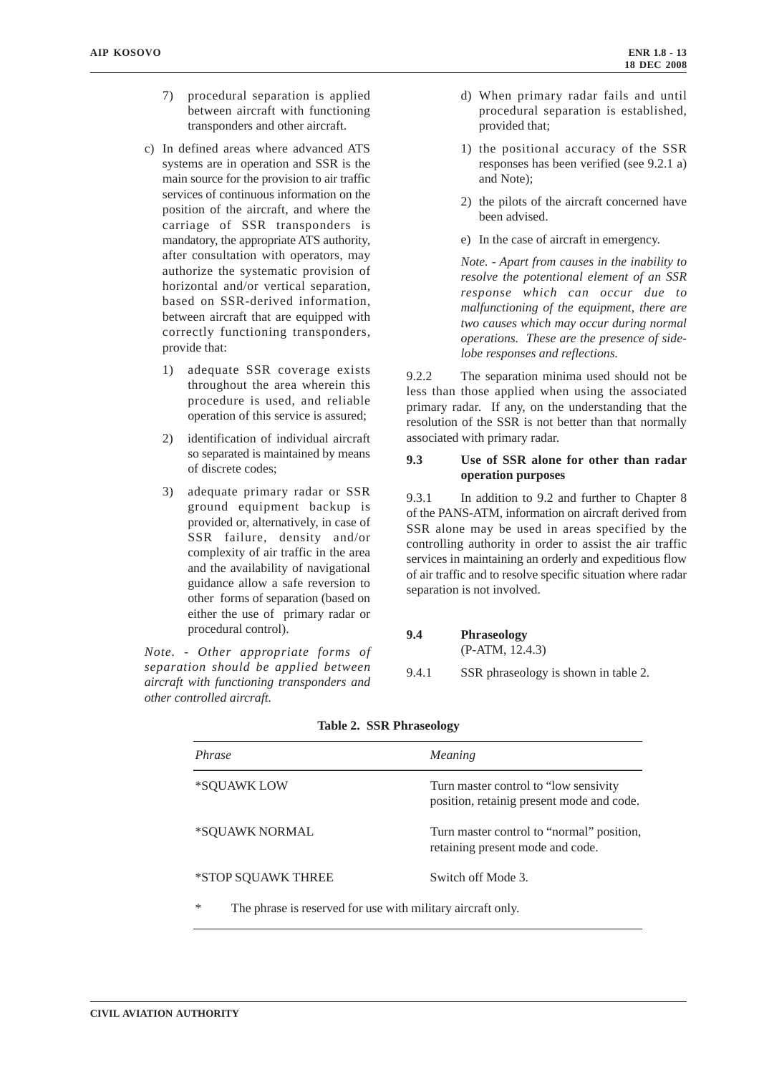- 7) procedural separation is applied between aircraft with functioning transponders and other aircraft.
- c) In defined areas where advanced ATS systems are in operation and SSR is the main source for the provision to air traffic services of continuous information on the position of the aircraft, and where the carriage of SSR transponders is mandatory, the appropriate ATS authority, after consultation with operators, may authorize the systematic provision of horizontal and/or vertical separation, based on SSR-derived information, between aircraft that are equipped with correctly functioning transponders, provide that:
	- 1) adequate SSR coverage exists throughout the area wherein this procedure is used, and reliable operation of this service is assured;
	- 2) identification of individual aircraft so separated is maintained by means of discrete codes;
	- 3) adequate primary radar or SSR ground equipment backup is provided or, alternatively, in case of SSR failure, density and/or complexity of air traffic in the area and the availability of navigational guidance allow a safe reversion to other forms of separation (based on either the use of primary radar or procedural control).

*Note. - Other appropriate forms of separation should be applied between aircraft with functioning transponders and other controlled aircraft.*

- d) When primary radar fails and until procedural separation is established, provided that;
- 1) the positional accuracy of the SSR responses has been verified (see 9.2.1 a) and Note);
- 2) the pilots of the aircraft concerned have been advised.
- e) In the case of aircraft in emergency.

*Note. - Apart from causes in the inability to resolve the potentional element of an SSR response which can occur due to malfunctioning of the equipment, there are two causes which may occur during normal operations. These are the presence of sidelobe responses and reflections.*

9.2.2 The separation minima used should not be less than those applied when using the associated primary radar. If any, on the understanding that the resolution of the SSR is not better than that normally associated with primary radar.

# **9.3 Use of SSR alone for other than radar operation purposes**

9.3.1 In addition to 9.2 and further to Chapter 8 of the PANS-ATM, information on aircraft derived from SSR alone may be used in areas specified by the controlling authority in order to assist the air traffic services in maintaining an orderly and expeditious flow of air traffic and to resolve specific situation where radar separation is not involved.

| 9.4   | <b>Phraseology</b>                   |
|-------|--------------------------------------|
|       | $(P-ATM, 12.4.3)$                    |
| 9.4.1 | SSR phraseology is shown in table 2. |

| Phrase                                                                | Meaning                                                                             |
|-----------------------------------------------------------------------|-------------------------------------------------------------------------------------|
| *SOUAWK LOW                                                           | Turn master control to "low sensivity"<br>position, retainig present mode and code. |
| *SQUAWK NORMAL                                                        | Turn master control to "normal" position,<br>retaining present mode and code.       |
| *STOP SQUAWK THREE                                                    | Switch off Mode 3.                                                                  |
| $\ast$<br>The phrase is reserved for use with military aircraft only. |                                                                                     |

**Table 2. SSR Phraseology**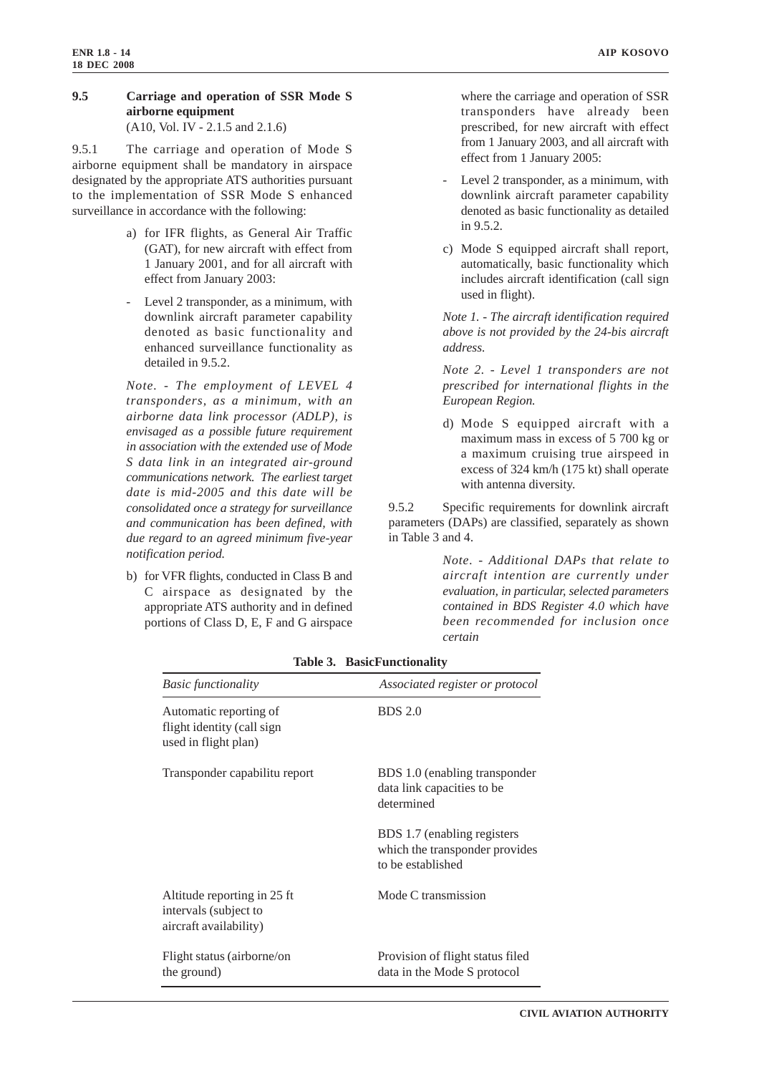# **9.5 Carriage and operation of SSR Mode S airborne equipment**

(A10, Vol. IV - 2.1.5 and 2.1.6)

9.5.1 The carriage and operation of Mode S airborne equipment shall be mandatory in airspace designated by the appropriate ATS authorities pursuant to the implementation of SSR Mode S enhanced surveillance in accordance with the following:

- a) for IFR flights, as General Air Traffic (GAT), for new aircraft with effect from 1 January 2001, and for all aircraft with effect from January 2003:
- Level 2 transponder, as a minimum, with downlink aircraft parameter capability denoted as basic functionality and enhanced surveillance functionality as detailed in 9.5.2.

*Note. - The employment of LEVEL 4 transponders, as a minimum, with an airborne data link processor (ADLP), is envisaged as a possible future requirement in association with the extended use of Mode S data link in an integrated air-ground communications network. The earliest target date is mid-2005 and this date will be consolidated once a strategy for surveillance and communication has been defined, with due regard to an agreed minimum five-year notification period.*

b) for VFR flights, conducted in Class B and C airspace as designated by the appropriate ATS authority and in defined portions of Class D, E, F and G airspace

where the carriage and operation of SSR transponders have already been prescribed, for new aircraft with effect from 1 January 2003, and all aircraft with effect from 1 January 2005:

- Level 2 transponder, as a minimum, with downlink aircraft parameter capability denoted as basic functionality as detailed in 9.5.2.
- c) Mode S equipped aircraft shall report, automatically, basic functionality which includes aircraft identification (call sign used in flight).

*Note 1. - The aircraft identification required above is not provided by the 24-bis aircraft address.*

*Note 2. - Level 1 transponders are not prescribed for international flights in the European Region.*

d) Mode S equipped aircraft with a maximum mass in excess of 5 700 kg or a maximum cruising true airspeed in excess of 324 km/h (175 kt) shall operate with antenna diversity.

9.5.2 Specific requirements for downlink aircraft parameters (DAPs) are classified, separately as shown in Table 3 and 4.

> *Note. - Additional DAPs that relate to aircraft intention are currently under evaluation, in particular, selected parameters contained in BDS Register 4.0 which have been recommended for inclusion once certain*

| <i>Basic functionality</i>                                                      | Associated register or protocol                                                    |  |
|---------------------------------------------------------------------------------|------------------------------------------------------------------------------------|--|
| Automatic reporting of<br>flight identity (call sign<br>used in flight plan)    | <b>BDS 2.0</b>                                                                     |  |
| Transponder capabilitu report                                                   | BDS 1.0 (enabling transponder<br>data link capacities to be<br>determined          |  |
|                                                                                 | BDS 1.7 (enabling registers<br>which the transponder provides<br>to be established |  |
| Altitude reporting in 25 ft.<br>intervals (subject to<br>aircraft availability) | Mode C transmission                                                                |  |
| Flight status (airborne/on<br>the ground)                                       | Provision of flight status filed<br>data in the Mode S protocol                    |  |

**Table 3. BasicFunctionality**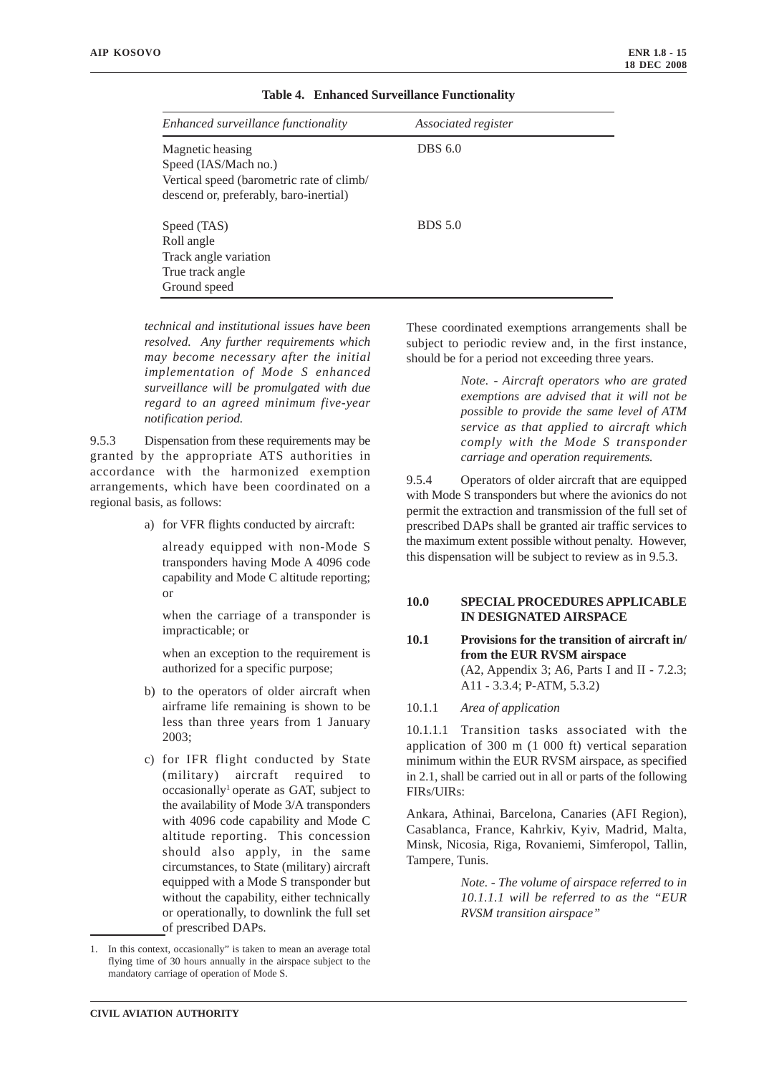| Enhanced surveillance functionality                                                                                             | Associated register |  |
|---------------------------------------------------------------------------------------------------------------------------------|---------------------|--|
| Magnetic heasing<br>Speed (IAS/Mach no.)<br>Vertical speed (barometric rate of climb/<br>descend or, preferably, baro-inertial) | <b>DBS 6.0</b>      |  |
| Speed (TAS)<br>Roll angle<br>Track angle variation<br>True track angle<br>Ground speed                                          | <b>BDS 5.0</b>      |  |

| <b>Table 4. Enhanced Surveillance Functionality</b> |  |  |  |
|-----------------------------------------------------|--|--|--|
|-----------------------------------------------------|--|--|--|

*technical and institutional issues have been resolved. Any further requirements which may become necessary after the initial implementation of Mode S enhanced surveillance will be promulgated with due regard to an agreed minimum five-year notification period.*

9.5.3 Dispensation from these requirements may be granted by the appropriate ATS authorities in accordance with the harmonized exemption arrangements, which have been coordinated on a regional basis, as follows:

a) for VFR flights conducted by aircraft:

already equipped with non-Mode S transponders having Mode A 4096 code capability and Mode C altitude reporting; or

when the carriage of a transponder is impracticable; or

when an exception to the requirement is authorized for a specific purpose;

- b) to the operators of older aircraft when airframe life remaining is shown to be less than three years from 1 January 2003;
- c) for IFR flight conducted by State (military) aircraft required to occasionally<sup>1</sup> operate as GAT, subject to the availability of Mode 3/A transponders with 4096 code capability and Mode C altitude reporting. This concession should also apply, in the same circumstances, to State (military) aircraft equipped with a Mode S transponder but without the capability, either technically or operationally, to downlink the full set of prescribed DAPs.

These coordinated exemptions arrangements shall be subject to periodic review and, in the first instance, should be for a period not exceeding three years.

> *Note. - Aircraft operators who are grated exemptions are advised that it will not be possible to provide the same level of ATM service as that applied to aircraft which comply with the Mode S transponder carriage and operation requirements.*

9.5.4 Operators of older aircraft that are equipped with Mode S transponders but where the avionics do not permit the extraction and transmission of the full set of prescribed DAPs shall be granted air traffic services to the maximum extent possible without penalty. However, this dispensation will be subject to review as in 9.5.3.

# **10.0 SPECIAL PROCEDURES APPLICABLE IN DESIGNATED AIRSPACE**

- **10.1 Provisions for the transition of aircraft in/ from the EUR RVSM airspace** (A2, Appendix 3; A6, Parts I and II - 7.2.3; A11 - 3.3.4; P-ATM, 5.3.2)
- 10.1.1 *Area of application*

10.1.1.1 Transition tasks associated with the application of 300 m (1 000 ft) vertical separation minimum within the EUR RVSM airspace, as specified in 2.1, shall be carried out in all or parts of the following FIRs/UIRs:

Ankara, Athinai, Barcelona, Canaries (AFI Region), Casablanca, France, Kahrkiv, Kyiv, Madrid, Malta, Minsk, Nicosia, Riga, Rovaniemi, Simferopol, Tallin, Tampere, Tunis.

> *Note. - The volume of airspace referred to in 10.1.1.1 will be referred to as the "EUR RVSM transition airspace"*

<sup>1.</sup> In this context, occasionally" is taken to mean an average total flying time of 30 hours annually in the airspace subject to the mandatory carriage of operation of Mode S.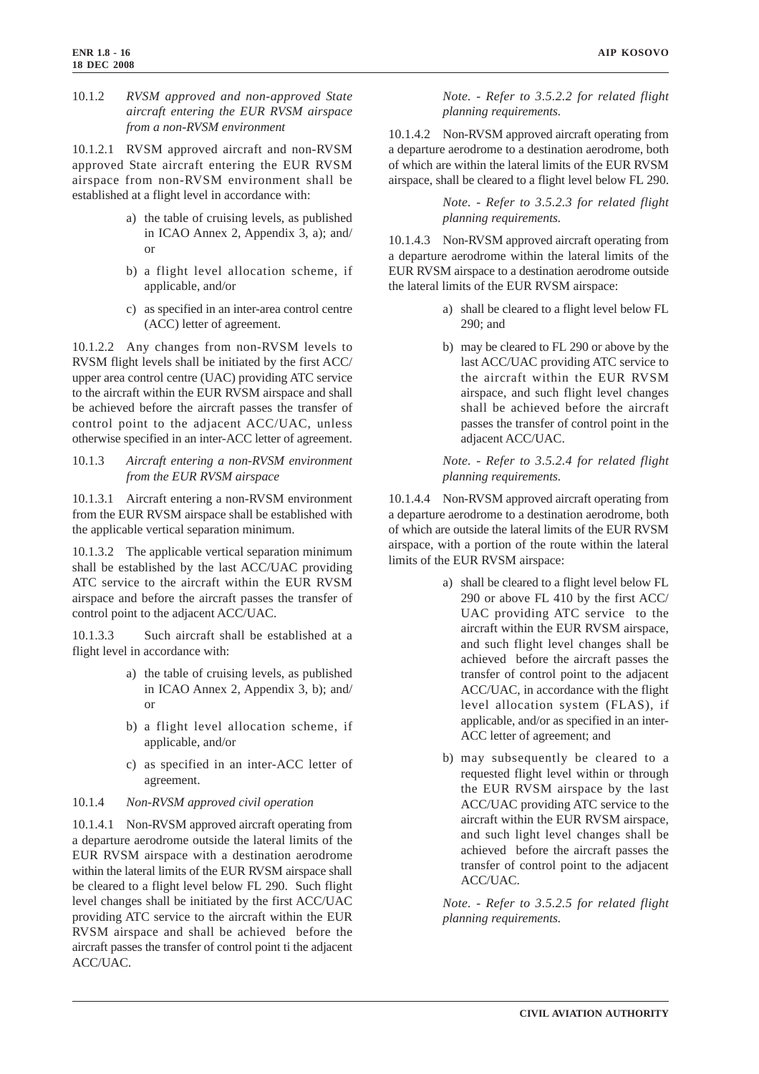10.1.2 *RVSM approved and non-approved State aircraft entering the EUR RVSM airspace from a non-RVSM environment*

10.1.2.1 RVSM approved aircraft and non-RVSM approved State aircraft entering the EUR RVSM airspace from non-RVSM environment shall be established at a flight level in accordance with:

- a) the table of cruising levels, as published in ICAO Annex 2, Appendix 3, a); and/ or
- b) a flight level allocation scheme, if applicable, and/or
- c) as specified in an inter-area control centre (ACC) letter of agreement.

10.1.2.2 Any changes from non-RVSM levels to RVSM flight levels shall be initiated by the first ACC/ upper area control centre (UAC) providing ATC service to the aircraft within the EUR RVSM airspace and shall be achieved before the aircraft passes the transfer of control point to the adjacent ACC/UAC, unless otherwise specified in an inter-ACC letter of agreement.

# 10.1.3 *Aircraft entering a non-RVSM environment from the EUR RVSM airspace*

10.1.3.1 Aircraft entering a non-RVSM environment from the EUR RVSM airspace shall be established with the applicable vertical separation minimum.

10.1.3.2 The applicable vertical separation minimum shall be established by the last ACC/UAC providing ATC service to the aircraft within the EUR RVSM airspace and before the aircraft passes the transfer of control point to the adjacent ACC/UAC.

10.1.3.3 Such aircraft shall be established at a flight level in accordance with:

- a) the table of cruising levels, as published in ICAO Annex 2, Appendix 3, b); and/ or
- b) a flight level allocation scheme, if applicable, and/or
- c) as specified in an inter-ACC letter of agreement.
- 10.1.4 *Non-RVSM approved civil operation*

10.1.4.1 Non-RVSM approved aircraft operating from a departure aerodrome outside the lateral limits of the EUR RVSM airspace with a destination aerodrome within the lateral limits of the EUR RVSM airspace shall be cleared to a flight level below FL 290. Such flight level changes shall be initiated by the first ACC/UAC providing ATC service to the aircraft within the EUR RVSM airspace and shall be achieved before the aircraft passes the transfer of control point ti the adjacent ACC/UAC.

*Note. - Refer to 3.5.2.2 for related flight planning requirements.*

10.1.4.2 Non-RVSM approved aircraft operating from a departure aerodrome to a destination aerodrome, both of which are within the lateral limits of the EUR RVSM airspace, shall be cleared to a flight level below FL 290.

> *Note. - Refer to 3.5.2.3 for related flight planning requirements.*

10.1.4.3 Non-RVSM approved aircraft operating from a departure aerodrome within the lateral limits of the EUR RVSM airspace to a destination aerodrome outside the lateral limits of the EUR RVSM airspace:

- a) shall be cleared to a flight level below FL 290; and
- b) may be cleared to FL 290 or above by the last ACC/UAC providing ATC service to the aircraft within the EUR RVSM airspace, and such flight level changes shall be achieved before the aircraft passes the transfer of control point in the adjacent ACC/UAC.

*Note. - Refer to 3.5.2.4 for related flight planning requirements.*

10.1.4.4 Non-RVSM approved aircraft operating from a departure aerodrome to a destination aerodrome, both of which are outside the lateral limits of the EUR RVSM airspace, with a portion of the route within the lateral limits of the EUR RVSM airspace:

- a) shall be cleared to a flight level below FL 290 or above FL 410 by the first ACC/ UAC providing ATC service to the aircraft within the EUR RVSM airspace, and such flight level changes shall be achieved before the aircraft passes the transfer of control point to the adjacent ACC/UAC, in accordance with the flight level allocation system (FLAS), if applicable, and/or as specified in an inter-ACC letter of agreement; and
- b) may subsequently be cleared to a requested flight level within or through the EUR RVSM airspace by the last ACC/UAC providing ATC service to the aircraft within the EUR RVSM airspace, and such light level changes shall be achieved before the aircraft passes the transfer of control point to the adjacent ACC/UAC.

*Note. - Refer to 3.5.2.5 for related flight planning requirements.*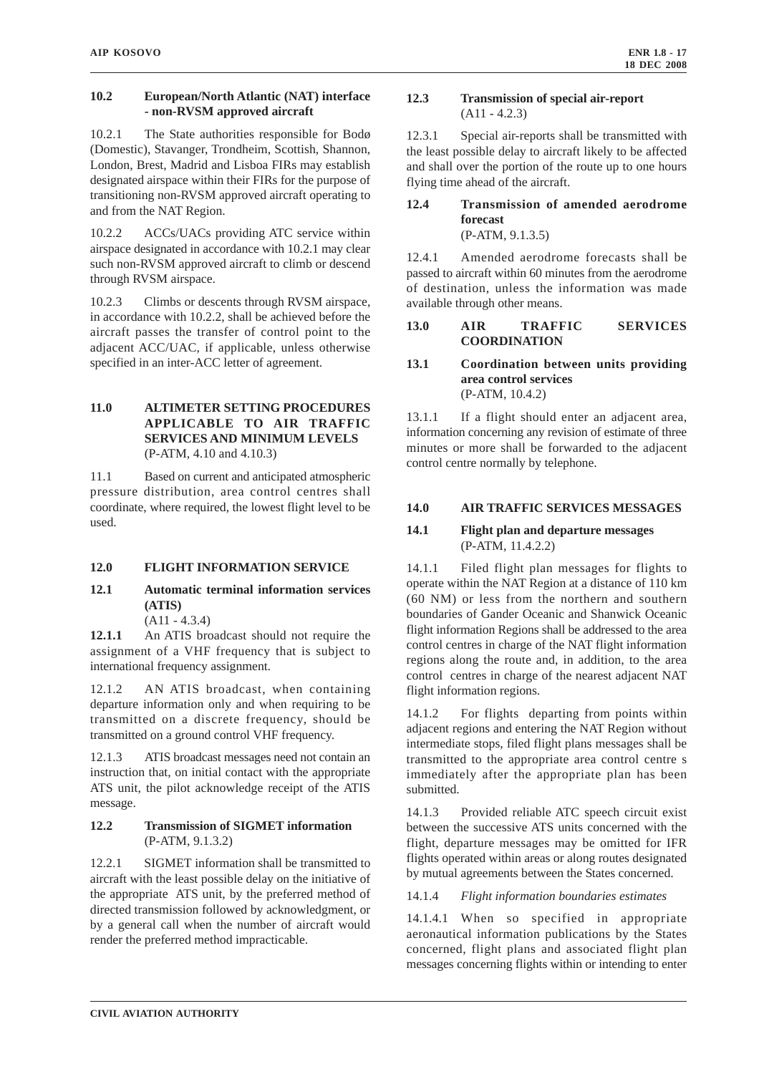# **10.2 European/North Atlantic (NAT) interface - non-RVSM approved aircraft**

10.2.1 The State authorities responsible for Bodø (Domestic), Stavanger, Trondheim, Scottish, Shannon, London, Brest, Madrid and Lisboa FIRs may establish designated airspace within their FIRs for the purpose of transitioning non-RVSM approved aircraft operating to and from the NAT Region.

10.2.2 ACCs/UACs providing ATC service within airspace designated in accordance with 10.2.1 may clear such non-RVSM approved aircraft to climb or descend through RVSM airspace.

10.2.3 Climbs or descents through RVSM airspace, in accordance with 10.2.2, shall be achieved before the aircraft passes the transfer of control point to the adjacent ACC/UAC, if applicable, unless otherwise specified in an inter-ACC letter of agreement.

# **11.0 ALTIMETER SETTING PROCEDURES APPLICABLE TO AIR TRAFFIC SERVICES AND MINIMUM LEVELS** (P-ATM, 4.10 and 4.10.3)

11.1 Based on current and anticipated atmospheric pressure distribution, area control centres shall coordinate, where required, the lowest flight level to be used.

# **12.0 FLIGHT INFORMATION SERVICE**

# **12.1 Automatic terminal information services (ATIS)**

 $(A11 - 4.3.4)$ 

**12.1.1** An ATIS broadcast should not require the assignment of a VHF frequency that is subject to international frequency assignment.

12.1.2 AN ATIS broadcast, when containing departure information only and when requiring to be transmitted on a discrete frequency, should be transmitted on a ground control VHF frequency.

12.1.3 ATIS broadcast messages need not contain an instruction that, on initial contact with the appropriate ATS unit, the pilot acknowledge receipt of the ATIS message.

# **12.2 Transmission of SIGMET information** (P-ATM, 9.1.3.2)

12.2.1 SIGMET information shall be transmitted to aircraft with the least possible delay on the initiative of the appropriate ATS unit, by the preferred method of directed transmission followed by acknowledgment, or by a general call when the number of aircraft would render the preferred method impracticable.

# **12.3 Transmission of special air-report**  $(A11 - 4.2.3)$

12.3.1 Special air-reports shall be transmitted with the least possible delay to aircraft likely to be affected and shall over the portion of the route up to one hours flying time ahead of the aircraft.

#### **12.4 Transmission of amended aerodrome forecast** (P-ATM, 9.1.3.5)

12.4.1 Amended aerodrome forecasts shall be passed to aircraft within 60 minutes from the aerodrome of destination, unless the information was made available through other means.

# **13.0 AIR TRAFFIC SERVICES COORDINATION**

#### **13.1 Coordination between units providing area control services** (P-ATM, 10.4.2)

13.1.1 If a flight should enter an adjacent area, information concerning any revision of estimate of three minutes or more shall be forwarded to the adjacent control centre normally by telephone.

# **14.0 AIR TRAFFIC SERVICES MESSAGES**

#### **14.1 Flight plan and departure messages** (P-ATM, 11.4.2.2)

14.1.1 Filed flight plan messages for flights to operate within the NAT Region at a distance of 110 km (60 NM) or less from the northern and southern boundaries of Gander Oceanic and Shanwick Oceanic flight information Regions shall be addressed to the area control centres in charge of the NAT flight information regions along the route and, in addition, to the area control centres in charge of the nearest adjacent NAT flight information regions.

14.1.2 For flights departing from points within adjacent regions and entering the NAT Region without intermediate stops, filed flight plans messages shall be transmitted to the appropriate area control centre s immediately after the appropriate plan has been submitted.

14.1.3 Provided reliable ATC speech circuit exist between the successive ATS units concerned with the flight, departure messages may be omitted for IFR flights operated within areas or along routes designated by mutual agreements between the States concerned.

14.1.4 *Flight information boundaries estimates*

14.1.4.1 When so specified in appropriate aeronautical information publications by the States concerned, flight plans and associated flight plan messages concerning flights within or intending to enter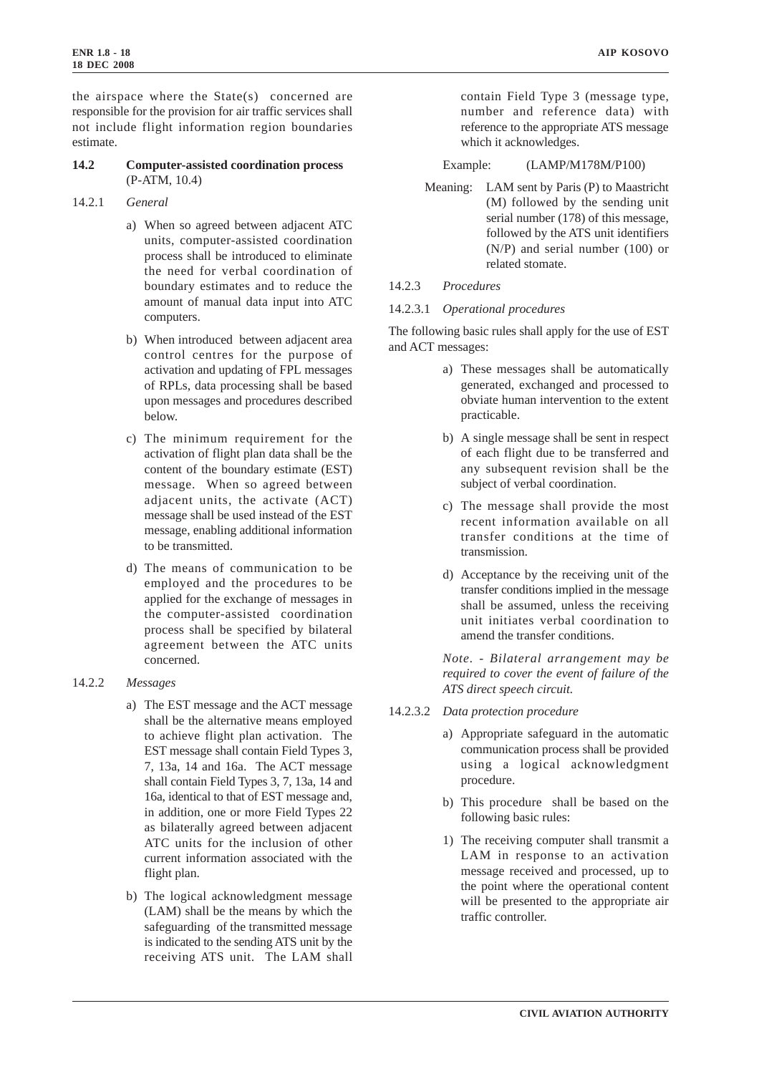the airspace where the State(s) concerned are responsible for the provision for air traffic services shall not include flight information region boundaries estimate.

#### **14.2 Computer-assisted coordination process** (P-ATM, 10.4)

- 14.2.1 *General*
	- a) When so agreed between adjacent ATC units, computer-assisted coordination process shall be introduced to eliminate the need for verbal coordination of boundary estimates and to reduce the amount of manual data input into ATC computers.
	- b) When introduced between adjacent area control centres for the purpose of activation and updating of FPL messages of RPLs, data processing shall be based upon messages and procedures described below.
	- c) The minimum requirement for the activation of flight plan data shall be the content of the boundary estimate (EST) message. When so agreed between adjacent units, the activate (ACT) message shall be used instead of the EST message, enabling additional information to be transmitted.
	- d) The means of communication to be employed and the procedures to be applied for the exchange of messages in the computer-assisted coordination process shall be specified by bilateral agreement between the ATC units concerned.
- 14.2.2 *Messages*
	- a) The EST message and the ACT message shall be the alternative means employed to achieve flight plan activation. The EST message shall contain Field Types 3, 7, 13a, 14 and 16a. The ACT message shall contain Field Types 3, 7, 13a, 14 and 16a, identical to that of EST message and, in addition, one or more Field Types 22 as bilaterally agreed between adjacent ATC units for the inclusion of other current information associated with the flight plan.
	- b) The logical acknowledgment message (LAM) shall be the means by which the safeguarding of the transmitted message is indicated to the sending ATS unit by the receiving ATS unit. The LAM shall

contain Field Type 3 (message type, number and reference data) with reference to the appropriate ATS message which it acknowledges.

Example: (LAMP/M178M/P100)

Meaning: LAM sent by Paris (P) to Maastricht (M) followed by the sending unit serial number (178) of this message, followed by the ATS unit identifiers (N/P) and serial number (100) or related stomate.

### 14.2.3 *Procedures*

### 14.2.3.1 *Operational procedures*

The following basic rules shall apply for the use of EST and ACT messages:

- a) These messages shall be automatically generated, exchanged and processed to obviate human intervention to the extent practicable.
- b) A single message shall be sent in respect of each flight due to be transferred and any subsequent revision shall be the subject of verbal coordination.
- c) The message shall provide the most recent information available on all transfer conditions at the time of transmission.
- d) Acceptance by the receiving unit of the transfer conditions implied in the message shall be assumed, unless the receiving unit initiates verbal coordination to amend the transfer conditions.

*Note. - Bilateral arrangement may be required to cover the event of failure of the ATS direct speech circuit.*

- 14.2.3.2 *Data protection procedure*
	- a) Appropriate safeguard in the automatic communication process shall be provided using a logical acknowledgment procedure.
	- b) This procedure shall be based on the following basic rules:
	- 1) The receiving computer shall transmit a LAM in response to an activation message received and processed, up to the point where the operational content will be presented to the appropriate air traffic controller.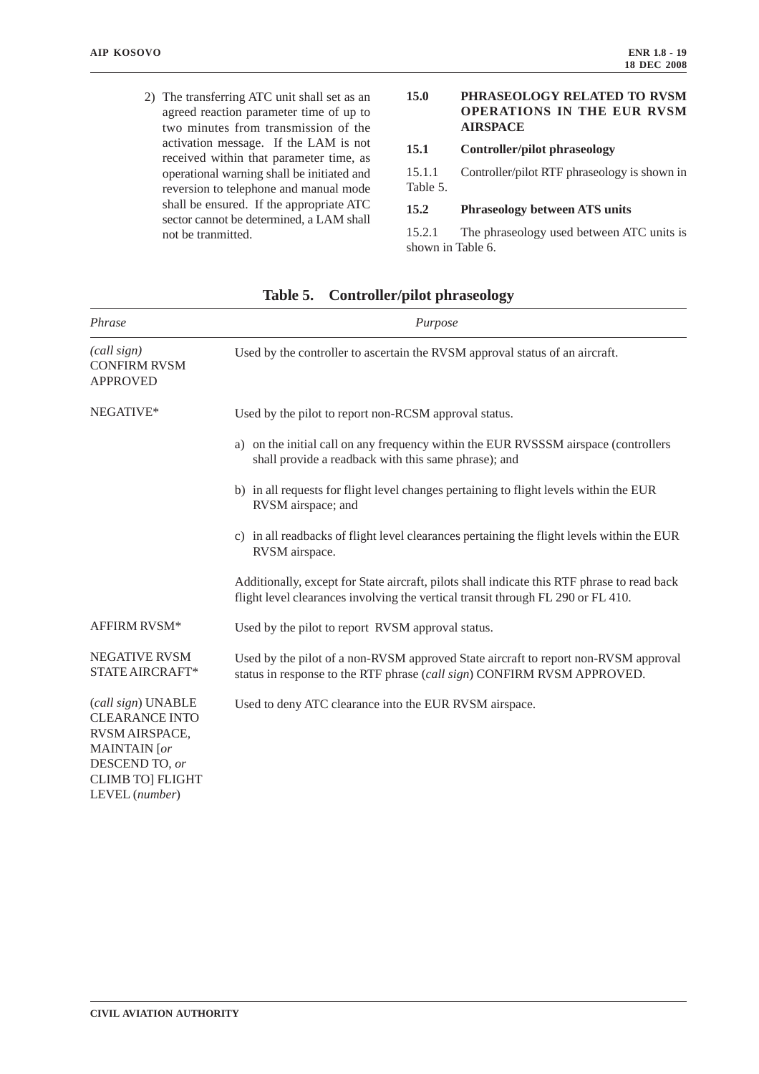2) The transferring ATC unit shall set as an agreed reaction parameter time of up to two minutes from transmission of the activation message. If the LAM is not received within that parameter time, as operational warning shall be initiated and reversion to telephone and manual mode shall be ensured. If the appropriate ATC sector cannot be determined, a LAM shall not be tranmitted.

# **15.0 PHRASEOLOGY RELATED TO RVSM OPERATIONS IN THE EUR RVSM AIRSPACE**

### **15.1 Controller/pilot phraseology**

15.1.1 Controller/pilot RTF phraseology is shown in Table 5.

# **15.2 Phraseology between ATS units**

15.2.1 The phraseology used between ATC units is shown in Table 6.

| Phrase                                                                                                                                       | Purpose                                                                                                                                                                         |  |  |  |  |  |  |
|----------------------------------------------------------------------------------------------------------------------------------------------|---------------------------------------------------------------------------------------------------------------------------------------------------------------------------------|--|--|--|--|--|--|
| (call sign)<br><b>CONFIRM RVSM</b><br><b>APPROVED</b>                                                                                        | Used by the controller to ascertain the RVSM approval status of an aircraft.                                                                                                    |  |  |  |  |  |  |
| NEGATIVE*                                                                                                                                    | Used by the pilot to report non-RCSM approval status.                                                                                                                           |  |  |  |  |  |  |
|                                                                                                                                              | a) on the initial call on any frequency within the EUR RVSSSM airspace (controllers<br>shall provide a readback with this same phrase); and                                     |  |  |  |  |  |  |
|                                                                                                                                              | b) in all requests for flight level changes pertaining to flight levels within the EUR<br>RVSM airspace; and                                                                    |  |  |  |  |  |  |
|                                                                                                                                              | c) in all readbacks of flight level clearances pertaining the flight levels within the EUR<br>RVSM airspace.                                                                    |  |  |  |  |  |  |
|                                                                                                                                              | Additionally, except for State aircraft, pilots shall indicate this RTF phrase to read back<br>flight level clearances involving the vertical transit through FL 290 or FL 410. |  |  |  |  |  |  |
| AFFIRM RVSM*                                                                                                                                 | Used by the pilot to report RVSM approval status.                                                                                                                               |  |  |  |  |  |  |
| <b>NEGATIVE RVSM</b><br>STATE AIRCRAFT*                                                                                                      | Used by the pilot of a non-RVSM approved State aircraft to report non-RVSM approval<br>status in response to the RTF phrase (call sign) CONFIRM RVSM APPROVED.                  |  |  |  |  |  |  |
| (call sign) UNABLE<br><b>CLEARANCE INTO</b><br>RVSM AIRSPACE,<br>MAINTAIN [or<br>DESCEND TO, or<br><b>CLIMB TO] FLIGHT</b><br>LEVEL (number) | Used to deny ATC clearance into the EUR RVSM airspace.                                                                                                                          |  |  |  |  |  |  |

# **Table 5. Controller/pilot phraseology**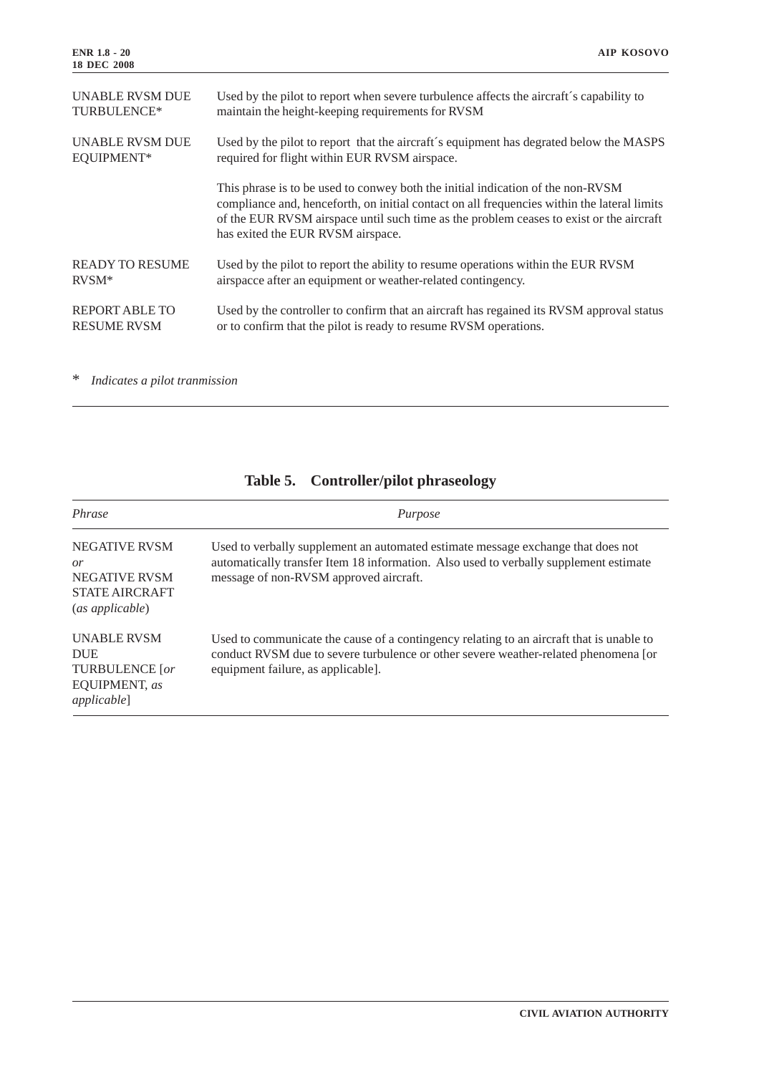| UNABLE RVSM DUE        | Used by the pilot to report when severe turbulence affects the aircraft's capability to                                                                                                                                                                                                                        |
|------------------------|----------------------------------------------------------------------------------------------------------------------------------------------------------------------------------------------------------------------------------------------------------------------------------------------------------------|
| TURBULENCE*            | maintain the height-keeping requirements for RVSM                                                                                                                                                                                                                                                              |
| UNABLE RVSM DUE        | Used by the pilot to report that the aircraft's equipment has degrated below the MASPS                                                                                                                                                                                                                         |
| EQUIPMENT*             | required for flight within EUR RVSM airspace.                                                                                                                                                                                                                                                                  |
|                        | This phrase is to be used to conwey both the initial indication of the non-RVSM<br>compliance and, henceforth, on initial contact on all frequencies within the lateral limits<br>of the EUR RVSM airspace until such time as the problem ceases to exist or the aircraft<br>has exited the EUR RVSM airspace. |
| <b>READY TO RESUME</b> | Used by the pilot to report the ability to resume operations within the EUR RVSM                                                                                                                                                                                                                               |
| $RVSM*$                | airspacce after an equipment or weather-related contingency.                                                                                                                                                                                                                                                   |
| REPORT ABLE TO         | Used by the controller to confirm that an aircraft has regained its RVSM approval status                                                                                                                                                                                                                       |
| <b>RESUME RVSM</b>     | or to confirm that the pilot is ready to resume RVSM operations.                                                                                                                                                                                                                                               |

\* *Indicates a pilot tranmission*

# **Table 5. Controller/pilot phraseology**

| Phrase                                                                                            | Purpose                                                                                                                                                                                                              |
|---------------------------------------------------------------------------------------------------|----------------------------------------------------------------------------------------------------------------------------------------------------------------------------------------------------------------------|
| <b>NEGATIVE RVSM</b><br>or<br><b>NEGATIVE RVSM</b><br><b>STATE AIRCRAFT</b><br>(as applicable)    | Used to verbally supplement an automated estimate message exchange that does not<br>automatically transfer Item 18 information. Also used to verbally supplement estimate<br>message of non-RVSM approved aircraft.  |
| <b>UNABLE RVSM</b><br><b>DUE</b><br><b>TURBULENCE</b> [or<br>EQUIPMENT, as<br><i>applicable</i> ] | Used to communicate the cause of a contingency relating to an aircraft that is unable to<br>conduct RVSM due to severe turbulence or other severe weather-related phenomena [or<br>equipment failure, as applicable. |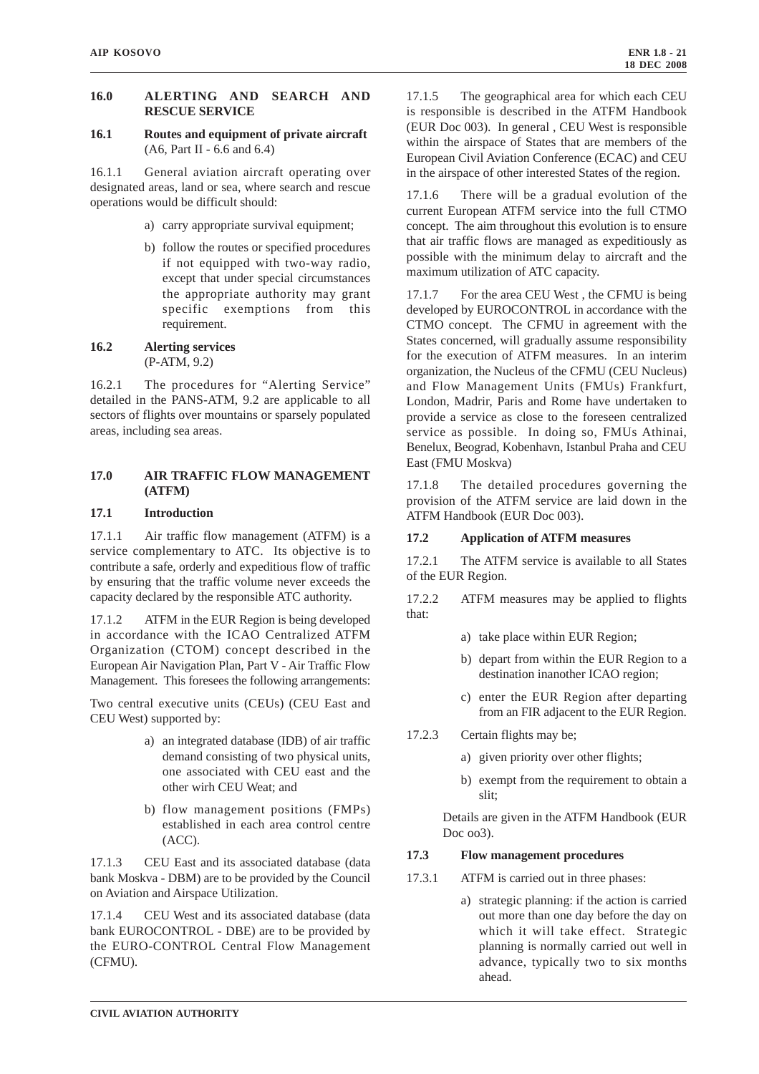#### **16.0 ALERTING AND SEARCH AND RESCUE SERVICE**

#### **16.1 Routes and equipment of private aircraft** (A6, Part II - 6.6 and 6.4)

16.1.1 General aviation aircraft operating over designated areas, land or sea, where search and rescue operations would be difficult should:

- a) carry appropriate survival equipment;
- b) follow the routes or specified procedures if not equipped with two-way radio, except that under special circumstances the appropriate authority may grant specific exemptions from this requirement.

#### **16.2 Alerting services** (P-ATM, 9.2)

16.2.1 The procedures for "Alerting Service" detailed in the PANS-ATM, 9.2 are applicable to all sectors of flights over mountains or sparsely populated areas, including sea areas.

### **17.0 AIR TRAFFIC FLOW MANAGEMENT (ATFM)**

### **17.1 Introduction**

17.1.1 Air traffic flow management (ATFM) is a service complementary to ATC. Its objective is to contribute a safe, orderly and expeditious flow of traffic by ensuring that the traffic volume never exceeds the capacity declared by the responsible ATC authority.

17.1.2 ATFM in the EUR Region is being developed in accordance with the ICAO Centralized ATFM Organization (CTOM) concept described in the European Air Navigation Plan, Part V - Air Traffic Flow Management. This foresees the following arrangements:

Two central executive units (CEUs) (CEU East and CEU West) supported by:

- a) an integrated database (IDB) of air traffic demand consisting of two physical units, one associated with CEU east and the other wirh CEU Weat; and
- b) flow management positions (FMPs) established in each area control centre (ACC).

17.1.3 CEU East and its associated database (data bank Moskva - DBM) are to be provided by the Council on Aviation and Airspace Utilization.

17.1.4 CEU West and its associated database (data bank EUROCONTROL - DBE) are to be provided by the EURO-CONTROL Central Flow Management (CFMU).

17.1.5 The geographical area for which each CEU is responsible is described in the ATFM Handbook (EUR Doc 003). In general , CEU West is responsible within the airspace of States that are members of the European Civil Aviation Conference (ECAC) and CEU in the airspace of other interested States of the region.

17.1.6 There will be a gradual evolution of the current European ATFM service into the full CTMO concept. The aim throughout this evolution is to ensure that air traffic flows are managed as expeditiously as possible with the minimum delay to aircraft and the maximum utilization of ATC capacity.

17.1.7 For the area CEU West , the CFMU is being developed by EUROCONTROL in accordance with the CTMO concept. The CFMU in agreement with the States concerned, will gradually assume responsibility for the execution of ATFM measures. In an interim organization, the Nucleus of the CFMU (CEU Nucleus) and Flow Management Units (FMUs) Frankfurt, London, Madrir, Paris and Rome have undertaken to provide a service as close to the foreseen centralized service as possible. In doing so, FMUs Athinai, Benelux, Beograd, Kobenhavn, Istanbul Praha and CEU East (FMU Moskva)

17.1.8 The detailed procedures governing the provision of the ATFM service are laid down in the ATFM Handbook (EUR Doc 003).

# **17.2 Application of ATFM measures**

17.2.1 The ATFM service is available to all States of the EUR Region.

17.2.2 ATFM measures may be applied to flights that:

- a) take place within EUR Region;
- b) depart from within the EUR Region to a destination inanother ICAO region;
- c) enter the EUR Region after departing from an FIR adjacent to the EUR Region.
- 17.2.3 Certain flights may be;
	- a) given priority over other flights;
	- b) exempt from the requirement to obtain a slit;

Details are given in the ATFM Handbook (EUR Doc oo3).

#### **17.3 Flow management procedures**

- 17.3.1 ATFM is carried out in three phases:
	- a) strategic planning: if the action is carried out more than one day before the day on which it will take effect. Strategic planning is normally carried out well in advance, typically two to six months ahead.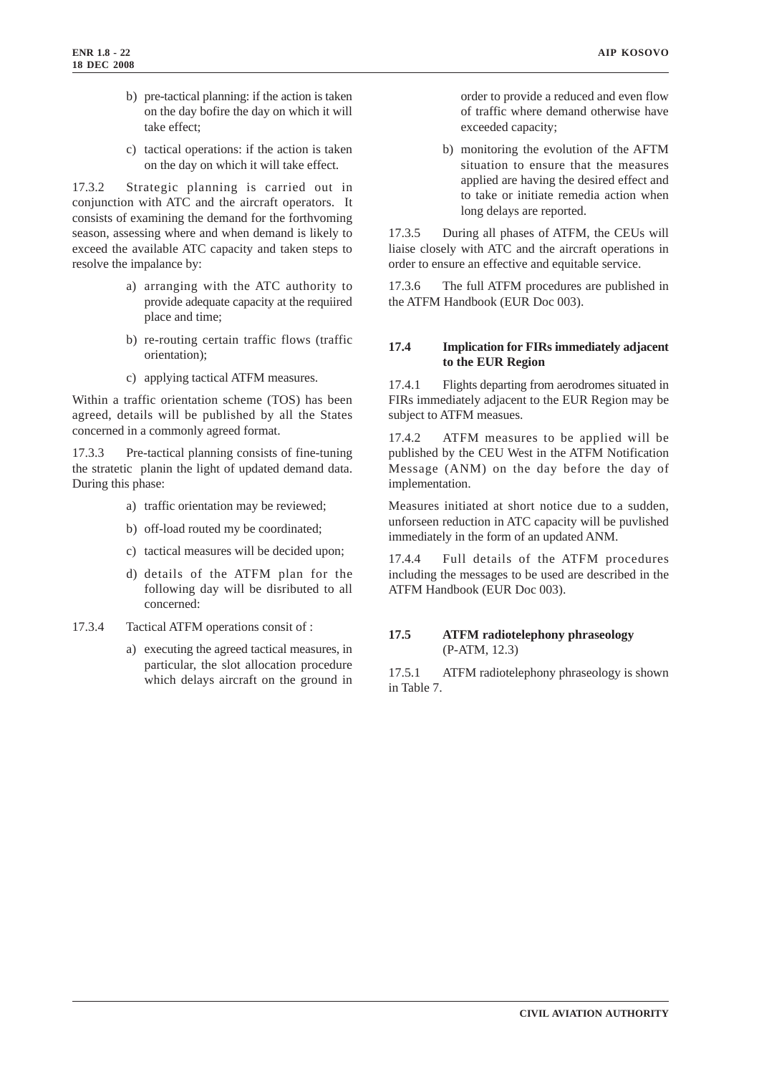- b) pre-tactical planning: if the action is taken on the day bofire the day on which it will take effect;
- c) tactical operations: if the action is taken on the day on which it will take effect.

17.3.2 Strategic planning is carried out in conjunction with ATC and the aircraft operators. It consists of examining the demand for the forthvoming season, assessing where and when demand is likely to exceed the available ATC capacity and taken steps to resolve the impalance by:

- a) arranging with the ATC authority to provide adequate capacity at the requiired place and time;
- b) re-routing certain traffic flows (traffic orientation);
- c) applying tactical ATFM measures.

Within a traffic orientation scheme (TOS) has been agreed, details will be published by all the States concerned in a commonly agreed format.

17.3.3 Pre-tactical planning consists of fine-tuning the stratetic planin the light of updated demand data. During this phase:

- a) traffic orientation may be reviewed;
- b) off-load routed my be coordinated;
- c) tactical measures will be decided upon;
- d) details of the ATFM plan for the following day will be disributed to all concerned:
- 17.3.4 Tactical ATFM operations consit of :
	- a) executing the agreed tactical measures, in particular, the slot allocation procedure which delays aircraft on the ground in

order to provide a reduced and even flow of traffic where demand otherwise have exceeded capacity;

b) monitoring the evolution of the AFTM situation to ensure that the measures applied are having the desired effect and to take or initiate remedia action when long delays are reported.

17.3.5 During all phases of ATFM, the CEUs will liaise closely with ATC and the aircraft operations in order to ensure an effective and equitable service.

17.3.6 The full ATFM procedures are published in the ATFM Handbook (EUR Doc 003).

### **17.4 Implication for FIRs immediately adjacent to the EUR Region**

17.4.1 Flights departing from aerodromes situated in FIRs immediately adjacent to the EUR Region may be subject to ATFM measues.

17.4.2 ATFM measures to be applied will be published by the CEU West in the ATFM Notification Message (ANM) on the day before the day of implementation.

Measures initiated at short notice due to a sudden, unforseen reduction in ATC capacity will be puvlished immediately in the form of an updated ANM.

17.4.4 Full details of the ATFM procedures including the messages to be used are described in the ATFM Handbook (EUR Doc 003).

# **17.5 ATFM radiotelephony phraseology** (P-ATM, 12.3)

17.5.1 ATFM radiotelephony phraseology is shown in Table 7.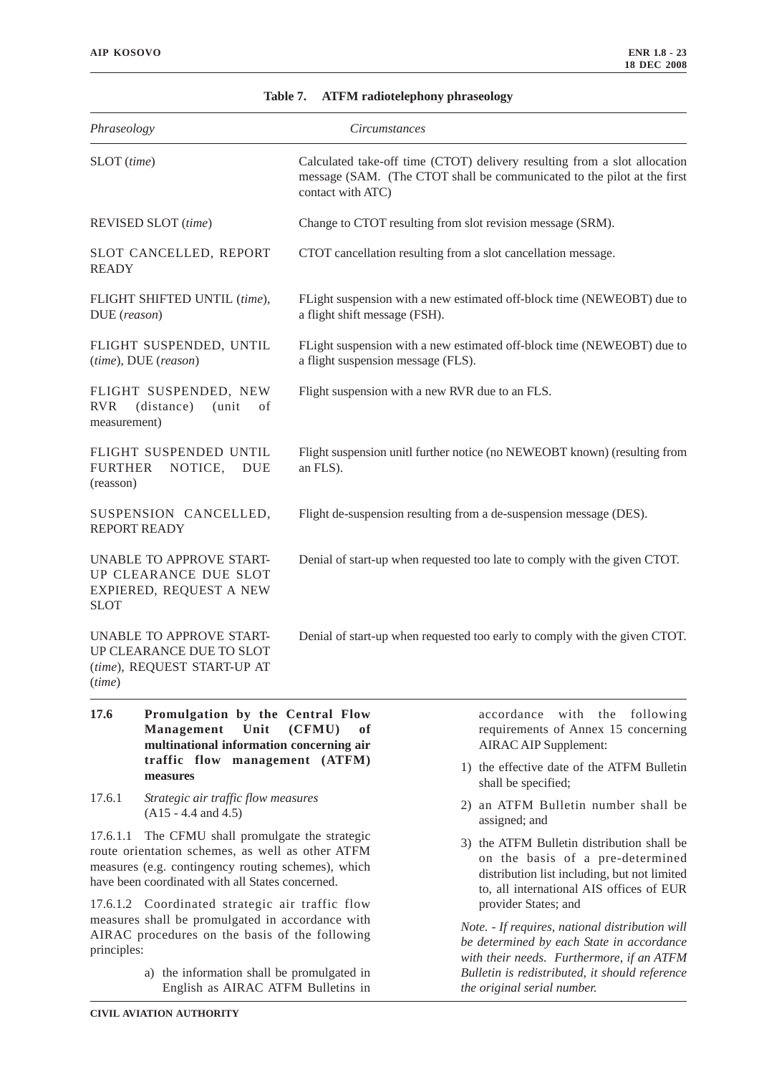| Phraseology                                                                                          | <i>Circumstances</i>                                                                                                                                                      |
|------------------------------------------------------------------------------------------------------|---------------------------------------------------------------------------------------------------------------------------------------------------------------------------|
| SLOT (time)                                                                                          | Calculated take-off time (CTOT) delivery resulting from a slot allocation<br>message (SAM. (The CTOT shall be communicated to the pilot at the first<br>contact with ATC) |
| REVISED SLOT (time)                                                                                  | Change to CTOT resulting from slot revision message (SRM).                                                                                                                |
| SLOT CANCELLED, REPORT<br><b>READY</b>                                                               | CTOT cancellation resulting from a slot cancellation message.                                                                                                             |
| FLIGHT SHIFTED UNTIL (time),<br>DUE (reason)                                                         | FLight suspension with a new estimated off-block time (NEWEOBT) due to<br>a flight shift message (FSH).                                                                   |
| FLIGHT SUSPENDED, UNTIL<br>(time), DUE (reason)                                                      | FLight suspension with a new estimated off-block time (NEWEOBT) due to<br>a flight suspension message (FLS).                                                              |
| FLIGHT SUSPENDED, NEW<br><b>RVR</b><br>(distance)<br>(unit<br>of<br>measurement)                     | Flight suspension with a new RVR due to an FLS.                                                                                                                           |
| FLIGHT SUSPENDED UNTIL<br><b>FURTHER</b><br>NOTICE,<br><b>DUE</b><br>(reasson)                       | Flight suspension unitl further notice (no NEWEOBT known) (resulting from<br>an FLS).                                                                                     |
| SUSPENSION CANCELLED,<br><b>REPORT READY</b>                                                         | Flight de-suspension resulting from a de-suspension message (DES).                                                                                                        |
| UNABLE TO APPROVE START-<br>UP CLEARANCE DUE SLOT<br>EXPIERED, REQUEST A NEW<br><b>SLOT</b>          | Denial of start-up when requested too late to comply with the given CTOT.                                                                                                 |
| <b>UNABLE TO APPROVE START-</b><br>UP CLEARANCE DUE TO SLOT<br>(time), REQUEST START-UP AT<br>(time) | Denial of start-up when requested too early to comply with the given CTOT.                                                                                                |

| Table 7. | <b>ATFM</b> radiotelephony phraseology |  |
|----------|----------------------------------------|--|
|          |                                        |  |

**Management Unit (CFMU) of multinational information concerning air traffic flow management (ATFM) measures**

#### 17.6.1 *Strategic air traffic flow measures* (A15 - 4.4 and 4.5)

17.6.1.1 The CFMU shall promulgate the strategic route orientation schemes, as well as other ATFM measures (e.g. contingency routing schemes), which have been coordinated with all States concerned.

17.6.1.2 Coordinated strategic air traffic flow measures shall be promulgated in accordance with AIRAC procedures on the basis of the following principles:

> a) the information shall be promulgated in English as AIRAC ATFM Bulletins in

requirements of Annex 15 concerning AIRAC AIP Supplement:

- 1) the effective date of the ATFM Bulletin shall be specified;
- 2) an ATFM Bulletin number shall be assigned; and
- 3) the ATFM Bulletin distribution shall be on the basis of a pre-determined distribution list including, but not limited to, all international AIS offices of EUR provider States; and

*Note. - If requires, national distribution will be determined by each State in accordance with their needs. Furthermore, if an ATFM Bulletin is redistributed, it should reference the original serial number.*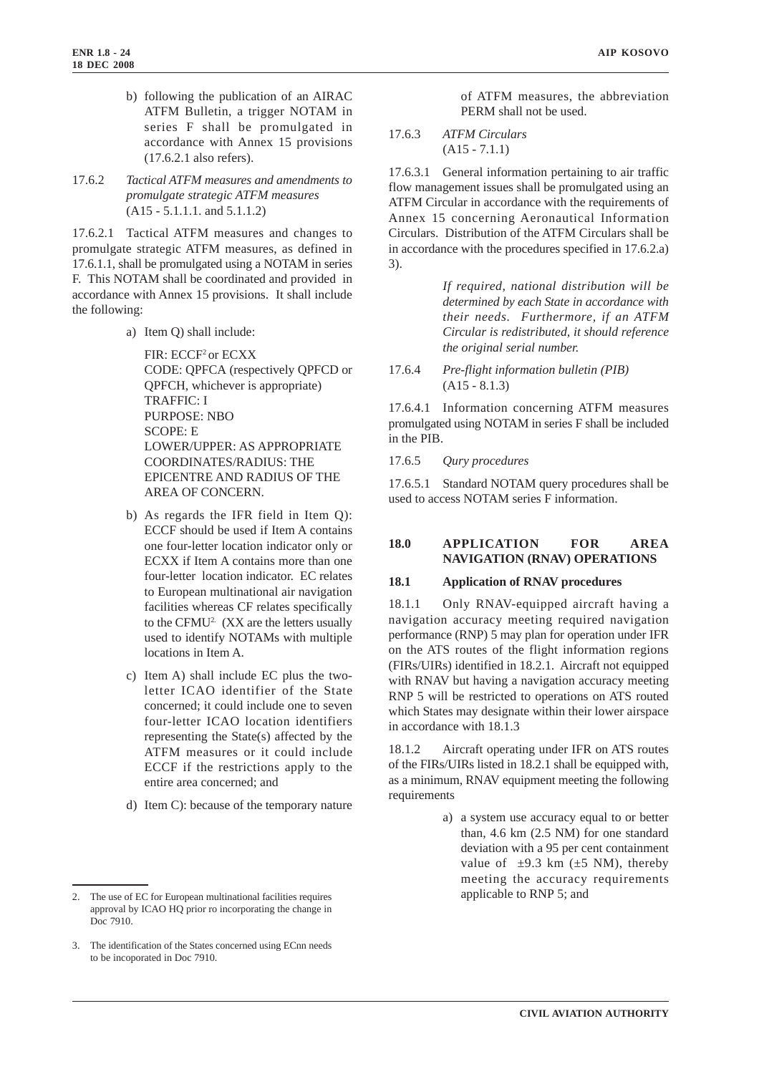b) following the publication of an AIRAC ATFM Bulletin, a trigger NOTAM in series F shall be promulgated in accordance with Annex 15 provisions (17.6.2.1 also refers).

17.6.2 *Tactical ATFM measures and amendments to promulgate strategic ATFM measures* (A15 - 5.1.1.1. and 5.1.1.2)

17.6.2.1 Tactical ATFM measures and changes to promulgate strategic ATFM measures, as defined in 17.6.1.1, shall be promulgated using a NOTAM in series F. This NOTAM shall be coordinated and provided in accordance with Annex 15 provisions. It shall include the following:

a) Item Q) shall include:

FIR: ECCF<sup>2</sup> or ECXX CODE: QPFCA (respectively QPFCD or QPFCH, whichever is appropriate) TRAFFIC: I PURPOSE: NBO SCOPE: E LOWER/UPPER: AS APPROPRIATE COORDINATES/RADIUS: THE EPICENTRE AND RADIUS OF THE AREA OF CONCERN.

- b) As regards the IFR field in Item Q): ECCF should be used if Item A contains one four-letter location indicator only or ECXX if Item A contains more than one four-letter location indicator. EC relates to European multinational air navigation facilities whereas CF relates specifically to the CFMU<sup>2.</sup> (XX are the letters usually used to identify NOTAMs with multiple locations in Item A.
- c) Item A) shall include EC plus the twoletter ICAO identifier of the State concerned; it could include one to seven four-letter ICAO location identifiers representing the State(s) affected by the ATFM measures or it could include ECCF if the restrictions apply to the entire area concerned; and
- d) Item C): because of the temporary nature

of ATFM measures, the abbreviation PERM shall not be used.

#### 17.6.3 *ATFM Circulars*  $(A15 - 7.1.1)$

17.6.3.1 General information pertaining to air traffic flow management issues shall be promulgated using an ATFM Circular in accordance with the requirements of Annex 15 concerning Aeronautical Information Circulars. Distribution of the ATFM Circulars shall be in accordance with the procedures specified in 17.6.2.a) 3).

> *If required, national distribution will be determined by each State in accordance with their needs. Furthermore, if an ATFM Circular is redistributed, it should reference the original serial number.*

17.6.4 *Pre-flight information bulletin (PIB)*  $(A15 - 8.1.3)$ 

17.6.4.1 Information concerning ATFM measures promulgated using NOTAM in series F shall be included in the PIB.

17.6.5 *Qury procedures*

17.6.5.1 Standard NOTAM query procedures shall be used to access NOTAM series F information.

#### **18.0 APPLICATION FOR AREA NAVIGATION (RNAV) OPERATIONS**

#### **18.1 Application of RNAV procedures**

18.1.1 Only RNAV-equipped aircraft having a navigation accuracy meeting required navigation performance (RNP) 5 may plan for operation under IFR on the ATS routes of the flight information regions (FIRs/UIRs) identified in 18.2.1. Aircraft not equipped with RNAV but having a navigation accuracy meeting RNP 5 will be restricted to operations on ATS routed which States may designate within their lower airspace in accordance with 18.1.3

18.1.2 Aircraft operating under IFR on ATS routes of the FIRs/UIRs listed in 18.2.1 shall be equipped with, as a minimum, RNAV equipment meeting the following requirements

> a) a system use accuracy equal to or better than, 4.6 km (2.5 NM) for one standard deviation with a 95 per cent containment value of  $\pm$ 9.3 km ( $\pm$ 5 NM), thereby meeting the accuracy requirements applicable to RNP 5; and

<sup>2.</sup> The use of EC for European multinational facilities requires approval by ICAO HQ prior ro incorporating the change in Doc 7910.

<sup>3.</sup> The identification of the States concerned using ECnn needs to be incoporated in Doc 7910.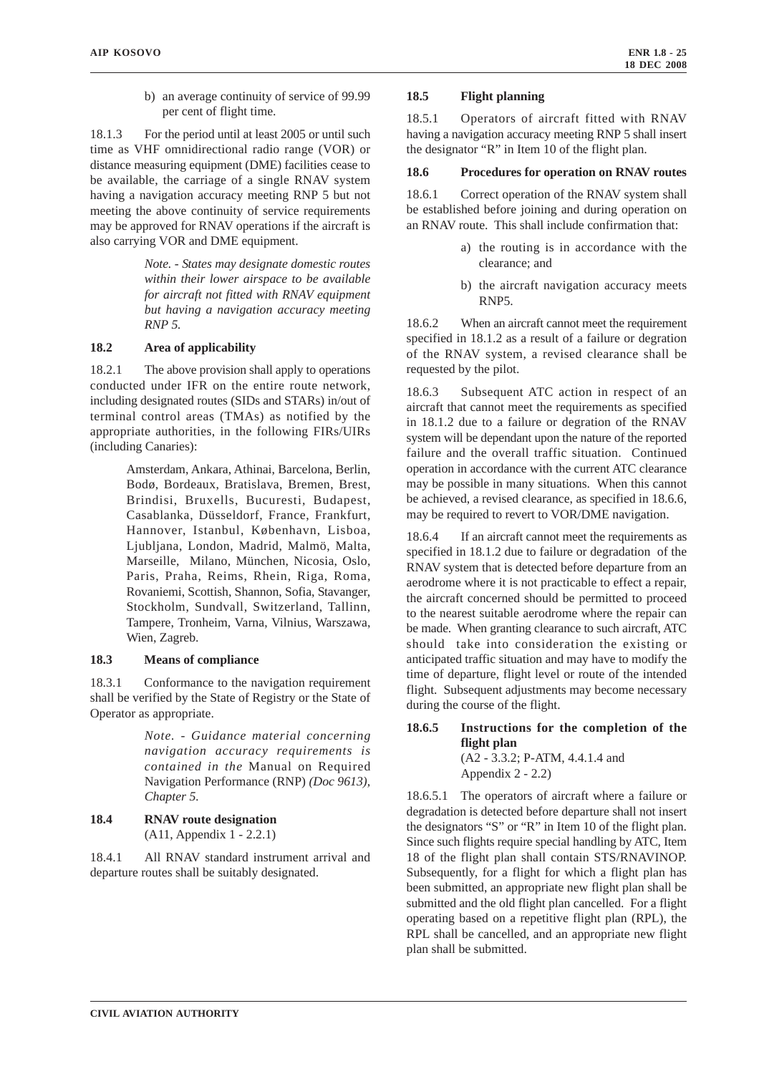b) an average continuity of service of 99.99 per cent of flight time.

18.1.3 For the period until at least 2005 or until such time as VHF omnidirectional radio range (VOR) or distance measuring equipment (DME) facilities cease to be available, the carriage of a single RNAV system having a navigation accuracy meeting RNP 5 but not meeting the above continuity of service requirements may be approved for RNAV operations if the aircraft is also carrying VOR and DME equipment.

> *Note. - States may designate domestic routes within their lower airspace to be available for aircraft not fitted with RNAV equipment but having a navigation accuracy meeting RNP 5.*

#### **18.2 Area of applicability**

18.2.1 The above provision shall apply to operations conducted under IFR on the entire route network, including designated routes (SIDs and STARs) in/out of terminal control areas (TMAs) as notified by the appropriate authorities, in the following FIRs/UIRs (including Canaries):

> Amsterdam, Ankara, Athinai, Barcelona, Berlin, Bodø, Bordeaux, Bratislava, Bremen, Brest, Brindisi, Bruxells, Bucuresti, Budapest, Casablanka, Düsseldorf, France, Frankfurt, Hannover, Istanbul, København, Lisboa, Ljubljana, London, Madrid, Malmö, Malta, Marseille, Milano, München, Nicosia, Oslo, Paris, Praha, Reims, Rhein, Riga, Roma, Rovaniemi, Scottish, Shannon, Sofia, Stavanger, Stockholm, Sundvall, Switzerland, Tallinn, Tampere, Tronheim, Varna, Vilnius, Warszawa, Wien, Zagreb.

#### **18.3 Means of compliance**

18.3.1 Conformance to the navigation requirement shall be verified by the State of Registry or the State of Operator as appropriate.

> *Note. - Guidance material concerning navigation accuracy requirements is contained in the* Manual on Required Navigation Performance (RNP) *(Doc 9613), Chapter 5.*

# **18.4 RNAV route designation** (A11, Appendix 1 - 2.2.1)

18.4.1 All RNAV standard instrument arrival and departure routes shall be suitably designated.

# **18.5 Flight planning**

18.5.1 Operators of aircraft fitted with RNAV having a navigation accuracy meeting RNP 5 shall insert the designator "R" in Item 10 of the flight plan.

# **18.6 Procedures for operation on RNAV routes**

18.6.1 Correct operation of the RNAV system shall be established before joining and during operation on an RNAV route. This shall include confirmation that:

- a) the routing is in accordance with the clearance; and
- b) the aircraft navigation accuracy meets RNP5.

18.6.2 When an aircraft cannot meet the requirement specified in 18.1.2 as a result of a failure or degration of the RNAV system, a revised clearance shall be requested by the pilot.

18.6.3 Subsequent ATC action in respect of an aircraft that cannot meet the requirements as specified in 18.1.2 due to a failure or degration of the RNAV system will be dependant upon the nature of the reported failure and the overall traffic situation. Continued operation in accordance with the current ATC clearance may be possible in many situations. When this cannot be achieved, a revised clearance, as specified in 18.6.6, may be required to revert to VOR/DME navigation.

18.6.4 If an aircraft cannot meet the requirements as specified in 18.1.2 due to failure or degradation of the RNAV system that is detected before departure from an aerodrome where it is not practicable to effect a repair, the aircraft concerned should be permitted to proceed to the nearest suitable aerodrome where the repair can be made. When granting clearance to such aircraft, ATC should take into consideration the existing or anticipated traffic situation and may have to modify the time of departure, flight level or route of the intended flight. Subsequent adjustments may become necessary during the course of the flight.

# **18.6.5 Instructions for the completion of the flight plan**

(A2 - 3.3.2; P-ATM, 4.4.1.4 and Appendix  $2 - 2.2$ )

18.6.5.1 The operators of aircraft where a failure or degradation is detected before departure shall not insert the designators "S" or "R" in Item 10 of the flight plan. Since such flights require special handling by ATC, Item 18 of the flight plan shall contain STS/RNAVINOP. Subsequently, for a flight for which a flight plan has been submitted, an appropriate new flight plan shall be submitted and the old flight plan cancelled. For a flight operating based on a repetitive flight plan (RPL), the RPL shall be cancelled, and an appropriate new flight plan shall be submitted.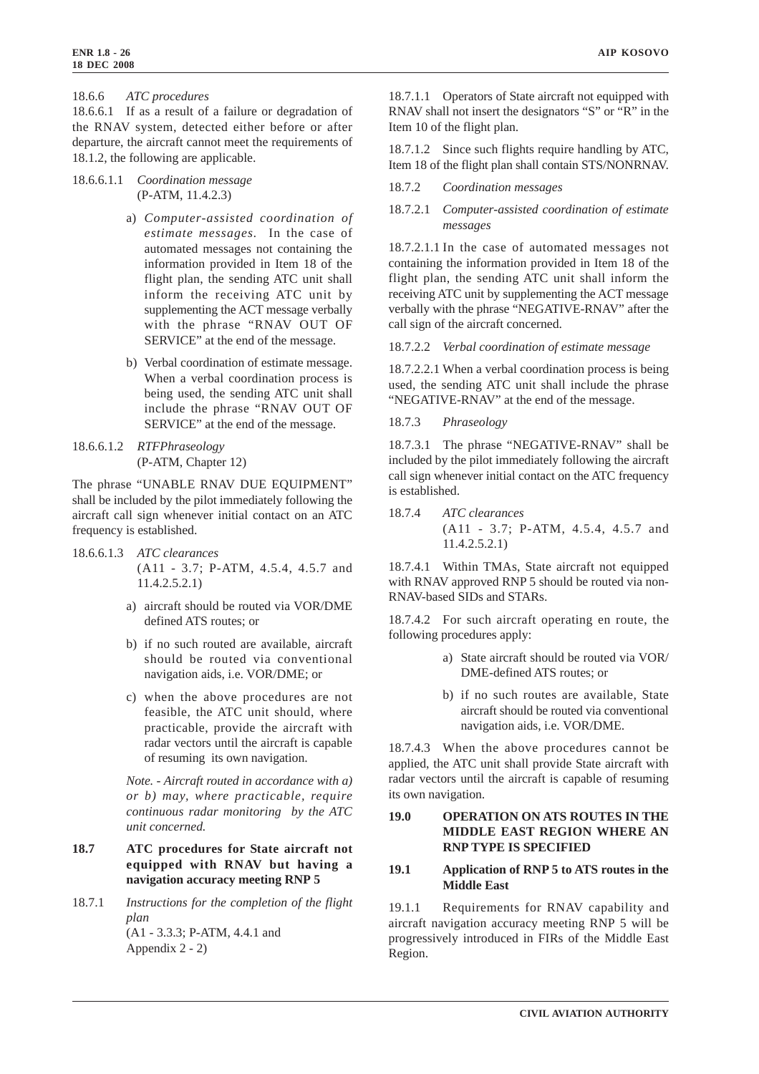#### 18.6.6 *ATC procedures*

18.6.6.1 If as a result of a failure or degradation of the RNAV system, detected either before or after departure, the aircraft cannot meet the requirements of 18.1.2, the following are applicable.

#### 18.6.6.1.1 *Coordination message* (P-ATM, 11.4.2.3)

- a) *Computer-assisted coordination of estimate messages.* In the case of automated messages not containing the information provided in Item 18 of the flight plan, the sending ATC unit shall inform the receiving ATC unit by supplementing the ACT message verbally with the phrase "RNAV OUT OF SERVICE" at the end of the message.
- b) Verbal coordination of estimate message. When a verbal coordination process is being used, the sending ATC unit shall include the phrase "RNAV OUT OF SERVICE" at the end of the message.

#### 18.6.6.1.2 *RTFPhraseology* (P-ATM, Chapter 12)

The phrase "UNABLE RNAV DUE EQUIPMENT" shall be included by the pilot immediately following the aircraft call sign whenever initial contact on an ATC frequency is established.

- 18.6.6.1.3 *ATC clearances* (A11 - 3.7; P-ATM, 4.5.4, 4.5.7 and 11.4.2.5.2.1)
	- a) aircraft should be routed via VOR/DME defined ATS routes; or
	- b) if no such routed are available, aircraft should be routed via conventional navigation aids, i.e. VOR/DME; or
	- c) when the above procedures are not feasible, the ATC unit should, where practicable, provide the aircraft with radar vectors until the aircraft is capable of resuming its own navigation.

*Note. - Aircraft routed in accordance with a) or b) may, where practicable, require continuous radar monitoring by the ATC unit concerned.*

# **18.7 ATC procedures for State aircraft not equipped with RNAV but having a navigation accuracy meeting RNP 5**

18.7.1 *Instructions for the completion of the flight plan* (A1 - 3.3.3; P-ATM, 4.4.1 and Appendix 2 - 2)

18.7.1.1 Operators of State aircraft not equipped with RNAV shall not insert the designators "S" or "R" in the Item 10 of the flight plan.

18.7.1.2 Since such flights require handling by ATC, Item 18 of the flight plan shall contain STS/NONRNAV.

- 18.7.2 *Coordination messages*
- 18.7.2.1 *Computer-assisted coordination of estimate messages*

18.7.2.1.1 In the case of automated messages not containing the information provided in Item 18 of the flight plan, the sending ATC unit shall inform the receiving ATC unit by supplementing the ACT message verbally with the phrase "NEGATIVE-RNAV" after the call sign of the aircraft concerned.

18.7.2.2 *Verbal coordination of estimate message*

18.7.2.2.1 When a verbal coordination process is being used, the sending ATC unit shall include the phrase "NEGATIVE-RNAV" at the end of the message.

18.7.3 *Phraseology*

18.7.3.1 The phrase "NEGATIVE-RNAV" shall be included by the pilot immediately following the aircraft call sign whenever initial contact on the ATC frequency is established.

18.7.4 *ATC clearances* (A11 - 3.7; P-ATM, 4.5.4, 4.5.7 and 11.4.2.5.2.1)

18.7.4.1 Within TMAs, State aircraft not equipped with RNAV approved RNP 5 should be routed via non-RNAV-based SIDs and STARs.

18.7.4.2 For such aircraft operating en route, the following procedures apply:

- a) State aircraft should be routed via VOR/ DME-defined ATS routes; or
- b) if no such routes are available, State aircraft should be routed via conventional navigation aids, i.e. VOR/DME.

18.7.4.3 When the above procedures cannot be applied, the ATC unit shall provide State aircraft with radar vectors until the aircraft is capable of resuming its own navigation.

# **19.0 OPERATION ON ATS ROUTES IN THE MIDDLE EAST REGION WHERE AN RNP TYPE IS SPECIFIED**

#### **19.1 Application of RNP 5 to ATS routes in the Middle East**

19.1.1 Requirements for RNAV capability and aircraft navigation accuracy meeting RNP 5 will be progressively introduced in FIRs of the Middle East Region.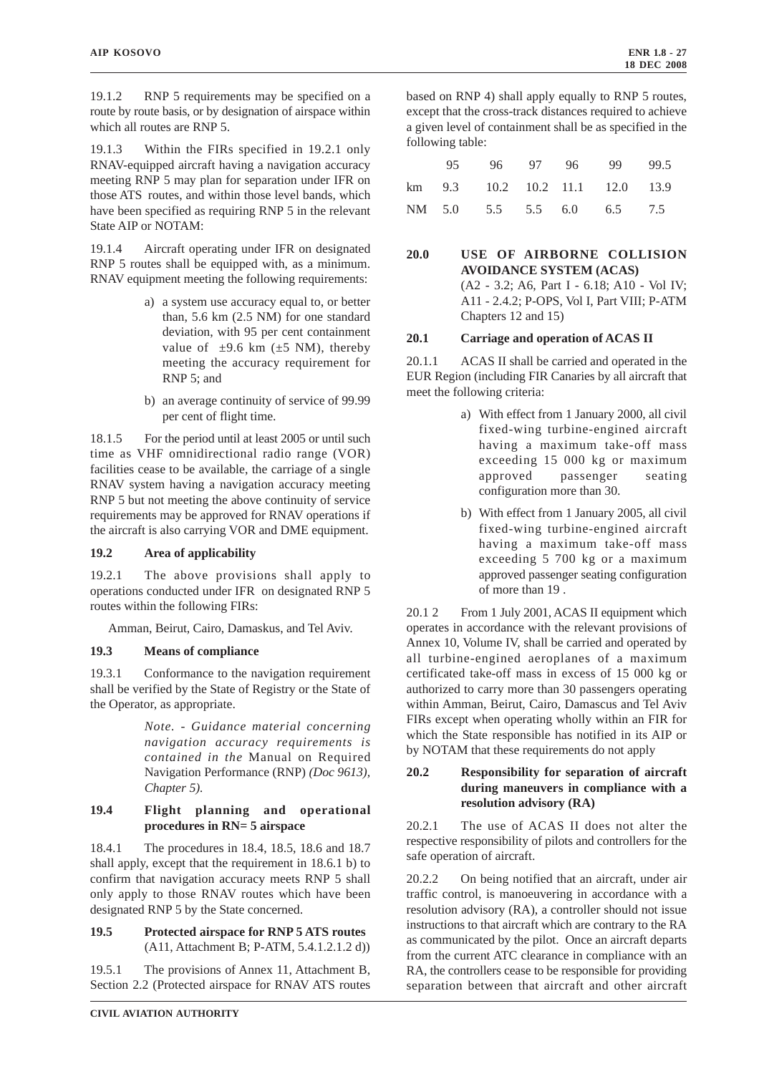19.1.2 RNP 5 requirements may be specified on a route by route basis, or by designation of airspace within which all routes are RNP 5.

19.1.3 Within the FIRs specified in 19.2.1 only RNAV-equipped aircraft having a navigation accuracy meeting RNP 5 may plan for separation under IFR on those ATS routes, and within those level bands, which have been specified as requiring RNP 5 in the relevant State AIP or NOTAM:

19.1.4 Aircraft operating under IFR on designated RNP 5 routes shall be equipped with, as a minimum. RNAV equipment meeting the following requirements:

- a) a system use accuracy equal to, or better than, 5.6 km (2.5 NM) for one standard deviation, with 95 per cent containment value of  $\pm 9.6$  km ( $\pm 5$  NM), thereby meeting the accuracy requirement for RNP 5; and
- b) an average continuity of service of 99.99 per cent of flight time.

18.1.5 For the period until at least 2005 or until such time as VHF omnidirectional radio range (VOR) facilities cease to be available, the carriage of a single RNAV system having a navigation accuracy meeting RNP 5 but not meeting the above continuity of service requirements may be approved for RNAV operations if the aircraft is also carrying VOR and DME equipment.

### **19.2 Area of applicability**

19.2.1 The above provisions shall apply to operations conducted under IFR on designated RNP 5 routes within the following FIRs:

Amman, Beirut, Cairo, Damaskus, and Tel Aviv.

# **19.3 Means of compliance**

19.3.1 Conformance to the navigation requirement shall be verified by the State of Registry or the State of the Operator, as appropriate.

> *Note. - Guidance material concerning navigation accuracy requirements is contained in the* Manual on Required Navigation Performance (RNP) *(Doc 9613), Chapter 5).*

#### **19.4 Flight planning and operational procedures in RN= 5 airspace**

18.4.1 The procedures in 18.4, 18.5, 18.6 and 18.7 shall apply, except that the requirement in 18.6.1 b) to confirm that navigation accuracy meets RNP 5 shall only apply to those RNAV routes which have been designated RNP 5 by the State concerned.

**19.5 Protected airspace for RNP 5 ATS routes** (A11, Attachment B; P-ATM, 5.4.1.2.1.2 d))

19.5.1 The provisions of Annex 11, Attachment B, Section 2.2 (Protected airspace for RNAV ATS routes based on RNP 4) shall apply equally to RNP 5 routes, except that the cross-track distances required to achieve a given level of containment shall be as specified in the following table:

|  |  | 95 96 97 96 99 99.5             |  |
|--|--|---------------------------------|--|
|  |  | km 9.3 10.2 10.2 11.1 12.0 13.9 |  |
|  |  | NM 5.0 5.5 5.5 6.0 6.5 7.5      |  |

**<sup>20.0</sup> USE OF AIRBORNE COLLISION AVOIDANCE SYSTEM (ACAS)** (A2 - 3.2; A6, Part I - 6.18; A10 - Vol IV; A11 - 2.4.2; P-OPS, Vol I, Part VIII; P-ATM Chapters 12 and 15)

# **20.1 Carriage and operation of ACAS II**

20.1.1 ACAS II shall be carried and operated in the EUR Region (including FIR Canaries by all aircraft that meet the following criteria:

- a) With effect from 1 January 2000, all civil fixed-wing turbine-engined aircraft having a maximum take-off mass exceeding 15 000 kg or maximum approved passenger seating configuration more than 30.
- b) With effect from 1 January 2005, all civil fixed-wing turbine-engined aircraft having a maximum take-off mass exceeding 5 700 kg or a maximum approved passenger seating configuration of more than 19 .

20.1 2 From 1 July 2001, ACAS II equipment which operates in accordance with the relevant provisions of Annex 10, Volume IV, shall be carried and operated by all turbine-engined aeroplanes of a maximum certificated take-off mass in excess of 15 000 kg or authorized to carry more than 30 passengers operating within Amman, Beirut, Cairo, Damascus and Tel Aviv FIRs except when operating wholly within an FIR for which the State responsible has notified in its AIP or by NOTAM that these requirements do not apply

## **20.2 Responsibility for separation of aircraft during maneuvers in compliance with a resolution advisory (RA)**

20.2.1 The use of ACAS II does not alter the respective responsibility of pilots and controllers for the safe operation of aircraft.

20.2.2 On being notified that an aircraft, under air traffic control, is manoeuvering in accordance with a resolution advisory (RA), a controller should not issue instructions to that aircraft which are contrary to the RA as communicated by the pilot. Once an aircraft departs from the current ATC clearance in compliance with an RA, the controllers cease to be responsible for providing separation between that aircraft and other aircraft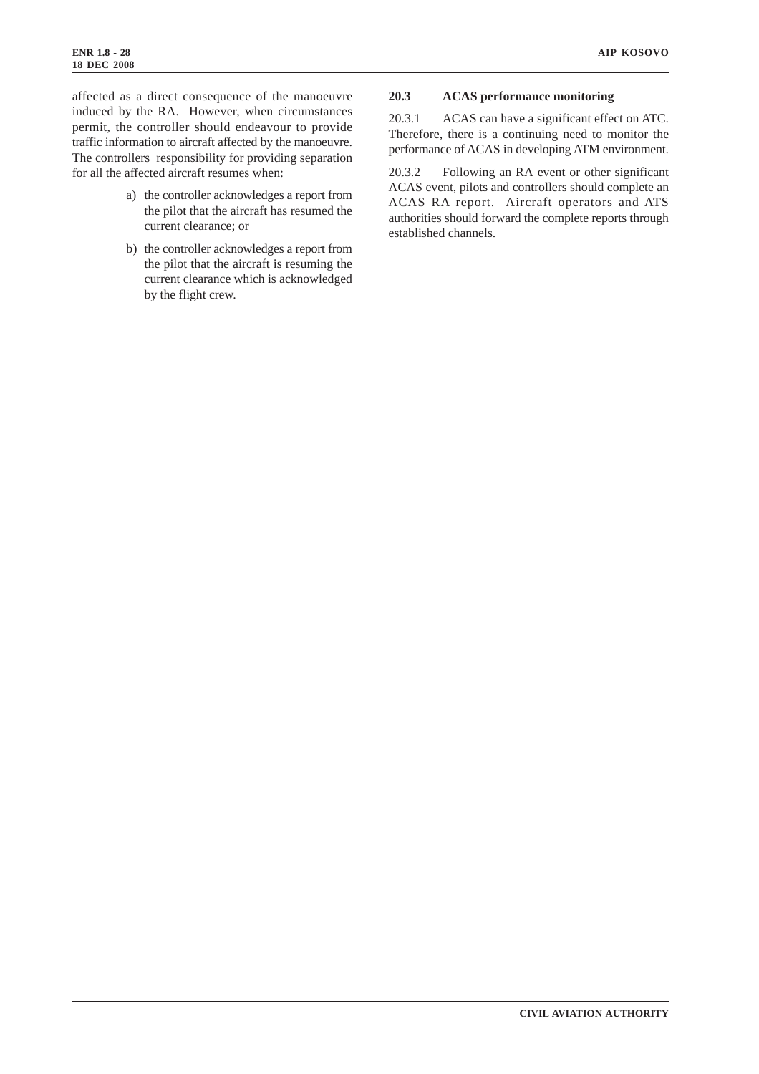affected as a direct consequence of the manoeuvre induced by the RA. However, when circumstances permit, the controller should endeavour to provide traffic information to aircraft affected by the manoeuvre. The controllers responsibility for providing separation for all the affected aircraft resumes when:

- a) the controller acknowledges a report from the pilot that the aircraft has resumed the current clearance; or
- b) the controller acknowledges a report from the pilot that the aircraft is resuming the current clearance which is acknowledged by the flight crew.

#### **20.3 ACAS performance monitoring**

20.3.1 ACAS can have a significant effect on ATC. Therefore, there is a continuing need to monitor the performance of ACAS in developing ATM environment.

20.3.2 Following an RA event or other significant ACAS event, pilots and controllers should complete an ACAS RA report. Aircraft operators and ATS authorities should forward the complete reports through established channels.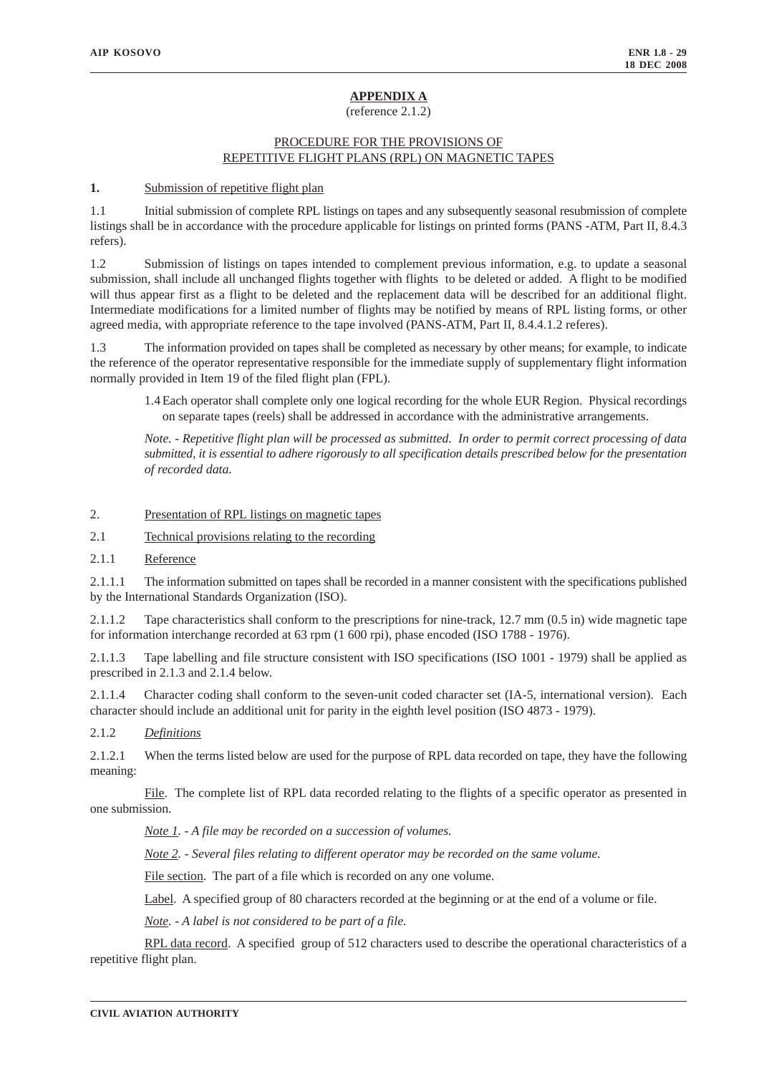# **APPENDIX A**

(reference 2.1.2)

# PROCEDURE FOR THE PROVISIONS OF REPETITIVE FLIGHT PLANS (RPL) ON MAGNETIC TAPES

### 1. Submission of repetitive flight plan

1.1 Initial submission of complete RPL listings on tapes and any subsequently seasonal resubmission of complete listings shall be in accordance with the procedure applicable for listings on printed forms (PANS -ATM, Part II, 8.4.3 refers).

1.2 Submission of listings on tapes intended to complement previous information, e.g. to update a seasonal submission, shall include all unchanged flights together with flights to be deleted or added. A flight to be modified will thus appear first as a flight to be deleted and the replacement data will be described for an additional flight. Intermediate modifications for a limited number of flights may be notified by means of RPL listing forms, or other agreed media, with appropriate reference to the tape involved (PANS-ATM, Part II, 8.4.4.1.2 referes).

1.3 The information provided on tapes shall be completed as necessary by other means; for example, to indicate the reference of the operator representative responsible for the immediate supply of supplementary flight information normally provided in Item 19 of the filed flight plan (FPL).

1.4 Each operator shall complete only one logical recording for the whole EUR Region. Physical recordings on separate tapes (reels) shall be addressed in accordance with the administrative arrangements.

*Note. - Repetitive flight plan will be processed as submitted. In order to permit correct processing of data submitted, it is essential to adhere rigorously to all specification details prescribed below for the presentation of recorded data.*

# 2. Presentation of RPL listings on magnetic tapes

### 2.1 Technical provisions relating to the recording

#### 2.1.1 Reference

2.1.1.1 The information submitted on tapes shall be recorded in a manner consistent with the specifications published by the International Standards Organization (ISO).

2.1.1.2 Tape characteristics shall conform to the prescriptions for nine-track, 12.7 mm (0.5 in) wide magnetic tape for information interchange recorded at 63 rpm (1 600 rpi), phase encoded (ISO 1788 - 1976).

2.1.1.3 Tape labelling and file structure consistent with ISO specifications (ISO 1001 - 1979) shall be applied as prescribed in 2.1.3 and 2.1.4 below.

2.1.1.4 Character coding shall conform to the seven-unit coded character set (IA-5, international version). Each character should include an additional unit for parity in the eighth level position (ISO 4873 - 1979).

#### 2.1.2 *Definitions*

2.1.2.1 When the terms listed below are used for the purpose of RPL data recorded on tape, they have the following meaning:

File. The complete list of RPL data recorded relating to the flights of a specific operator as presented in one submission.

*Note 1. - A file may be recorded on a succession of volumes.*

*Note 2. - Several files relating to different operator may be recorded on the same volume.*

File section. The part of a file which is recorded on any one volume.

Label. A specified group of 80 characters recorded at the beginning or at the end of a volume or file.

*Note. - A label is not considered to be part of a file.*

RPL data record. A specified group of 512 characters used to describe the operational characteristics of a repetitive flight plan.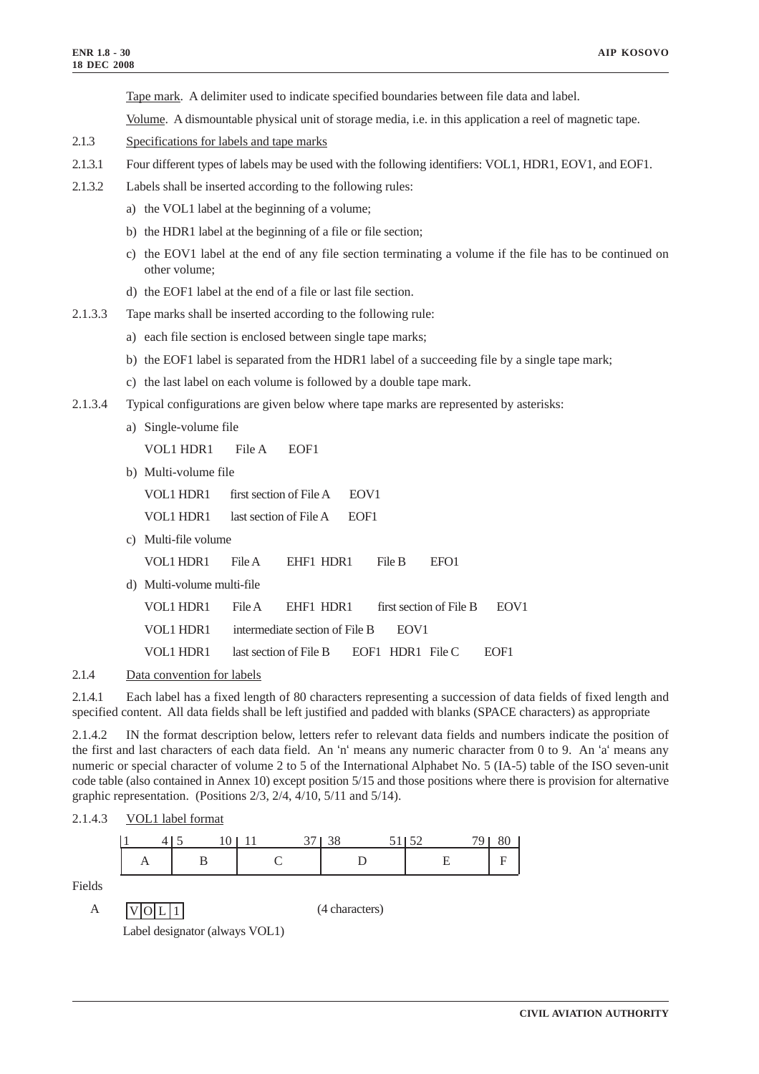Tape mark. A delimiter used to indicate specified boundaries between file data and label.

Volume. A dismountable physical unit of storage media, i.e. in this application a reel of magnetic tape.

- 2.1.3 Specifications for labels and tape marks
- 2.1.3.1 Four different types of labels may be used with the following identifiers: VOL1, HDR1, EOV1, and EOF1.
- 2.1.3.2 Labels shall be inserted according to the following rules:
	- a) the VOL1 label at the beginning of a volume;
	- b) the HDR1 label at the beginning of a file or file section;
	- c) the EOV1 label at the end of any file section terminating a volume if the file has to be continued on other volume;
	- d) the EOF1 label at the end of a file or last file section.
- 2.1.3.3 Tape marks shall be inserted according to the following rule:
	- a) each file section is enclosed between single tape marks;
	- b) the EOF1 label is separated from the HDR1 label of a succeeding file by a single tape mark;
	- c) the last label on each volume is followed by a double tape mark.
- 2.1.3.4 Typical configurations are given below where tape marks are represented by asterisks:
	- a) Single-volume file
		- VOL1 HDR1 File A EOF1
	- b) Multi-volume file

```
VOL1 HDR1 first section of File A EOV1
```
- VOL1 HDR1 last section of File A EOF1
- c) Multi-file volume

VOL1 HDR1 File A EHF1 HDR1 File B EFO1

d) Multi-volume multi-file

| VOL1 HDR1 | File A EHF1 HDR1                         | first section of File B EOV1 |  |
|-----------|------------------------------------------|------------------------------|--|
|           | VOL1 HDR1 intermediate section of File B | EOV <sub>1</sub>             |  |

VOL1 HDR1 last section of File B EOF1 HDR1 File C EOF1

2.1.4 Data convention for labels

2.1.4.1 Each label has a fixed length of 80 characters representing a succession of data fields of fixed length and specified content. All data fields shall be left justified and padded with blanks (SPACE characters) as appropriate

2.1.4.2 IN the format description below, letters refer to relevant data fields and numbers indicate the position of the first and last characters of each data field. An 'n' means any numeric character from 0 to 9. An 'a' means any numeric or special character of volume 2 to 5 of the International Alphabet No. 5 (IA-5) table of the ISO seven-unit code table (also contained in Annex 10) except position 5/15 and those positions where there is provision for alternative graphic representation. (Positions 2/3, 2/4, 4/10, 5/11 and 5/14).

2.1.4.3 VOL1 label format

|     | 1 V | ັ | $\sim$ $\sim$ | 51.50<br>- - |  |
|-----|-----|---|---------------|--------------|--|
| . . |     |   |               |              |  |

Fields

 $|V|$ O $|L|$ 1

 $A \quad \boxed{V[O][1]}$  (4 characters)

Label designator (always VOL1)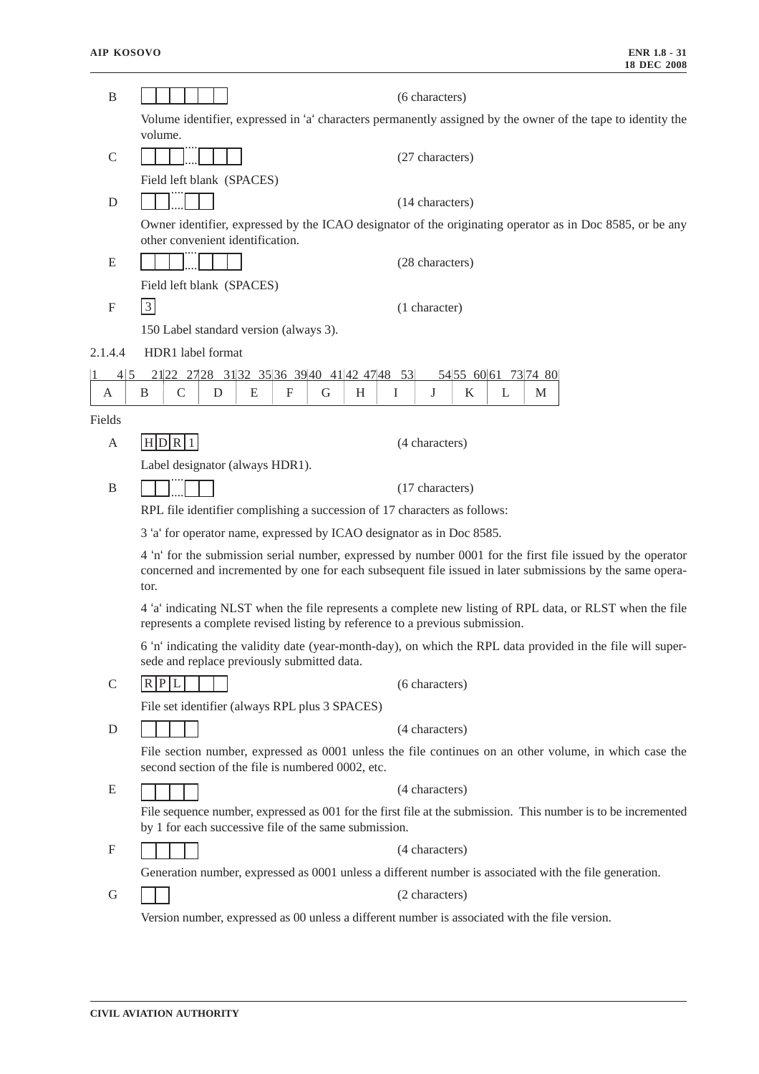| B             |                                                                                                                         | (6 characters)                                                                                                                                                                                                         |  |  |  |  |  |  |  |  |
|---------------|-------------------------------------------------------------------------------------------------------------------------|------------------------------------------------------------------------------------------------------------------------------------------------------------------------------------------------------------------------|--|--|--|--|--|--|--|--|
|               | Volume identifier, expressed in 'a' characters permanently assigned by the owner of the tape to identity the<br>volume. |                                                                                                                                                                                                                        |  |  |  |  |  |  |  |  |
| $\mathsf{C}$  |                                                                                                                         | (27 characters)                                                                                                                                                                                                        |  |  |  |  |  |  |  |  |
|               | Field left blank (SPACES)                                                                                               |                                                                                                                                                                                                                        |  |  |  |  |  |  |  |  |
| D             |                                                                                                                         | (14 characters)                                                                                                                                                                                                        |  |  |  |  |  |  |  |  |
|               |                                                                                                                         | Owner identifier, expressed by the ICAO designator of the originating operator as in Doc 8585, or be any                                                                                                               |  |  |  |  |  |  |  |  |
|               | other convenient identification.                                                                                        |                                                                                                                                                                                                                        |  |  |  |  |  |  |  |  |
| E             |                                                                                                                         | (28 characters)                                                                                                                                                                                                        |  |  |  |  |  |  |  |  |
|               | Field left blank (SPACES)                                                                                               |                                                                                                                                                                                                                        |  |  |  |  |  |  |  |  |
| $\mathbf F$   | 3                                                                                                                       | (1 character)                                                                                                                                                                                                          |  |  |  |  |  |  |  |  |
|               | 150 Label standard version (always 3).                                                                                  |                                                                                                                                                                                                                        |  |  |  |  |  |  |  |  |
| 2.1.4.4       | HDR1 label format                                                                                                       |                                                                                                                                                                                                                        |  |  |  |  |  |  |  |  |
| 4 5<br>A      | $21 22$ $27 28$ $31 32$ $35 36$ $39 40$ $41 42$ $47 48$ 53<br>$\mathcal{C}$<br>B<br>D<br>E<br>F<br>G<br>H               | 54 55 60 61 73 74 80<br>$_{\rm J}$<br>Ι<br>K<br>L<br>M                                                                                                                                                                 |  |  |  |  |  |  |  |  |
|               |                                                                                                                         |                                                                                                                                                                                                                        |  |  |  |  |  |  |  |  |
| Fields        |                                                                                                                         |                                                                                                                                                                                                                        |  |  |  |  |  |  |  |  |
| A             | H[D R 1]                                                                                                                | (4 characters)                                                                                                                                                                                                         |  |  |  |  |  |  |  |  |
|               | Label designator (always HDR1).                                                                                         |                                                                                                                                                                                                                        |  |  |  |  |  |  |  |  |
| B             |                                                                                                                         | (17 characters)                                                                                                                                                                                                        |  |  |  |  |  |  |  |  |
|               | RPL file identifier complishing a succession of 17 characters as follows:                                               |                                                                                                                                                                                                                        |  |  |  |  |  |  |  |  |
|               | 3 'a' for operator name, expressed by ICAO designator as in Doc 8585.                                                   |                                                                                                                                                                                                                        |  |  |  |  |  |  |  |  |
|               | tor.                                                                                                                    | 4 'n' for the submission serial number, expressed by number 0001 for the first file issued by the operator<br>concerned and incremented by one for each subsequent file issued in later submissions by the same opera- |  |  |  |  |  |  |  |  |
|               | represents a complete revised listing by reference to a previous submission.                                            | 4 'a' indicating NLST when the file represents a complete new listing of RPL data, or RLST when the file                                                                                                               |  |  |  |  |  |  |  |  |
|               | sede and replace previously submitted data.                                                                             | 6 'n' indicating the validity date (year-month-day), on which the RPL data provided in the file will super-                                                                                                            |  |  |  |  |  |  |  |  |
| $\mathcal{C}$ | $R$   $P$   $L$                                                                                                         | (6 characters)                                                                                                                                                                                                         |  |  |  |  |  |  |  |  |
|               | File set identifier (always RPL plus 3 SPACES)                                                                          |                                                                                                                                                                                                                        |  |  |  |  |  |  |  |  |
| D             |                                                                                                                         | (4 characters)                                                                                                                                                                                                         |  |  |  |  |  |  |  |  |
|               | second section of the file is numbered 0002, etc.                                                                       | File section number, expressed as 0001 unless the file continues on an other volume, in which case the                                                                                                                 |  |  |  |  |  |  |  |  |
| Ε             |                                                                                                                         | (4 characters)                                                                                                                                                                                                         |  |  |  |  |  |  |  |  |
|               | by 1 for each successive file of the same submission.                                                                   | File sequence number, expressed as 001 for the first file at the submission. This number is to be incremented                                                                                                          |  |  |  |  |  |  |  |  |
| F             |                                                                                                                         | (4 characters)                                                                                                                                                                                                         |  |  |  |  |  |  |  |  |
|               |                                                                                                                         | Generation number, expressed as 0001 unless a different number is associated with the file generation.                                                                                                                 |  |  |  |  |  |  |  |  |
| G             |                                                                                                                         | (2 characters)                                                                                                                                                                                                         |  |  |  |  |  |  |  |  |
|               |                                                                                                                         | Version number, expressed as 00 unless a different number is associated with the file version.                                                                                                                         |  |  |  |  |  |  |  |  |
|               |                                                                                                                         |                                                                                                                                                                                                                        |  |  |  |  |  |  |  |  |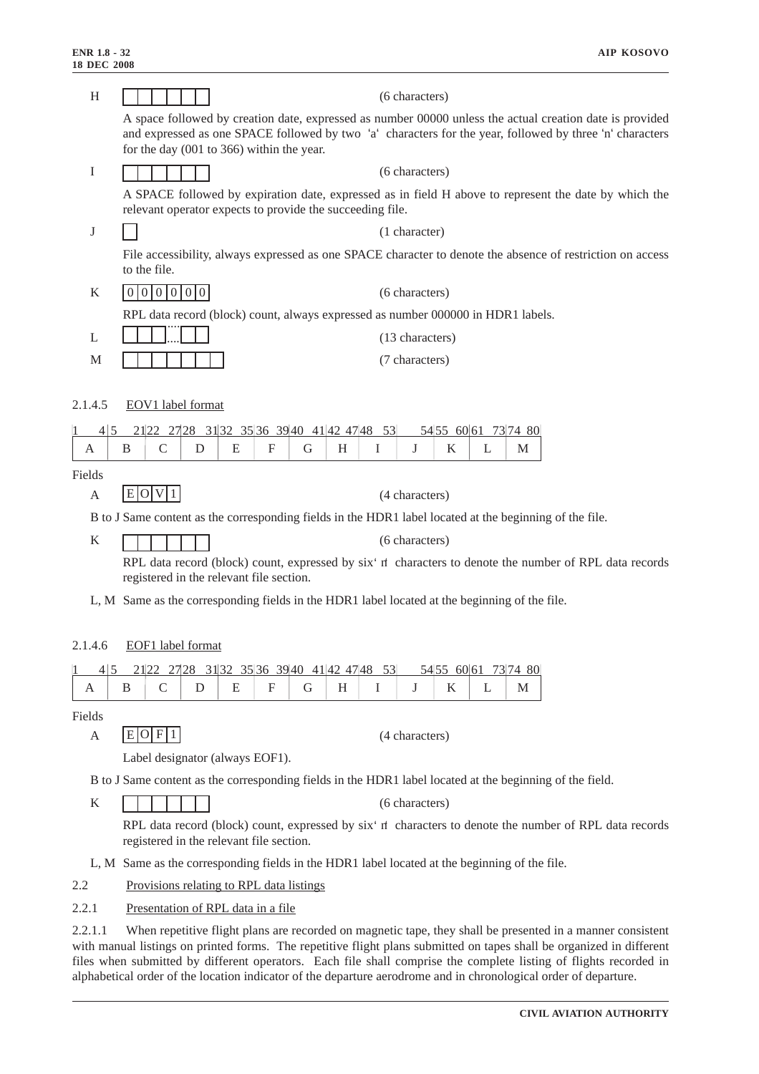| H       |                                                                                                                                                                                                                                                                   |   |   |   |   |   |   | (6 characters)  |   |                      |   |                                                                                                            |  |
|---------|-------------------------------------------------------------------------------------------------------------------------------------------------------------------------------------------------------------------------------------------------------------------|---|---|---|---|---|---|-----------------|---|----------------------|---|------------------------------------------------------------------------------------------------------------|--|
|         | A space followed by creation date, expressed as number 00000 unless the actual creation date is provided<br>and expressed as one SPACE followed by two 'a' characters for the year, followed by three 'n' characters<br>for the day (001 to 366) within the year. |   |   |   |   |   |   |                 |   |                      |   |                                                                                                            |  |
| I       |                                                                                                                                                                                                                                                                   |   |   |   |   |   |   | (6 characters)  |   |                      |   |                                                                                                            |  |
|         | relevant operator expects to provide the succeeding file.                                                                                                                                                                                                         |   |   |   |   |   |   |                 |   |                      |   | A SPACE followed by expiration date, expressed as in field H above to represent the date by which the      |  |
| J       |                                                                                                                                                                                                                                                                   |   |   |   |   |   |   | (1 character)   |   |                      |   |                                                                                                            |  |
|         | to the file.                                                                                                                                                                                                                                                      |   |   |   |   |   |   |                 |   |                      |   | File accessibility, always expressed as one SPACE character to denote the absence of restriction on access |  |
| K       | 0 0 0 0 0 0                                                                                                                                                                                                                                                       |   |   |   |   |   |   | (6 characters)  |   |                      |   |                                                                                                            |  |
|         | RPL data record (block) count, always expressed as number 000000 in HDR1 labels.                                                                                                                                                                                  |   |   |   |   |   |   |                 |   |                      |   |                                                                                                            |  |
| L       |                                                                                                                                                                                                                                                                   |   |   |   |   |   |   | (13 characters) |   |                      |   |                                                                                                            |  |
| M       |                                                                                                                                                                                                                                                                   |   |   |   |   |   |   | (7 characters)  |   |                      |   |                                                                                                            |  |
|         |                                                                                                                                                                                                                                                                   |   |   |   |   |   |   |                 |   |                      |   |                                                                                                            |  |
| 2.1.4.5 | EOV1 label format                                                                                                                                                                                                                                                 |   |   |   |   |   |   |                 |   |                      |   |                                                                                                            |  |
| 4 5     | 21 22 27 28 31 32 35 36 39 40 41 42 47 48 53                                                                                                                                                                                                                      |   |   |   |   |   |   |                 |   | 54 55 60 61 73 74 80 |   |                                                                                                            |  |
| А       | $\mathcal{C}$<br>B                                                                                                                                                                                                                                                | D | E | F | G | H | I | J               | K | L                    | M |                                                                                                            |  |
| Fields  |                                                                                                                                                                                                                                                                   |   |   |   |   |   |   |                 |   |                      |   |                                                                                                            |  |
| A       | E[O V 1]                                                                                                                                                                                                                                                          |   |   |   |   |   |   | (4 characters)  |   |                      |   |                                                                                                            |  |
|         |                                                                                                                                                                                                                                                                   |   |   |   |   |   |   |                 |   |                      |   | B to J Same content as the corresponding fields in the HDR1 label located at the beginning of the file.    |  |
| K       |                                                                                                                                                                                                                                                                   |   |   |   |   |   |   | (6 characters)  |   |                      |   |                                                                                                            |  |
|         | registered in the relevant file section.                                                                                                                                                                                                                          |   |   |   |   |   |   |                 |   |                      |   | RPL data record (block) count, expressed by six' n characters to denote the number of RPL data records     |  |
|         | L, M Same as the corresponding fields in the HDR1 label located at the beginning of the file.                                                                                                                                                                     |   |   |   |   |   |   |                 |   |                      |   |                                                                                                            |  |
|         |                                                                                                                                                                                                                                                                   |   |   |   |   |   |   |                 |   |                      |   |                                                                                                            |  |
|         | 2.1.4.6 EOF1 label format                                                                                                                                                                                                                                         |   |   |   |   |   |   |                 |   |                      |   |                                                                                                            |  |
| 4 5     | $21 22$ $27 28$ $31 32$ $35 36$ $39 40$ $41 42$ $47 48$ 53                                                                                                                                                                                                        |   |   |   |   |   |   |                 |   | 54 55 60 61 73 74 80 |   |                                                                                                            |  |
| A       | B<br>$\mathsf{C}$                                                                                                                                                                                                                                                 | D | E | F | G | H | I | $\bf J$         | K | L                    | M |                                                                                                            |  |
| Fields  |                                                                                                                                                                                                                                                                   |   |   |   |   |   |   |                 |   |                      |   |                                                                                                            |  |
| A       | $E$ O $F$ <sup>1</sup>                                                                                                                                                                                                                                            |   |   |   |   |   |   | (4 characters)  |   |                      |   |                                                                                                            |  |
|         | Label designator (always EOF1).                                                                                                                                                                                                                                   |   |   |   |   |   |   |                 |   |                      |   |                                                                                                            |  |
|         |                                                                                                                                                                                                                                                                   |   |   |   |   |   |   |                 |   |                      |   | B to J Same content as the corresponding fields in the HDR1 label located at the beginning of the field.   |  |
| K       |                                                                                                                                                                                                                                                                   |   |   |   |   |   |   | (6 characters)  |   |                      |   |                                                                                                            |  |
|         | RPL data record (block) count, expressed by six' n characters to denote the number of RPL data records                                                                                                                                                            |   |   |   |   |   |   |                 |   |                      |   |                                                                                                            |  |

registered in the relevant file section.

L, M Same as the corresponding fields in the HDR1 label located at the beginning of the file.

2.2 Provisions relating to RPL data listings

2.2.1 Presentation of RPL data in a file

2.2.1.1 When repetitive flight plans are recorded on magnetic tape, they shall be presented in a manner consistent with manual listings on printed forms. The repetitive flight plans submitted on tapes shall be organized in different files when submitted by different operators. Each file shall comprise the complete listing of flights recorded in alphabetical order of the location indicator of the departure aerodrome and in chronological order of departure.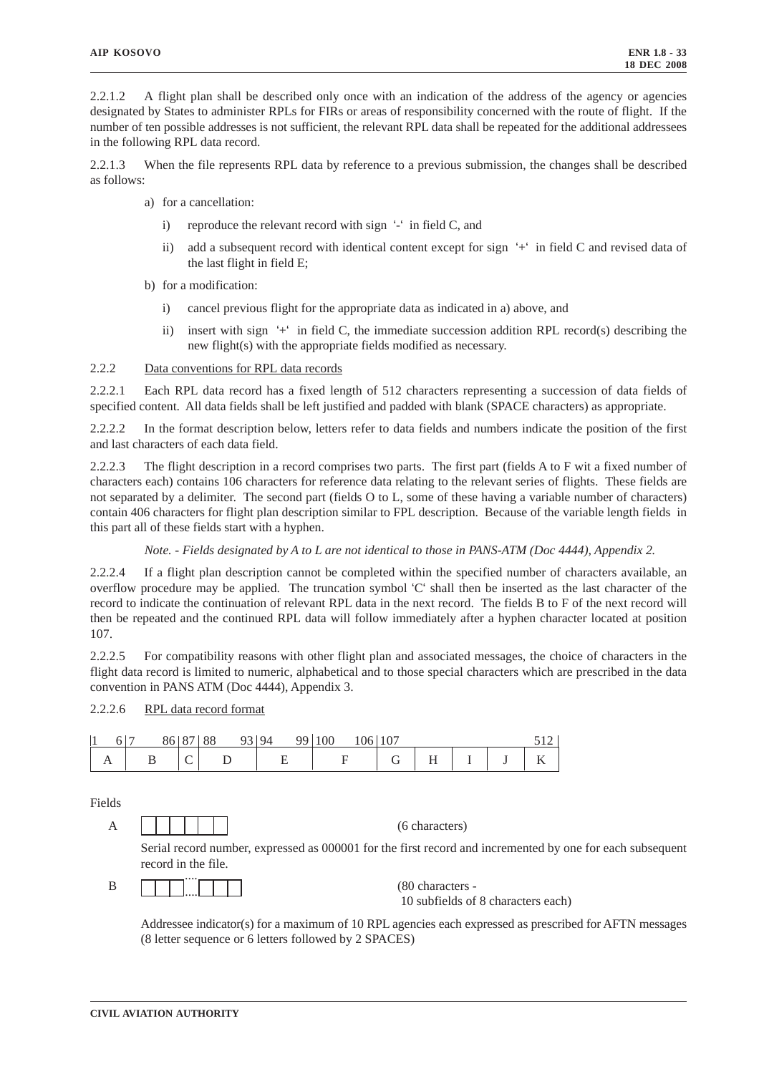2.2.1.2 A flight plan shall be described only once with an indication of the address of the agency or agencies designated by States to administer RPLs for FIRs or areas of responsibility concerned with the route of flight. If the number of ten possible addresses is not sufficient, the relevant RPL data shall be repeated for the additional addressees in the following RPL data record.

2.2.1.3 When the file represents RPL data by reference to a previous submission, the changes shall be described as follows:

- a) for a cancellation:
	- i) reproduce the relevant record with sign '-' in field C, and
	- ii) add a subsequent record with identical content except for sign '+' in field C and revised data of the last flight in field E;
- b) for a modification:
	- i) cancel previous flight for the appropriate data as indicated in a) above, and
	- ii) insert with sign '+' in field C, the immediate succession addition RPL record(s) describing the new flight(s) with the appropriate fields modified as necessary.

#### 2.2.2 Data conventions for RPL data records

2.2.2.1 Each RPL data record has a fixed length of 512 characters representing a succession of data fields of specified content. All data fields shall be left justified and padded with blank (SPACE characters) as appropriate.

2.2.2.2 In the format description below, letters refer to data fields and numbers indicate the position of the first and last characters of each data field.

2.2.2.3 The flight description in a record comprises two parts. The first part (fields A to F wit a fixed number of characters each) contains 106 characters for reference data relating to the relevant series of flights. These fields are not separated by a delimiter. The second part (fields O to L, some of these having a variable number of characters) contain 406 characters for flight plan description similar to FPL description. Because of the variable length fields in this part all of these fields start with a hyphen.

*Note. - Fields designated by A to L are not identical to those in PANS-ATM (Doc 4444), Appendix 2.*

2.2.2.4 If a flight plan description cannot be completed within the specified number of characters available, an overflow procedure may be applied. The truncation symbol 'C' shall then be inserted as the last character of the record to indicate the continuation of relevant RPL data in the next record. The fields B to F of the next record will then be repeated and the continued RPL data will follow immediately after a hyphen character located at position 107.

2.2.2.5 For compatibility reasons with other flight plan and associated messages, the choice of characters in the flight data record is limited to numeric, alphabetical and to those special characters which are prescribed in the data convention in PANS ATM (Doc 4444), Appendix 3.

#### 2.2.2.6 RPL data record format

|  |  | 86   87   88 |  | 93 94 | 99 100 | 106 107 |    |  |  |
|--|--|--------------|--|-------|--------|---------|----|--|--|
|  |  |              |  |       |        |         | -- |  |  |

Fields

A (6 characters)

Serial record number, expressed as 000001 for the first record and incremented by one for each subsequent record in the file.



10 subfields of 8 characters each)

Addressee indicator(s) for a maximum of 10 RPL agencies each expressed as prescribed for AFTN messages (8 letter sequence or 6 letters followed by 2 SPACES)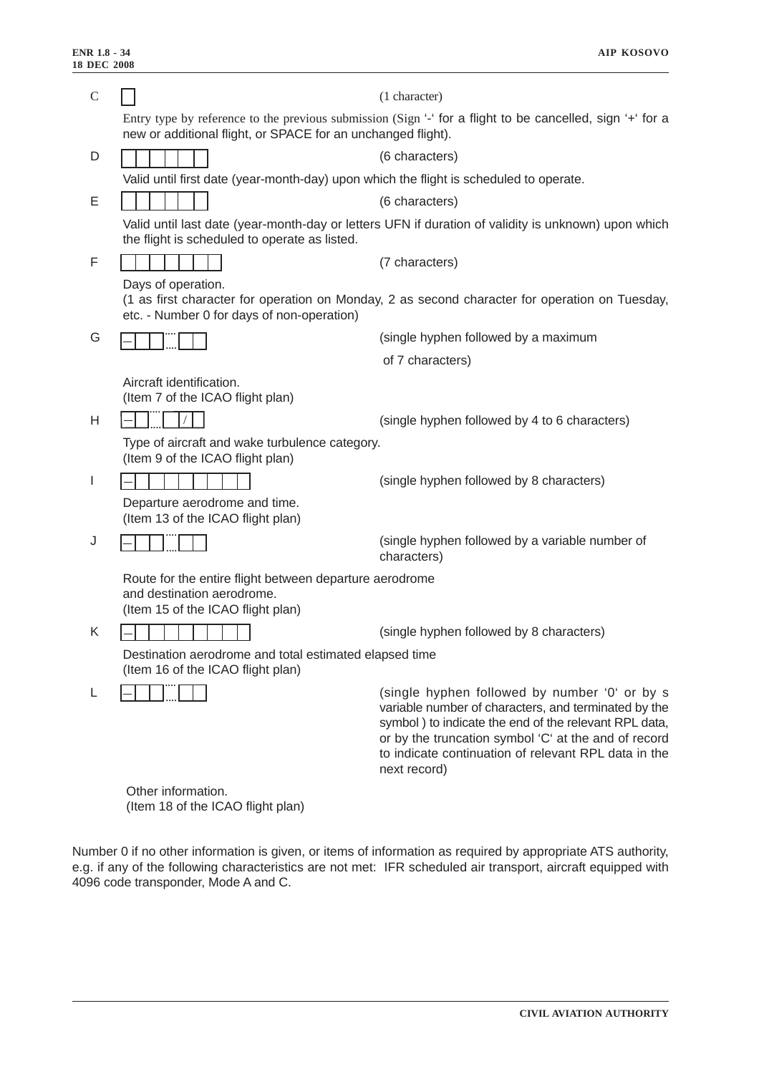| C  |                                                                                                                            | (1 character)                                                                                                                                                                                                                                                                                  |
|----|----------------------------------------------------------------------------------------------------------------------------|------------------------------------------------------------------------------------------------------------------------------------------------------------------------------------------------------------------------------------------------------------------------------------------------|
|    | new or additional flight, or SPACE for an unchanged flight).                                                               | Entry type by reference to the previous submission (Sign '-' for a flight to be cancelled, sign '+' for a                                                                                                                                                                                      |
| D  |                                                                                                                            | (6 characters)                                                                                                                                                                                                                                                                                 |
|    | Valid until first date (year-month-day) upon which the flight is scheduled to operate.                                     |                                                                                                                                                                                                                                                                                                |
| Ε  |                                                                                                                            | (6 characters)                                                                                                                                                                                                                                                                                 |
|    | the flight is scheduled to operate as listed.                                                                              | Valid until last date (year-month-day or letters UFN if duration of validity is unknown) upon which                                                                                                                                                                                            |
| F  |                                                                                                                            | (7 characters)                                                                                                                                                                                                                                                                                 |
|    | Days of operation.<br>etc. - Number 0 for days of non-operation)                                                           | (1 as first character for operation on Monday, 2 as second character for operation on Tuesday,                                                                                                                                                                                                 |
| G  |                                                                                                                            | (single hyphen followed by a maximum                                                                                                                                                                                                                                                           |
|    |                                                                                                                            | of 7 characters)                                                                                                                                                                                                                                                                               |
|    | Aircraft identification.<br>(Item 7 of the ICAO flight plan)                                                               |                                                                                                                                                                                                                                                                                                |
| Н  |                                                                                                                            | (single hyphen followed by 4 to 6 characters)                                                                                                                                                                                                                                                  |
|    | Type of aircraft and wake turbulence category.<br>(Item 9 of the ICAO flight plan)                                         |                                                                                                                                                                                                                                                                                                |
| I. |                                                                                                                            | (single hyphen followed by 8 characters)                                                                                                                                                                                                                                                       |
|    | Departure aerodrome and time.<br>(Item 13 of the ICAO flight plan)                                                         |                                                                                                                                                                                                                                                                                                |
| J  |                                                                                                                            | (single hyphen followed by a variable number of<br>characters)                                                                                                                                                                                                                                 |
|    | Route for the entire flight between departure aerodrome<br>and destination aerodrome.<br>(Item 15 of the ICAO flight plan) |                                                                                                                                                                                                                                                                                                |
| K  |                                                                                                                            | (single hyphen followed by 8 characters)                                                                                                                                                                                                                                                       |
|    | Destination aerodrome and total estimated elapsed time<br>(Item 16 of the ICAO flight plan)                                |                                                                                                                                                                                                                                                                                                |
| L  |                                                                                                                            | (single hyphen followed by number '0' or by s<br>variable number of characters, and terminated by the<br>symbol) to indicate the end of the relevant RPL data,<br>or by the truncation symbol 'C' at the and of record<br>to indicate continuation of relevant RPL data in the<br>next record) |
|    | Other information.                                                                                                         |                                                                                                                                                                                                                                                                                                |

(Item 18 of the ICAO flight plan)

Number 0 if no other information is given, or items of information as required by appropriate ATS authority, e.g. if any of the following characteristics are not met: IFR scheduled air transport, aircraft equipped with 4096 code transponder, Mode A and C.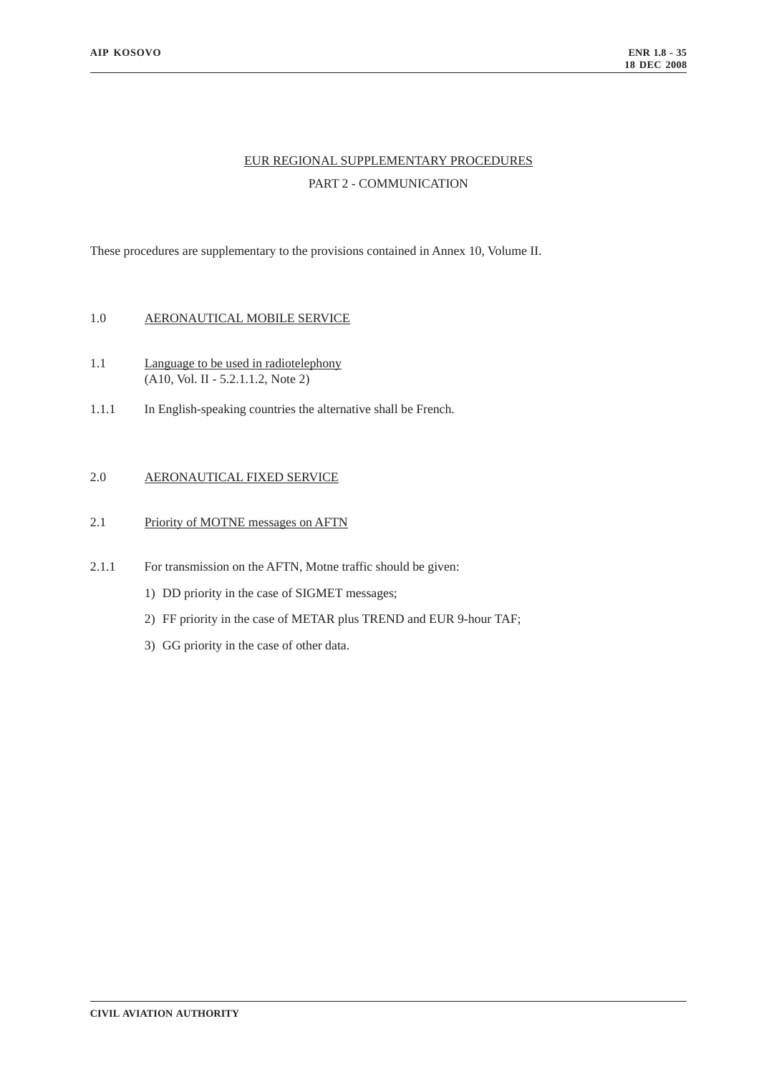# EUR REGIONAL SUPPLEMENTARY PROCEDURES PART 2 - COMMUNICATION

These procedures are supplementary to the provisions contained in Annex 10, Volume II.

#### 1.0 AERONAUTICAL MOBILE SERVICE

- 1.1 Language to be used in radiotelephony (A10, Vol. II - 5.2.1.1.2, Note 2)
- 1.1.1 In English-speaking countries the alternative shall be French.

#### 2.0 AERONAUTICAL FIXED SERVICE

# 2.1 Priority of MOTNE messages on AFTN

- 2.1.1 For transmission on the AFTN, Motne traffic should be given:
	- 1) DD priority in the case of SIGMET messages;
	- 2) FF priority in the case of METAR plus TREND and EUR 9-hour TAF;
	- 3) GG priority in the case of other data.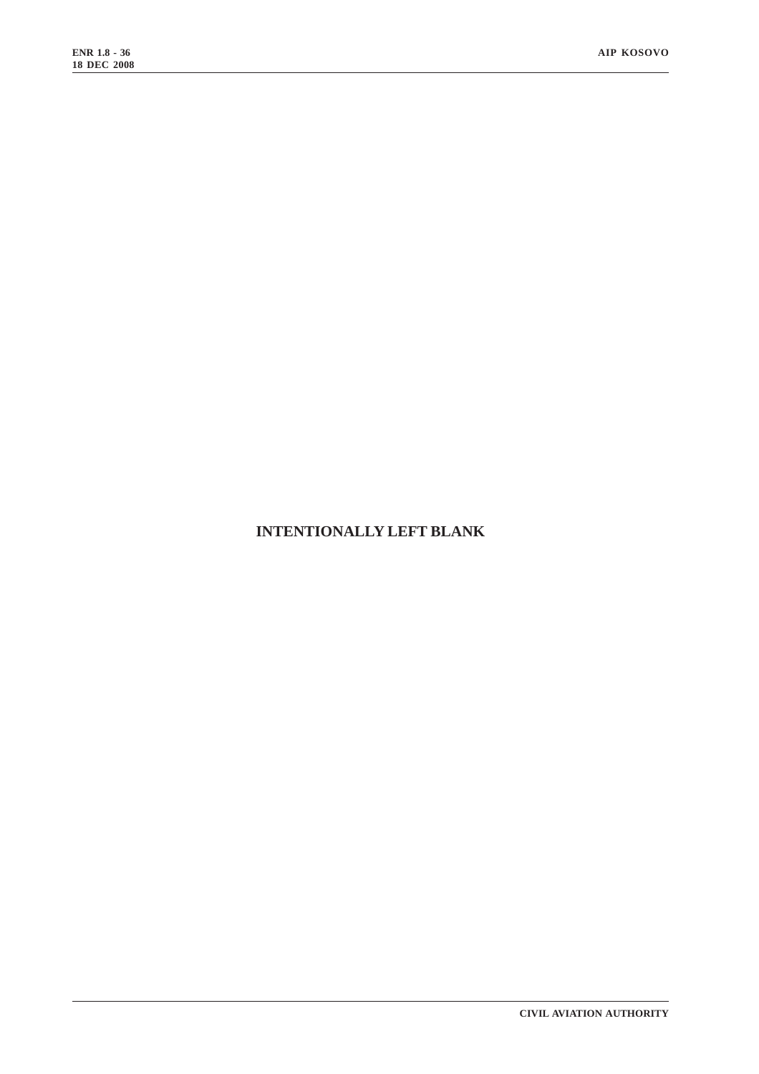# **INTENTIONALLY LEFT BLANK**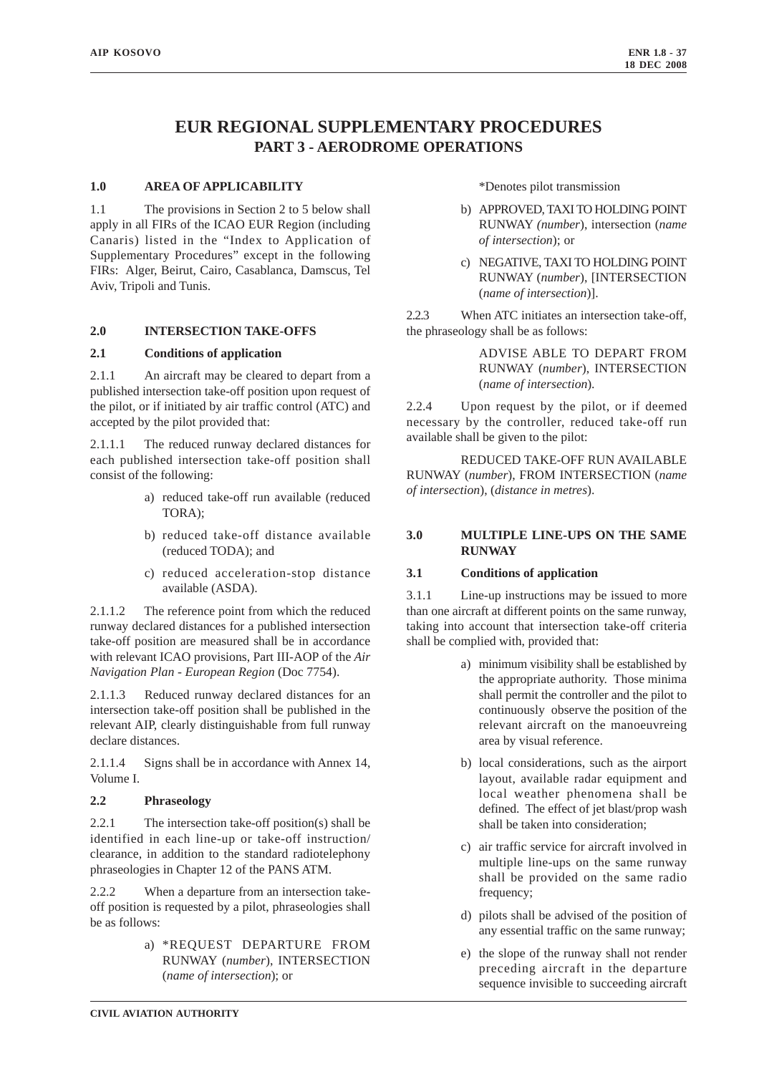# **EUR REGIONAL SUPPLEMENTARY PROCEDURES PART 3 - AERODROME OPERATIONS**

# **1.0 AREA OF APPLICABILITY**

1.1 The provisions in Section 2 to 5 below shall apply in all FIRs of the ICAO EUR Region (including Canaris) listed in the "Index to Application of Supplementary Procedures" except in the following FIRs: Alger, Beirut, Cairo, Casablanca, Damscus, Tel Aviv, Tripoli and Tunis.

# **2.0 INTERSECTION TAKE-OFFS**

# **2.1 Conditions of application**

2.1.1 An aircraft may be cleared to depart from a published intersection take-off position upon request of the pilot, or if initiated by air traffic control (ATC) and accepted by the pilot provided that:

2.1.1.1 The reduced runway declared distances for each published intersection take-off position shall consist of the following:

- a) reduced take-off run available (reduced TORA);
- b) reduced take-off distance available (reduced TODA); and
- c) reduced acceleration-stop distance available (ASDA).

2.1.1.2 The reference point from which the reduced runway declared distances for a published intersection take-off position are measured shall be in accordance with relevant ICAO provisions, Part III-AOP of the *Air Navigation Plan - European Region* (Doc 7754).

2.1.1.3 Reduced runway declared distances for an intersection take-off position shall be published in the relevant AIP, clearly distinguishable from full runway declare distances.

2.1.1.4 Signs shall be in accordance with Annex 14, Volume I.

# **2.2 Phraseology**

2.2.1 The intersection take-off position(s) shall be identified in each line-up or take-off instruction/ clearance, in addition to the standard radiotelephony phraseologies in Chapter 12 of the PANS ATM.

2.2.2 When a departure from an intersection takeoff position is requested by a pilot, phraseologies shall be as follows:

> a) \*REQUEST DEPARTURE FROM RUNWAY (*number*), INTERSECTION (*name of intersection*); or

\*Denotes pilot transmission

- b) APPROVED, TAXI TO HOLDING POINT RUNWAY *(number*), intersection (*name of intersection*); or
- c) NEGATIVE, TAXI TO HOLDING POINT RUNWAY (*number*), [INTERSECTION (*name of intersection*)].

2.2.3 When ATC initiates an intersection take-off, the phraseology shall be as follows:

> ADVISE ABLE TO DEPART FROM RUNWAY (*number*), INTERSECTION (*name of intersection*).

2.2.4 Upon request by the pilot, or if deemed necessary by the controller, reduced take-off run available shall be given to the pilot:

REDUCED TAKE-OFF RUN AVAILABLE RUNWAY (*number*), FROM INTERSECTION (*name of intersection*), (*distance in metres*).

#### **3.0 MULTIPLE LINE-UPS ON THE SAME RUNWAY**

#### **3.1 Conditions of application**

3.1.1 Line-up instructions may be issued to more than one aircraft at different points on the same runway, taking into account that intersection take-off criteria shall be complied with, provided that:

- a) minimum visibility shall be established by the appropriate authority. Those minima shall permit the controller and the pilot to continuously observe the position of the relevant aircraft on the manoeuvreing area by visual reference.
- b) local considerations, such as the airport layout, available radar equipment and local weather phenomena shall be defined. The effect of jet blast/prop wash shall be taken into consideration;
- c) air traffic service for aircraft involved in multiple line-ups on the same runway shall be provided on the same radio frequency;
- d) pilots shall be advised of the position of any essential traffic on the same runway;
- e) the slope of the runway shall not render preceding aircraft in the departure sequence invisible to succeeding aircraft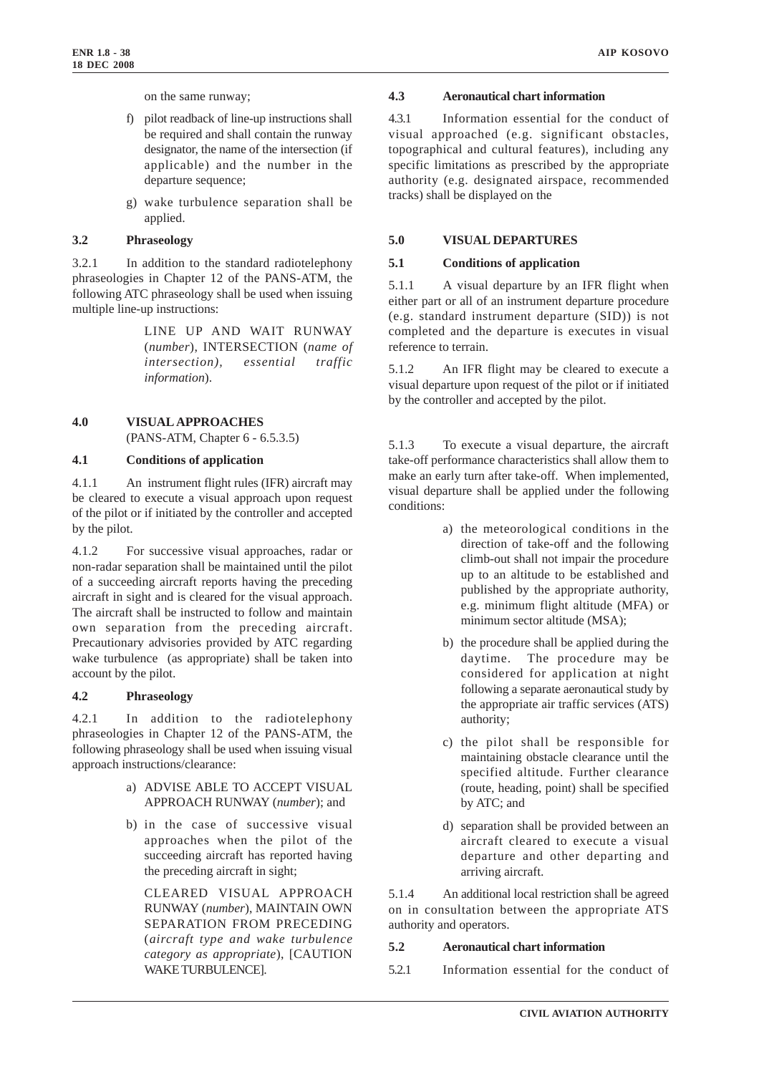on the same runway;

- f) pilot readback of line-up instructions shall be required and shall contain the runway designator, the name of the intersection (if applicable) and the number in the departure sequence;
- g) wake turbulence separation shall be applied.

#### **3.2 Phraseology**

3.2.1 In addition to the standard radiotelephony phraseologies in Chapter 12 of the PANS-ATM, the following ATC phraseology shall be used when issuing multiple line-up instructions:

> LINE UP AND WAIT RUNWAY (*number*), INTERSECTION (*name of intersection), essential traffic information*).

#### **4.0 VISUAL APPROACHES**

(PANS-ATM, Chapter 6 - 6.5.3.5)

#### **4.1 Conditions of application**

4.1.1 An instrument flight rules (IFR) aircraft may be cleared to execute a visual approach upon request of the pilot or if initiated by the controller and accepted by the pilot.

4.1.2 For successive visual approaches, radar or non-radar separation shall be maintained until the pilot of a succeeding aircraft reports having the preceding aircraft in sight and is cleared for the visual approach. The aircraft shall be instructed to follow and maintain own separation from the preceding aircraft. Precautionary advisories provided by ATC regarding wake turbulence (as appropriate) shall be taken into account by the pilot.

#### **4.2 Phraseology**

4.2.1 In addition to the radiotelephony phraseologies in Chapter 12 of the PANS-ATM, the following phraseology shall be used when issuing visual approach instructions/clearance:

- a) ADVISE ABLE TO ACCEPT VISUAL APPROACH RUNWAY (*number*); and
- b) in the case of successive visual approaches when the pilot of the succeeding aircraft has reported having the preceding aircraft in sight;

CLEARED VISUAL APPROACH RUNWAY (*number*), MAINTAIN OWN SEPARATION FROM PRECEDING (*aircraft type and wake turbulence category as appropriate*), [CAUTION WAKE TURBULENCE].

#### **4.3 Aeronautical chart information**

4.3.1 Information essential for the conduct of visual approached (e.g. significant obstacles, topographical and cultural features), including any specific limitations as prescribed by the appropriate authority (e.g. designated airspace, recommended tracks) shall be displayed on the

#### **5.0 VISUAL DEPARTURES**

#### **5.1 Conditions of application**

5.1.1 A visual departure by an IFR flight when either part or all of an instrument departure procedure (e.g. standard instrument departure (SID)) is not completed and the departure is executes in visual reference to terrain.

5.1.2 An IFR flight may be cleared to execute a visual departure upon request of the pilot or if initiated by the controller and accepted by the pilot.

5.1.3 To execute a visual departure, the aircraft take-off performance characteristics shall allow them to make an early turn after take-off. When implemented, visual departure shall be applied under the following conditions:

- a) the meteorological conditions in the direction of take-off and the following climb-out shall not impair the procedure up to an altitude to be established and published by the appropriate authority, e.g. minimum flight altitude (MFA) or minimum sector altitude (MSA);
- b) the procedure shall be applied during the daytime. The procedure may be considered for application at night following a separate aeronautical study by the appropriate air traffic services (ATS) authority;
- c) the pilot shall be responsible for maintaining obstacle clearance until the specified altitude. Further clearance (route, heading, point) shall be specified by ATC; and
- d) separation shall be provided between an aircraft cleared to execute a visual departure and other departing and arriving aircraft.

5.1.4 An additional local restriction shall be agreed on in consultation between the appropriate ATS authority and operators.

#### **5.2 Aeronautical chart information**

5.2.1 Information essential for the conduct of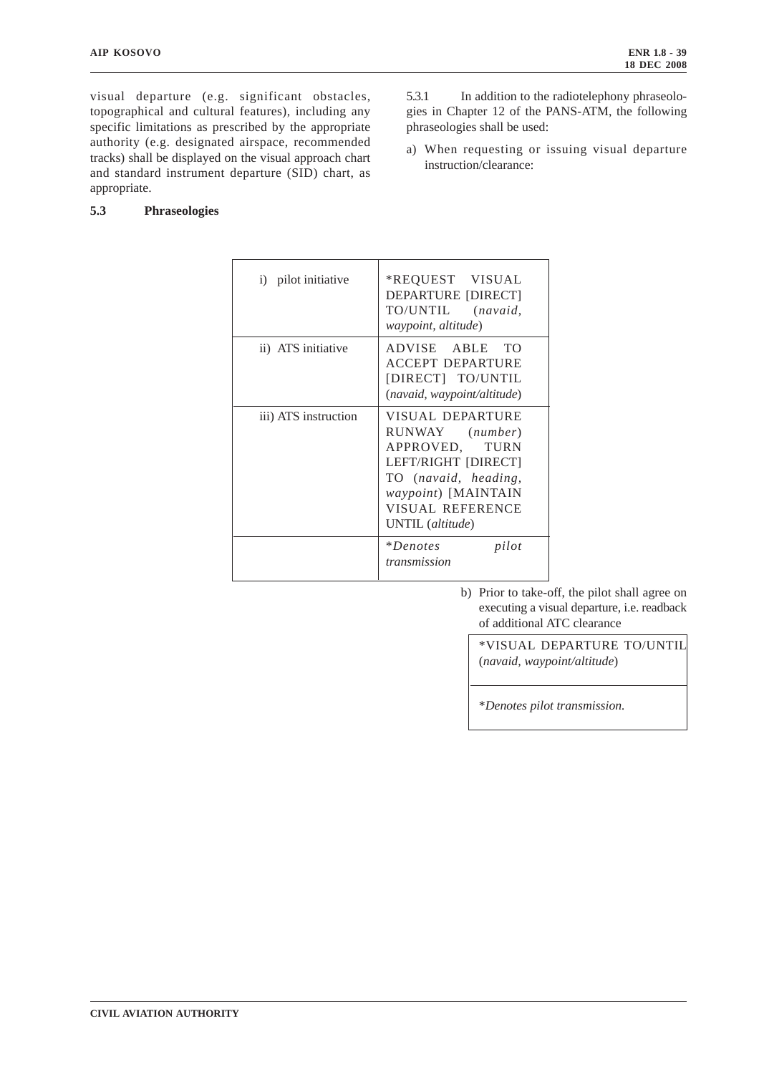visual departure (e.g. significant obstacles, topographical and cultural features), including any specific limitations as prescribed by the appropriate authority (e.g. designated airspace, recommended tracks) shall be displayed on the visual approach chart and standard instrument departure (SID) chart, as appropriate.

### **5.3 Phraseologies**

5.3.1 In addition to the radiotelephony phraseologies in Chapter 12 of the PANS-ATM, the following phraseologies shall be used:

a) When requesting or issuing visual departure instruction/clearance:

| i) pilot initiative  | *REQUEST VISUAL<br><b>DEPARTURE [DIRECT]</b><br>TO/UNTIL (navaid,<br><i>waypoint, altitude)</i>                                                                                    |
|----------------------|------------------------------------------------------------------------------------------------------------------------------------------------------------------------------------|
| ii) ATS initiative   | ADVISE ABLE TO<br><b>ACCEPT DEPARTURE</b><br>[DIRECT] TO/UNTIL<br>(navaid, waypoint/altitude)                                                                                      |
| iii) ATS instruction | VISUAL DEPARTURE<br>RUNWAY (number)<br>APPROVED, TURN<br>LEFT/RIGHT [DIRECT]<br>TO (navaid, heading,<br><i>waypoint</i> ) [MAINTAIN<br><b>VISUAL REFERENCE</b><br>UNTIL (altitude) |
|                      | *Denotes<br>pilot<br>transmission                                                                                                                                                  |

b) Prior to take-off, the pilot shall agree on executing a visual departure, i.e. readback of additional ATC clearance

\*VISUAL DEPARTURE TO/UNTIL (*navaid, waypoint/altitude*)

\**Denotes pilot transmission.*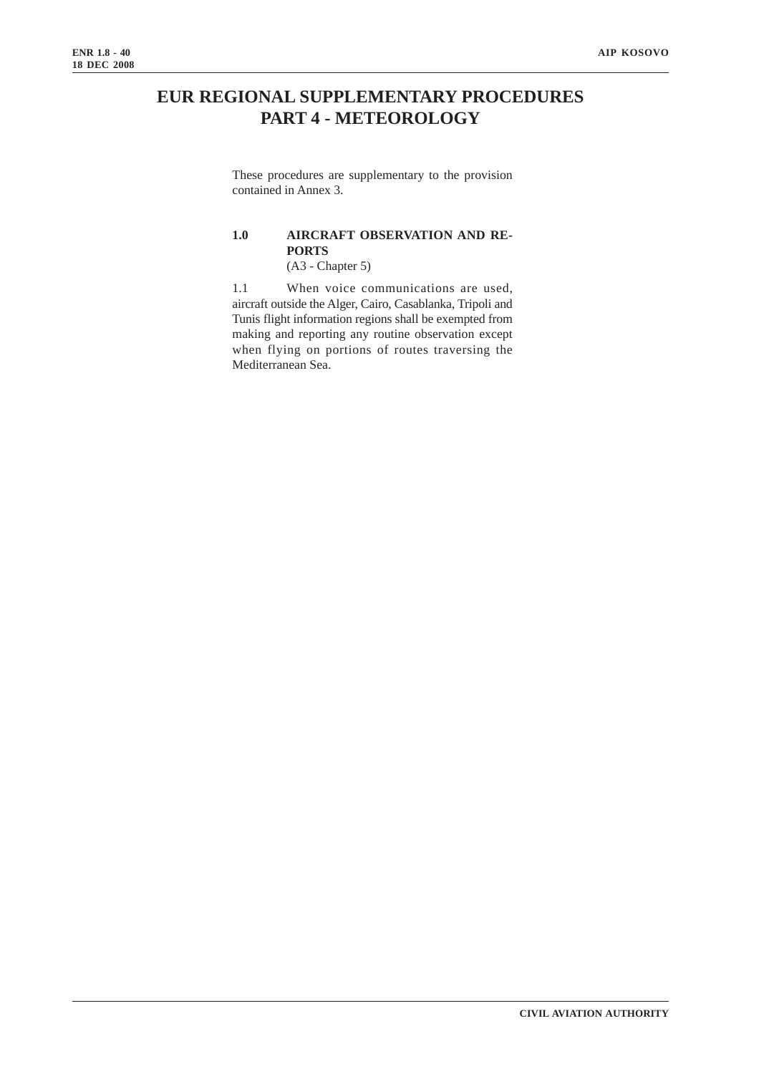# **EUR REGIONAL SUPPLEMENTARY PROCEDURES PART 4 - METEOROLOGY**

These procedures are supplementary to the provision contained in Annex 3.

# **1.0 AIRCRAFT OBSERVATION AND RE-PORTS**

(A3 - Chapter 5)

1.1 When voice communications are used, aircraft outside the Alger, Cairo, Casablanka, Tripoli and Tunis flight information regions shall be exempted from making and reporting any routine observation except when flying on portions of routes traversing the Mediterranean Sea.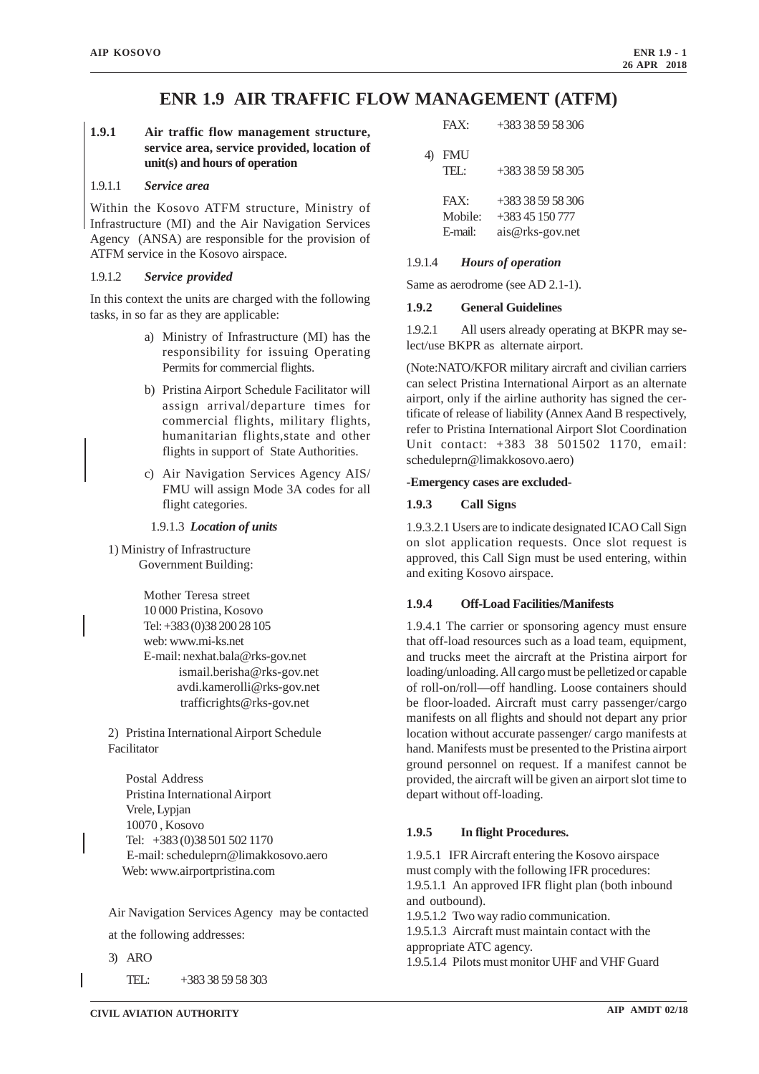# **ENR 1.9 AIR TRAFFIC FLOW MANAGEMENT (ATFM)**

#### **1.9.1 Air traffic flow management structure, service area, service provided, location of unit(s) and hours of operation**

#### 1.9.1.1 *Service area*

Within the Kosovo ATFM structure, Ministry of Infrastructure (MI) and the Air Navigation Services Agency (ANSA) are responsible for the provision of ATFM service in the Kosovo airspace.

#### 1.9.1.2 *Service provided*

In this context the units are charged with the following tasks, in so far as they are applicable:

- a) Ministry of Infrastructure (MI) has the responsibility for issuing Operating Permits for commercial flights.
- b) Pristina Airport Schedule Facilitator will assign arrival/departure times for commercial flights, military flights, humanitarian flights,state and other flights in support of State Authorities.
- c) Air Navigation Services Agency AIS/ FMU will assign Mode 3A codes for all flight categories.
- 1.9.1.3 *Location of units*

1) Ministry of Infrastructure Government Building:

> Mother Teresa street 10 000 Pristina, Kosovo Tel: +383 (0)38 200 28 105 web: www.mi-ks.net E-mail: nexhat.bala@rks-gov.net ismail.berisha@rks-gov.net avdi.kamerolli@rks-gov.net trafficrights@rks-gov.net

2) Pristina International Airport Schedule Facilitator

Postal Address Pristina International Airport Vrele, Lypjan 10070 , Kosovo Tel: +383 (0)38 501 502 1170 E-mail: scheduleprn@limakkosovo.aero Web: www.airportpristina.com

Air Navigation Services Agency may be contacted

at the following addresses:

3) ARO

TEL: +383 38 59 58 303

|    | FAX:                        | $+383385958306$                                      |
|----|-----------------------------|------------------------------------------------------|
| 4) | <b>FMU</b><br>$\text{TH}$ : | $+383$ 38 59 58 305                                  |
|    | FAX:<br>Mobile:<br>E-mail:  | $+383385958306$<br>$+38345150777$<br>ais@rks-gov.net |

#### 1.9.1.4 *Hours of operation*

Same as aerodrome (see AD 2.1-1).

#### **1.9.2 General Guidelines**

1.9.2.1 All users already operating at BKPR may select/use BKPR as alternate airport.

(Note:NATO/KFOR military aircraft and civilian carriers can select Pristina International Airport as an alternate airport, only if the airline authority has signed the certificate of release of liability (Annex Aand B respectively, refer to Pristina International Airport Slot Coordination Unit contact: +383 38 501502 1170, email: scheduleprn@limakkosovo.aero)

#### **-Emergency cases are excluded-**

#### **1.9.3 Call Signs**

1.9.3.2.1 Users are to indicate designated ICAO Call Sign on slot application requests. Once slot request is approved, this Call Sign must be used entering, within and exiting Kosovo airspace.

#### **1.9.4 Off-Load Facilities/Manifests**

1.9.4.1 The carrier or sponsoring agency must ensure that off-load resources such as a load team, equipment, and trucks meet the aircraft at the Pristina airport for loading/unloading. All cargo must be pelletized or capable of roll-on/roll—off handling. Loose containers should be floor-loaded. Aircraft must carry passenger/cargo manifests on all flights and should not depart any prior location without accurate passenger/ cargo manifests at hand. Manifests must be presented to the Pristina airport ground personnel on request. If a manifest cannot be provided, the aircraft will be given an airport slot time to depart without off-loading.

#### **1.9.5 In flight Procedures.**

1.9.5.1 IFR Aircraft entering the Kosovo airspace must comply with the following IFR procedures: 1.9.5.1.1 An approved IFR flight plan (both inbound and outbound).

1.9.5.1.2 Two way radio communication.

1.9.5.1.3 Aircraft must maintain contact with the appropriate ATC agency.

1.9.5.1.4 Pilots must monitor UHF and VHF Guard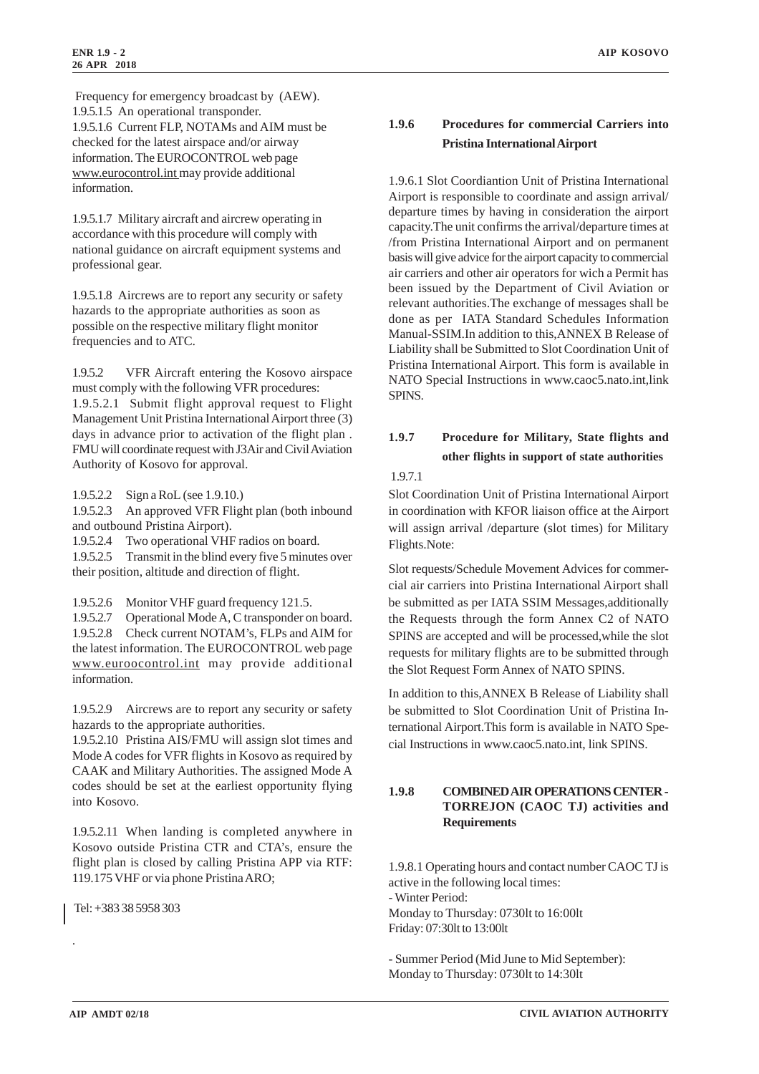Frequency for emergency broadcast by (AEW). 1.9.5.1.5 An operational transponder. 1.9.5.1.6 Current FLP, NOTAMs and AIM must be checked for the latest airspace and/or airway information. The EUROCONTROL web page www.eurocontrol.int may provide additional information.

1.9.5.1.7 Military aircraft and aircrew operating in accordance with this procedure will comply with national guidance on aircraft equipment systems and professional gear.

1.9.5.1.8 Aircrews are to report any security or safety hazards to the appropriate authorities as soon as possible on the respective military flight monitor frequencies and to ATC.

1.9.5.2 VFR Aircraft entering the Kosovo airspace must comply with the following VFR procedures: 1.9.5.2.1 Submit flight approval request to Flight Management Unit Pristina International Airport three (3) days in advance prior to activation of the flight plan . FMU will coordinate request with J3Air and Civil Aviation Authority of Kosovo for approval.

1.9.5.2.2 Sign a RoL (see 1.9.10.)

1.9.5.2.3 An approved VFR Flight plan (both inbound and outbound Pristina Airport).

1.9.5.2.4 Two operational VHF radios on board.

1.9.5.2.5 Transmit in the blind every five 5 minutes over their position, altitude and direction of flight.

1.9.5.2.6 Monitor VHF guard frequency 121.5.

1.9.5.2.7 Operational Mode A, C transponder on board. 1.9.5.2.8 Check current NOTAM's, FLPs and AIM for the latest information. The EUROCONTROL web page www.euroocontrol.int may provide additional information.

1.9.5.2.9 Aircrews are to report any security or safety hazards to the appropriate authorities.

1.9.5.2.10 Pristina AIS/FMU will assign slot times and Mode A codes for VFR flights in Kosovo as required by CAAK and Military Authorities. The assigned Mode A codes should be set at the earliest opportunity flying into Kosovo.

1.9.5.2.11 When landing is completed anywhere in Kosovo outside Pristina CTR and CTA's, ensure the flight plan is closed by calling Pristina APP via RTF: 119.175 VHF or via phone Pristina ARO;

Tel: +383 38 5958 303

# **1.9.6 Procedures for commercial Carriers into Pristina International Airport**

1.9.6.1 Slot Coordiantion Unit of Pristina International Airport is responsible to coordinate and assign arrival/ departure times by having in consideration the airport capacity.The unit confirms the arrival/departure times at /from Pristina International Airport and on permanent basis will give advice for the airport capacity to commercial air carriers and other air operators for wich a Permit has been issued by the Department of Civil Aviation or relevant authorities.The exchange of messages shall be done as per IATA Standard Schedules Information Manual-SSIM.In addition to this,ANNEX B Release of Liability shall be Submitted to Slot Coordination Unit of Pristina International Airport. This form is available in NATO Special Instructions in www.caoc5.nato.int,link SPINS.

# **1.9.7 Procedure for Military, State flights and other flights in support of state authorities**

1.9.7.1

Slot Coordination Unit of Pristina International Airport in coordination with KFOR liaison office at the Airport will assign arrival /departure (slot times) for Military Flights.Note:

Slot requests/Schedule Movement Advices for commercial air carriers into Pristina International Airport shall be submitted as per IATA SSIM Messages,additionally the Requests through the form Annex C2 of NATO SPINS are accepted and will be processed,while the slot requests for military flights are to be submitted through the Slot Request Form Annex of NATO SPINS.

In addition to this,ANNEX B Release of Liability shall be submitted to Slot Coordination Unit of Pristina International Airport.This form is available in NATO Special Instructions in www.caoc5.nato.int, link SPINS.

# **1.9.8 COMBINED AIR OPERATIONS CENTER - TORREJON (CAOC TJ) activities and Requirements**

1.9.8.1 Operating hours and contact number CAOC TJ is active in the following local times: - Winter Period: Monday to Thursday: 0730lt to 16:00lt Friday: 07:30lt to 13:00lt

- Summer Period (Mid June to Mid September): Monday to Thursday: 0730lt to 14:30lt

.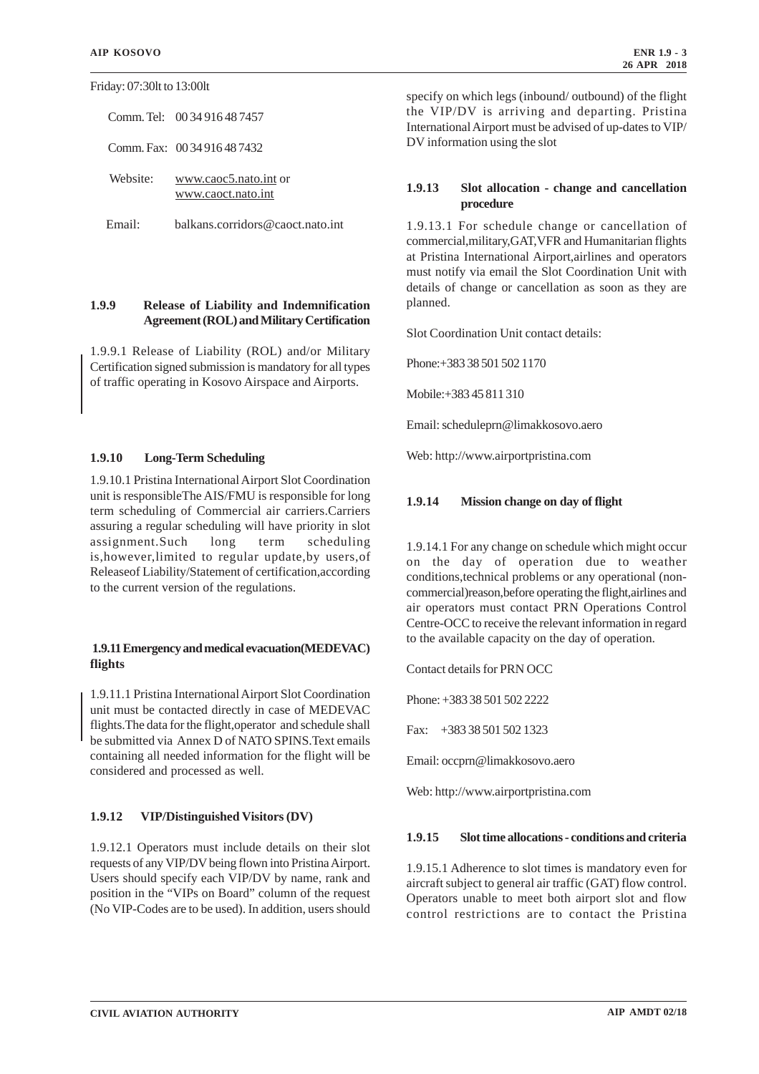Friday: 07:30lt to 13:00lt

Comm. Tel: 00 34 916 48 7457 Comm. Fax: 00 34 916 48 7432 Website: www.caoc5.nato.int or www.caoct.nato.int

Email: balkans.corridors@caoct.nato.int

# **1.9.9 Release of Liability and Indemnification Agreement (ROL) and Military Certification**

1.9.9.1 Release of Liability (ROL) and/or Military Certification signed submission is mandatory for all types of traffic operating in Kosovo Airspace and Airports.

#### **1.9.10 Long-Term Scheduling**

1.9.10.1 Pristina International Airport Slot Coordination unit is responsibleThe AIS/FMU is responsible for long term scheduling of Commercial air carriers.Carriers assuring a regular scheduling will have priority in slot assignment.Such long term scheduling is,however,limited to regular update,by users,of Releaseof Liability/Statement of certification,according to the current version of the regulations.

#### **1.9.11 Emergency and medical evacuation(MEDEVAC) flights**

1.9.11.1 Pristina International Airport Slot Coordination unit must be contacted directly in case of MEDEVAC flights.The data for the flight,operator and schedule shall be submitted via Annex D of NATO SPINS.Text emails containing all needed information for the flight will be considered and processed as well.

#### **1.9.12 VIP/Distinguished Visitors (DV)**

1.9.12.1 Operators must include details on their slot requests of any VIP/DV being flown into Pristina Airport. Users should specify each VIP/DV by name, rank and position in the "VIPs on Board" column of the request (No VIP-Codes are to be used). In addition, users should specify on which legs (inbound/ outbound) of the flight the VIP/DV is arriving and departing. Pristina International Airport must be advised of up-dates to VIP/ DV information using the slot

#### **1.9.13 Slot allocation - change and cancellation procedure**

1.9.13.1 For schedule change or cancellation of commercial,military,GAT,VFR and Humanitarian flights at Pristina International Airport,airlines and operators must notify via email the Slot Coordination Unit with details of change or cancellation as soon as they are planned.

Slot Coordination Unit contact details:

Phone:+383 38 501 502 1170

Mobile:+383 45 811 310

Email: scheduleprn@limakkosovo.aero

Web: http://www.airportpristina.com

#### **1.9.14 Mission change on day of flight**

1.9.14.1 For any change on schedule which might occur on the day of operation due to weather conditions,technical problems or any operational (noncommercial)reason,before operating the flight,airlines and air operators must contact PRN Operations Control Centre-OCC to receive the relevant information in regard to the available capacity on the day of operation.

Contact details for PRN OCC

Phone: +383 38 501 502 2222

Fax: +383 38 501 502 1323

Email: occprn@limakkosovo.aero

Web: http://www.airportpristina.com

#### **1.9.15 Slot time allocations - conditions and criteria**

1.9.15.1 Adherence to slot times is mandatory even for aircraft subject to general air traffic (GAT) flow control. Operators unable to meet both airport slot and flow control restrictions are to contact the Pristina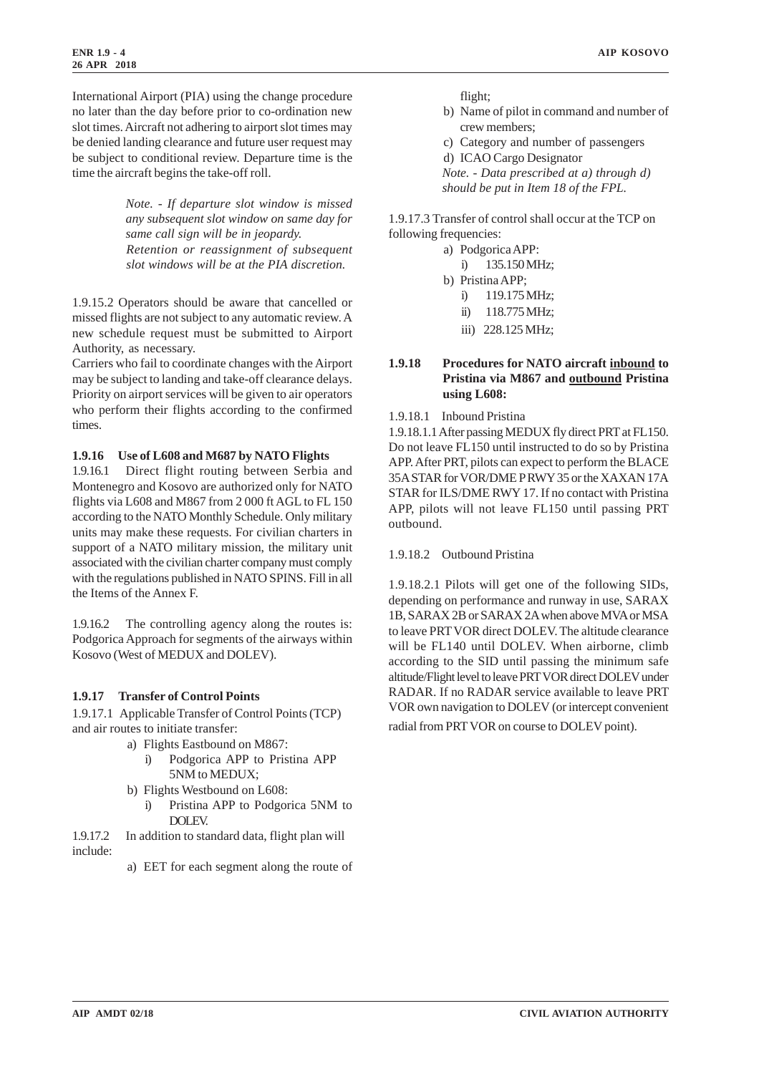International Airport (PIA) using the change procedure no later than the day before prior to co-ordination new slot times. Aircraft not adhering to airport slot times may be denied landing clearance and future user request may be subject to conditional review. Departure time is the time the aircraft begins the take-off roll.

> *Note. - If departure slot window is missed any subsequent slot window on same day for same call sign will be in jeopardy. Retention or reassignment of subsequent slot windows will be at the PIA discretion.*

1.9.15.2 Operators should be aware that cancelled or missed flights are not subject to any automatic review. A new schedule request must be submitted to Airport Authority, as necessary.

Carriers who fail to coordinate changes with the Airport may be subject to landing and take-off clearance delays. Priority on airport services will be given to air operators who perform their flights according to the confirmed times.

#### **1.9.16 Use of L608 and M687 by NATO Flights**

1.9.16.1 Direct flight routing between Serbia and Montenegro and Kosovo are authorized only for NATO flights via L608 and M867 from 2 000 ft AGL to FL 150 according to the NATO Monthly Schedule. Only military units may make these requests. For civilian charters in support of a NATO military mission, the military unit associated with the civilian charter company must comply with the regulations published in NATO SPINS. Fill in all the Items of the Annex F.

1.9.16.2 The controlling agency along the routes is: Podgorica Approach for segments of the airways within Kosovo (West of MEDUX and DOLEV).

#### **1.9.17 Transfer of Control Points**

1.9.17.1 Applicable Transfer of Control Points (TCP) and air routes to initiate transfer:

- a) Flights Eastbound on M867:
	- i) Podgorica APP to Pristina APP 5NM to MEDUX;
- b) Flights Westbound on L608: i) Pristina APP to Podgorica 5NM to DOLEV.

1.9.17.2 In addition to standard data, flight plan will include:

a) EET for each segment along the route of

flight;

- b) Name of pilot in command and number of crew members;
- c) Category and number of passengers
- d) ICAO Cargo Designator

*Note. - Data prescribed at a) through d) should be put in Item 18 of the FPL.*

1.9.17.3 Transfer of control shall occur at the TCP on following frequencies:

- a) Podgorica APP:
	- i) 135.150 MHz;
- b) Pristina APP;
	- i) 119.175 MHz;
	- ii) 118.775 MHz;
	- iii) 228.125 MHz;

### **1.9.18 Procedures for NATO aircraft inbound to Pristina via M867 and outbound Pristina using L608:**

#### 1.9.18.1 Inbound Pristina

1.9.18.1.1 After passing MEDUX fly direct PRT at FL150. Do not leave FL150 until instructed to do so by Pristina APP. After PRT, pilots can expect to perform the BLACE 35A STAR for VOR/DME P RWY 35 or the XAXAN 17A STAR for ILS/DME RWY 17. If no contact with Pristina APP, pilots will not leave FL150 until passing PRT outbound.

#### 1.9.18.2 Outbound Pristina

1.9.18.2.1 Pilots will get one of the following SIDs, depending on performance and runway in use, SARAX 1B, SARAX 2B or SARAX 2A when above MVA or MSA to leave PRT VOR direct DOLEV. The altitude clearance will be FL140 until DOLEV. When airborne, climb according to the SID until passing the minimum safe altitude/Flight level to leave PRT VOR direct DOLEV under RADAR. If no RADAR service available to leave PRT VOR own navigation to DOLEV (or intercept convenient radial from PRT VOR on course to DOLEV point).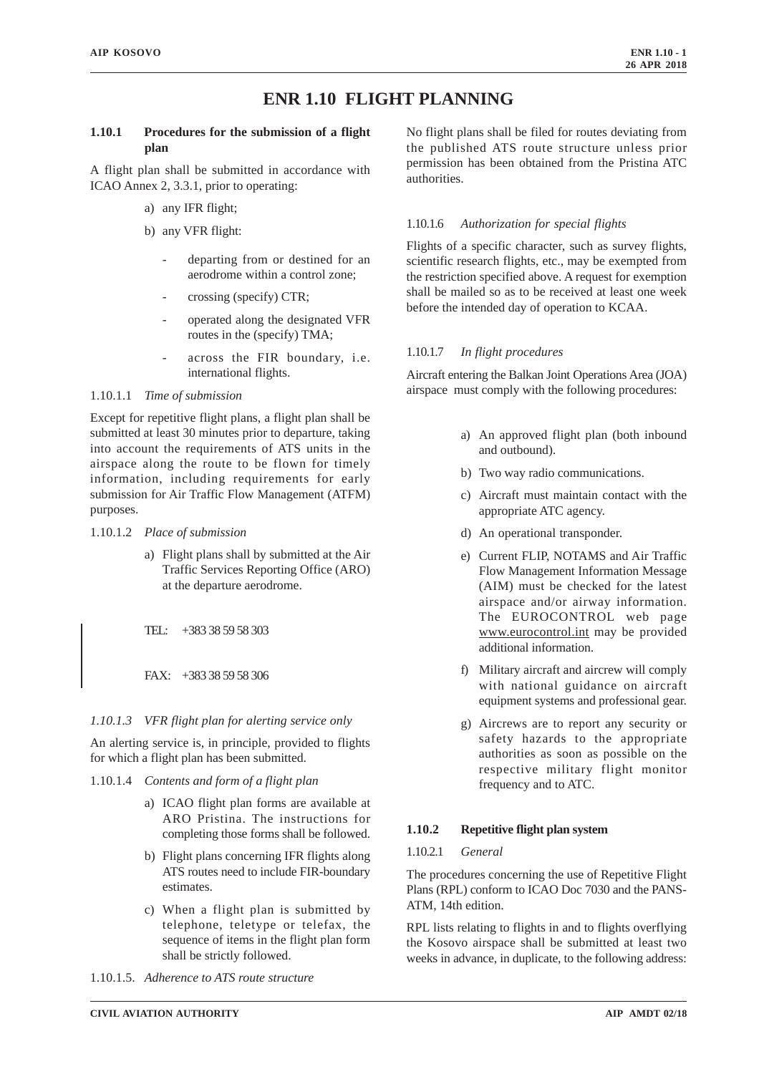# **ENR 1.10 FLIGHT PLANNING**

#### **1.10.1 Procedures for the submission of a flight plan**

A flight plan shall be submitted in accordance with ICAO Annex 2, 3.3.1, prior to operating:

- a) any IFR flight;
- b) any VFR flight:
	- departing from or destined for an aerodrome within a control zone;
	- crossing (specify) CTR;
	- operated along the designated VFR routes in the (specify) TMA;
	- across the FIR boundary, i.e. international flights.

#### 1.10.1.1 *Time of submission*

Except for repetitive flight plans, a flight plan shall be submitted at least 30 minutes prior to departure, taking into account the requirements of ATS units in the airspace along the route to be flown for timely information, including requirements for early submission for Air Traffic Flow Management (ATFM) purposes.

- 1.10.1.2 *Place of submission*
	- a) Flight plans shall by submitted at the Air Traffic Services Reporting Office (ARO) at the departure aerodrome.
	- TEL: +383 38 59 58 303
	- FAX: +383 38 59 58 306

#### *1.10.1.3 VFR flight plan for alerting service only*

An alerting service is, in principle, provided to flights for which a flight plan has been submitted.

- 1.10.1.4 *Contents and form of a flight plan*
	- a) ICAO flight plan forms are available at ARO Pristina. The instructions for completing those forms shall be followed.
	- b) Flight plans concerning IFR flights along ATS routes need to include FIR-boundary estimates.
	- c) When a flight plan is submitted by telephone, teletype or telefax, the sequence of items in the flight plan form shall be strictly followed.
- 1.10.1.5. *Adherence to ATS route structure*

No flight plans shall be filed for routes deviating from the published ATS route structure unless prior permission has been obtained from the Pristina ATC authorities.

#### 1.10.1.6 *Authorization for special flights*

Flights of a specific character, such as survey flights, scientific research flights, etc., may be exempted from the restriction specified above. A request for exemption shall be mailed so as to be received at least one week before the intended day of operation to KCAA.

#### 1.10.1.7 *In flight procedures*

Aircraft entering the Balkan Joint Operations Area (JOA) airspace must comply with the following procedures:

- a) An approved flight plan (both inbound and outbound).
- b) Two way radio communications.
- c) Aircraft must maintain contact with the appropriate ATC agency.
- d) An operational transponder.
- e) Current FLIP, NOTAMS and Air Traffic Flow Management Information Message (AIM) must be checked for the latest airspace and/or airway information. The EUROCONTROL web page www.eurocontrol.int may be provided additional information.
- f) Military aircraft and aircrew will comply with national guidance on aircraft equipment systems and professional gear.
- g) Aircrews are to report any security or safety hazards to the appropriate authorities as soon as possible on the respective military flight monitor frequency and to ATC.

#### **1.10.2 Repetitive flight plan system**

#### 1.10.2.1 *General*

The procedures concerning the use of Repetitive Flight Plans (RPL) conform to ICAO Doc 7030 and the PANS-ATM, 14th edition.

RPL lists relating to flights in and to flights overflying the Kosovo airspace shall be submitted at least two weeks in advance, in duplicate, to the following address: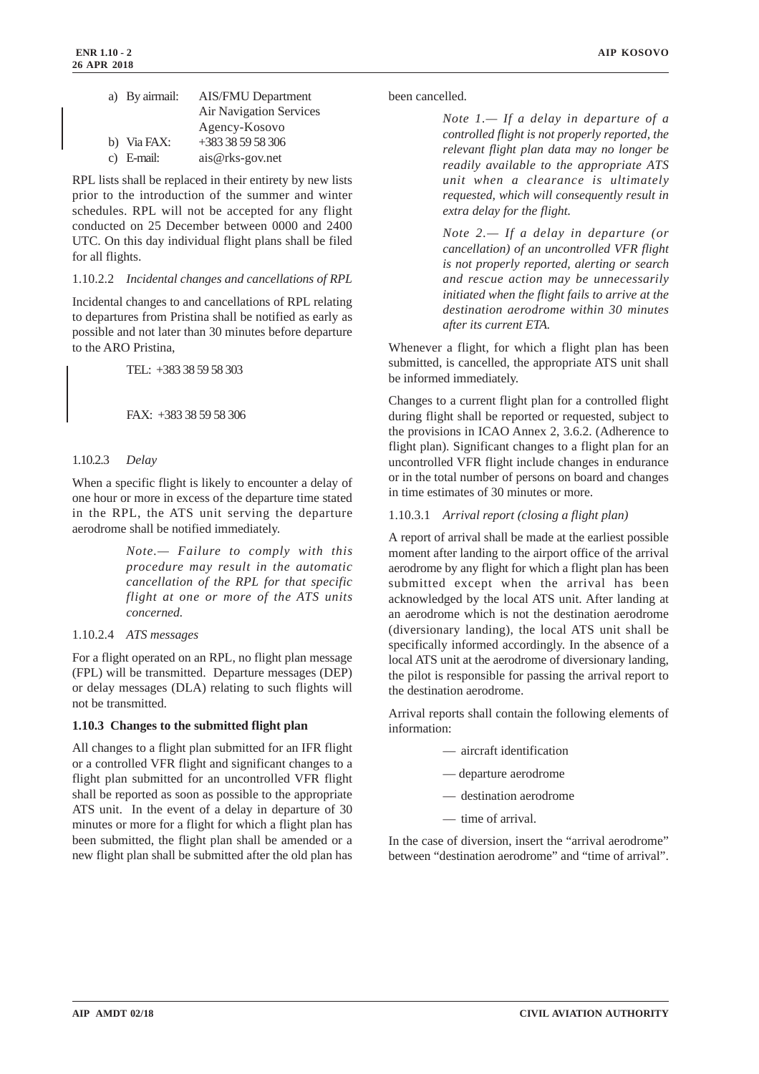| a) By airmail: | <b>AIS/FMU Department</b> |
|----------------|---------------------------|
|                | Air Navigation Services   |
|                | Agency-Kosovo             |
| b) Via FAX:    | +383 38 59 58 306         |
| c) E-mail:     | ais@rks-gov.net           |

RPL lists shall be replaced in their entirety by new lists prior to the introduction of the summer and winter schedules. RPL will not be accepted for any flight conducted on 25 December between 0000 and 2400 UTC. On this day individual flight plans shall be filed for all flights.

#### 1.10.2.2 *Incidental changes and cancellations of RPL*

Incidental changes to and cancellations of RPL relating to departures from Pristina shall be notified as early as possible and not later than 30 minutes before departure to the ARO Pristina,

TEL: +383 38 59 58 303

#### FAX: +383 38 59 58 306

#### 1.10.2.3 *Delay*

When a specific flight is likely to encounter a delay of one hour or more in excess of the departure time stated in the RPL, the ATS unit serving the departure aerodrome shall be notified immediately.

> *Note.— Failure to comply with this procedure may result in the automatic cancellation of the RPL for that specific flight at one or more of the ATS units concerned.*

#### 1.10.2.4 *ATS messages*

For a flight operated on an RPL, no flight plan message (FPL) will be transmitted. Departure messages (DEP) or delay messages (DLA) relating to such flights will not be transmitted.

#### **1.10.3 Changes to the submitted flight plan**

All changes to a flight plan submitted for an IFR flight or a controlled VFR flight and significant changes to a flight plan submitted for an uncontrolled VFR flight shall be reported as soon as possible to the appropriate ATS unit. In the event of a delay in departure of 30 minutes or more for a flight for which a flight plan has been submitted, the flight plan shall be amended or a new flight plan shall be submitted after the old plan has

been cancelled.

*Note 1.— If a delay in departure of a controlled flight is not properly reported, the relevant flight plan data may no longer be readily available to the appropriate ATS unit when a clearance is ultimately requested, which will consequently result in extra delay for the flight.*

*Note 2.— If a delay in departure (or cancellation) of an uncontrolled VFR flight is not properly reported, alerting or search and rescue action may be unnecessarily initiated when the flight fails to arrive at the destination aerodrome within 30 minutes after its current ETA.*

Whenever a flight, for which a flight plan has been submitted, is cancelled, the appropriate ATS unit shall be informed immediately.

Changes to a current flight plan for a controlled flight during flight shall be reported or requested, subject to the provisions in ICAO Annex 2, 3.6.2. (Adherence to flight plan). Significant changes to a flight plan for an uncontrolled VFR flight include changes in endurance or in the total number of persons on board and changes in time estimates of 30 minutes or more.

#### 1.10.3.1 *Arrival report (closing a flight plan)*

A report of arrival shall be made at the earliest possible moment after landing to the airport office of the arrival aerodrome by any flight for which a flight plan has been submitted except when the arrival has been acknowledged by the local ATS unit. After landing at an aerodrome which is not the destination aerodrome (diversionary landing), the local ATS unit shall be specifically informed accordingly. In the absence of a local ATS unit at the aerodrome of diversionary landing, the pilot is responsible for passing the arrival report to the destination aerodrome.

Arrival reports shall contain the following elements of information:

- aircraft identification
- departure aerodrome
- destination aerodrome
- time of arrival.

In the case of diversion, insert the "arrival aerodrome" between "destination aerodrome" and "time of arrival".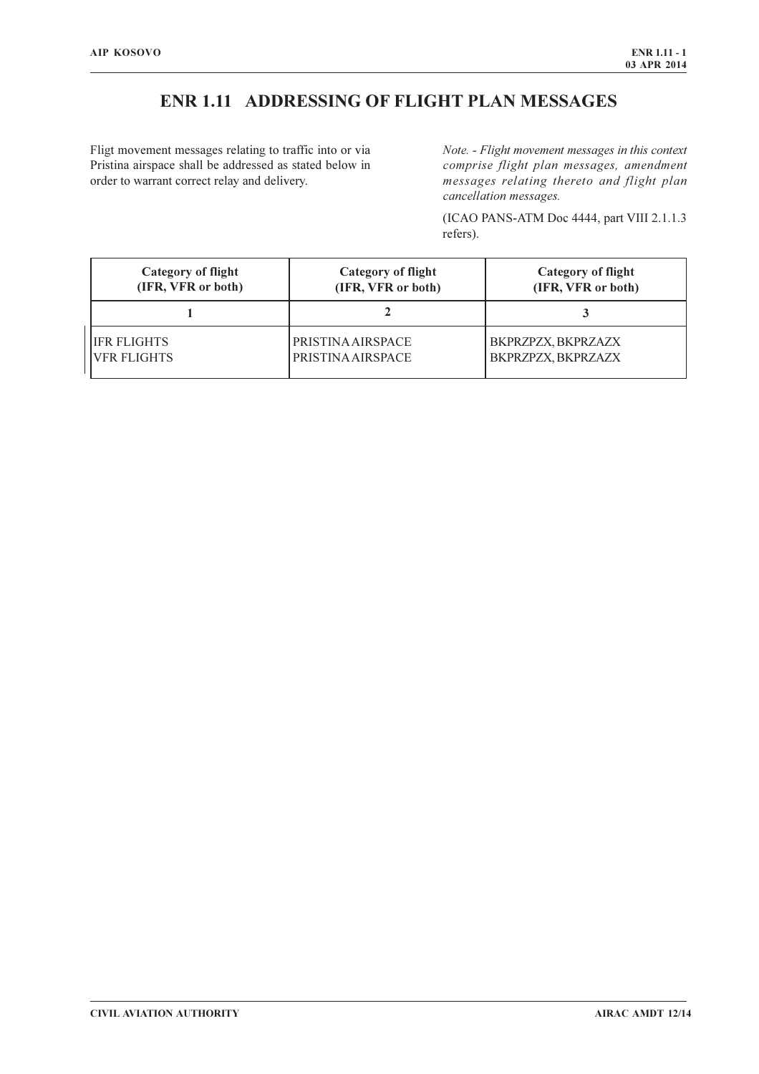# ENR 1.11 ADDRESSING OF FLIGHT PLAN MESSAGES

Fligt movement messages relating to traffic into or via Pristina airspace shall be addressed as stated below in order to warrant correct relay and delivery.

Note. - Flight movement messages in this context comprise flight plan messages, amendment messages relating thereto and flight plan cancellation messages.

(ICAO PANS-ATM Doc 4444, part VIII 2.1.1.3 refers).

| Category of flight | <b>Category of flight</b> | Category of flight |
|--------------------|---------------------------|--------------------|
| (IFR, VFR or both) | (IFR, VFR or both)        | (IFR, VFR or both) |
|                    |                           |                    |
| IFR FLIGHTS        | <b>PRISTINA AIRSPACE</b>  | BKPRZPZX, BKPRZAZX |
| <b>VFR FLIGHTS</b> | PRISTINA AIRSPACE         | BKPRZPZX, BKPRZAZX |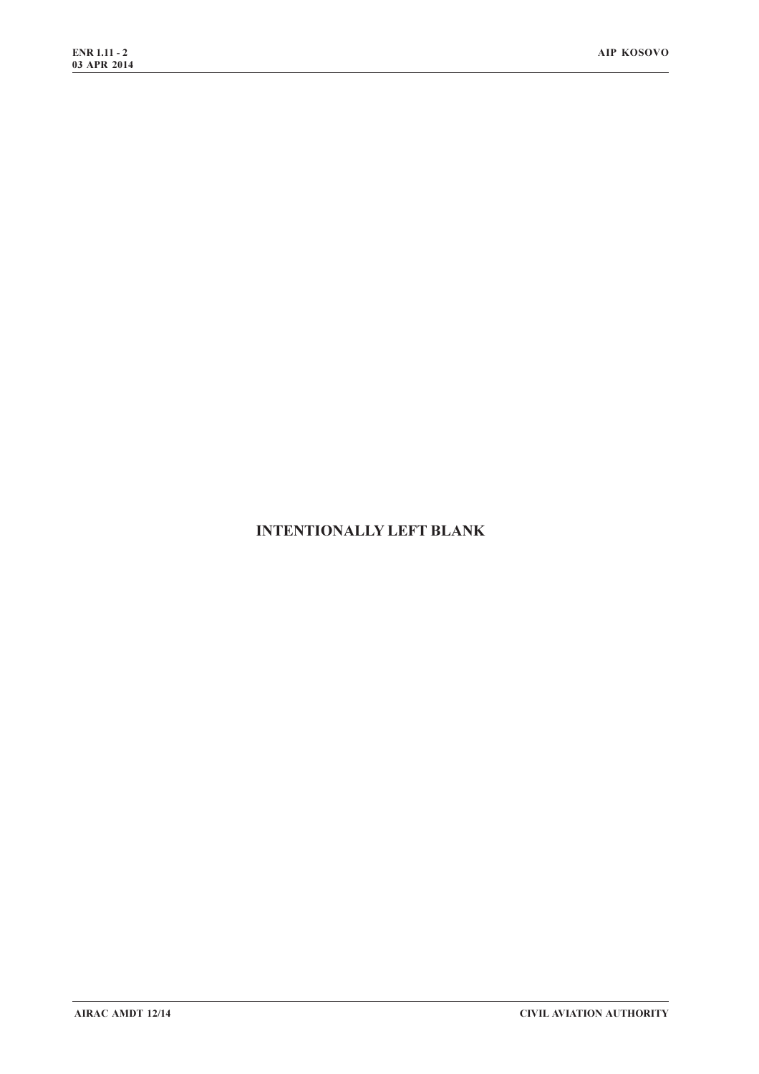# INTENTIONALLY LEFT BLANK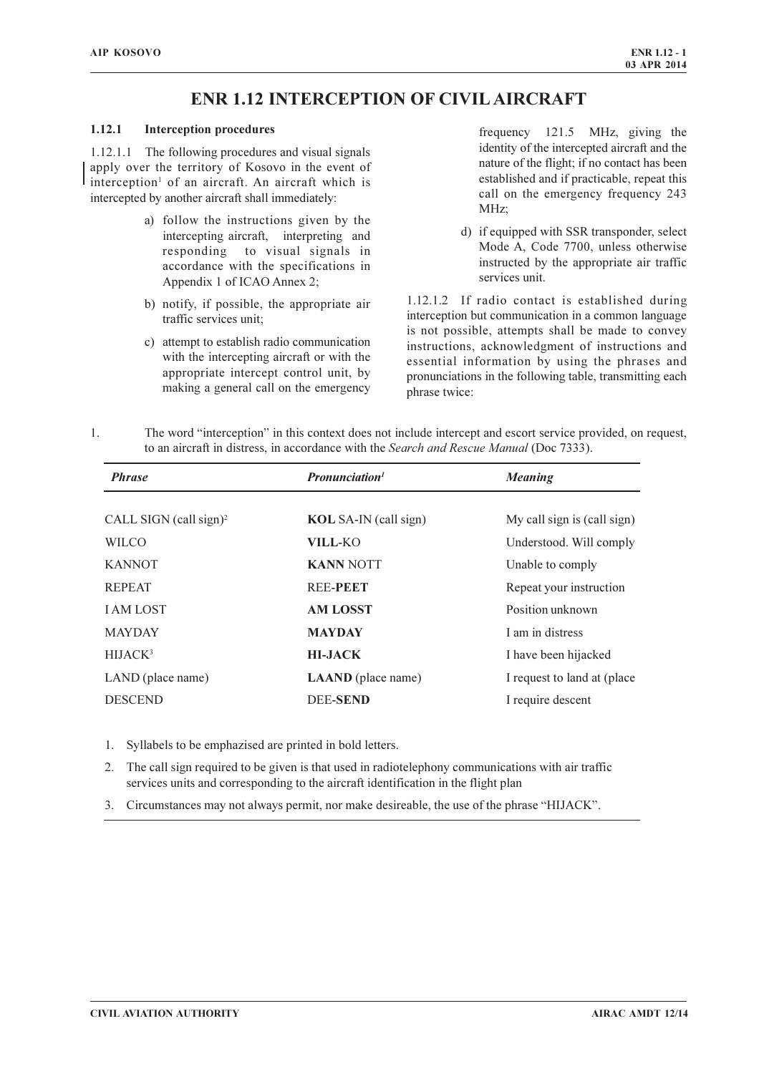# ENR 1.12 INTERCEPTION OF CIVIL AIRCRAFT

#### 1.12.1 Interception procedures

1.12.1.1 The following procedures and visual signals apply over the territory of Kosovo in the event of interception<sup>1</sup> of an aircraft. An aircraft which is intercepted by another aircraft shall immediately:

- a) follow the instructions given by the intercepting aircraft, interpreting and responding to visual signals in accordance with the specifications in Appendix 1 of ICAO Annex 2;
- b) notify, if possible, the appropriate air traffic services unit;
- c) attempt to establish radio communication with the intercepting aircraft or with the appropriate intercept control unit, by making a general call on the emergency

frequency 121.5 MHz, giving the identity of the intercepted aircraft and the nature of the flight; if no contact has been established and if practicable, repeat this call on the emergency frequency 243 MHz;

d) if equipped with SSR transponder, select Mode A, Code 7700, unless otherwise instructed by the appropriate air traffic services unit.

1.12.1.2 If radio contact is established during interception but communication in a common language is not possible, attempts shall be made to convey instructions, acknowledgment of instructions and essential information by using the phrases and pronunciations in the following table, transmitting each phrase twice:

| The word "interception" in this context does not include intercept and escort service provided, on request, |
|-------------------------------------------------------------------------------------------------------------|
| to an aircraft in distress, in accordance with the <i>Search and Rescue Manual</i> (Doc 7333).              |

| <b>Phrase</b>                      | <b>Pronunciation</b> <sup>1</sup> | <b>Meaning</b>               |
|------------------------------------|-----------------------------------|------------------------------|
|                                    |                                   |                              |
| CALL SIGN (call sign) <sup>2</sup> | <b>KOL</b> SA-IN (call sign)      | My call sign is (call sign)  |
| <b>WILCO</b>                       | VILL-KO                           | Understood. Will comply      |
| <b>KANNOT</b>                      | <b>KANN NOTT</b>                  | Unable to comply             |
| <b>REPEAT</b>                      | <b>REE-PEET</b>                   | Repeat your instruction      |
| <b>JAMLOST</b>                     | <b>AM LOSST</b>                   | Position unknown             |
| <b>MAYDAY</b>                      | <b>MAYDAY</b>                     | I am in distress             |
| HIJACK <sup>3</sup>                | <b>HI-JACK</b>                    | I have been hijacked         |
| LAND (place name)                  | <b>LAAND</b> (place name)         | I request to land at (place) |
| <b>DESCEND</b>                     | <b>DEE-SEND</b>                   | I require descent            |

1. Syllabels to be emphazised are printed in bold letters.

2. The call sign required to be given is that used in radiotelephony communications with air traffic services units and corresponding to the aircraft identification in the flight plan

3. Circumstances may not always permit, nor make desireable, the use of the phrase "HIJACK".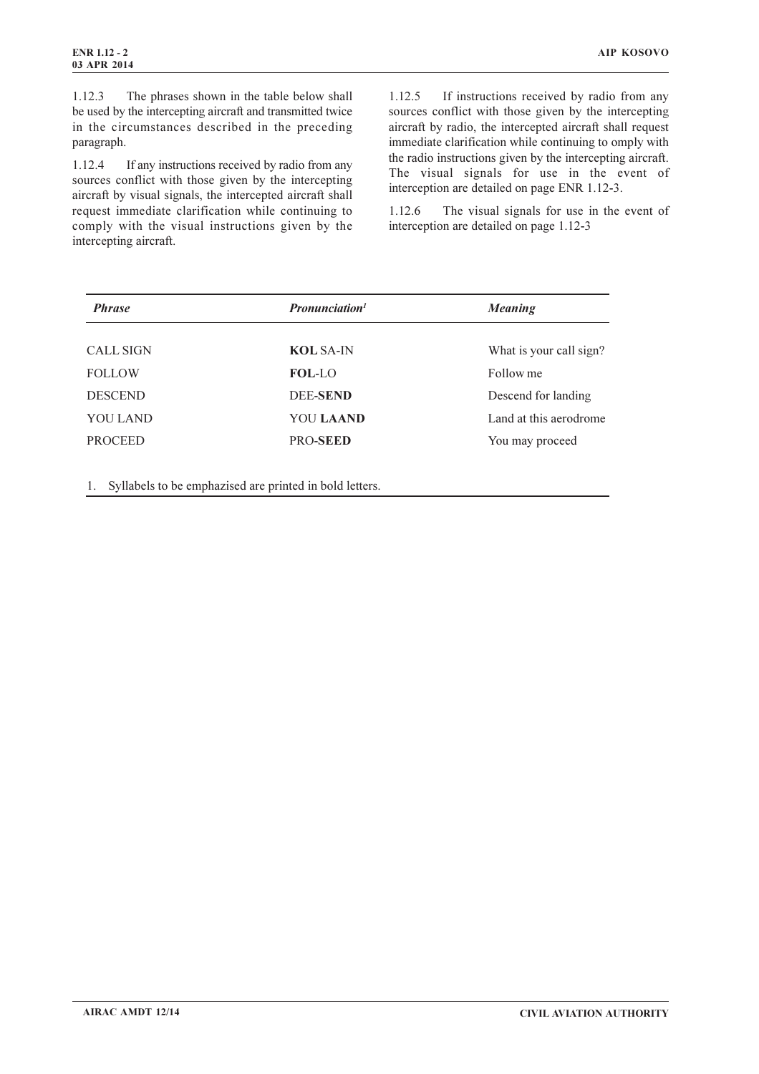1.12.3 The phrases shown in the table below shall be used by the intercepting aircraft and transmitted twice in the circumstances described in the preceding paragraph.

1.12.4 If any instructions received by radio from any sources conflict with those given by the intercepting aircraft by visual signals, the intercepted aircraft shall request immediate clarification while continuing to comply with the visual instructions given by the intercepting aircraft.

1.12.5 If instructions received by radio from any sources conflict with those given by the intercepting aircraft by radio, the intercepted aircraft shall request immediate clarification while continuing to omply with the radio instructions given by the intercepting aircraft. The visual signals for use in the event of interception are detailed on page ENR 1.12-3.

1.12.6 The visual signals for use in the event of interception are detailed on page 1.12-3

| <b>Phrase</b>    | <b>Pronunciation</b> <sup>1</sup> | <b>Meaning</b>          |
|------------------|-----------------------------------|-------------------------|
|                  |                                   |                         |
| <b>CALL SIGN</b> | <b>KOL SA-IN</b>                  | What is your call sign? |
| <b>FOLLOW</b>    | <b>FOL-LO</b>                     | Follow me               |
| <b>DESCEND</b>   | <b>DEE-SEND</b>                   | Descend for landing     |
| <b>YOU LAND</b>  | <b>YOU LAAND</b>                  | Land at this aerodrome  |
| <b>PROCEED</b>   | <b>PRO-SEED</b>                   | You may proceed         |
|                  |                                   |                         |

1. Syllabels to be emphazised are printed in bold letters.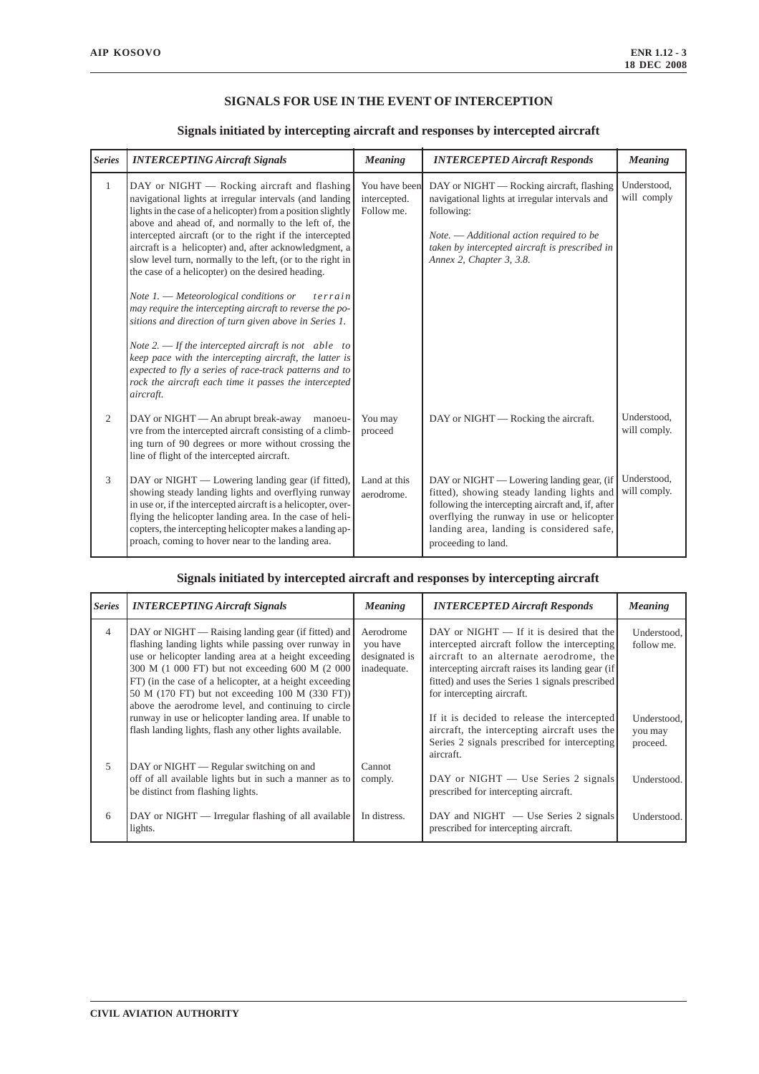#### **SIGNALS FOR USE IN THE EVENT OF INTERCEPTION**

# **Signals initiated by intercepting aircraft and responses by intercepted aircraft**

| <b>Series</b> | <b>INTERCEPTING Aircraft Signals</b>                                                                                                                                                                                                                                                                                                                                                                                                                                                                                                                                                                                                                                                                                                                                                                                                                                                                                  | <b>Meaning</b>                              | <b>INTERCEPTED Aircraft Responds</b>                                                                                                                                                                                                                            | <b>Meaning</b>              |
|---------------|-----------------------------------------------------------------------------------------------------------------------------------------------------------------------------------------------------------------------------------------------------------------------------------------------------------------------------------------------------------------------------------------------------------------------------------------------------------------------------------------------------------------------------------------------------------------------------------------------------------------------------------------------------------------------------------------------------------------------------------------------------------------------------------------------------------------------------------------------------------------------------------------------------------------------|---------------------------------------------|-----------------------------------------------------------------------------------------------------------------------------------------------------------------------------------------------------------------------------------------------------------------|-----------------------------|
| $\mathbf{1}$  | DAY or NIGHT — Rocking aircraft and flashing<br>navigational lights at irregular intervals (and landing<br>lights in the case of a helicopter) from a position slightly<br>above and ahead of, and normally to the left of, the<br>intercepted aircraft (or to the right if the intercepted<br>aircraft is a helicopter) and, after acknowledgment, a<br>slow level turn, normally to the left, (or to the right in<br>the case of a helicopter) on the desired heading.<br>Note $1.$ - Meteorological conditions or<br>terrain<br>may require the intercepting aircraft to reverse the po-<br>sitions and direction of turn given above in Series 1.<br>Note 2. $\frac{d}{dt}$ If the intercepted aircraft is not able to<br>keep pace with the intercepting aircraft, the latter is<br>expected to fly a series of race-track patterns and to<br>rock the aircraft each time it passes the intercepted<br>aircraft. | You have been<br>intercepted.<br>Follow me. | DAY or NIGHT — Rocking aircraft, flashing<br>navigational lights at irregular intervals and<br>following:<br>Note. — Additional action required to be<br>taken by intercepted aircraft is prescribed in<br>Annex 2, Chapter 3, 3.8.                             | Understood,<br>will comply  |
| 2             | DAY or NIGHT - An abrupt break-away<br>manoeu-<br>vre from the intercepted aircraft consisting of a climb-<br>ing turn of 90 degrees or more without crossing the<br>line of flight of the intercepted aircraft.                                                                                                                                                                                                                                                                                                                                                                                                                                                                                                                                                                                                                                                                                                      | You may<br>proceed                          | DAY or NIGHT — Rocking the aircraft.                                                                                                                                                                                                                            | Understood,<br>will comply. |
| 3             | DAY or NIGHT — Lowering landing gear (if fitted),<br>showing steady landing lights and overflying runway<br>in use or, if the intercepted aircraft is a helicopter, over-<br>flying the helicopter landing area. In the case of heli-<br>copters, the intercepting helicopter makes a landing ap-<br>proach, coming to hover near to the landing area.                                                                                                                                                                                                                                                                                                                                                                                                                                                                                                                                                                | Land at this<br>aerodrome.                  | DAY or NIGHT — Lowering landing gear, (if<br>fitted), showing steady landing lights and<br>following the intercepting aircraft and, if, after<br>overflying the runway in use or helicopter<br>landing area, landing is considered safe,<br>proceeding to land. | Understood.<br>will comply. |

# **Signals initiated by intercepted aircraft and responses by intercepting aircraft**

| <b>Series</b> | <b>INTERCEPTING Aircraft Signals</b>                                                                                                                                                                                                                                                                                                                                                        | <b>Meaning</b>                                        | <b>INTERCEPTED Aircraft Responds</b>                                                                                                                                                                                                                                            | <b>Meaning</b>                     |
|---------------|---------------------------------------------------------------------------------------------------------------------------------------------------------------------------------------------------------------------------------------------------------------------------------------------------------------------------------------------------------------------------------------------|-------------------------------------------------------|---------------------------------------------------------------------------------------------------------------------------------------------------------------------------------------------------------------------------------------------------------------------------------|------------------------------------|
| 4             | DAY or NIGHT — Raising landing gear (if fitted) and<br>flashing landing lights while passing over runway in<br>use or helicopter landing area at a height exceeding<br>300 M (1 000 FT) but not exceeding 600 M (2 000<br>FT) (in the case of a helicopter, at a height exceeding<br>50 M (170 FT) but not exceeding 100 M (330 FT))<br>above the aerodrome level, and continuing to circle | Aerodrome<br>you have<br>designated is<br>inadequate. | $DAY$ or NIGHT $-$ If it is desired that the<br>intercepted aircraft follow the intercepting<br>aircraft to an alternate aerodrome, the<br>intercepting aircraft raises its landing gear (if)<br>fitted) and uses the Series 1 signals prescribed<br>for intercepting aircraft. | Understood,<br>follow me.          |
|               | runway in use or helicopter landing area. If unable to<br>flash landing lights, flash any other lights available.                                                                                                                                                                                                                                                                           |                                                       | If it is decided to release the intercepted<br>aircraft, the intercepting aircraft uses the<br>Series 2 signals prescribed for intercepting<br>aircraft.                                                                                                                        | Understood.<br>you may<br>proceed. |
| 5.            | DAY or NIGHT — Regular switching on and<br>off of all available lights but in such a manner as to<br>be distinct from flashing lights.                                                                                                                                                                                                                                                      | Cannot<br>comply.                                     | $DAY$ or NIGHT $-$ Use Series 2 signals<br>prescribed for intercepting aircraft.                                                                                                                                                                                                | Understood.                        |
| 6             | DAY or NIGHT — Irregular flashing of all available<br>lights.                                                                                                                                                                                                                                                                                                                               | In distress.                                          | $DAY$ and NIGHT $-$ Use Series 2 signals<br>prescribed for intercepting aircraft.                                                                                                                                                                                               | Understood.                        |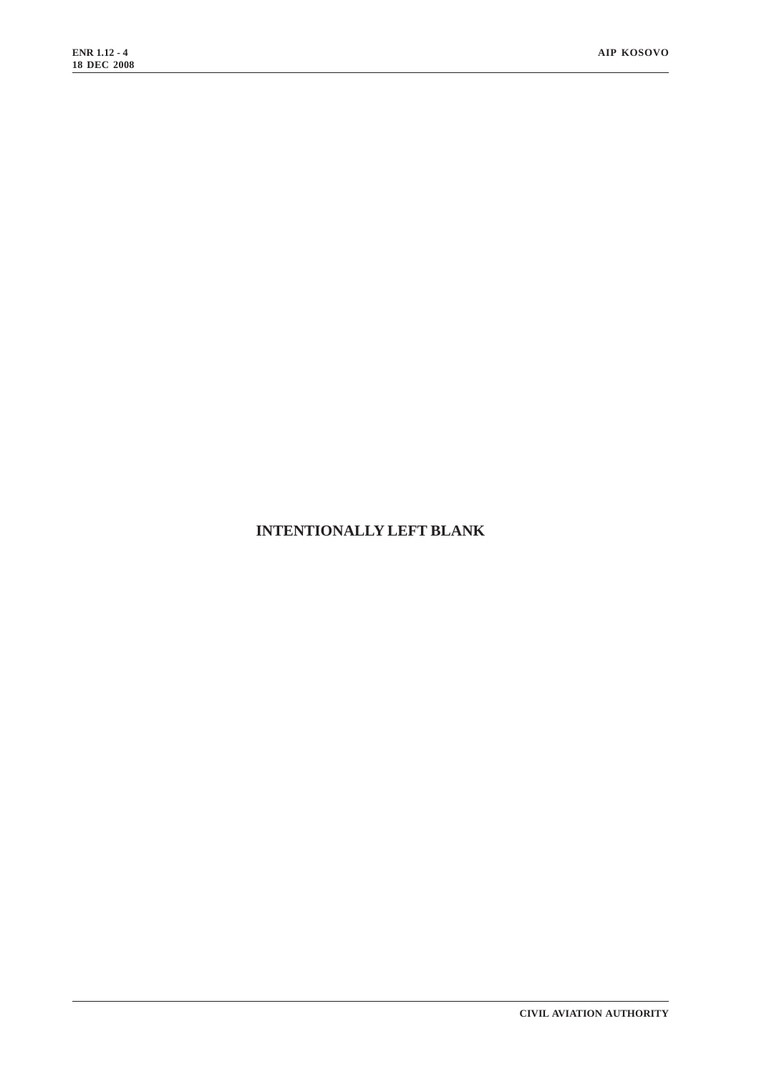# **INTENTIONALLY LEFT BLANK**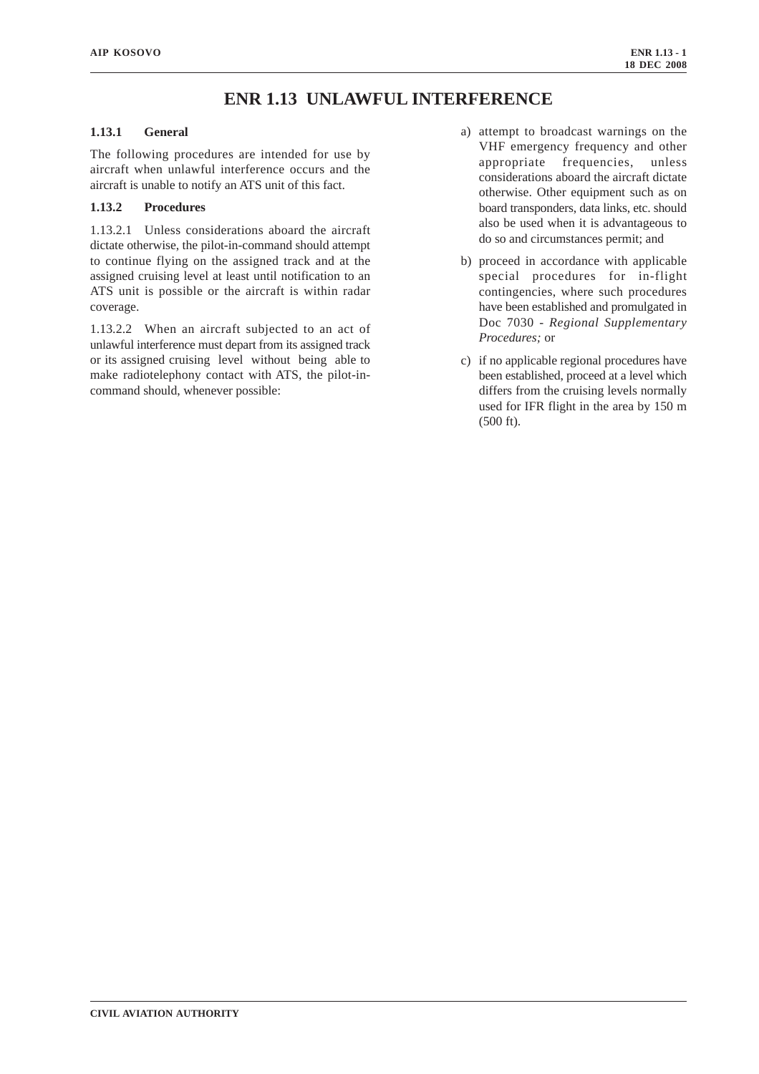### **ENR 1.13 UNLAWFUL INTERFERENCE**

#### **1.13.1 General**

The following procedures are intended for use by aircraft when unlawful interference occurs and the aircraft is unable to notify an ATS unit of this fact.

#### **1.13.2 Procedures**

1.13.2.1 Unless considerations aboard the aircraft dictate otherwise, the pilot-in-command should attempt to continue flying on the assigned track and at the assigned cruising level at least until notification to an ATS unit is possible or the aircraft is within radar coverage.

1.13.2.2 When an aircraft subjected to an act of unlawful interference must depart from its assigned track or its assigned cruising level without being able to make radiotelephony contact with ATS, the pilot-incommand should, whenever possible:

- a) attempt to broadcast warnings on the VHF emergency frequency and other appropriate frequencies, unless considerations aboard the aircraft dictate otherwise. Other equipment such as on board transponders, data links, etc. should also be used when it is advantageous to do so and circumstances permit; and
- b) proceed in accordance with applicable special procedures for in-flight contingencies, where such procedures have been established and promulgated in Doc 7030 - *Regional Supplementary Procedures;* or
- c) if no applicable regional procedures have been established, proceed at a level which differs from the cruising levels normally used for IFR flight in the area by 150 m (500 ft).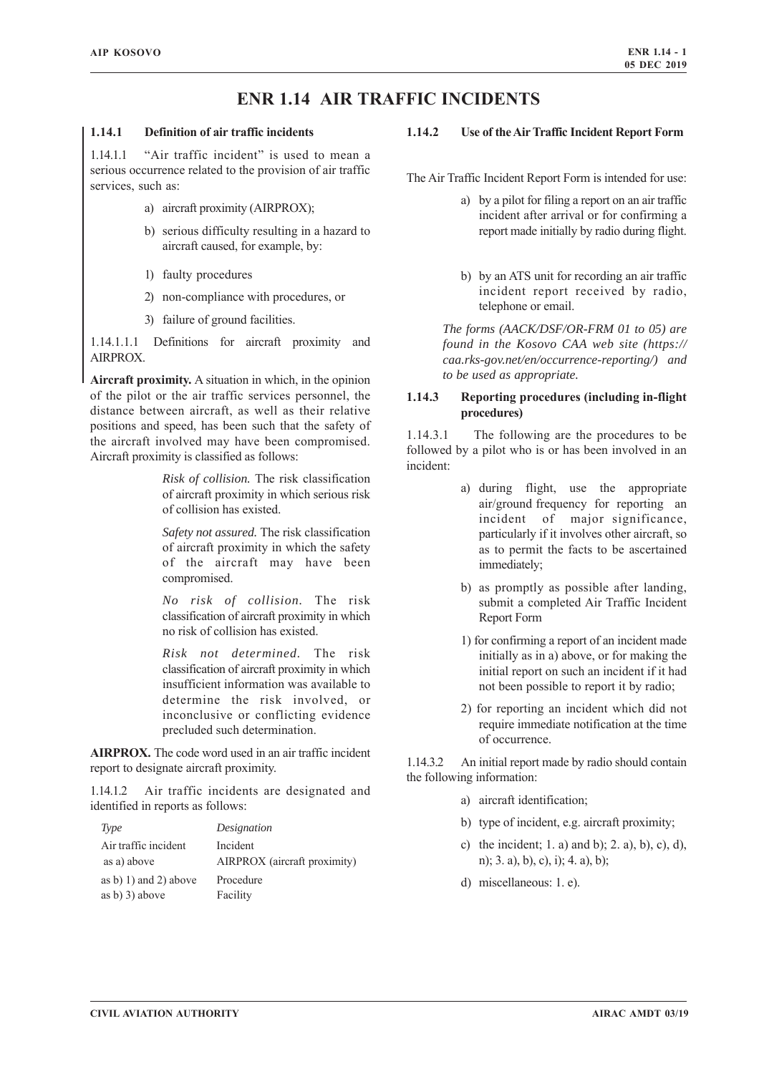### **ENR 1.14 AIR TRAFFIC INCIDENTS**

#### **1.14.1 Definition of air traffic incidents**

1.14.1.1 "Air traffic incident" is used to mean a serious occurrence related to the provision of air traffic services, such as:

- a) aircraft proximity (AIRPROX);
- b) serious difficulty resulting in a hazard to aircraft caused, for example, by:
- 1) faulty procedures
- 2) non-compliance with procedures, or
- 3) failure of ground facilities.

1.14.1.1.1 Definitions for aircraft proximity and AIRPROX.

**Aircraft proximity.** A situation in which, in the opinion of the pilot or the air traffic services personnel, the distance between aircraft, as well as their relative positions and speed, has been such that the safety of the aircraft involved may have been compromised. Aircraft proximity is classified as follows:

> *Risk of collision.* The risk classification of aircraft proximity in which serious risk of collision has existed.

> *Safety not assured.* The risk classification of aircraft proximity in which the safety of the aircraft may have been compromised.

> *No risk of collision.* The risk classification of aircraft proximity in which no risk of collision has existed.

> *Risk not determined.* The risk classification of aircraft proximity in which insufficient information was available to determine the risk involved, or inconclusive or conflicting evidence precluded such determination.

**AIRPROX.** The code word used in an air traffic incident report to designate aircraft proximity.

1.14.1.2 Air traffic incidents are designated and identified in reports as follows:

| Type                  | Designation                  |
|-----------------------|------------------------------|
| Air traffic incident  | Incident                     |
| as a) above           | AIRPROX (aircraft proximity) |
| as b) 1) and 2) above | Procedure                    |
| as b) $3$ ) above     | Facility                     |

#### **1.14.2 Use of the Air Traffic Incident Report Form**

The Air Traffic Incident Report Form is intended for use:

- a) by a pilot for filing a report on an air traffic incident after arrival or for confirming a report made initially by radio during flight.
- b) by an ATS unit for recording an air traffic incident report received by radio, telephone or email.

*The forms (AACK/DSF/OR-FRM 01 to 05) are found in the Kosovo CAA web site (https:// caa.rks-gov.net/en/occurrence-reporting/) and to be used as appropriate.*

#### **1.14.3 Reporting procedures (including in-flight procedures)**

1.14.3.1 The following are the procedures to be followed by a pilot who is or has been involved in an incident:

- a) during flight, use the appropriate air/ground frequency for reporting an incident of major significance, particularly if it involves other aircraft, so as to permit the facts to be ascertained immediately;
- b) as promptly as possible after landing, submit a completed Air Traffic Incident Report Form
- 1) for confirming a report of an incident made initially as in a) above, or for making the initial report on such an incident if it had not been possible to report it by radio;
- 2) for reporting an incident which did not require immediate notification at the time of occurrence.

1.14.3.2 An initial report made by radio should contain the following information:

- a) aircraft identification;
- b) type of incident, e.g. aircraft proximity;
- c) the incident; 1. a) and b); 2. a), b), c), d), n); 3. a), b), c), i); 4. a), b);
- d) miscellaneous: 1. e).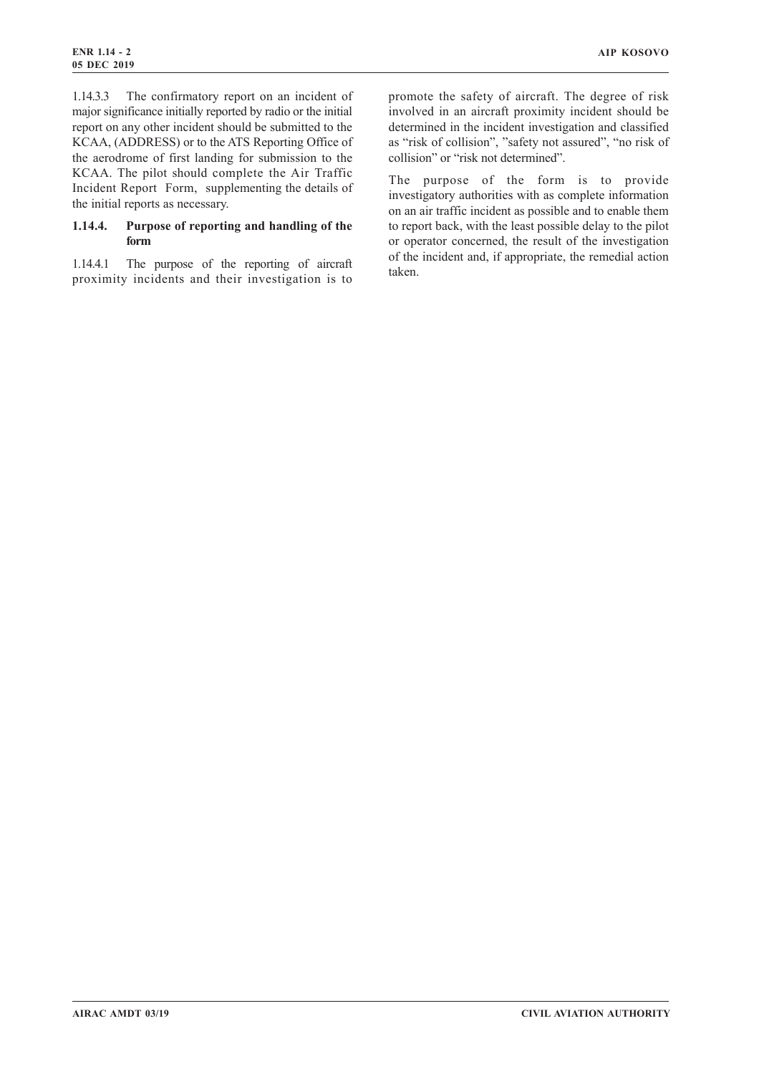1.14.3.3 The confirmatory report on an incident of major significance initially reported by radio or the initial report on any other incident should be submitted to the KCAA, (ADDRESS) or to the ATS Reporting Office of the aerodrome of first landing for submission to the KCAA. The pilot should complete the Air Traffic Incident Report Form, supplementing the details of the initial reports as necessary.

#### **1.14.4. Purpose of reporting and handling of the form**

1.14.4.1 The purpose of the reporting of aircraft proximity incidents and their investigation is to promote the safety of aircraft. The degree of risk involved in an aircraft proximity incident should be determined in the incident investigation and classified as "risk of collision", "safety not assured", "no risk of collision" or "risk not determined".

The purpose of the form is to provide investigatory authorities with as complete information on an air traffic incident as possible and to enable them to report back, with the least possible delay to the pilot or operator concerned, the result of the investigation of the incident and, if appropriate, the remedial action taken.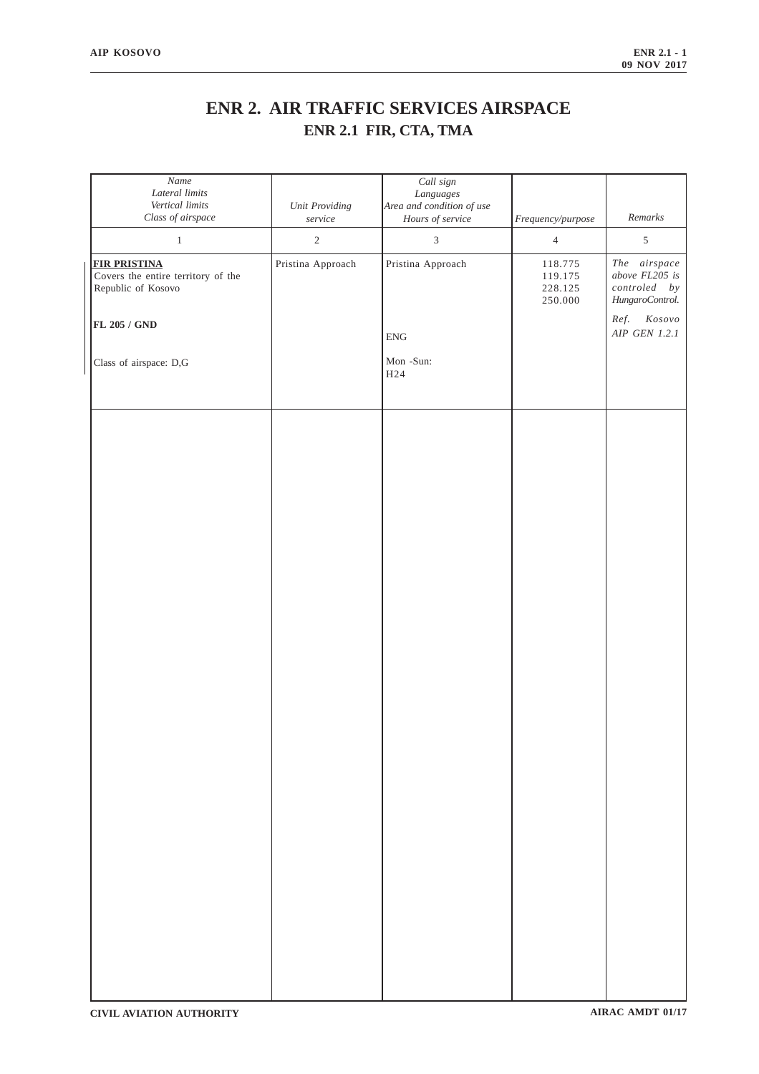# **ENR 2. AIR TRAFFIC SERVICES AIRSPACE ENR 2.1 FIR, CTA, TMA**

| Name<br>Lateral limits                                                          |                    | Call sign                              |                                          |                                                                                                |
|---------------------------------------------------------------------------------|--------------------|----------------------------------------|------------------------------------------|------------------------------------------------------------------------------------------------|
| Vertical limits                                                                 | Unit Providing     | Languages<br>Area and condition of use |                                          |                                                                                                |
| Class of airspace                                                               | $\textit{service}$ | Hours of service                       | Frequency/purpose                        | Remarks                                                                                        |
| $\,1$                                                                           | $\sqrt{2}$         | $\mathfrak{Z}$                         | $\overline{4}$                           | $\sqrt{5}$                                                                                     |
| <b>FIR PRISTINA</b><br>Covers the entire territory of the<br>Republic of Kosovo | Pristina Approach  | Pristina Approach                      | 118.775<br>119.175<br>228.125<br>250.000 | $\label{thm:one} The\ \ \ always\ zero$<br>above $FL205$ is<br>controled by<br>HungaroControl. |
| FL 205 / GND                                                                    |                    | ${\rm ENG}$                            |                                          | Ref.<br>$Kosovo$<br>AIP GEN 1.2.1                                                              |
| Class of airspace: D,G                                                          |                    | Mon -Sun:<br>H24                       |                                          |                                                                                                |
|                                                                                 |                    |                                        |                                          |                                                                                                |
|                                                                                 |                    |                                        |                                          |                                                                                                |
|                                                                                 |                    |                                        |                                          |                                                                                                |
|                                                                                 |                    |                                        |                                          |                                                                                                |
|                                                                                 |                    |                                        |                                          |                                                                                                |
|                                                                                 |                    |                                        |                                          |                                                                                                |
|                                                                                 |                    |                                        |                                          |                                                                                                |
|                                                                                 |                    |                                        |                                          |                                                                                                |
|                                                                                 |                    |                                        |                                          |                                                                                                |
|                                                                                 |                    |                                        |                                          |                                                                                                |
|                                                                                 |                    |                                        |                                          |                                                                                                |
|                                                                                 |                    |                                        |                                          |                                                                                                |
|                                                                                 |                    |                                        |                                          |                                                                                                |
|                                                                                 |                    |                                        |                                          |                                                                                                |
|                                                                                 |                    |                                        |                                          |                                                                                                |
|                                                                                 |                    |                                        |                                          |                                                                                                |
|                                                                                 |                    |                                        |                                          |                                                                                                |
|                                                                                 |                    |                                        |                                          |                                                                                                |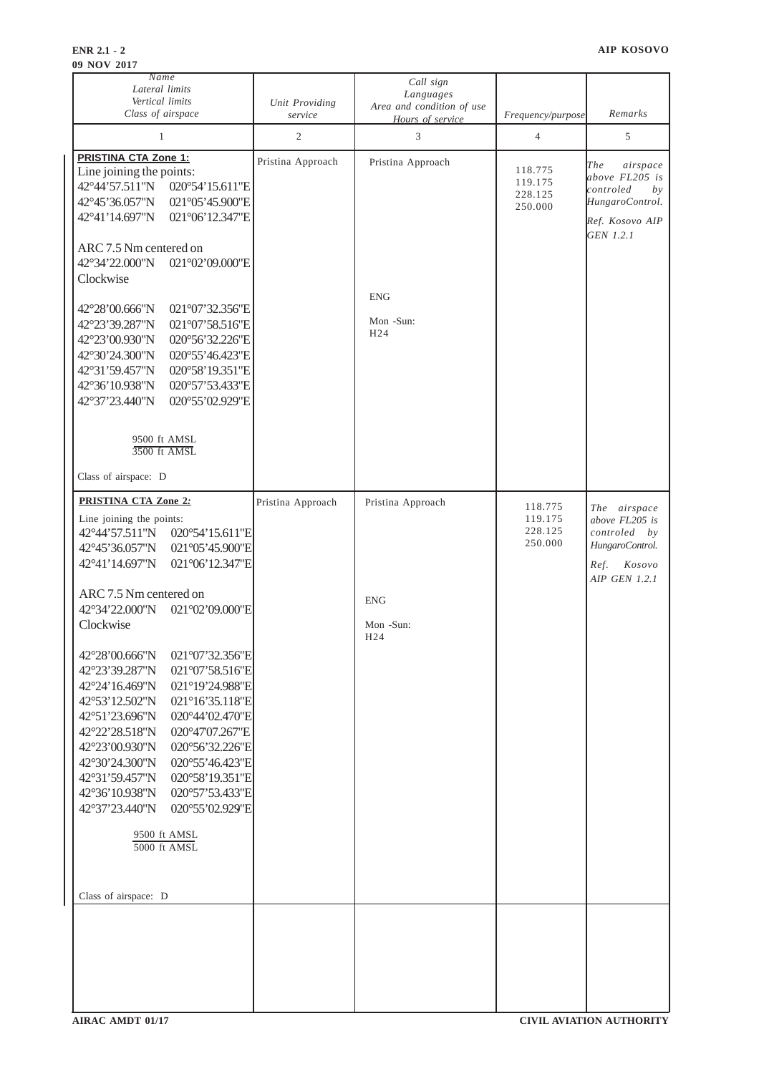**09 NOV 2017 ENR 2.1 - 2**

| Name                                                 |                   | Call sign                                     |                    |                                 |
|------------------------------------------------------|-------------------|-----------------------------------------------|--------------------|---------------------------------|
| Lateral limits<br>Vertical limits                    | Unit Providing    | Languages                                     |                    |                                 |
| Class of airspace                                    | service           | Area and condition of use<br>Hours of service | Frequency/purpose  | Remarks                         |
| $\mathbf{1}$                                         | $\mathfrak{2}$    | 3                                             | $\overline{4}$     | 5                               |
|                                                      |                   |                                               |                    |                                 |
| <b>PRISTINA CTA Zone 1:</b>                          | Pristina Approach | Pristina Approach                             | 118.775            | The<br>airspace                 |
| Line joining the points:                             |                   |                                               | 119.175            | above FL205 is                  |
| 42°44'57.511"N<br>020°54'15.611"E<br>021°05'45.900"E |                   |                                               | 228.125            | controled<br>$b\nu$             |
| 42°45'36.057"N<br>021°06'12.347"E<br>42°41'14.697"N  |                   |                                               | 250.000            | HungaroControl.                 |
|                                                      |                   |                                               |                    | Ref. Kosovo AIP                 |
| ARC 7.5 Nm centered on                               |                   |                                               |                    | GEN 1.2.1                       |
| 021°02'09.000"E<br>42°34'22.000"N                    |                   |                                               |                    |                                 |
| Clockwise                                            |                   |                                               |                    |                                 |
|                                                      |                   | <b>ENG</b>                                    |                    |                                 |
| 42°28'00.666"N<br>021°07'32.356"E                    |                   |                                               |                    |                                 |
| 021°07'58.516"E<br>42°23'39.287"N                    |                   | Mon -Sun:                                     |                    |                                 |
| 020°56'32.226"E<br>42°23'00.930"N                    |                   | H <sub>24</sub>                               |                    |                                 |
| 020°55'46.423"E<br>42°30'24.300"N                    |                   |                                               |                    |                                 |
| 42°31'59.457"N<br>020°58'19.351"E                    |                   |                                               |                    |                                 |
| 020°57'53.433"E<br>42°36'10.938"N                    |                   |                                               |                    |                                 |
| 42°37'23.440"N<br>020°55'02.929"E                    |                   |                                               |                    |                                 |
|                                                      |                   |                                               |                    |                                 |
| 9500 ft AMSL                                         |                   |                                               |                    |                                 |
| 3500 ft AMSL                                         |                   |                                               |                    |                                 |
| Class of airspace: D                                 |                   |                                               |                    |                                 |
|                                                      |                   |                                               |                    |                                 |
| <b>PRISTINA CTA Zone 2:</b>                          | Pristina Approach | Pristina Approach                             | 118.775            | The airspace                    |
| Line joining the points:                             |                   |                                               | 119.175            | above FL205 is                  |
| 42°44'57.511"N<br>020°54'15.611"E                    |                   |                                               | 228.125<br>250.000 | controled by<br>HungaroControl. |
| 42°45'36.057"N<br>021°05'45.900"E                    |                   |                                               |                    |                                 |
| 42°41'14.697"N<br>021°06'12.347"E                    |                   |                                               |                    | Ref.<br>Kosovo<br>AIP GEN 1.2.1 |
| ARC 7.5 Nm centered on                               |                   |                                               |                    |                                 |
| 42°34'22.000"N<br>021°02'09.000"E                    |                   | <b>ENG</b>                                    |                    |                                 |
| Clockwise                                            |                   | Mon -Sun:                                     |                    |                                 |
|                                                      |                   | H <sub>24</sub>                               |                    |                                 |
| 021°07'32.356"E<br>42°28'00.666"N                    |                   |                                               |                    |                                 |
| 021°07'58.516"E<br>42°23'39.287"N                    |                   |                                               |                    |                                 |
| 021°19'24.988"E<br>42°24'16.469"N                    |                   |                                               |                    |                                 |
| 021°16'35.118"E<br>42°53'12.502"N                    |                   |                                               |                    |                                 |
| 020°44'02.470"E<br>42°51'23.696"N                    |                   |                                               |                    |                                 |
| 42°22'28.518"N<br>020°47'07.267"E                    |                   |                                               |                    |                                 |
| 42°23'00.930"N<br>020°56'32.226"E                    |                   |                                               |                    |                                 |
| 020°55'46.423"E<br>42°30'24.300"N                    |                   |                                               |                    |                                 |
| 42°31'59.457"N<br>020°58'19.351"E                    |                   |                                               |                    |                                 |
| 42°36'10.938"N<br>020°57'53.433"E                    |                   |                                               |                    |                                 |
| 42°37'23.440"N<br>020°55'02.929"E                    |                   |                                               |                    |                                 |
| 9500 ft AMSL                                         |                   |                                               |                    |                                 |
| $5000$ ft AMSL                                       |                   |                                               |                    |                                 |
|                                                      |                   |                                               |                    |                                 |
|                                                      |                   |                                               |                    |                                 |
| Class of airspace: D                                 |                   |                                               |                    |                                 |
|                                                      |                   |                                               |                    |                                 |
|                                                      |                   |                                               |                    |                                 |
|                                                      |                   |                                               |                    |                                 |
|                                                      |                   |                                               |                    |                                 |
|                                                      |                   |                                               |                    |                                 |
|                                                      |                   |                                               |                    |                                 |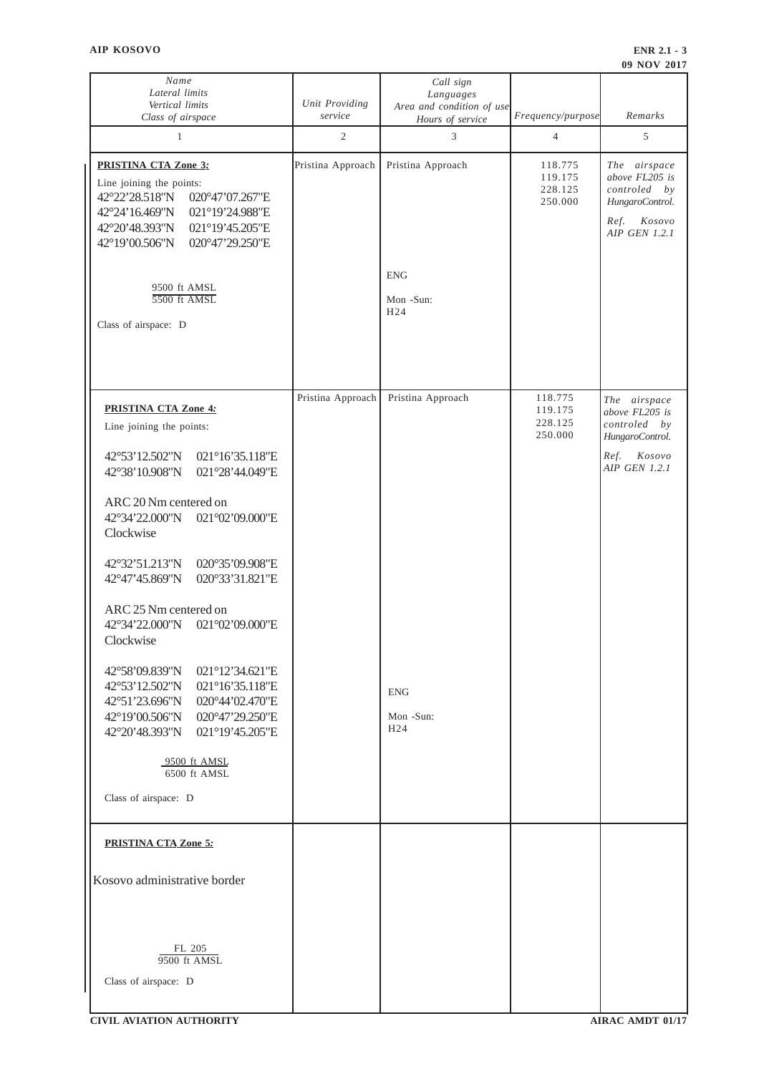| Name<br>Lateral limits<br>Vertical limits                                                                                                                                                                                                                                                                                                                                                                                                                                                                                                                                                                          | Unit Providing    | Call sign<br>Languages                                          |                                          |                                                                                                          |
|--------------------------------------------------------------------------------------------------------------------------------------------------------------------------------------------------------------------------------------------------------------------------------------------------------------------------------------------------------------------------------------------------------------------------------------------------------------------------------------------------------------------------------------------------------------------------------------------------------------------|-------------------|-----------------------------------------------------------------|------------------------------------------|----------------------------------------------------------------------------------------------------------|
| Class of airspace                                                                                                                                                                                                                                                                                                                                                                                                                                                                                                                                                                                                  | service           | Area and condition of use<br>Hours of service                   | Frequency/purpose                        | Remarks                                                                                                  |
| $\mathbf{1}$                                                                                                                                                                                                                                                                                                                                                                                                                                                                                                                                                                                                       | $\mathbf{2}$      | 3                                                               | $\overline{4}$                           | 5                                                                                                        |
| PRISTINA CTA Zone 3:<br>Line joining the points:<br>42°22'28.518"N<br>020°47'07.267"E<br>42°24'16.469"N<br>021°19'24.988"E<br>42°20'48.393"N<br>021°19'45.205"E<br>42°19'00.506"N<br>020°47'29.250"E                                                                                                                                                                                                                                                                                                                                                                                                               | Pristina Approach | Pristina Approach                                               | 118.775<br>119.175<br>228.125<br>250.000 | The airspace<br>above FL205 is<br>controled by<br>HungaroControl.<br>Ref.<br>Kosovo<br>$AIP$ GEN $1.2.1$ |
| 9500 ft AMSL<br>5500 ft AMSL<br>Class of airspace: D                                                                                                                                                                                                                                                                                                                                                                                                                                                                                                                                                               |                   | <b>ENG</b><br>Mon -Sun:<br>H <sub>24</sub>                      |                                          |                                                                                                          |
| <b>PRISTINA CTA Zone 4:</b><br>Line joining the points:<br>42°53'12.502"N<br>021°16'35.118"E<br>42°38'10.908"N<br>021°28'44.049"E<br>ARC 20 Nm centered on<br>42°34'22.000"N<br>021°02'09.000"E<br>Clockwise<br>42°32'51.213"N<br>020°35'09.908"E<br>020°33'31.821"E<br>42°47'45.869"N<br>ARC 25 Nm centered on<br>42°34'22.000"N<br>021°02'09.000"E<br>Clockwise<br>42°58'09.839"N<br>021°12'34.621"E<br>42°53'12.502"N<br>021°16'35.118"E<br>42°51'23.696"N<br>020°44'02.470"E<br>42°19'00.506"N<br>020°47'29.250"E<br>42°20'48.393"N<br>021°19'45.205"E<br>9500 ft AMSL<br>6500 ft AMSL<br>Class of airspace: D | Pristina Approach | Pristina Approach<br><b>ENG</b><br>Mon -Sun:<br>H <sub>24</sub> | 118.775<br>119.175<br>228.125<br>250.000 | The airspace<br>above FL205 is<br>controled by<br>HungaroControl.<br>Ref.<br>Kosovo<br>AIP GEN 1.2.1     |
| <b>PRISTINA CTA Zone 5:</b><br>Kosovo administrative border<br>$\frac{FL 205}{9500 \text{ ft AMSL}}$<br>Class of airspace: D                                                                                                                                                                                                                                                                                                                                                                                                                                                                                       |                   |                                                                 |                                          |                                                                                                          |

J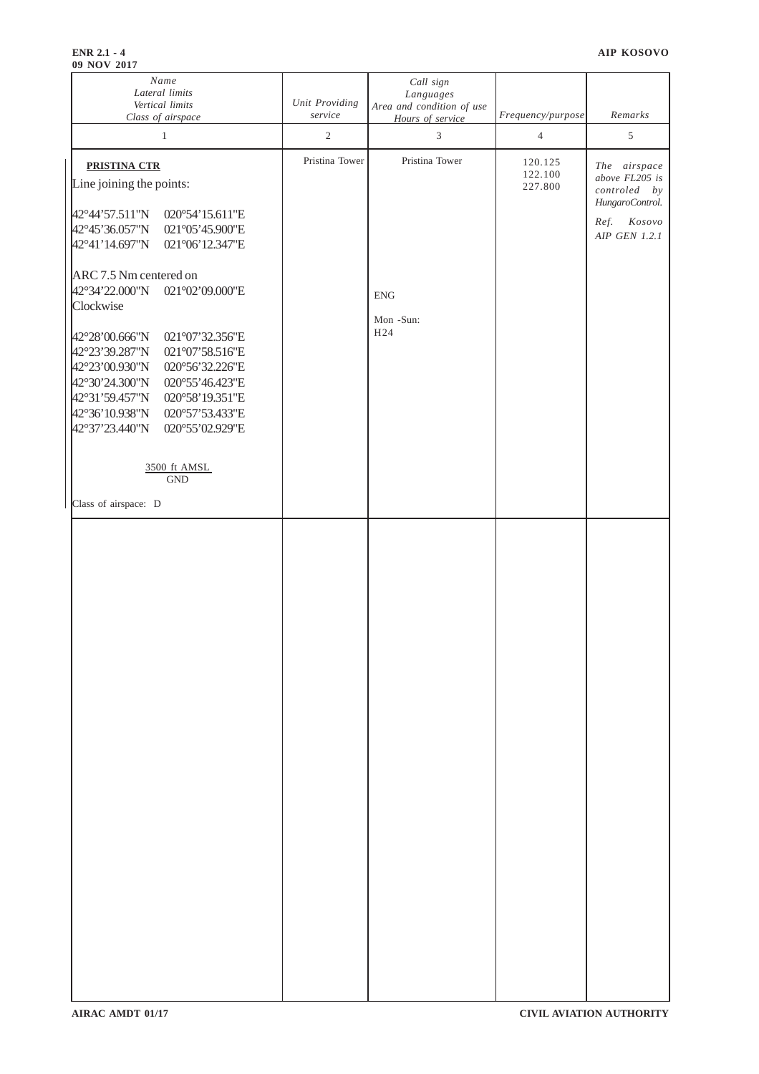**ENR 2.1 - 4**<br>09 NOV 2017

| Name<br>Lateral limits                                                                                                                                                                                                                                          | Unit Providing     | Call sign<br>Languages                        |                               |                                                      |
|-----------------------------------------------------------------------------------------------------------------------------------------------------------------------------------------------------------------------------------------------------------------|--------------------|-----------------------------------------------|-------------------------------|------------------------------------------------------|
| Vertical limits<br>Class of airspace                                                                                                                                                                                                                            | $\textit{service}$ | Area and condition of use<br>Hours of service | Frequency/purpose             | Remarks                                              |
| $\mathbf{1}$                                                                                                                                                                                                                                                    | $\sqrt{2}$         | $\mathfrak{Z}$                                | $\overline{4}$                | $\sqrt{5}$                                           |
| <b>PRISTINA CTR</b><br>Line joining the points:                                                                                                                                                                                                                 | Pristina Tower     | Pristina Tower                                | 120.125<br>122.100<br>227.800 | The airspace<br>above FL205 is<br>controled by       |
| 42°44'57.511"N<br>020°54'15.611"E<br>42°45'36.057"N<br>021°05'45.900"E<br>42°41'14.697"N<br>021°06'12.347"E                                                                                                                                                     |                    |                                               |                               | HungaroControl.<br>Ref.<br>$Kosovo$<br>AIP GEN 1.2.1 |
| ARC 7.5 Nm centered on<br>42°34'22.000"N<br>021°02'09.000"E<br>Clockwise                                                                                                                                                                                        |                    | ${\rm ENG}$<br>Mon -Sun:                      |                               |                                                      |
| 42°28'00.666"N<br>021°07'32.356"E<br>42°23'39.287"N<br>021°07'58.516"E<br>42°23'00.930"N<br>020°56'32.226"E<br>42°30'24.300"N<br>020°55'46.423"E<br>42°31'59.457"N<br>020°58'19.351"E<br>42°36'10.938"N<br>020°57'53.433"E<br>42°37'23.440"N<br>020°55'02.929"E |                    | H <sub>24</sub>                               |                               |                                                      |
| 3500 ft AMSL<br><b>GND</b><br>Class of airspace: D                                                                                                                                                                                                              |                    |                                               |                               |                                                      |
|                                                                                                                                                                                                                                                                 |                    |                                               |                               |                                                      |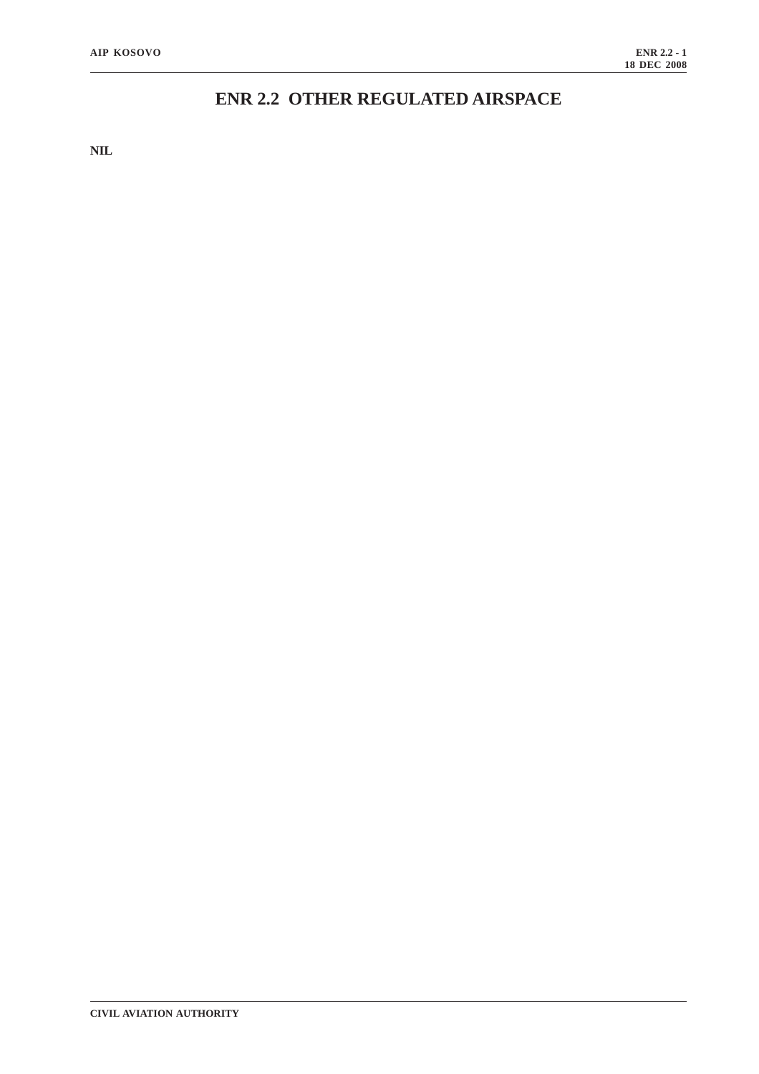## **ENR 2.2 OTHER REGULATED AIRSPACE**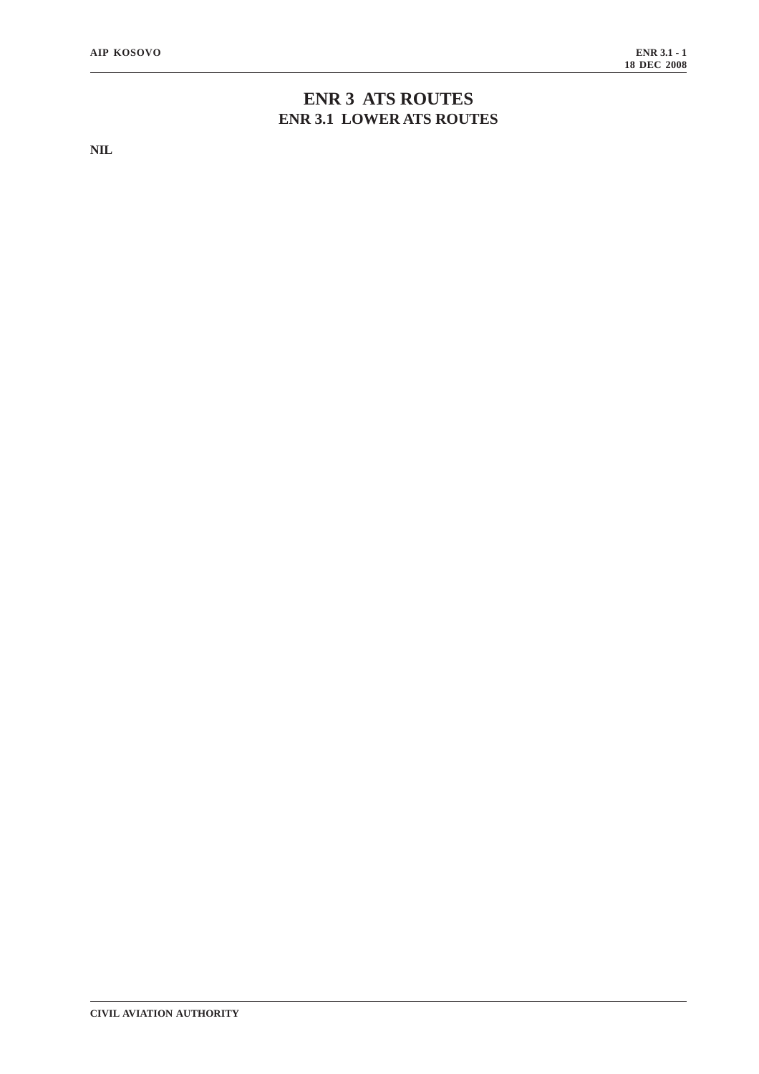### **ENR 3 ATS ROUTES ENR 3.1 LOWER ATS ROUTES**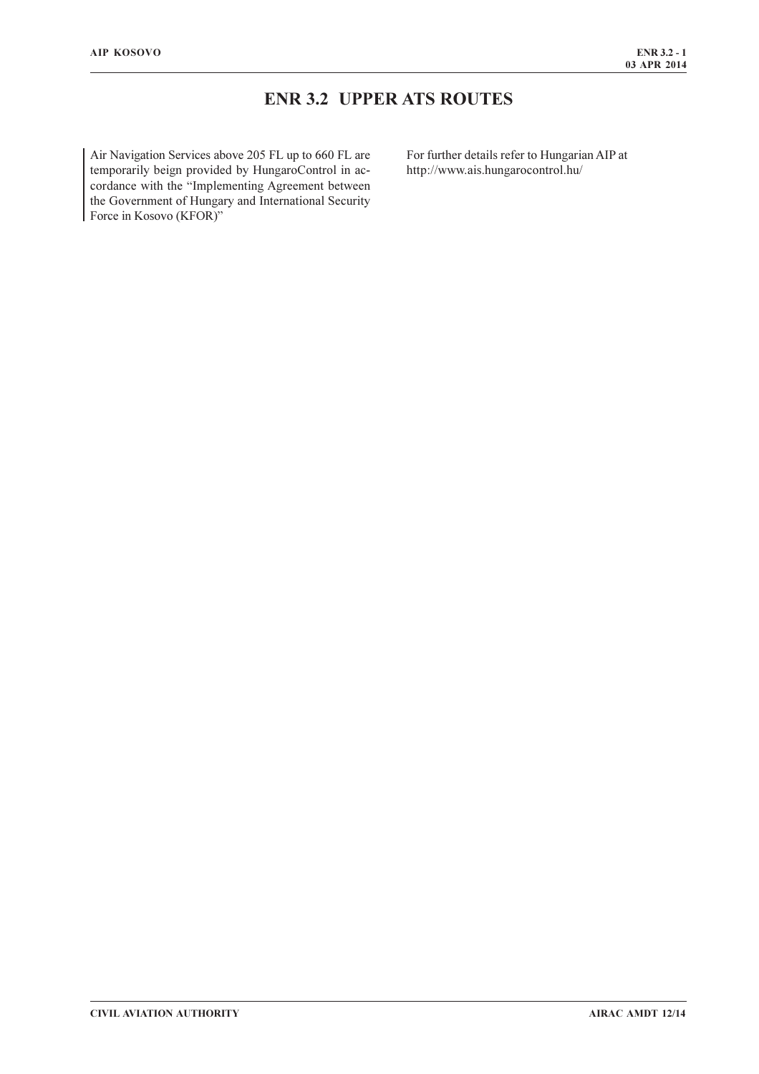### ENR 3.2 UPPER ATS ROUTES

Air Navigation Services above 205 FL up to 660 FL are temporarily beign provided by HungaroControl in accordance with the "Implementing Agreement between the Government of Hungary and International Security Force in Kosovo (KFOR)"

For further details refer to Hungarian AIP at http://www.ais.hungarocontrol.hu/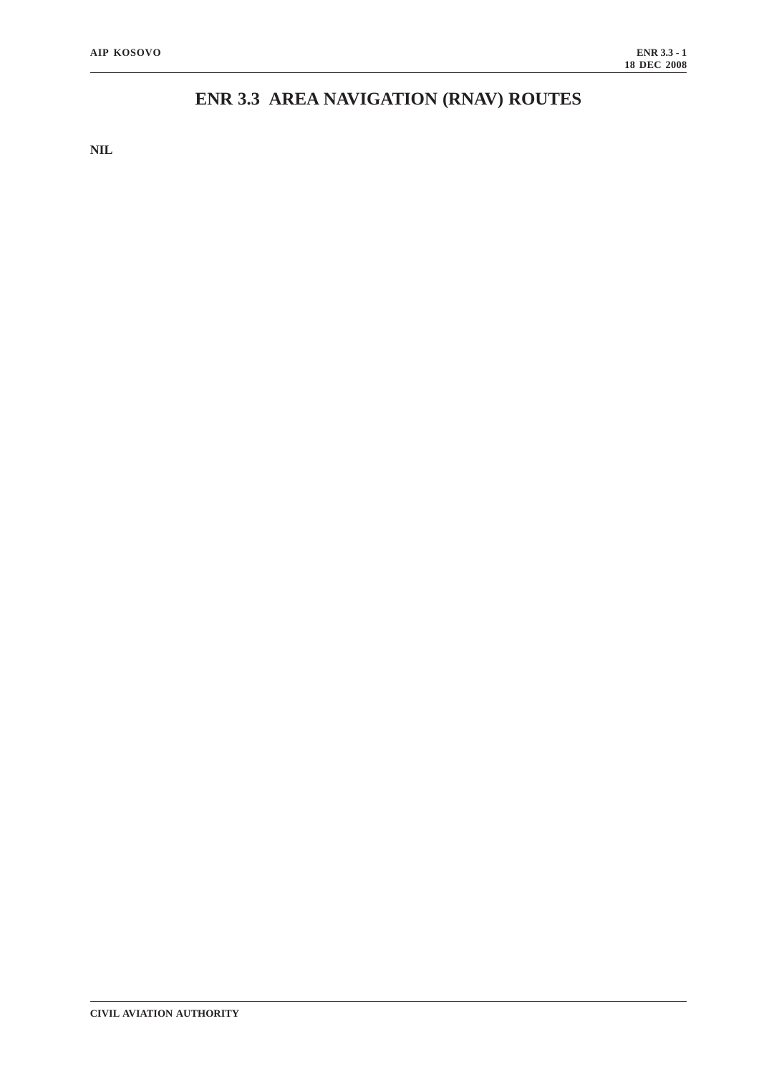# **ENR 3.3 AREA NAVIGATION (RNAV) ROUTES**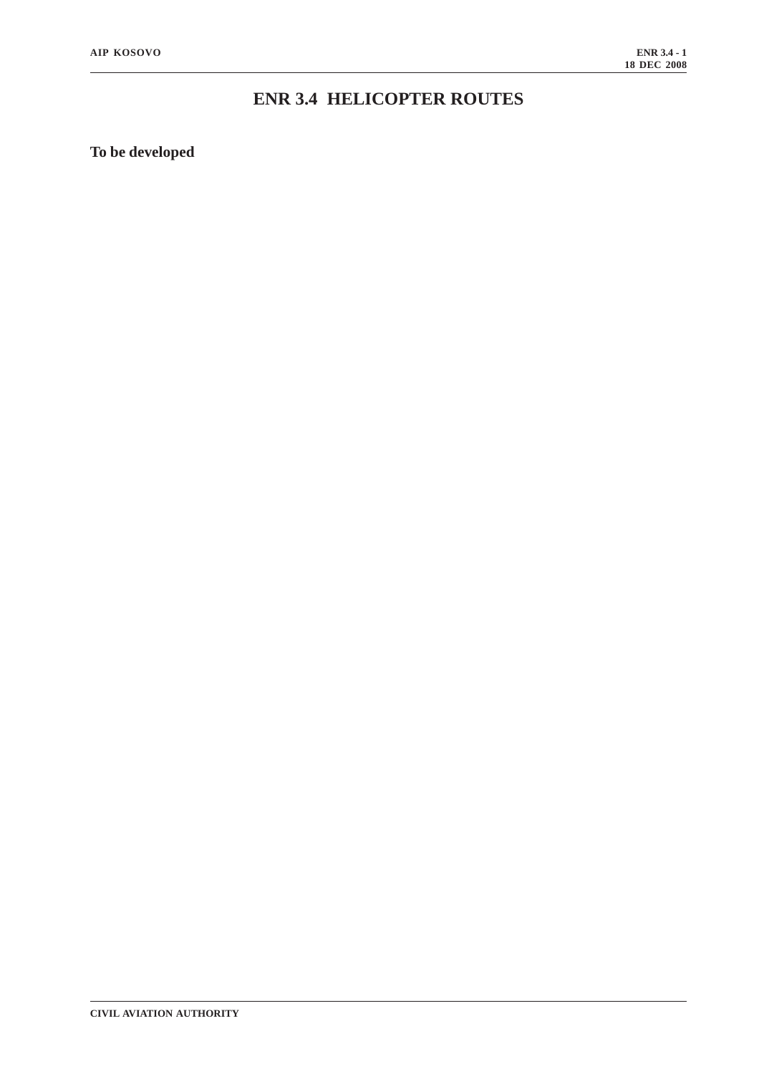## **ENR 3.4 HELICOPTER ROUTES**

## **To be developed**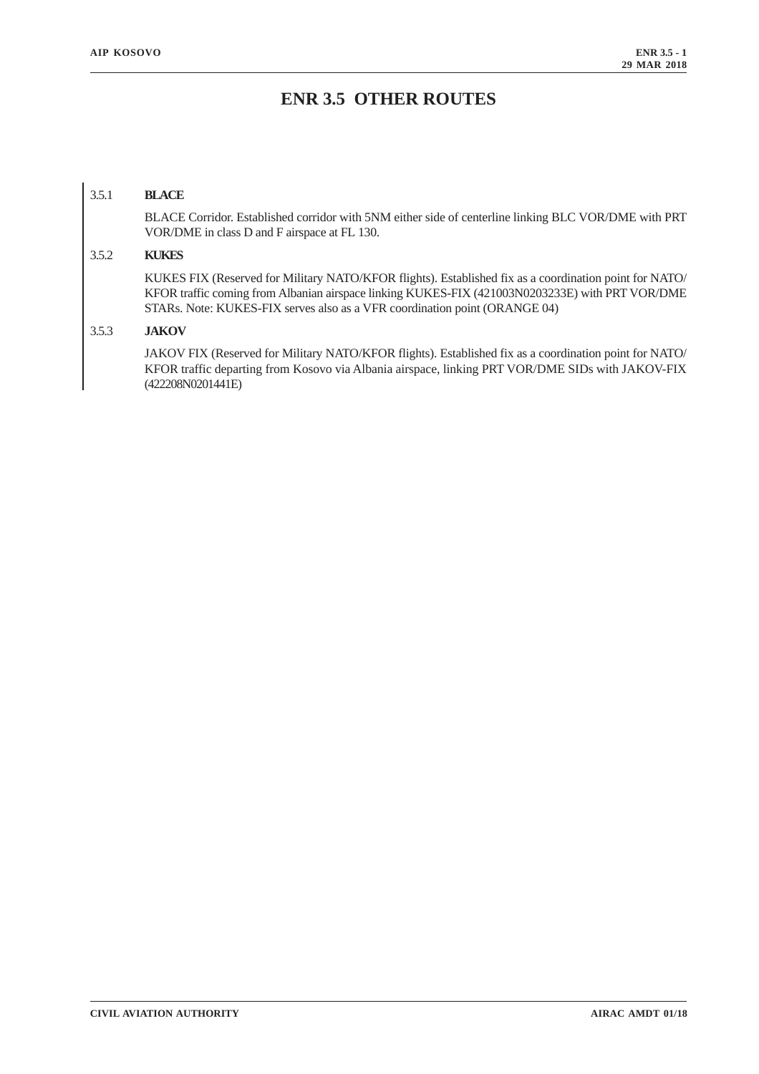### **ENR 3.5 OTHER ROUTES**

#### 3.5.1 **BLACE**

BLACE Corridor. Established corridor with 5NM either side of centerline linking BLC VOR/DME with PRT VOR/DME in class D and F airspace at FL 130.

#### 3.5.2 **KUKES**

KUKES FIX (Reserved for Military NATO/KFOR flights). Established fix as a coordination point for NATO/ KFOR traffic coming from Albanian airspace linking KUKES-FIX (421003N0203233E) with PRT VOR/DME STARs. Note: KUKES-FIX serves also as a VFR coordination point (ORANGE 04)

#### 3.5.3 **JAKOV**

JAKOV FIX (Reserved for Military NATO/KFOR flights). Established fix as a coordination point for NATO/ KFOR traffic departing from Kosovo via Albania airspace, linking PRT VOR/DME SIDs with JAKOV-FIX (422208N0201441E)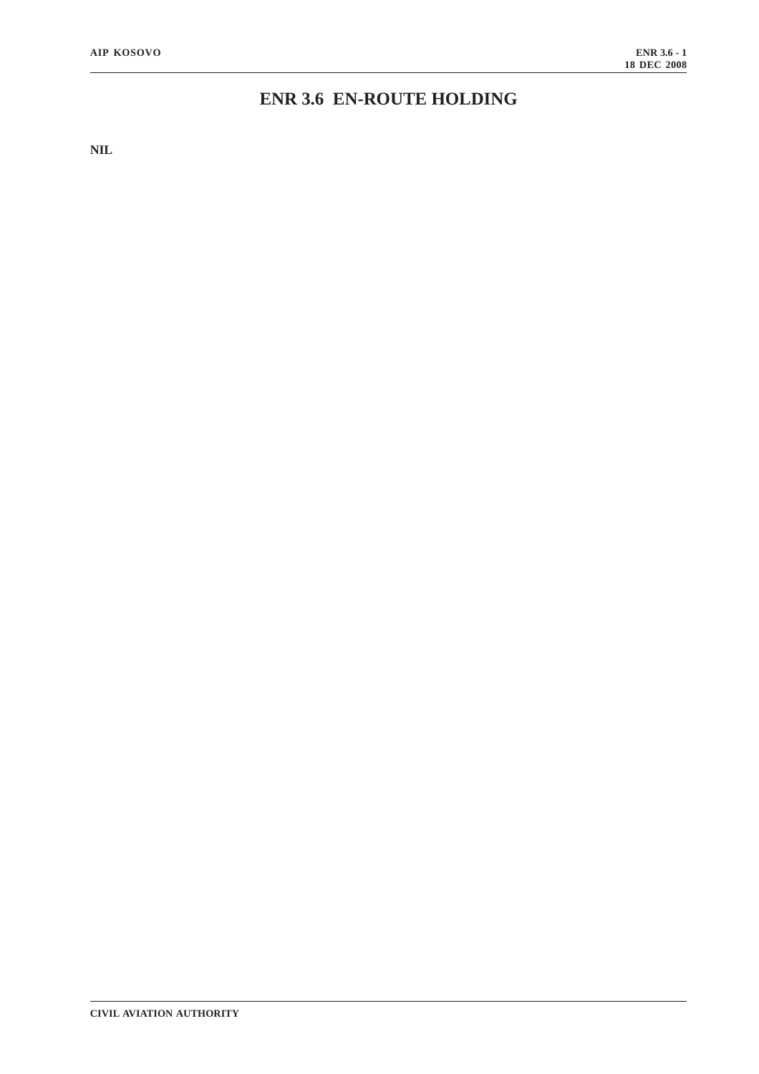## **ENR 3.6 EN-ROUTE HOLDING**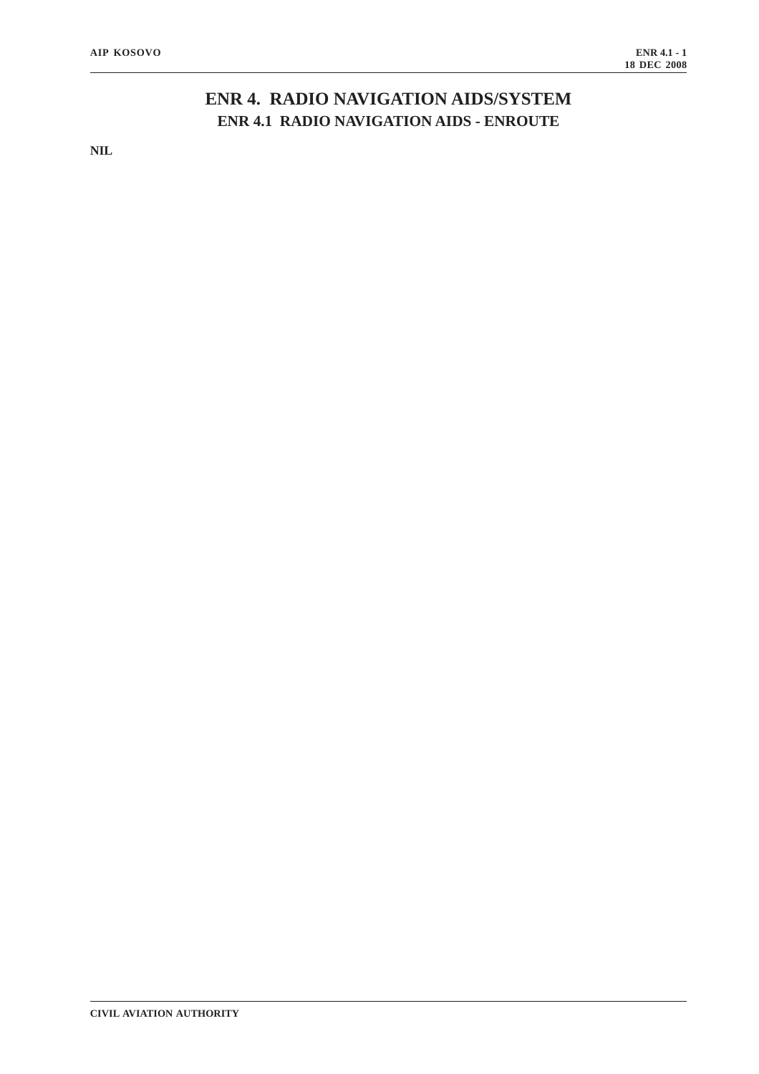## **ENR 4. RADIO NAVIGATION AIDS/SYSTEM ENR 4.1 RADIO NAVIGATION AIDS - ENROUTE**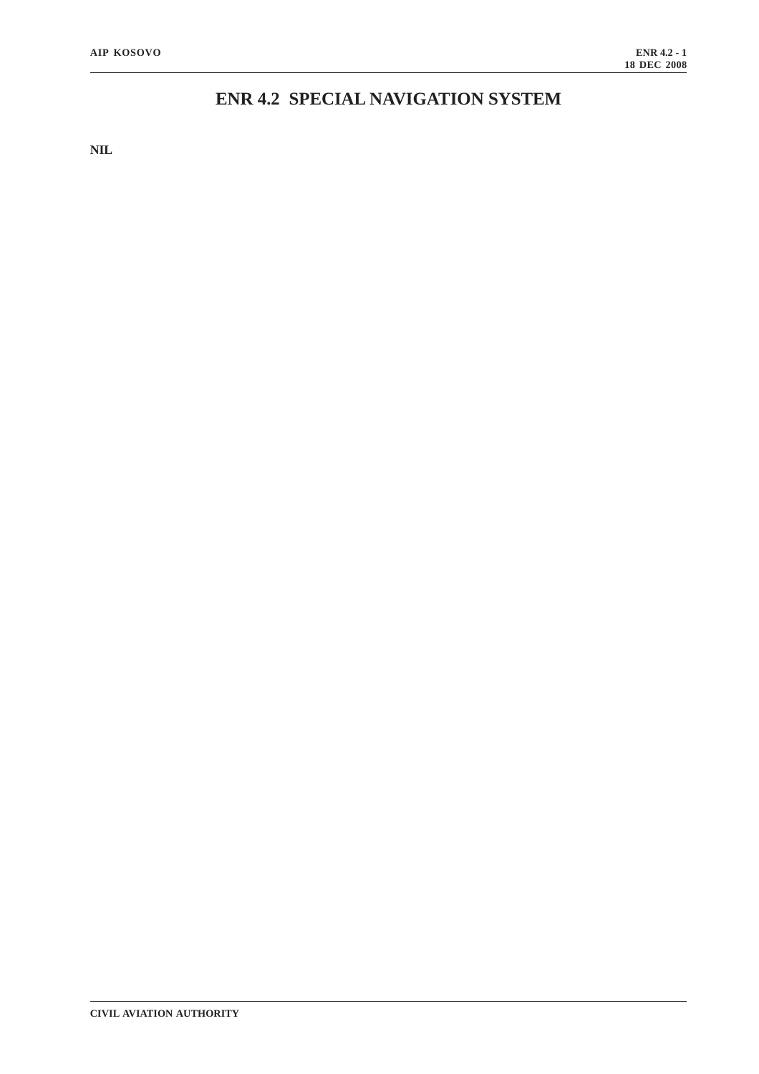## **ENR 4.2 SPECIAL NAVIGATION SYSTEM**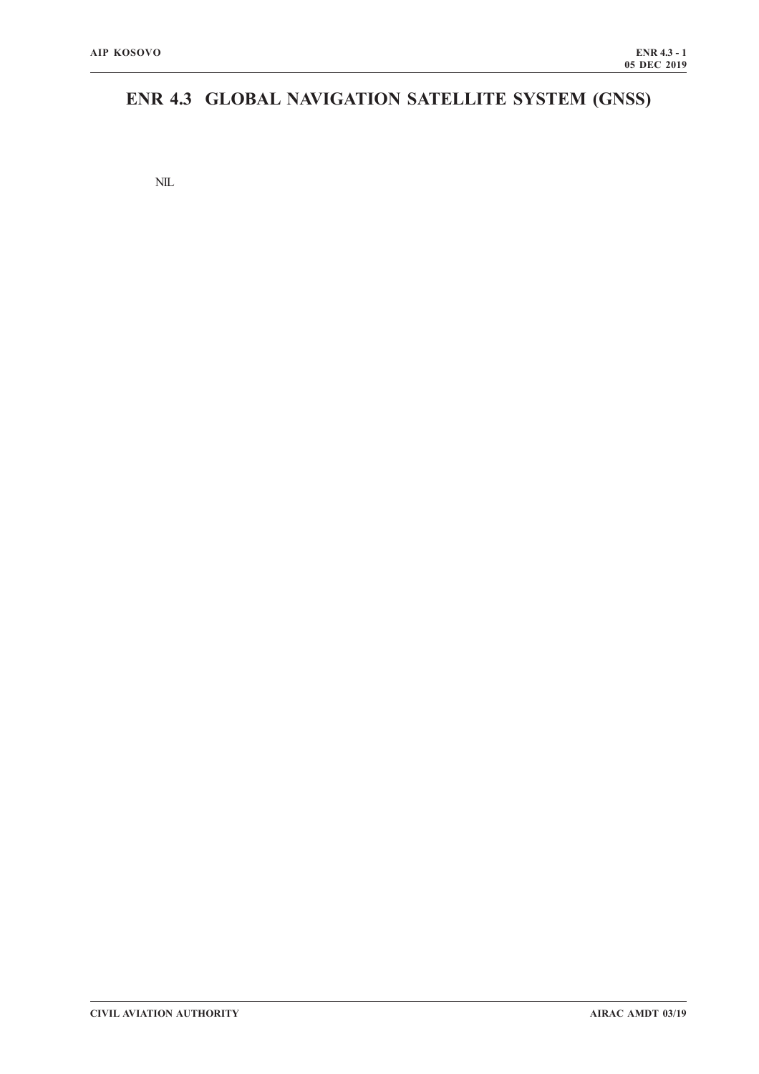# **ENR 4.3 GLOBAL NAVIGATION SATELLITE SYSTEM (GNSS)**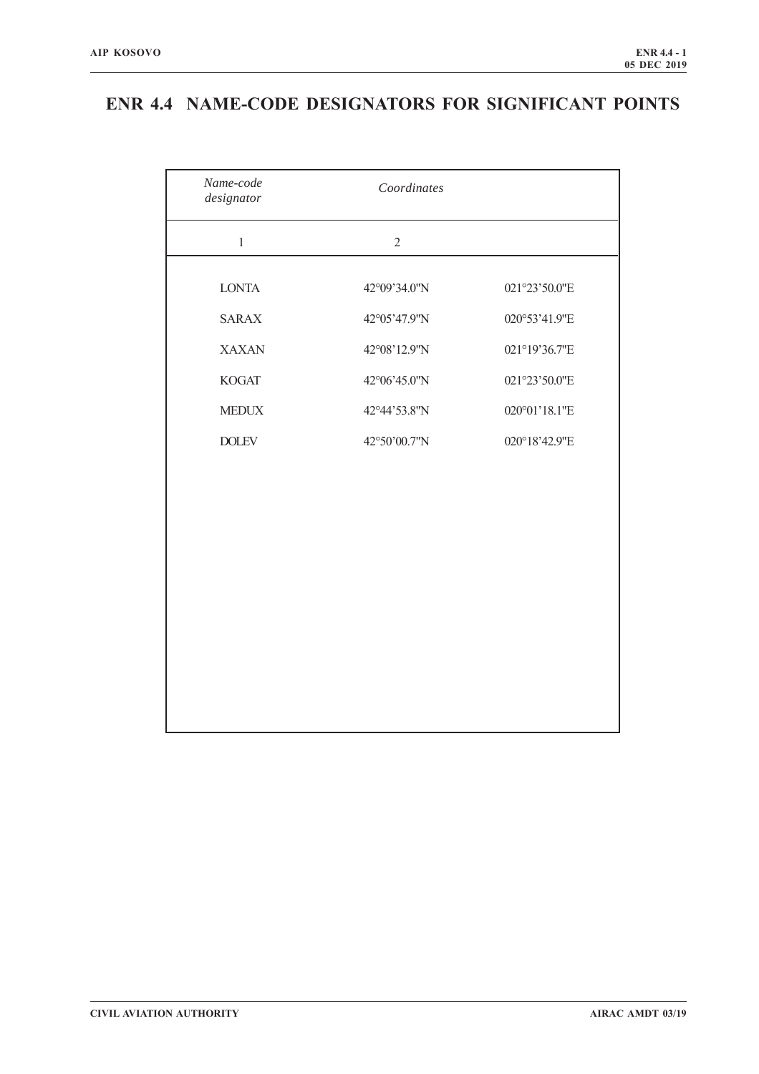## **ENR 4.4 NAME-CODE DESIGNATORS FOR SIGNIFICANT POINTS**

| Name-code<br>designator | Coordinates    |               |
|-------------------------|----------------|---------------|
| $\mathbf{1}$            | $\overline{2}$ |               |
| <b>LONTA</b>            | 42°09'34.0"N   | 021°23'50.0"E |
| <b>SARAX</b>            | 42°05'47.9"N   | 020°53'41.9"E |
| <b>XAXAN</b>            | 42°08'12.9"N   | 021°19'36.7"E |
| <b>KOGAT</b>            | 42°06'45.0"N   | 021°23'50.0"E |
| <b>MEDUX</b>            | 42°44'53.8"N   | 020°01'18.1"E |
| <b>DOLEV</b>            | 42°50'00.7"N   | 020°18'42.9"E |
|                         |                |               |
|                         |                |               |
|                         |                |               |
|                         |                |               |
|                         |                |               |
|                         |                |               |
|                         |                |               |
|                         |                |               |
|                         |                |               |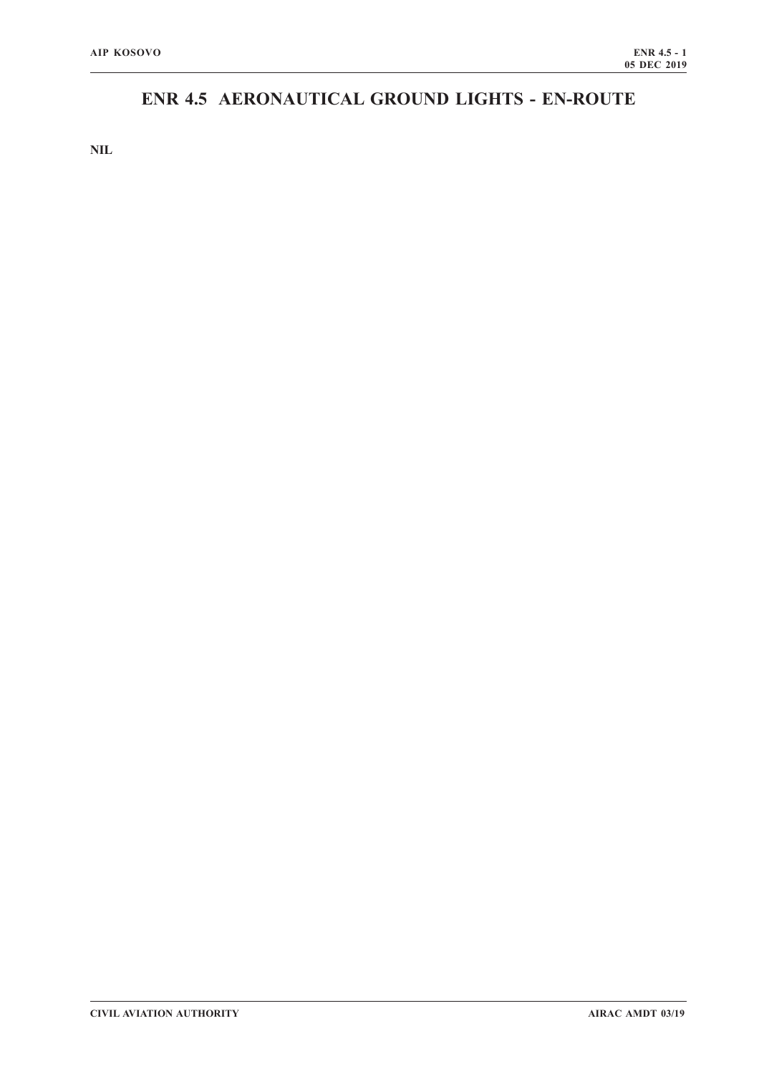## **ENR 4.5 AERONAUTICAL GROUND LIGHTS - EN-ROUTE**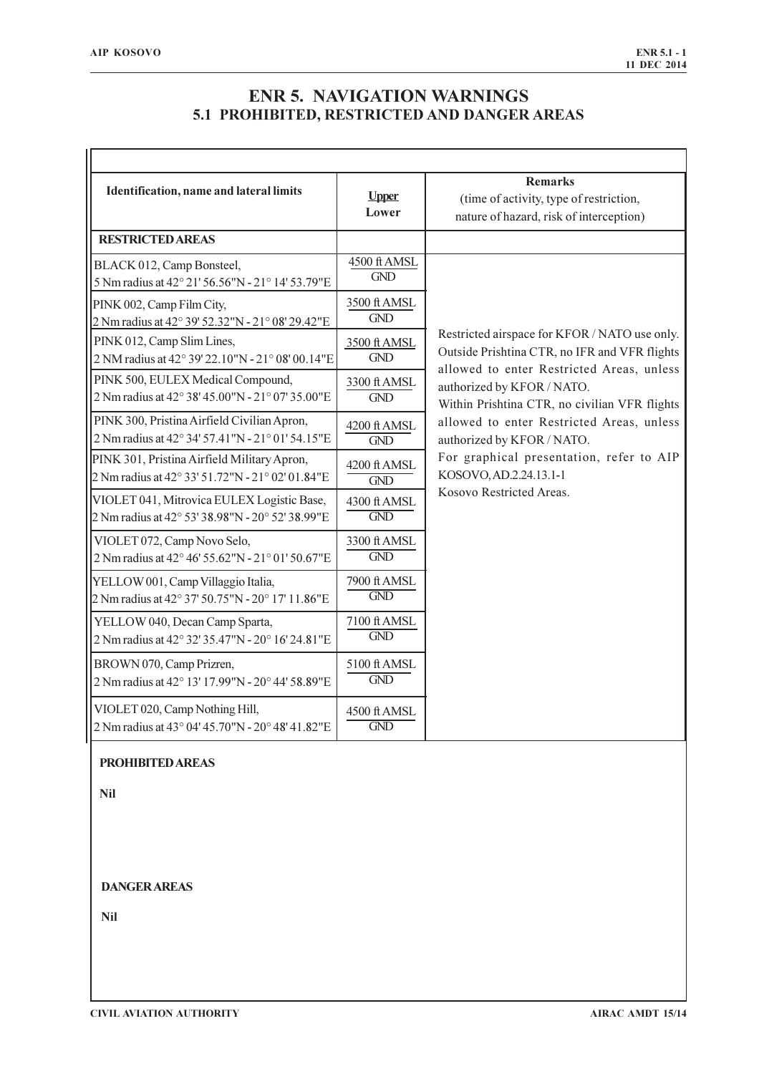### ENR 5. NAVIGATION WARNINGS 5.1 PROHIBITED, RESTRICTED AND DANGER AREAS

| Identification, name and lateral limits                                                         | <b>Upper</b><br>Lower      | <b>Remarks</b><br>(time of activity, type of restriction,<br>nature of hazard, risk of interception)                     |
|-------------------------------------------------------------------------------------------------|----------------------------|--------------------------------------------------------------------------------------------------------------------------|
| <b>RESTRICTED AREAS</b>                                                                         |                            |                                                                                                                          |
| BLACK 012, Camp Bonsteel,<br>5 Nm radius at 42° 21' 56.56"N - 21° 14' 53.79"E                   | 4500 ft AMSL<br><b>GND</b> |                                                                                                                          |
| PINK 002, Camp Film City,<br>2 Nm radius at 42° 39' 52.32"N - 21° 08' 29.42"E                   | 3500 ft AMSL<br><b>GND</b> |                                                                                                                          |
| PINK 012, Camp Slim Lines,<br>2 NM radius at 42° 39' 22.10"N - 21° 08' 00.14"E                  | 3500 ft AMSL<br><b>GND</b> | Restricted airspace for KFOR / NATO use only.<br>Outside Prishtina CTR, no IFR and VFR flights                           |
| PINK 500, EULEX Medical Compound,<br>2 Nm radius at 42° 38' 45.00"N - 21° 07' 35.00"E           | 3300 ft AMSL<br>GND        | allowed to enter Restricted Areas, unless<br>authorized by KFOR / NATO.<br>Within Prishtina CTR, no civilian VFR flights |
| PINK 300, Pristina Airfield Civilian Apron,<br>2 Nm radius at 42° 34' 57.41"N - 21° 01' 54.15"E | 4200 ft AMSL<br><b>GND</b> | allowed to enter Restricted Areas, unless<br>authorized by KFOR / NATO.                                                  |
| PINK 301, Pristina Airfield Military Apron,<br>2 Nm radius at 42° 33′ 51.72″N - 21° 02′ 01.84″E | 4200 ft AMSL<br><b>GND</b> | For graphical presentation, refer to AIP<br>KOSOVO, AD.2.24.13.1-1                                                       |
| VIOLET 041, Mitrovica EULEX Logistic Base,<br>2 Nm radius at 42° 53' 38.98"N - 20° 52' 38.99"E  | 4300 ft AMSL<br>GND        | Kosovo Restricted Areas.                                                                                                 |
| VIOLET 072, Camp Novo Selo,<br>2 Nm radius at 42° 46' 55.62"N - 21° 01' 50.67"E                 | 3300 ft AMSL<br><b>GND</b> |                                                                                                                          |
| YELLOW 001, Camp Villaggio Italia,<br>2 Nm radius at 42° 37' 50.75"N - 20° 17' 11.86"E          | 7900 ft AMSL<br>GND        |                                                                                                                          |
| YELLOW 040, Decan Camp Sparta,<br>2 Nm radius at 42° 32' 35.47"N - 20° 16' 24.81"E              | 7100 ft AMSL<br><b>GND</b> |                                                                                                                          |
| BROWN 070, Camp Prizren,<br>2 Nm radius at 42° 13' 17.99"N - 20° 44' 58.89"E                    | 5100 ft AMSL<br>GND        |                                                                                                                          |
| VIOLET 020, Camp Nothing Hill,<br>2 Nm radius at 43° 04′ 45.70"N - 20° 48′ 41.82"E              | 4500 ft AMSL<br>GND        |                                                                                                                          |

#### PROHIBITED AREAS

Nil

#### DANGER AREAS

Nil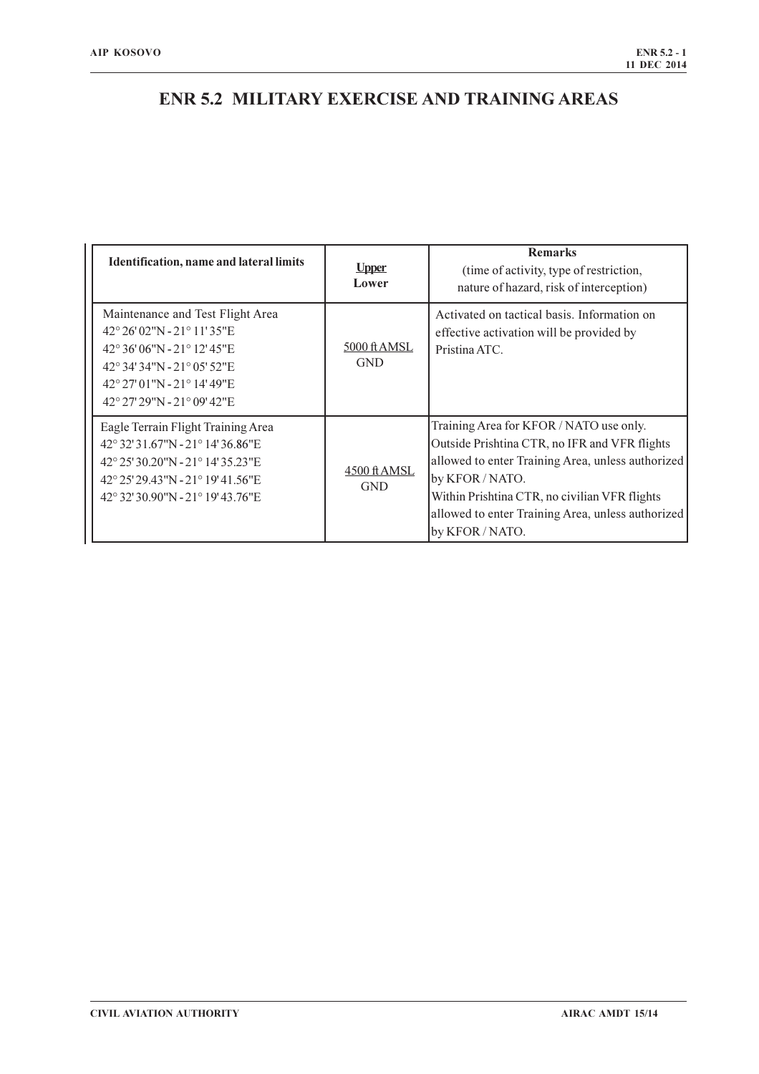### ENR 5.2 MILITARY EXERCISE AND TRAINING AREAS

| Identification, name and lateral limits                                                                                                                                                                                 | <b>Upper</b><br>Lower      | <b>Remarks</b><br>(time of activity, type of restriction,<br>nature of hazard, risk of interception)                                                                                                                                                                                      |
|-------------------------------------------------------------------------------------------------------------------------------------------------------------------------------------------------------------------------|----------------------------|-------------------------------------------------------------------------------------------------------------------------------------------------------------------------------------------------------------------------------------------------------------------------------------------|
| Maintenance and Test Flight Area<br>$42^{\circ}26'02''N - 21^{\circ}11'35''E$<br>$42^{\circ}36'06''N - 21^{\circ}12'45''E$<br>42° 34′ 34″N - 21° 05′ 52″E<br>42° 27' 01"N - 21° 14' 49"E<br>42° 27' 29"N - 21° 09' 42"E | 5000 ft AMSL<br><b>GND</b> | Activated on tactical basis. Information on<br>effective activation will be provided by<br>Pristina ATC.                                                                                                                                                                                  |
| Eagle Terrain Flight Training Area<br>42° 32′ 31.67"N - 21° 14′ 36.86"E<br>42° 25' 30.20"N - 21° 14' 35.23"E<br>42° 25′ 29.43″N - 21° 19′ 41.56″E<br>42° 32′ 30.90″N - 21° 19′ 43.76″E                                  | 4500 ft AMSL<br><b>GND</b> | Training Area for KFOR / NATO use only.<br>Outside Prishtina CTR, no IFR and VFR flights<br>allowed to enter Training Area, unless authorized<br>by KFOR / NATO.<br>Within Prishtina CTR, no civilian VFR flights<br>allowed to enter Training Area, unless authorized<br>by KFOR / NATO. |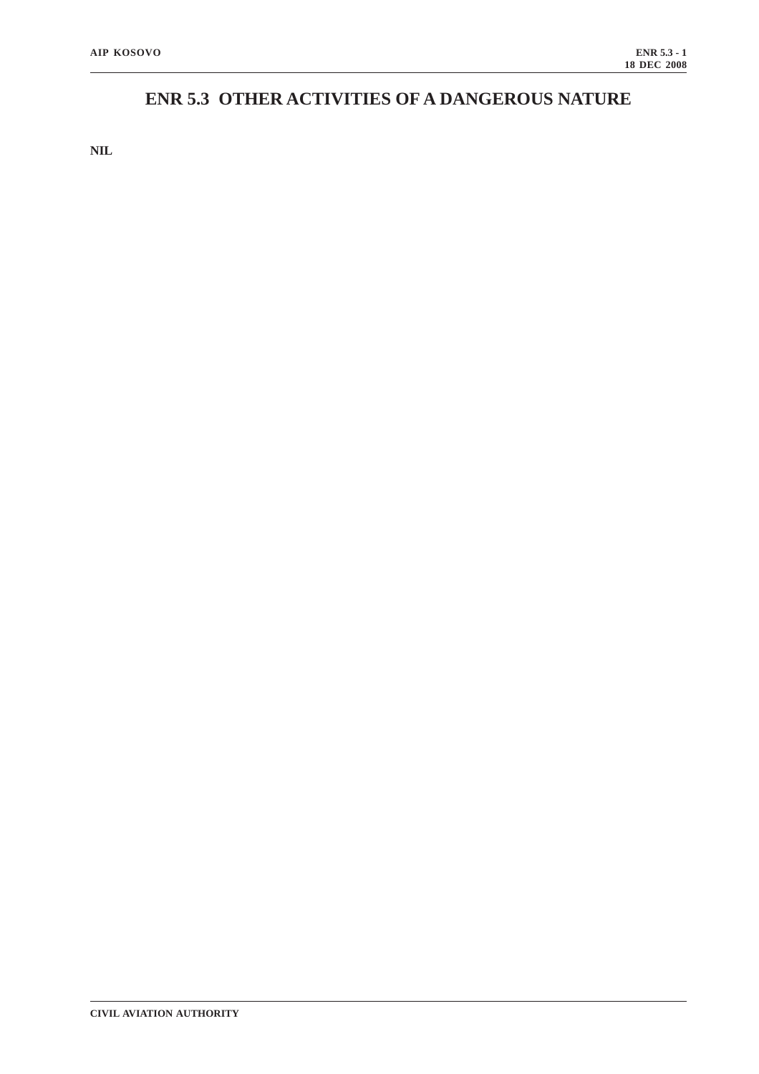#### **ENR 5.3 OTHER ACTIVITIES OF A DANGEROUS NATURE**

**NIL**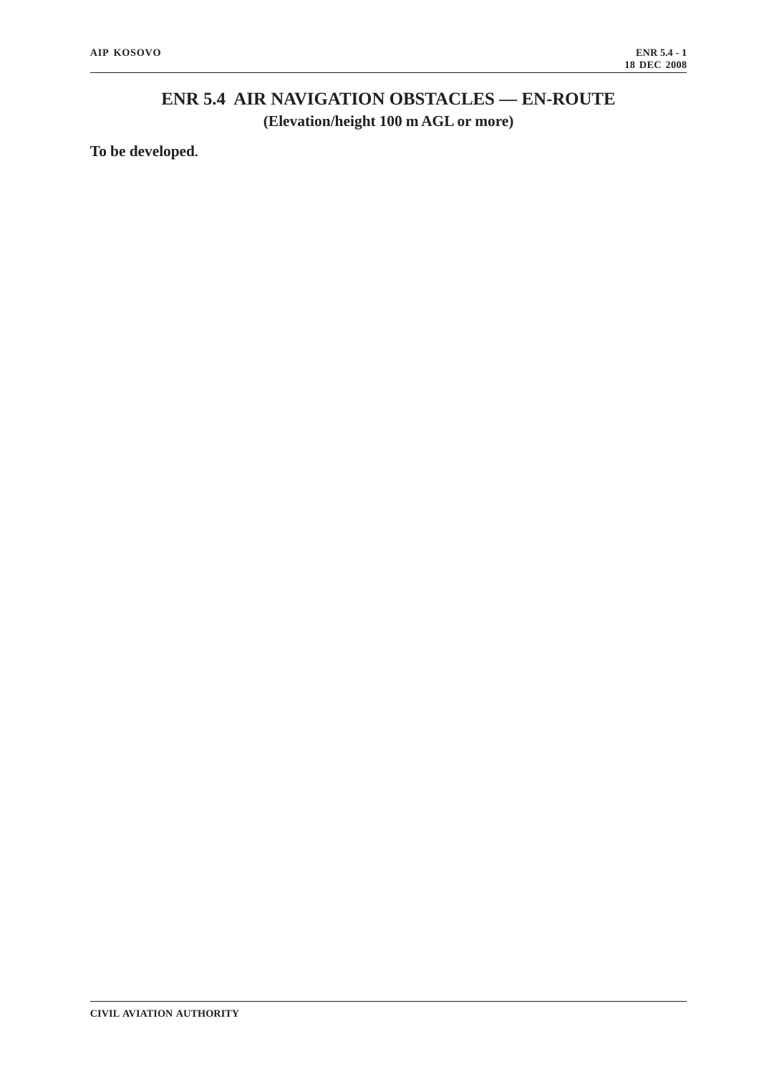# **ENR 5.4 AIR NAVIGATION OBSTACLES — EN-ROUTE (Elevation/height 100 m AGL or more)**

**To be developed.**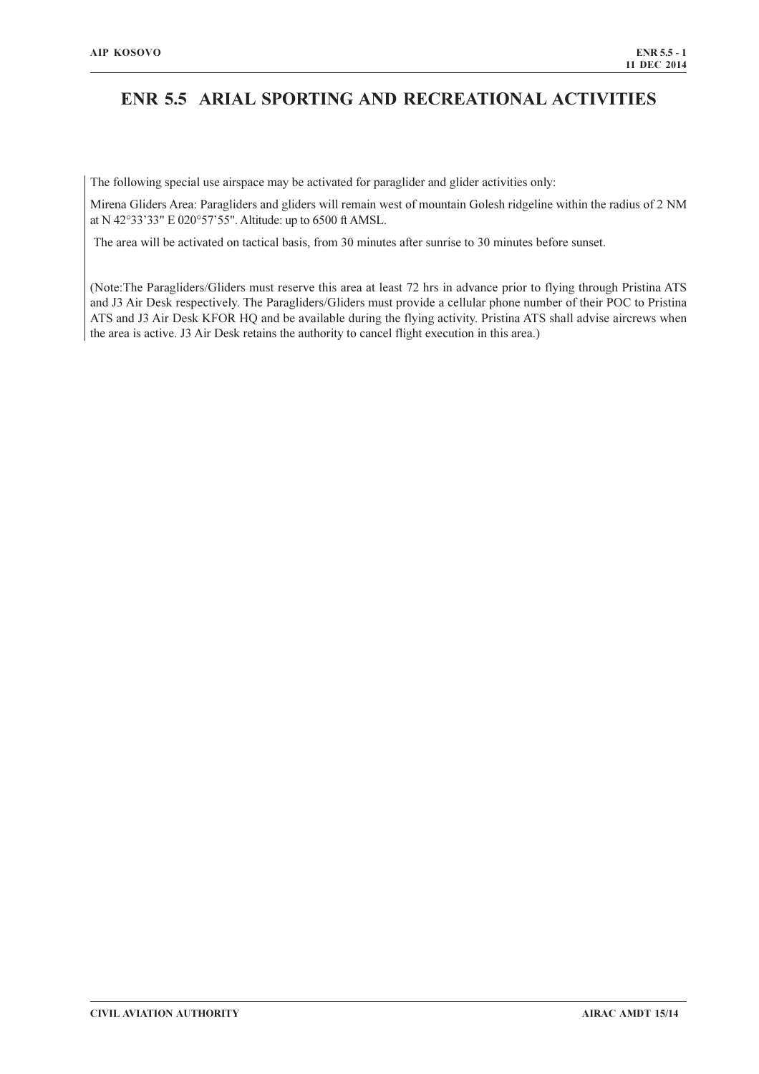#### ENR 5.5 ARIAL SPORTING AND RECREATIONAL ACTIVITIES

The following special use airspace may be activated for paraglider and glider activities only:

Mirena Gliders Area: Paragliders and gliders will remain west of mountain Golesh ridgeline within the radius of 2 NM at N 42°33'33" E 020°57'55". Altitude: up to 6500 ft AMSL.

The area will be activated on tactical basis, from 30 minutes after sunrise to 30 minutes before sunset.

(Note:The Paragliders/Gliders must reserve this area at least 72 hrs in advance prior to flying through Pristina ATS and J3 Air Desk respectively. The Paragliders/Gliders must provide a cellular phone number of their POC to Pristina ATS and J3 Air Desk KFOR HQ and be available during the flying activity. Pristina ATS shall advise aircrews when the area is active. J3 Air Desk retains the authority to cancel flight execution in this area.)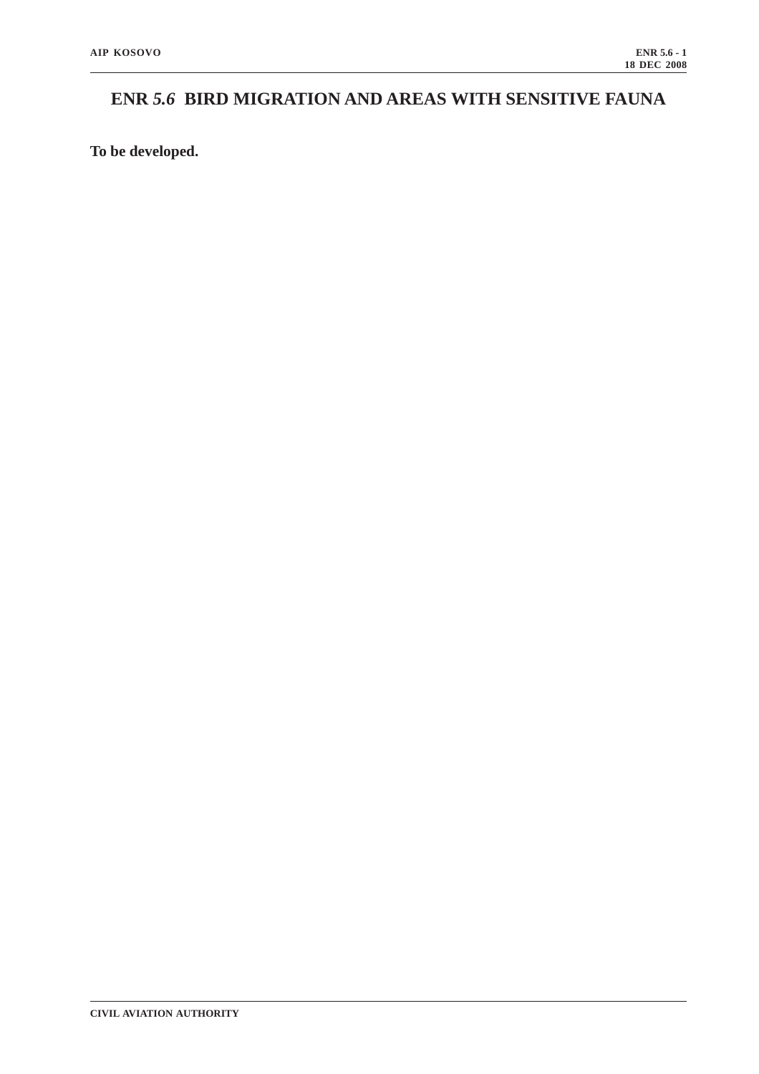#### **ENR** *5.6* **BIRD MIGRATION AND AREAS WITH SENSITIVE FAUNA**

**To be developed.**